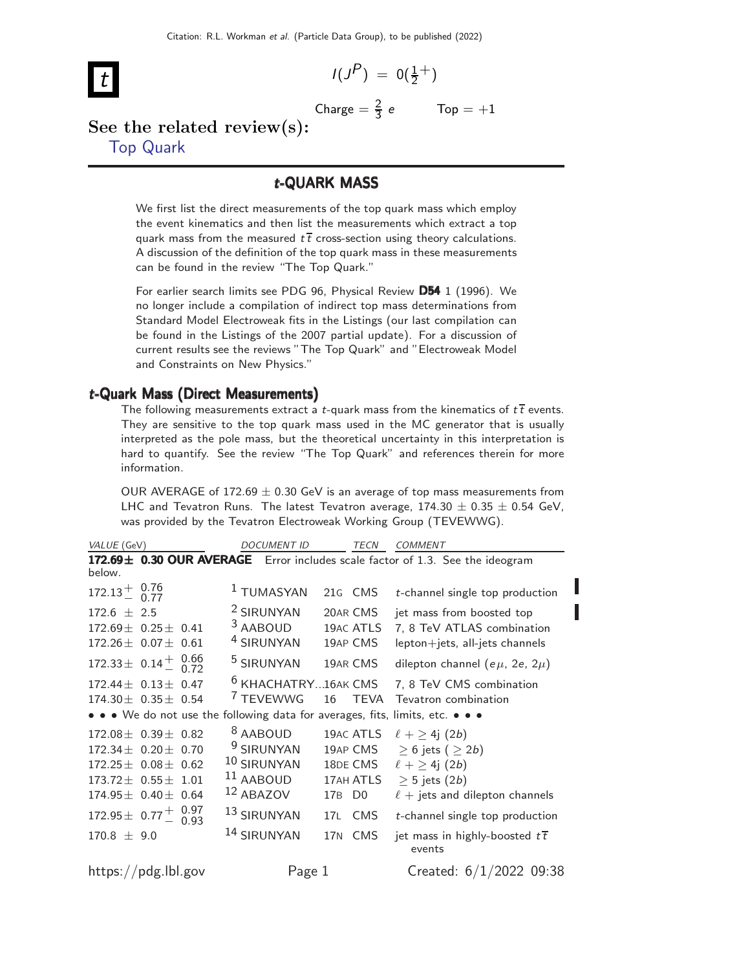$$
I(J^P) = 0(\tfrac{1}{2}^+)
$$

$$
\lfloor t
$$

$$
\text{Change} = \frac{2}{3} e \qquad \text{Top} = +1
$$

#### See the related review(s): [Top Quark](http://pdg.lbl.gov/2022/reviews/rpp2021-rev-top-quark.pdf)

#### t-QUARK MASS

We first list the direct measurements of the top quark mass which employ the event kinematics and then list the measurements which extract a top quark mass from the measured  $t\bar{t}$  cross-section using theory calculations. A discussion of the definition of the top quark mass in these measurements can be found in the review "The Top Quark."

For earlier search limits see PDG 96, Physical Review D54 1 (1996). We no longer include a compilation of indirect top mass determinations from Standard Model Electroweak fits in the Listings (our last compilation can be found in the Listings of the 2007 partial update). For a discussion of current results see the reviews "The Top Quark" and "Electroweak Model and Constraints on New Physics."

#### t-Quark Mass (Direct Measurements)

The following measurements extract a t-quark mass from the kinematics of  $t\bar{t}$  events. They are sensitive to the top quark mass used in the MC generator that is usually interpreted as the pole mass, but the theoretical uncertainty in this interpretation is hard to quantify. See the review "The Top Quark" and references therein for more information.

OUR AVERAGE of 172.69  $\pm$  0.30 GeV is an average of top mass measurements from LHC and Tevatron Runs. The latest Tevatron average,  $174.30 \pm 0.35 \pm 0.54$  GeV, was provided by the Tevatron Electroweak Working Group (TEVEWWG).

| VALUE (GeV)                                                                   | <b>DOCUMENT ID</b>             | <b>TECN</b>           | <b>COMMENT</b>                                                                |
|-------------------------------------------------------------------------------|--------------------------------|-----------------------|-------------------------------------------------------------------------------|
| below.                                                                        |                                |                       | 172.69± 0.30 OUR AVERAGE Error includes scale factor of 1.3. See the ideogram |
| $172.13 \frac{+}{0.77}$                                                       | <sup>1</sup> TUMASYAN          | 21G CMS               | t-channel single top production                                               |
| $172.6 + 2.5$                                                                 | <sup>2</sup> SIRUNYAN          | 20AR CMS              | jet mass from boosted top                                                     |
| $172.69 \pm 0.25 \pm 0.41$                                                    | <sup>3</sup> AABOUD            | 19AC ATLS             | 7, 8 TeV ATLAS combination                                                    |
| $172.26 \pm 0.07 \pm 0.61$                                                    | <sup>4</sup> SIRUNYAN          | 19AP CMS              | lepton+jets, all-jets channels                                                |
| 172.33 $\pm$ 0.14 $\frac{1}{2}$ 0.66                                          | <sup>5</sup> SIRUNYAN          | 19AR CMS              | dilepton channel (e $\mu$ , 2e, 2 $\mu$ )                                     |
| $172.44 \pm 0.13 \pm 0.47$                                                    | <sup>6</sup> KHACHATRY16AK CMS |                       | 7, 8 TeV CMS combination                                                      |
| $174.30 \pm 0.35 \pm 0.54$                                                    | <sup>7</sup> TEVEWWG           | <b>TFVA</b><br>16     | Tevatron combination                                                          |
| • • • We do not use the following data for averages, fits, limits, etc. • • • |                                |                       |                                                                               |
| $172.08 \pm 0.39 \pm 0.82$                                                    | <sup>8</sup> AABOUD            | 19AC ATLS             | $\ell + \geq 4j$ (2b)                                                         |
| $172.34 \pm 0.20 \pm 0.70$                                                    | <sup>9</sup> SIRUNYAN          | 19AP CMS              | $\geq 6$ jets ( $\geq 2b$ )                                                   |
| $172.25 \pm 0.08 \pm 0.62$                                                    | 10 SIRUNYAN                    | 18DE CMS              | $\ell + \geq 4j$ (2b)                                                         |
| $173.72 \pm 0.55 \pm 1.01$                                                    | $11$ AABOUD                    | 17AH ATLS             | $\geq$ 5 jets (2 <i>b</i> )                                                   |
| $174.95 \pm 0.40 \pm 0.64$                                                    | 12 ABAZOV                      | 17B<br>D <sub>0</sub> | $\ell$ + jets and dilepton channels                                           |
| 172.95 $\pm$ 0.77 $^{+}_{-}$ 0.97                                             | 13 SIRUNYAN                    | <b>CMS</b><br>17L     | t-channel single top production                                               |
| $170.8 \pm 9.0$                                                               | 14 SIRUNYAN                    | 17N<br><b>CMS</b>     | jet mass in highly-boosted $t\bar{t}$<br>events                               |
| https://pdg.lbl.gov                                                           | Page 1                         |                       | Created: 6/1/2022 09:38                                                       |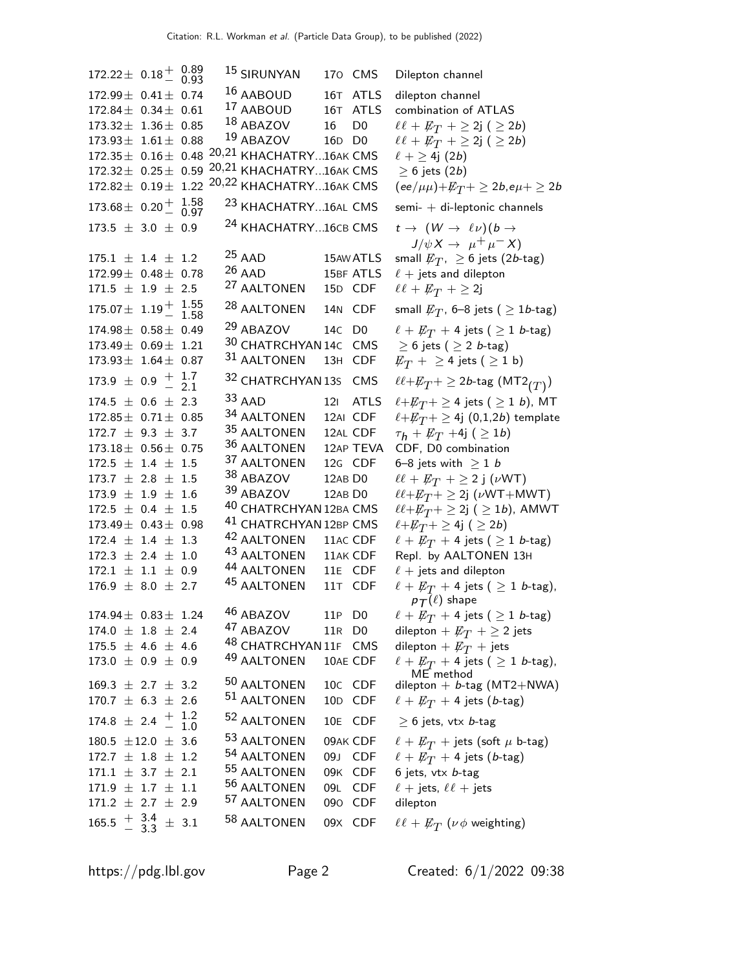$172.22 \pm 0.18 \pm 0.89$ <br>0.93 15 SIRUNYAN 170 CMS Dilepton channel  $172.99 \pm 0.41 \pm 0.74$  16 AABOUD 16T ATLS dilepton channel<br> $172.84 + 0.34 + 0.61$  17 AABOUD 16T ATLS combination of A 172.84  $\pm$  0.34  $\pm$  0.61 <sup>17</sup> AABOUD 16T ATLS combination of ATLAS<br>173.32  $\pm$  1.36  $\pm$  0.85 <sup>18</sup> ABAZOV 16 D0  $\ell \ell + E_T +$  > 2j ( > 2  $173.32 \pm 1.36 \pm 0.85$  18 ABAZOV 16 D0  $\ell \ell + \not\!\!{E}_T + \geq 2j$  (  $\geq 2b$ )<br>173.93  $\pm 1.61 \pm 0.88$  19 ABAZOV 16D D0  $\ell \ell + \not\!\!{E}_T + \geq 2j$  (  $\geq 2b$ )  $172.35\pm 0.16\pm 0.48$   $20,21$  KHACHATRY...16AK CMS  $\ell + \geq 4$ j (2b)<br> $172.32\pm 0.25\pm 0.59$   $20,21$  KHACHATRY...16AK CMS  $\geq 6$  jets (2b) 172.32± 0.25± 0.59 <sup>20,21</sup> KHACHATRY...16AK CMS ≥ 6 jets (2*b*)<br>172.82± 0.19± 1.22 <sup>20,22</sup> KHACHATRY...16AK CMS (ee/ $\mu\mu$ )+ $E_T$ + ≥ 2*b*,e $\mu$ + ≥ 2*b* 20,22 KHACHATRY...16AK CMS  $173.68 \pm 0.20 \pm 1.58$ <br>0.97  $^{23}$  KHACHATRY...16AL CMS semi-  $+$  di-leptonic channels  $173.5 \pm 3.0 \pm 0.9$  $^{24}$  KHACHATRY...16CB CMS  $t \rightarrow (W \rightarrow \ell \nu)(b \rightarrow$  $175.1 \pm 1.4 \pm 1.2$ <br> $172.99 \pm 0.48 \pm 0.78$  $\frac{25}{25}$  AAD 15AW ATLS small  $\not\!\!E_{T}$ ,  $\geq 6$  jets (2*b*-tag) 26 AAD 15BF ATLS  $\ell + \text{jets}$  and dilepton<br>
27 AALTONEN 15D CDF  $\ell \ell + \cancel{E_T} + \geq 2j$  $171.5 \pm 1.9 \pm 2.5$ 27 AALTONEN  $175.07 \pm 1.19 \pm 1.55$ <br> $1.58$ 28 AALTONEN 14N CDF 174.98 $\pm$  0.58 $\pm$  0.49 <sup>29</sup> ABAZOV 14C D0  $\ell + \not{E}_T + 4$  jets (  $\geq$  1 *b*-tag)<br>173.49 $\pm$  0.69 $\pm$  1.21 <sup>30</sup> CHATRCHYAN 14C CMS  $\geq$  6 jets (  $\geq$  2 *b*-tag)  $173.49 \pm 0.69 \pm 1.21$   $30$  CHATRCHYAN 14C CMS<br> $173.93 \pm 1.64 \pm 0.87$   $31$  AALTONEN 13H CDF  $173.9 \;\pm\; 0.9 \;\stackrel{+}{-}\;\frac{1.7}{2.1}$  $-2.1$  $^{32}$  CHATRCHYAN 13s  $\,$  CMS  $\,$   $\,$   $\ell \ell + E_T + \geq 2b$ -tag  $({\rm MT2}_{(T)})$  $174.5 \pm 0.6 \pm 2.3$ <br> $172.85 \pm 0.71 \pm 0.85$ 33 AAD 12I ATLS  $\ell + \not\!\!E_T + \geq 4$  jets (  $\geq 1$  *b*), MT <br>34 AALTONEN 12AI CDF  $\ell + \not\!\!E_T + \geq 4$ j (0,1,2*b*) template <sup>34</sup> AALTONEN 12AI CDF  $\ell + \cancel{\textit{E}}_T + \geq 4$ j (0,1,2*b*) template<br><sup>35</sup> AALTONEN 12AL CDF  $\tau_{\bm{h}} + \cancel{\textit{E}}_T$  +4j ( > 1*b*)  $172.7 \pm 9.3 \pm 3.7$ <br> $173.18 \pm 0.56 \pm 0.75$ <sup>35</sup> AALTONEN 12AL CDF  $\tau_h + \not\!\!{E}_T$  +4j (  $\geq$  1*b*)<br><sup>36</sup> AALTONEN 12AP TEVA CDF, D0 combination <sup>36</sup> AALTONEN 12AP TEVA CDF, D0 combination<br><sup>37</sup> AALTONEN 12G CDF 6–8 jets with  $\geq 1$  *b*  $172.5 \pm 1.4 \pm 1.5$  $^{37}$  AALTONEN  $\quad$  12G CDF  $\quad$  6–8 jets with  $\geq$  1 *b*  $^{38}$  ABAZOV  $\qquad$  12AB D0  $\qquad$   $\ell \ell + E_T$   $+$   $\geq$  2 j ( $\nu$  $173.7 \pm 2.8 \pm 1.5$  $^{38}$  ABAZOV  $12$ AB D $0$   $\ell\ell + \not \! \! E_T + \geq 2$  j  $(\nu \mathrm{WT})$ <br> $^{39}$  ABAZOV  $12$ AB D $0$   $\ell\ell + \not \! \! E_{T} + \geq 2$ j  $(\nu \mathrm{WT} + \mathrm{MT})$  $173.9 \pm 1.9 \pm 1.6$  $172.5 \pm 0.4 \pm 1.5$ <br> $173.49 \pm 0.43 \pm 0.98$  $^{40}$  CHATRCHYAN 12BA CMS  $\quad \ell\ell + \not\!\!{E_T} + \geq 2$ j (  $\geq 1b$ ),  $^{41}$  CHATRCHYAN 12BP CMS  $\quad \ell + \not\!\!{E_T} + \geq 4$ j (  $\geq 2b)$ <sup>41</sup> CHATRCHYAN 12BP CMS<br><sup>42</sup> AALTONEN 11AC CDF  $172.4 \pm 1.4 \pm 1.3$ <sup>42</sup> AALTONEN 11AC CDF  $\ell + \cancel{E}_T +$  4 jets (  $\geq$  1 *b*-tag)<br><sup>43</sup> AALTONEN 11AK CDF Repl. by AALTONEN 13H  $172.3 \pm 2.4 \pm 1.0$  $172.1 \pm 1.1 \pm 0.9$ 44 AALTONEN 11E CDF  $\ell + j$ ets and dilepton  $176.9 \pm 8.0 \pm 2.7$  $^{45}$  AALTONEN 11T CDF  $\ell + \not\!\!{E_{T}} + 4$  jets (  $\geq 1$  b-tag), 174.94  $\pm$  0.83  $\pm$  1.24  $^{46}$  ABAZOV 11P D0  $\ell + E_T + 4$  jets (  $\geq$  1 *b*-tag)<br>174.0  $\pm$  1.8  $\pm$  2.4  $^{47}$  ABAZOV 11R D0 dilepton +  $E_T +$  > 2 jets  $174.0 \pm 1.8 \pm 2.4$  $175.5 \pm 4.6 \pm 4.6$ <sup>48</sup> CHATRCHYAN 11F CMS<br><sup>49</sup> AALTONEN 10AE CDF  $173.0 \pm 0.9 \pm 0.9$  $169.3 \pm 2.7 \pm 3.2$  $50$  AALTONEN 10C CDF dilepton + b-tag (MT2+NWA)  $170.7 \pm 6.3 \pm 2.6$ <sup>51</sup> AALTONEN 10D CDF  $\ell + \not\!\!{E}_T + 4$  jets (*b*-tag)  $174.8 \pm 2.4 \pm 1.2 \pm 1.0$  $-1.0$ 52 AALTONEN 10E CDF  $> 6$  jets, vtx b-tag  $180.5 \pm 12.0 \pm 3.6$ <sup>53</sup> AALTONEN 09AK CDF  $\ell + \not\!\! E_T$  + jets (soft  $\mu$  b-tag)<br><sup>54</sup> AALTONEN 09J CDF  $\ell + \not\!\! E_T$  + 4 jets (*b*-tag)  $172.7 \pm 1.8 \pm 1.2$  $171.1 \pm 3.7 \pm 2.1$ 55 AALTONEN  $171.9 \pm 1.7 \pm 1.1$ 56 AALTONEN 09L CDF  $\ell +$  jets,  $\ell\ell +$  jets  $171.2 \pm 2.7 \pm 2.9$ 57 AALTONEN 090 CDF dilepton  $165.5 \div \frac{3.4}{3.3}$  $\frac{+}{-}$  3.3  $\pm$  3.1 58 AALTONEN 09X CDF

 $\ell \ell + E_T + \geq 2j$  (  $\geq 2b$ )<br> $\ell + \geq 4j$  (2b)  $J/\psi X \to \mu^+ \mu^- X$ small  $\not\!\! E_T$ , 6–8 jets (  $\geq 1$ b-tag)  $\not\!\! E_T+ \geq$  4 jets (  $\geq$  1 b)  $\ell\ell + \not\!\!E_T + \geq 2j$  ( $\nu$ WT+MWT)<br> $\ell\ell + \not\!\!E_T + \geq 2j$  ( $\geq 1b$ ), AMWT Repl. by AALTONEN 13H  $p_{\mathcal{T}}(\ell)$  shape dilepton +  $\not{E}_T$  +  $\geq$  2 jets<br>dilepton +  $\not{E}_T$  + jets  $\ell + \not\!\!{E_T}$  + 4 jets (  $\geq 1$  b-tag), ME method 09J CDF  $\ell + \not\!\! E_T$  + 4 jets (*b*-tag)<br>09K CDF 6 jets, vtx *b*-tag  $\ell\ell + E_T$  ( $\nu \phi$  weighting)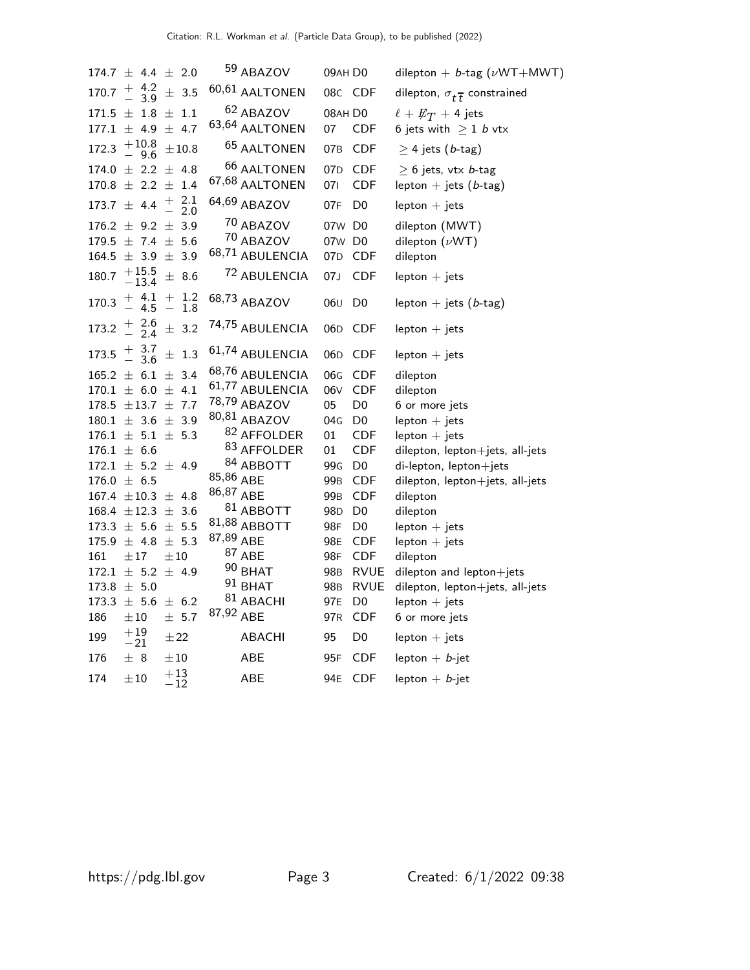|       | $174.7 \pm 4.4 \pm 2.0$                                                  |                                                         | 59 ABAZOV              | 09AH DO         |                | dilepton + $b$ -tag ( $\nu$ WT+MWT)            |
|-------|--------------------------------------------------------------------------|---------------------------------------------------------|------------------------|-----------------|----------------|------------------------------------------------|
|       | $170.7 \begin{array}{ccc} + & 4.2 \\ - & 3.9 \end{array}$                | $\pm$ 3.5                                               | 60,61 AALTONEN         |                 | 08C CDF        | dilepton, $\sigma_{t\overline{t}}$ constrained |
|       | $171.5 \pm 1.8 \pm 1.1$                                                  |                                                         | <sup>62</sup> ABAZOV   | 08AH D0         |                | $\ell + E_T + 4$ jets                          |
|       | $177.1 \pm 4.9 \pm 4.7$                                                  |                                                         | 63,64 AALTONEN         | 07              | <b>CDF</b>     | 6 jets with $\geq 1$ b vtx                     |
| 172.3 | $+10.8$<br>- 9.6                                                         | ±10.8                                                   | <sup>65</sup> AALTONEN | 07 <sub>B</sub> | <b>CDF</b>     | $\geq$ 4 jets (b-tag)                          |
|       | $174.0 \pm 2.2 \pm 4.8$                                                  |                                                         | <sup>66</sup> AALTONEN |                 | 07D CDF        | $\geq$ 6 jets, vtx <i>b</i> -tag               |
|       | $170.8 \pm 2.2 \pm 1.4$                                                  |                                                         | 67,68 AALTONEN         | 071             | <b>CDF</b>     | lepton $+$ jets (b-tag)                        |
|       | $173.7 \pm 4.4$                                                          | $^{2.1}_{2.0}$<br>$\begin{array}{c} + \\ - \end{array}$ | 64,69 ABAZOV           | 07F             | D <sub>0</sub> | $lepton + jets$                                |
|       | $176.2 \pm 9.2 \pm 3.9$                                                  |                                                         | 70 ABAZOV              | 07w D0          |                | dilepton (MWT)                                 |
|       | $179.5 \pm 7.4 \pm 5.6$                                                  |                                                         | 70 ABAZOV              | 07w D0          |                | dilepton $(\nu WT)$                            |
|       | $164.5 \pm 3.9 \pm 3.9$                                                  |                                                         | 68,71 ABULENCIA        | 07 <sub>D</sub> | <b>CDF</b>     | dilepton                                       |
|       | $180.7 \begin{array}{c} +15.5 \\ -13.4 \end{array}$                      | ± 8.6                                                   | 72 ABULENCIA           | 07J             | <b>CDF</b>     | $lepton + jets$                                |
| 170.3 | $\begin{array}{cccc} + & 4.1 & + & 1.2 \\ - & 4.5 & - & 1.8 \end{array}$ |                                                         | 68,73 ABAZOV           | 06 <sub>U</sub> | D <sub>0</sub> | lepton + jets $(b$ -tag)                       |
|       | $173.2 \frac{+}{2}$ $\frac{2.6}{2.4}$                                    | $\pm$ 3.2                                               | 74,75 ABULENCIA        | 06 <sub>D</sub> | <b>CDF</b>     | $lepton + jets$                                |
|       | $173.5 \begin{array}{c} + & 3.7 \\ - & 3.6 \end{array}$                  | $\pm$ 1.3                                               | 61,74 ABULENCIA        | 06 <sub>D</sub> | <b>CDF</b>     | $lepton + jets$                                |
|       | $165.2 \pm 6.1 \pm 3.4$                                                  |                                                         | 68,76 ABULENCIA        | 06G             | <b>CDF</b>     | dilepton                                       |
|       | $170.1 \pm 6.0 \pm 4.1$                                                  |                                                         | 61,77 ABULENCIA        | 06V             | <b>CDF</b>     | dilepton                                       |
|       | $178.5 \pm 13.7 \pm 7.7$                                                 |                                                         | 78,79 ABAZOV           | 05              | D <sub>0</sub> | 6 or more jets                                 |
|       | $180.1 \pm 3.6 \pm 3.9$                                                  |                                                         | 80,81 ABAZOV           | 04G             | D <sub>0</sub> | $lepton + jets$                                |
|       | $176.1 \pm 5.1 \pm 5.3$                                                  |                                                         | 82 AFFOLDER            | 01              | <b>CDF</b>     | $lepton + jets$                                |
|       | $176.1 \pm 6.6$                                                          |                                                         | 83 AFFOLDER            | 01              | <b>CDF</b>     | dilepton, lepton+jets, all-jets                |
|       | $172.1 \pm 5.2 \pm 4.9$                                                  |                                                         | <sup>84</sup> ABBOTT   | 99G             | D <sub>0</sub> | di-lepton, lepton+jets                         |
|       | $176.0 \pm 6.5$                                                          |                                                         | 85,86 ABE              | 99 <sub>B</sub> | <b>CDF</b>     | dilepton, lepton+jets, all-jets                |
|       | $167.4 \pm 10.3 \pm 4.8$                                                 |                                                         | 86,87 ABE              | 99B             | <b>CDF</b>     | dilepton                                       |
|       | $168.4 \pm 12.3 \pm 3.6$                                                 |                                                         | 81 ABBOTT              | 98 <sub>D</sub> | D <sub>0</sub> | dilepton                                       |
|       | $173.3 \pm 5.6 \pm 5.5$                                                  |                                                         | 81,88 ABBOTT           | 98F             | D <sub>0</sub> | $lepton + jets$                                |
|       | $175.9 \pm 4.8 \pm 5.3$                                                  |                                                         | 87,89 ABE              | 98E             | <b>CDF</b>     | $lepton + jets$                                |
| 161   | $\pm\,17$                                                                | $\pm 10$                                                | 87 ABE                 | 98F             | <b>CDF</b>     | dilepton                                       |
|       | $172.1 \pm 5.2 \pm 4.9$                                                  |                                                         | $90$ BHAT              | 98 <sub>B</sub> | <b>RVUE</b>    | dilepton and lepton+jets                       |
|       | $173.8 \pm 5.0$                                                          |                                                         | $91$ BHAT              | 98 <sub>B</sub> | <b>RVUE</b>    | dilepton, lepton+jets, all-jets                |
|       | $173.3 \pm 5.6 \pm 6.2$                                                  |                                                         | <sup>81</sup> ABACHI   | 97E             | D <sub>0</sub> | $lepton + jets$                                |
| 186   | $\pm 10$                                                                 | ± 5.7                                                   | 87,92 ABE              | 97 <sub>R</sub> | <b>CDF</b>     | 6 or more jets                                 |
| 199   | $^{+19}_{-21}$                                                           | $\pm\,22$                                               | <b>ABACHI</b>          | 95              | D <sub>0</sub> | $lepton + jets$                                |
| 176   | ± 8                                                                      | $\pm\,10$                                               | ABE                    | 95F             | CDF            | lepton $+ b$ -jet                              |
| 174   | $\pm 10$                                                                 | $+13$<br>$-12$                                          | ABE                    | 94E             | <b>CDF</b>     | lepton $+ b$ -jet                              |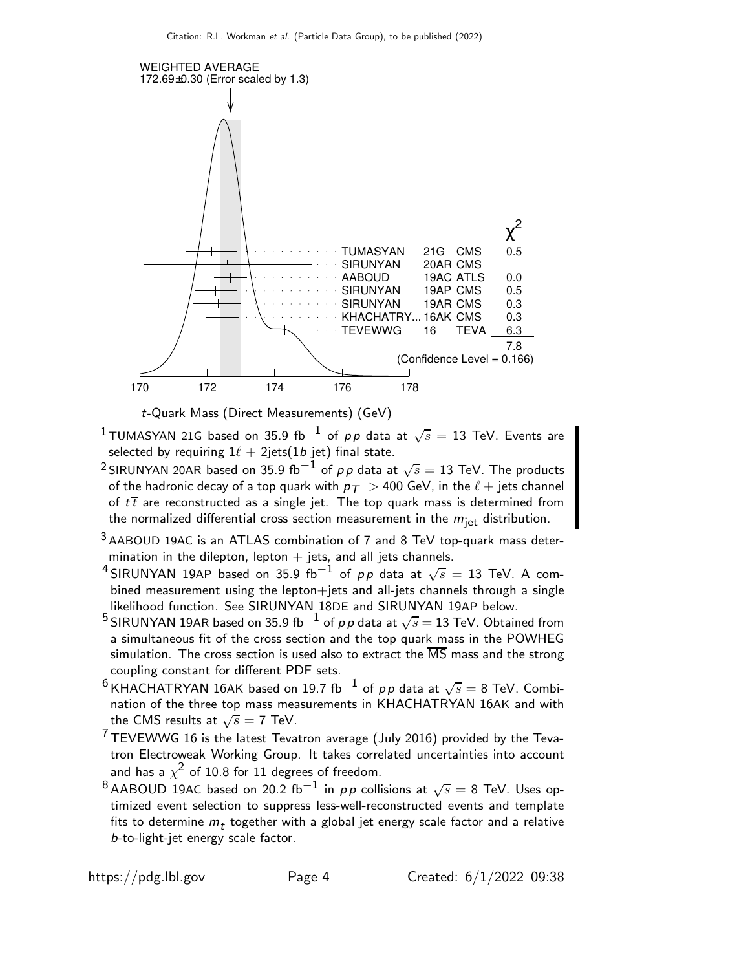

t-Quark Mass (Direct Measurements) (GeV)

- $^1$ TUMASYAN 21G based on 35.9 fb $^{-1}$  of  $\rho \rho$  data at  $\sqrt{s} = 13$  TeV. Events are selected by requiring  $1\ell + 2$ jets(1*b* jet) final state.
- $^2$ SIRUNYAN 20AR based on 35.9 fb $^{-1}$  of  $\rho \rho$  data at  $\sqrt{s}=$  13 TeV. The products of the hadronic decay of a top quark with  $p_T > 400$  GeV, in the  $\ell$  + jets channel of  $t\bar{t}$  are reconstructed as a single jet. The top quark mass is determined from the normalized differential cross section measurement in the  $m_{\text{jet}}$  distribution.
- 3 AABOUD 19AC is an ATLAS combination of 7 and 8 TeV top-quark mass determination in the dilepton, lepton  $+$  jets, and all jets channels.
- $^4$ SIRUNYAN 19AP based on 35.9 fb $^{-1}$  of  $\rho \rho$  data at  $\sqrt{s} =$  13 TeV. A combined measurement using the lepton+jets and all-jets channels through a single likelihood function. See SIRUNYAN 18DE and SIRUNYAN 19AP below.
- $^5$ SIRUNYAN 19AR based on 35.9 fb $^{-1}$  of  $\rho \rho$  data at  $\sqrt{s} =$  13 TeV. Obtained from a simultaneous fit of the cross section and the top quark mass in the POWHEG simulation. The cross section is used also to extract the  $\overline{\text{MS}}$  mass and the strong coupling constant for different PDF sets.
- $^6$ KHACHATRYAN 16AK based on 19.7 fb $^{-1}$  of  $\rho \rho$  data at  $\sqrt{s}=$  8 TeV. Combination of the three top mass measurements in KHACHATRYAN 16AK and with the CMS results at  $\sqrt{s} = 7$  TeV.
- $7$  TEVEWWG 16 is the latest Tevatron average (July 2016) provided by the Tevatron Electroweak Working Group. It takes correlated uncertainties into account and has a  $\chi^2$  of 10.8 for 11 degrees of freedom.
- $^8$ AABOUD 19AC based on 20.2 fb $^{-1}$  in pp collisions at  $\sqrt{s} =$  8 TeV. Uses optimized event selection to suppress less-well-reconstructed events and template fits to determine  $m_t$  together with a global jet energy scale factor and a relative b-to-light-jet energy scale factor.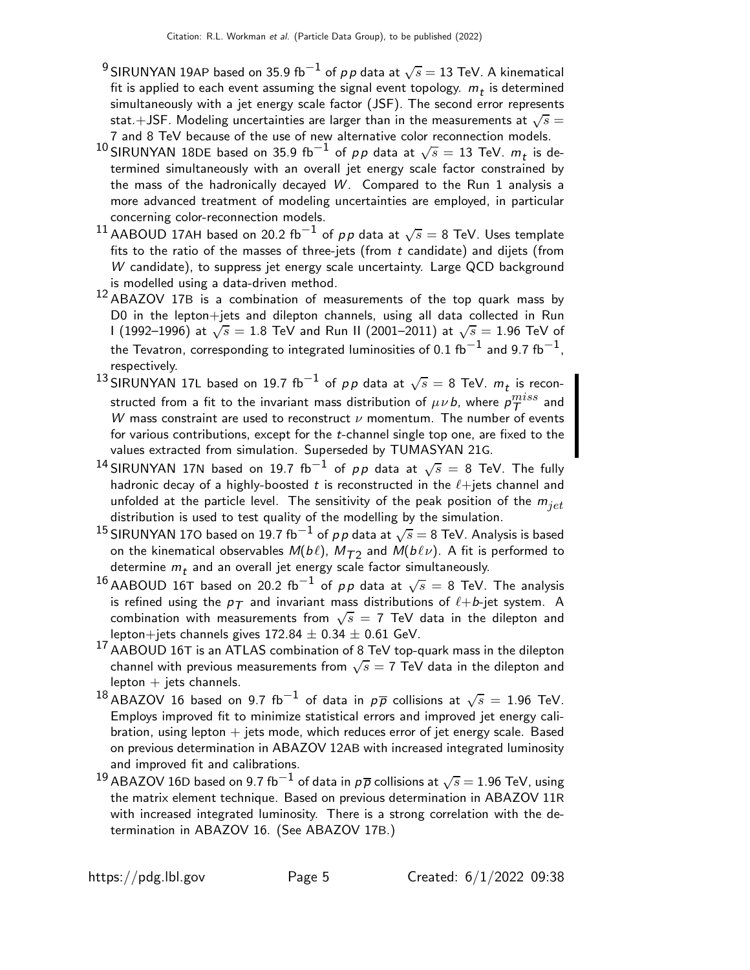- $^9$ SIRUNYAN 19AP based on 35.9 fb $^{-1}$  of  $\rho \rho$  data at  $\sqrt{s}=$  13 TeV. A kinematical fit is applied to each event assuming the signal event topology.  $m_t$  is determined simultaneously with a jet energy scale factor (JSF). The second error represents stat. $+$ JSF. Modeling uncertainties are larger than in the measurements at  $\sqrt{s}=$ 7 and 8 TeV because of the use of new alternative color reconnection models.
- $^{10}$ SIRUNYAN 18DE based on 35.9 fb $^{-1}$  of  $\rho \rho$  data at  $\sqrt{s} =$  13 TeV.  $m_t$  is determined simultaneously with an overall jet energy scale factor constrained by the mass of the hadronically decayed  $W$ . Compared to the Run 1 analysis a more advanced treatment of modeling uncertainties are employed, in particular concerning color-reconnection models.
- $^{11}$ AABOUD 17AH based on 20.2 fb $^{-1}$  of  $\rho \rho$  data at  $\sqrt{s}=$  8 TeV. Uses template fits to the ratio of the masses of three-jets (from  $t$  candidate) and dijets (from W candidate), to suppress jet energy scale uncertainty. Large QCD background is modelled using a data-driven method.
- <sup>12</sup>ABAZOV 17<sup>B</sup> is a combination of measurements of the top quark mass by D0 in the lepton+jets and dilepton channels, using all data collected in Run I (1992–1996) at  $\sqrt{s}=1.8$  TeV and Run II (2001–2011) at  $\sqrt{s}=1.96$  TeV of the Tevatron, corresponding to integrated luminosities of 0.1 fb $^{-1}$  and 9.7 fb $^{-1}$ , respectively.
- $^{13}$ SIRUNYAN 17L based on 19.7 fb $^{-1}$  of  $\rho \rho$  data at  $\sqrt{s} =$  8 TeV.  $m_t$  is reconstructed from a fit to the invariant mass distribution of  $\mu\nu$  b, where  $\rho_T^{miss}$  and W mass constraint are used to reconstruct  $\nu$  momentum. The number of events for various contributions, except for the t-channel single top one, are fixed to the values extracted from simulation. Superseded by TUMASYAN 21G.
- $^{14}$ SIRUNYAN 17N based on 19.7 fb $^{-1}$  of  $\rho \rho$  data at  $\sqrt{s}$  = 8 TeV. The fully hadronic decay of a highly-boosted t is reconstructed in the  $\ell +$ jets channel and unfolded at the particle level. The sensitivity of the peak position of the  $m_{jet}$ distribution is used to test quality of the modelling by the simulation.
- $^{15}$ SIRUNYAN 170 based on 19.7 fb $^{-1}$  of  $\rho \, \rho$  data at  $\sqrt{s} =$  8 TeV. Analysis is based on the kinematical observables  $\mathit{M}(b\ell)$ ,  $\mathit{M}_{\mathcal{T}2}$  and  $\mathit{M}(b\ell\nu)$ . A fit is performed to determine  $m_t$  and an overall jet energy scale factor simultaneously.
- $^{16}$ AABOUD 16T based on 20.2 fb $^{-1}$  of  $\rho\rho$  data at  $\sqrt{s} =$  8 TeV. The analysis is refined using the  $p_T$  and invariant mass distributions of  $\ell+b$ -jet system. A combination with measurements from  $\sqrt{s} = 7$  TeV data in the dilepton and lepton+jets channels gives  $172.84 \pm 0.34 \pm 0.61$  GeV.
- <sup>17</sup>AABOUD 16<sup>T</sup> is an ATLAS combination of 8 TeV top-quark mass in the dilepton channel with previous measurements from  $\sqrt{s}=$  7 TeV data in the dilepton and  $lepton + jets$  channels.
- $^{18}$ ABAZOV 16 based on 9.7 fb $^{-1}$  of data in  $\rho\overline{\rho}$  collisions at  $\sqrt{s} =$  1.96 TeV. Employs improved fit to minimize statistical errors and improved jet energy calibration, using lepton  $+$  jets mode, which reduces error of jet energy scale. Based on previous determination in ABAZOV 12AB with increased integrated luminosity and improved fit and calibrations.
- $^{19}$ ABAZOV 16D based on 9.7 fb $^{-1}$  of data in  $\rho\overline{\rho}$  collisions at  $\sqrt{s}=$  1.96 TeV, using the matrix element technique. Based on previous determination in ABAZOV 11R with increased integrated luminosity. There is a strong correlation with the determination in ABAZOV 16. (See ABAZOV 17B.)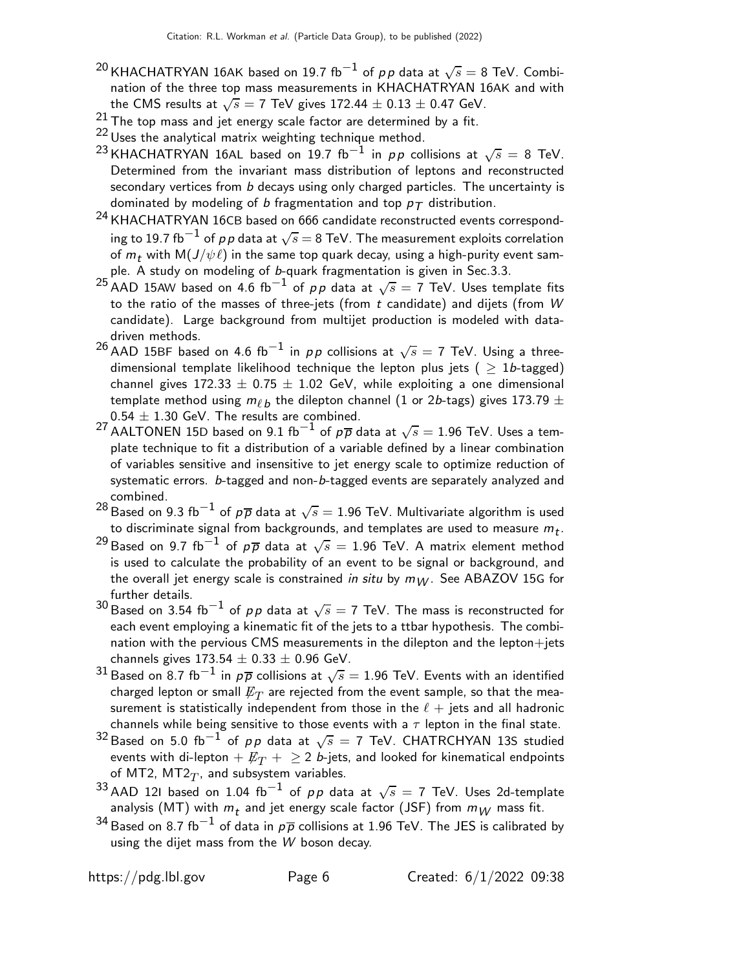- $^{20}$ KHACHATRYAN 16AK based on 19.7 fb $^{-1}$  of  $\rho \rho$  data at  $\sqrt{s}=$  8 TeV. Combination of the three top mass measurements in KHACHATRYAN 16AK and with the CMS results at  $\sqrt{s} = 7$  TeV gives 172.44  $\pm$  0.13  $\pm$  0.47 GeV.
- 21 The top mass and jet energy scale factor are determined by a fit.
- <sup>22</sup> Uses the analytical matrix weighting technique method.
- <sup>23</sup> KHACHATRYAN 16AL based on 19.7 fb<sup>-1</sup> in pp collisions at  $\sqrt{s} = 8$  TeV. Determined from the invariant mass distribution of leptons and reconstructed secondary vertices from b decays using only charged particles. The uncertainty is dominated by modeling of b fragmentation and top  $p_T$  distribution.
- <sup>24</sup> KHACHATRYAN 16CB based on 666 candidate reconstructed events corresponding to 19.7 fb $^{-1}$  of  $\rho\,\rho$  data at  $\sqrt{s}=$  8 TeV. The measurement exploits correlation of  $m_t$  with  $M(J/\psi \ell)$  in the same top quark decay, using a high-purity event sample. A study on modeling of b-quark fragmentation is given in Sec.3.3.
- $^{25}$ AAD 15AW based on 4.6 fb $^{-1}$  of pp data at  $\sqrt{s}=7$  TeV. Uses template fits to the ratio of the masses of three-jets (from  $t$  candidate) and dijets (from  $W$ candidate). Large background from multijet production is modeled with datadriven methods.
- $^{26}$ AAD 15BF based on 4.6 fb $^{-1}$  in  $\rho \rho$  collisions at  $\sqrt{s}=$  7 TeV. Using a threedimensional template likelihood technique the lepton plus jets ( $\geq 1b$ -tagged) channel gives  $172.33 \pm 0.75 \pm 1.02$  GeV, while exploiting a one dimensional template method using  $m_{\ell\,b}$  the dilepton channel  $(1$  or 2*b*-tags) gives 173.79  $\pm$  $0.54 \pm 1.30$  GeV. The results are combined.
- $^{27}$ AALTONEN 15D based on 9.1 fb $^{-1}$  of  $\rho\overline{\rho}$  data at  $\sqrt{s}=$  1.96 TeV. Uses a template technique to fit a distribution of a variable defined by a linear combination of variables sensitive and insensitive to jet energy scale to optimize reduction of systematic errors. b-tagged and non-b-tagged events are separately analyzed and combined.
- $^{28}$ Based on 9.3 fb $^{-1}$  of  $\rho\overline{\rho}$  data at  $\sqrt{s}=$  1.96 TeV. Multivariate algorithm is used to discriminate signal from backgrounds, and templates are used to measure  $m_t$ .
- <sup>29</sup> Based on 9.7 fb<sup>-1</sup> of  $p\overline{p}$  data at  $\sqrt{s} = 1.96$  TeV. A matrix element method is used to calculate the probability of an event to be signal or background, and the overall jet energy scale is constrained in situ by  $m_W$ . See ABAZOV 15G for further details.
- $^{30}$ Based on 3.54 fb $^{-1}$  of  $\rho\, \rho$  data at  $\sqrt{s}=$  7 TeV. The mass is reconstructed for each event employing a kinematic fit of the jets to a ttbar hypothesis. The combination with the pervious CMS measurements in the dilepton and the lepton+jets channels gives  $173.54 \pm 0.33 \pm 0.96$  GeV.
- $^{31}$ Based on  $8.7~{\rm fb}^{-1}$  in  $\rho\overline{\rho}$  collisions at  $\sqrt{s}=1.96$  TeV. Events with an identified charged lepton or small  $\not\!\!E_T$  are rejected from the event sample, so that the measurement is statistically independent from those in the  $\ell + j$ ets and all hadronic channels while being sensitive to those events with a  $\tau$  lepton in the final state.
- $^{32}$ Based on 5.0 fb $^{-1}$  of  $\rho \rho$  data at  $\sqrt{s} =$  7 TeV. CHATRCHYAN 13S studied events with di-lepton  $+ E_T + \geq 2$  b-jets, and looked for kinematical endpoints of MT2, MT2 $_T$ , and subsystem variables.
- $^{33}$ AAD 12I based on 1.04 fb $^{-1}$  of  $p\,p$  data at  $\sqrt{s} =$  7 TeV. Uses 2d-template analysis (MT) with  $m_t$  and jet energy scale factor (JSF) from  $m_W$  mass fit.
- $^{34}$ Based on 8.7 fb $^{-1}$  of data in  $\rho\overline{\rho}$  collisions at 1.96 TeV. The JES is calibrated by using the dijet mass from the W boson decay.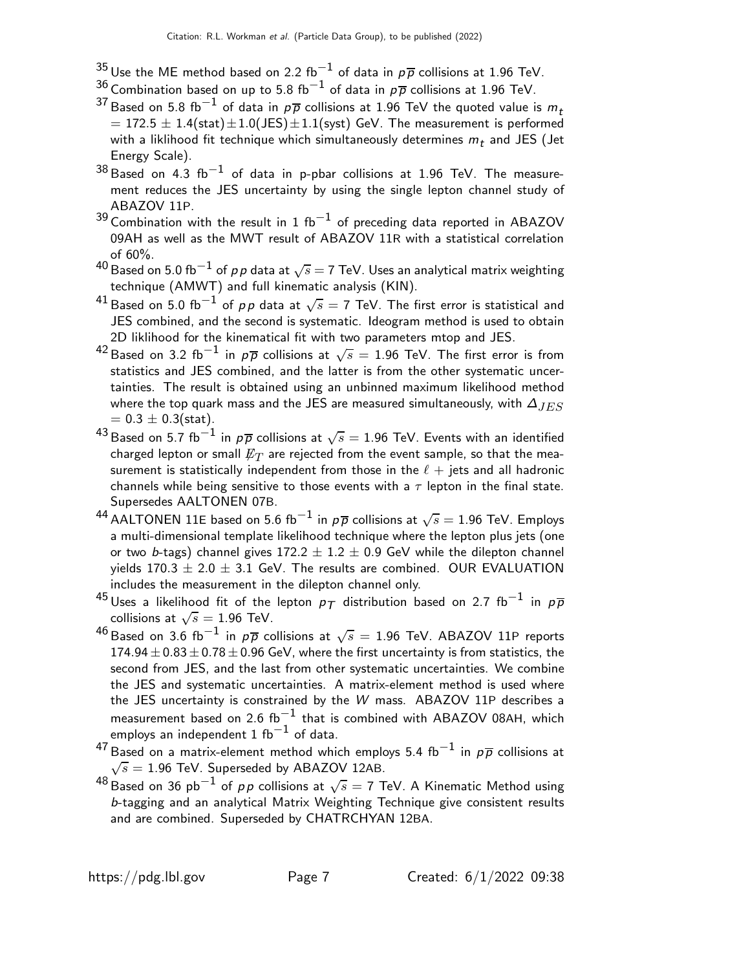- $^{35}$ Use the ME method based on 2.2 fb $^{-1}$  of data in  $\rho \overline{\rho}$  collisions at 1.96 TeV.
- $^{36}$ Combination based on up to 5.8 fb $^{-1}$  of data in  $\rho\overline{\rho}$  collisions at 1.96 TeV.
- $^{37}$ Based on 5.8 fb $^{-1}$  of data in  $\rho\overline{\rho}$  collisions at 1.96 TeV the quoted value is  $m_t$  $= 172.5 \pm 1.4$ (stat) $\pm 1.0$ (JES) $\pm 1.1$ (syst) GeV. The measurement is performed with a liklihood fit technique which simultaneously determines  $m_{\,t}$  and JES (Jet Energy Scale).
- $^{38}\,$ Based on 4.3 fb $^{-1}$  of data in p-pbar collisions at 1.96 TeV. The measurement reduces the JES uncertainty by using the single lepton channel study of ABAZOV 11P.
- $^{39}$ Combination with the result in 1 fb $^{-1}$  of preceding data reported in ABAZOV 09AH as well as the MWT result of ABAZOV 11R with a statistical correlation of 60%.
- $^{40}$ Based on 5.0 fb $^{-1}$  of  $\rho\, \rho$  data at  $\sqrt{s} =$  7 TeV. Uses an analytical matrix weighting technique (AMWT) and full kinematic analysis (KIN).
- $^{41}$ Based on 5.0 fb $^{-1}$  of  $\rho\rho$  data at  $\sqrt{s}=$  7 TeV. The first error is statistical and JES combined, and the second is systematic. Ideogram method is used to obtain 2D liklihood for the kinematical fit with two parameters mtop and JES.
- $^{42}$ Based on 3.2 fb $^{-1}$  in  $\rho\overline{\rho}$  collisions at  $\sqrt{s}=$  1.96 TeV. The first error is from statistics and JES combined, and the latter is from the other systematic uncertainties. The result is obtained using an unbinned maximum likelihood method where the top quark mass and the JES are measured simultaneously, with  $\Delta_{JES}$  $= 0.3 \pm 0.3$ (stat).
- $^{43}$ Based on 5.7 fb $^{-1}$  in  $\rho\overline{\rho}$  collisions at  $\sqrt{s}=$  1.96 TeV. Events with an identified charged lepton or small  $\not\!\!E_T$  are rejected from the event sample, so that the measurement is statistically independent from those in the  $\ell + j$ ets and all hadronic channels while being sensitive to those events with a  $\tau$  lepton in the final state. Supersedes AALTONEN 07B.
- $^{44}$ AALTONEN 11E based on 5.6 fb $^{-1}$  in  $\rho\overline{\rho}$  collisions at  $\sqrt{s}=$  1.96 TeV. Employs a multi-dimensional template likelihood technique where the lepton plus jets (one or two b-tags) channel gives  $172.2 \pm 1.2 \pm 0.9$  GeV while the dilepton channel yields  $170.3 \pm 2.0 \pm 3.1$  GeV. The results are combined. OUR EVALUATION includes the measurement in the dilepton channel only.
- $^{45}$ Uses a likelihood fit of the lepton  $\rho_{\mathcal{T}}$  distribution based on 2.7 fb $^{-1}$  in  $\rho\overline{\rho}$ collisions at  $\sqrt{s}=1.96$  TeV.
- $^{46}$ Based on 3.6 fb $^{-1}$  in  $\rho\overline{\rho}$  collisions at  $\sqrt{s}=$  1.96 TeV. ABAZOV 11P reports  $174.94 \pm 0.83 \pm 0.78 \pm 0.96$  GeV, where the first uncertainty is from statistics, the second from JES, and the last from other systematic uncertainties. We combine the JES and systematic uncertainties. A matrix-element method is used where the JES uncertainty is constrained by the W mass. ABAZOV 11P describes a measurement based on 2.6  ${\rm fb}^{-1}$  that is combined with ABAZOV 08AH, which employs an independent  $1~{\rm fb}^{-1}$  of data.
- $^{47}$ Based on a matrix-element method which employs 5.4 fb $^{-1}$  in  $\rho\overline{\rho}$  collisions at  $\sqrt{s} = 1.96$  TeV. Superseded by ABAZOV 12AB.
- $^{48}$ Based on 36 pb $^{-1}$  of  $\rho \rho$  collisions at  $\sqrt{s}=$  7 TeV. A Kinematic Method using b-tagging and an analytical Matrix Weighting Technique give consistent results and are combined. Superseded by CHATRCHYAN 12BA.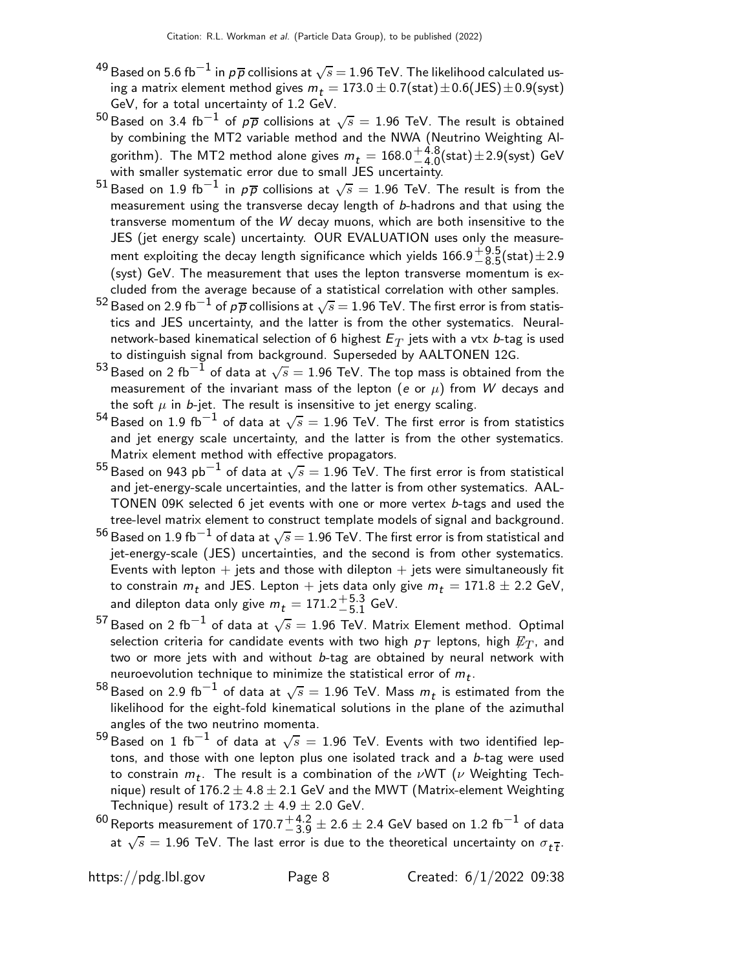- $^{49}$ Based on 5.6 fb $^{-1}$  in  $\rho\overline{\rho}$  collisions at  $\sqrt{s}$   $=$  1.96 TeV. The likelihood calculated using a matrix element method gives  $m_t = 173.0 \pm 0.7$ (stat) $\pm 0.6$ (JES) $\pm 0.9$ (syst) GeV, for a total uncertainty of 1.2 GeV.
- $^{50}\,$ Based on 3.4 fb $^{-1}$  of  $\rho\overline{\rho}$  collisions at  $\sqrt{s} = 1.96$  TeV. The result is obtained by combining the MT2 variable method and the NWA (Neutrino Weighting Algorithm). The MT2 method alone gives  $m_t = 168.0^{+4.8}_{-4.0}$  $^{+4.0}_{-4.0}$ (stat) $\pm 2.9$ (syst) GeV with smaller systematic error due to small JES uncertainty.
- $^{51}$ Based on 1.9 fb $^{-1}$  in  $\rho\overline{\rho}$  collisions at  $\sqrt{s}=$  1.96 TeV. The result is from the measurement using the transverse decay length of b-hadrons and that using the transverse momentum of the W decay muons, which are both insensitive to the JES (jet energy scale) uncertainty. OUR EVALUATION uses only the measurement exploiting the decay length significance which yields 166.9 $^{+9.5}_{-8.5}$  $^{+9.5}_{-8.5}$ (stat) $\pm 2.9$ (syst) GeV. The measurement that uses the lepton transverse momentum is excluded from the average because of a statistical correlation with other samples.
- $^{52}$  Based on 2.9 fb $^{-1}$  of  $\rho\overline{\rho}$  collisions at  $\sqrt{s} = 1.96$  TeV. The first error is from statistics and JES uncertainty, and the latter is from the other systematics. Neuralnetwork-based kinematical selection of 6 highest  $\mathit{E}_{T}$  jets with a vtx  $\it{b}$ -tag is used to distinguish signal from background. Superseded by AALTONEN 12G.
- $^{53}$ Based on 2 fb $^{-1}$  of data at  $\sqrt{s} = 1.96$  TeV. The top mass is obtained from the measurement of the invariant mass of the lepton (e or  $\mu$ ) from W decays and the soft  $\mu$  in b-jet. The result is insensitive to jet energy scaling.
- $^{54}$ Based on 1.9 fb<sup>-1</sup> of data at  $\sqrt{s} = 1.96$  TeV. The first error is from statistics and jet energy scale uncertainty, and the latter is from the other systematics. Matrix element method with effective propagators.
- $^{55}$ Based on 943 pb $^{-1}$  of data at  $\sqrt{s}=1.96$  TeV. The first error is from statistical and jet-energy-scale uncertainties, and the latter is from other systematics. AAL-TONEN 09K selected 6 jet events with one or more vertex  $b$ -tags and used the tree-level matrix element to construct template models of signal and background.
- $^{56}$ Based on 1.9 fb $^{-1}$  of data at  $\sqrt{s} =$  1.96 TeV. The first error is from statistical and jet-energy-scale (JES) uncertainties, and the second is from other systematics. Events with lepton  $+$  jets and those with dilepton  $+$  jets were simultaneously fit to constrain  $m_t$  and JES. Lepton  $+$  jets data only give  $m_t = 171.8 \pm 2.2$  GeV, and dilepton data only give  $m_t = 171.2^{+5.3}_{-5.1}$  $^{+3.5}_{-5.1}$  GeV.
- $^{57}$ Based on 2 fb $^{-1}$  of data at  $\sqrt{s} = 1.96$  TeV. Matrix Element method. Optimal selection criteria for candidate events with two high  $p_T$  leptons, high  $\not\hspace{-.15cm}E_T$ , and two or more jets with and without b-tag are obtained by neural network with neuroevolution technique to minimize the statistical error of  $m_t$ .
- $^{58}$ Based on 2.9 fb $^{-1}$  of data at  $\sqrt{s} =$  1.96 TeV. Mass  $m_t$  is estimated from the likelihood for the eight-fold kinematical solutions in the plane of the azimuthal angles of the two neutrino momenta.
- $^{59}$ Based on 1 fb $^{-1}$  of data at  $\sqrt{s} =$  1.96 TeV. Events with two identified leptons, and those with one lepton plus one isolated track and a  $b$ -tag were used to constrain  $m_t$ . The result is a combination of the  $\nu$ WT  $(\nu$  Weighting Technique) result of  $176.2 \pm 4.8 \pm 2.1$  GeV and the MWT (Matrix-element Weighting Technique) result of  $173.2 \pm 4.9 \pm 2.0$  GeV.
- <sup>60</sup> Reports measurement of 170.7 $^{+4.2}_{-3.9}$  ± 2.6 ± 2.4 GeV based on 1.2 fb<sup>−1</sup> of data at  $\sqrt{s} = 1.96$  TeV. The last error is due to the theoretical uncertainty on  $\sigma_{t\bar{t}}$ .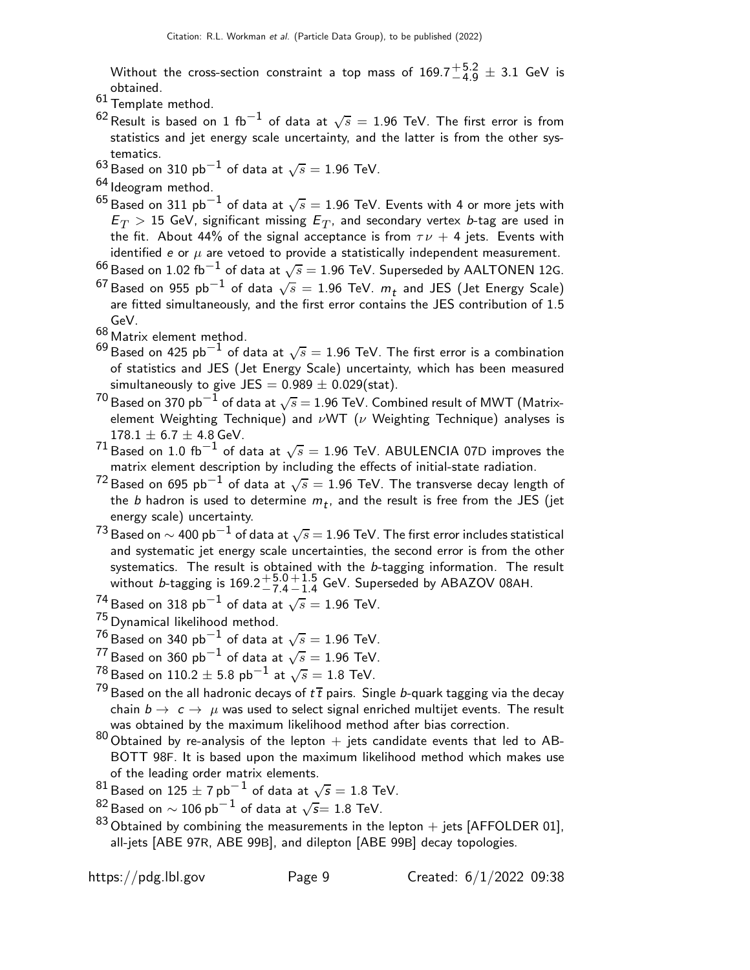Without the cross-section constraint a top mass of  $169.7^{+5.2}_{-4.9} \pm 3.1$  GeV is obtained.

- 61 Template method.
- $^{62}$ Result is based on 1 fb $^{-1}$  of data at  $\sqrt{s} = 1.96$  TeV. The first error is from statistics and jet energy scale uncertainty, and the latter is from the other systematics.
- $^{63}$ Based on 310 pb $^{-1}$  of data at  $\sqrt{s}=$  1.96 TeV.
- <sup>64</sup> Ideogram method.
- $^{65}$ Based on 311 pb $^{-1}$  of data at  $\sqrt{s} = 1.96$  TeV. Events with 4 or more jets with  $\mathsf{E}_T > \mathsf{15}$  GeV, significant missing  $\mathsf{E}_T$ , and secondary vertex  $b$ -tag are used in the fit. About 44% of the signal acceptance is from  $\tau \nu + 4$  jets. Events with identified e or  $\mu$  are vetoed to provide a statistically independent measurement.
- $^{66}\,$ Based on 1.02 fb $^{-1}$  of data at  $\sqrt{s}=$  1.96 TeV. Superseded by <code>AALTONEN</code> 12G.
- $^{67}$ Based on 955 pb $^{-1}$  of data  $\sqrt{s} =$  1.96 TeV.  $m_t$  and JES (Jet Energy Scale) are fitted simultaneously, and the first error contains the JES contribution of 1.5 GeV.
- <sup>68</sup> Matrix element method.
- $^{69}$ Based on 425 pb $^{-1}$  of data at  $\sqrt{s}=$  1.96 TeV. The first error is a combination of statistics and JES (Jet Energy Scale) uncertainty, which has been measured simultaneously to give JES =  $0.989 \pm 0.029$ (stat).
- $^{70}$ Based on 370 pb $^{-1}$  of data at  $\sqrt{s} =$  1.96 TeV. Combined result of MWT (Matrixelement Weighting Technique) and  $\nu$ WT ( $\nu$  Weighting Technique) analyses is  $178.1 \pm 6.7 \pm 4.8$  GeV.
- $^{71}$ Based on  $1.0\,\,{\rm fb}^{-1}$  of data at  $\sqrt{s}=1.96$  TeV. ABULENCIA 07D improves the matrix element description by including the effects of initial-state radiation.
- $^{72}$ Based on 695 pb $^{-1}$  of data at  $\sqrt{s}=1.96$  TeV. The transverse decay length of the  $b$  hadron is used to determine  $m_t$ , and the result is free from the JES (jet energy scale) uncertainty.
- $^{73}$  Based on  $\sim$  400 pb $^{-1}$  of data at  $\sqrt{s}$   $=$  1.96 TeV. The first error includes statistical and systematic jet energy scale uncertainties, the second error is from the other systematics. The result is obtained with the b-tagging information. The result without *b*-tagging is  $169.2^{+5.0}_{-7.4}$  $-7.4$  $+1.5$  $^{+1.5}_{-1.4}$  GeV. Superseded by ABAZOV 08AH.<br>−−
- $^{74}$ Based on 318 pb $^{-1}$  of data at  $\sqrt{s}=$  1.96 TeV.
- <sup>75</sup> Dynamical likelihood method.
- $^{76}\rm{Based}$  on 340  $\rm{pb}^{-1}$  of data at  $\sqrt{s}=1.96$  TeV.
- $^{77}$ Based on 360 pb $^{-1}$  of data at  $\sqrt{s}=1.96$  TeV.
- $\frac{78}{10}$ Based on 110.2  $\pm$  5.8 pb $^{-1}$  at  $\sqrt{s} = 1.8$  TeV.
- <sup>79</sup> Based on the all hadronic decays of  $t\bar{t}$  pairs. Single *b*-quark tagging via the decay chain  $b \to c \to \mu$  was used to select signal enriched multijet events. The result was obtained by the maximum likelihood method after bias correction.
- 80 Obtained by re-analysis of the lepton  $+$  jets candidate events that led to AB-BOTT 98F. It is based upon the maximum likelihood method which makes use of the leading order matrix elements.
- <sup>81</sup> Based on 125  $\pm$  7 pb $^{-1}$  of data at  $\sqrt{s} = 1.8$  TeV.
- <sup>82</sup>Based on  $\sim 106$  pb $^{-1}$  of data at  $\sqrt{s}$ = 1.8 TeV.
- $83$  Obtained by combining the measurements in the lepton  $+$  jets [AFFOLDER 01], all-jets [ABE 97R, ABE 99B], and dilepton [ABE 99B] decay topologies.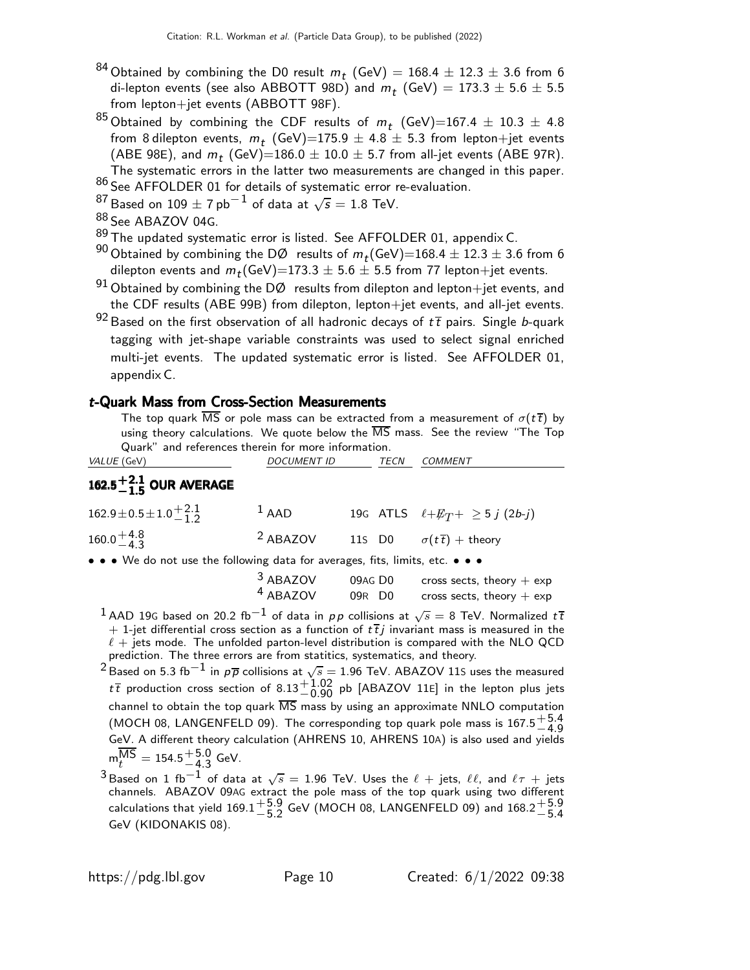- <sup>84</sup> Obtained by combining the D0 result  $m_t$  (GeV) = 168.4  $\pm$  12.3  $\pm$  3.6 from 6 di-lepton events (see also ABBOTT 98D) and  $m_t$  (GeV)  $= 173.3 \pm 5.6 \pm 5.5$ from lepton+jet events (ABBOTT 98F).
- $^{85}$ Obtained by combining the CDF results of  $m_t$  (GeV)=167.4  $\pm$  10.3  $\pm$  4.8 from 8 dilepton events,  $m_t$  (GeV)=175.9  $\pm$  4.8  $\pm$  5.3 from lepton+jet events (ABE 98E), and  $m_t$  (GeV)=186.0  $\pm$  10.0  $\pm$  5.7 from all-jet events (ABE 97R). The systematic errors in the latter two measurements are changed in this paper.
- <sup>86</sup> See AFFOLDER 01 for details of systematic error re-evaluation.<br><sup>87</sup> Based on 109 + 7 pb<sup>-1</sup> of data at  $\sqrt{s}$  = 1.8 TeV
- <sup>87</sup>Based on 109  $\pm$  7 pb $^{-1}$  of data at  $\sqrt{s} = 1.8$  TeV.
- <sup>88</sup> See ABAZOV 04G.
- 89 The updated systematic error is listed. See AFFOLDER 01, appendix C.
- $^{90}$  Obtained by combining the DØ results of  $m_t(\text{GeV})$ =168.4  $\pm$  12.3  $\pm$  3.6 from 6 dilepton events and  $m_t(\text{GeV}){=}173.3\pm5.6\pm5.5$  from 77 lepton $+$ jet events.
- $91$  Obtained by combining the DØ results from dilepton and lepton+jet events, and the CDF results (ABE 99B) from dilepton, lepton+jet events, and all-jet events.
- $92$  Based on the first observation of all hadronic decays of  $t\bar{t}$  pairs. Single b-quark tagging with jet-shape variable constraints was used to select signal enriched multi-jet events. The updated systematic error is listed. See AFFOLDER 01, appendix C.

#### t-Quark Mass from Cross-Section Measurements

The top quark  $\overline{\text{MS}}$  or pole mass can be extracted from a measurement of  $\sigma(t\overline{t})$  by using theory calculations. We quote below the  $\overline{\text{MS}}$  mass. See the review "The Top Quark" and references therein for more information.

| <i>VALUE</i> (GeV)                                                            | <b>DOCUMENT ID</b>  | TECN | <b>COMMENT</b>                          |
|-------------------------------------------------------------------------------|---------------------|------|-----------------------------------------|
| 162.5 $^{+2.1}_{-1.5}$ OUR AVERAGE                                            |                     |      |                                         |
| $162.9 \pm 0.5 \pm 1.0 \stackrel{+ 2.1}{_{- 1.2}}$                            | $1$ AAD             |      | 19G ATLS $\ell + E_T + \geq 5 j (2b-j)$ |
| $160.0 + 4.8$                                                                 | <sup>2</sup> ABAZOV |      | 115 D0 $\sigma(t\bar{t})$ + theory      |
| • • • We do not use the following data for averages, fits, limits, etc. • • • |                     |      |                                         |

| <sup>3</sup> ABAZOV | 09AG DO | cross sects, theory $+$ exp |
|---------------------|---------|-----------------------------|

| ADALV               | UYAG DU            | $C_{1}$ $C_{2}$ $D_{3}$ $D_{4}$ $D_{5}$ $D_{6}$ $D_{7}$ $D_{8}$ $D_{1}$ $D_{1}$ $D_{1}$ $D_{1}$ $D_{1}$ $D_{2}$ $D_{1}$ $D_{2}$ $D_{1}$ $D_{2}$ $D_{1}$ $D_{2}$ $D_{1}$ $D_{2}$ $D_{1}$ $D_{2}$ $D_{2}$ $D_{3}$ $D_{4}$ $D_{5}$ $D_{6}$ $D_{7}$ $D_{8}$ $D_{9$ |
|---------------------|--------------------|----------------------------------------------------------------------------------------------------------------------------------------------------------------------------------------------------------------------------------------------------------------|
| <sup>4</sup> ABAZOV | 09R D <sub>0</sub> | cross sects, theory $+$ exp                                                                                                                                                                                                                                    |

- $^1$  AAD 19G based on 20.2 fb $^{-1}$  of data in  $\rho \rho$  collisions at  $\sqrt{s} =$  8 TeV. Normalized  $t\, \overline{t}$  $+$  1-jet differential cross section as a function of  $t\bar{t}j$  invariant mass is measured in the  $\ell + i$ ets mode. The unfolded parton-level distribution is compared with the NLO QCD prediction. The three errors are from statitics, systematics, and theory.
- $^2$ Based on 5.3 fb $^{-1}$  in  $\rho\overline{\rho}$  collisions at  $\sqrt{s}=$  1.96 TeV. ABAZOV 11S uses the measured  $t\bar{t}$  production cross section of  $8.13^{+1.02}_{-0.90}$  pb [ABAZOV 11E] in the lepton plus jets channel to obtain the top quark  $\overline{\text{MS}}$  mass by using an approximate NNLO computation (MOCH 08, LANGENFELD 09). The corresponding top quark pole mass is  $167.5^{+5.4}_{-4.9}$  $\frac{1}{4.9}$  GeV. A different theory calculation (AHRENS 10, AHRENS 10A) is also used and yields  ${\sf m}^{{\sf \overline{MS}}}_t = 154.5^{+5.0}_{-4.3}$  $-4.3$  GeV.<br> $-4.3$
- $^3$ Based on 1 fb $^{-1}$  of data at  $\sqrt{s} =$  1.96 TeV. Uses the  $\ell$   $+$  jets,  $\ell\ell$ , and  $\ell\tau$   $+$  jets channels. ABAZOV 09AG extract the pole mass of the top quark using two different calculations that yield  $169.1^{+\overline{5}\cdot9}_{-\overline{5}\cdot2}$  $+5.9$  GeV (MOCH 08, LANGENFELD 09) and  $168.2^{+5.9}_{-5.4}$  $-5.4$ GeV (KIDONAKIS 08).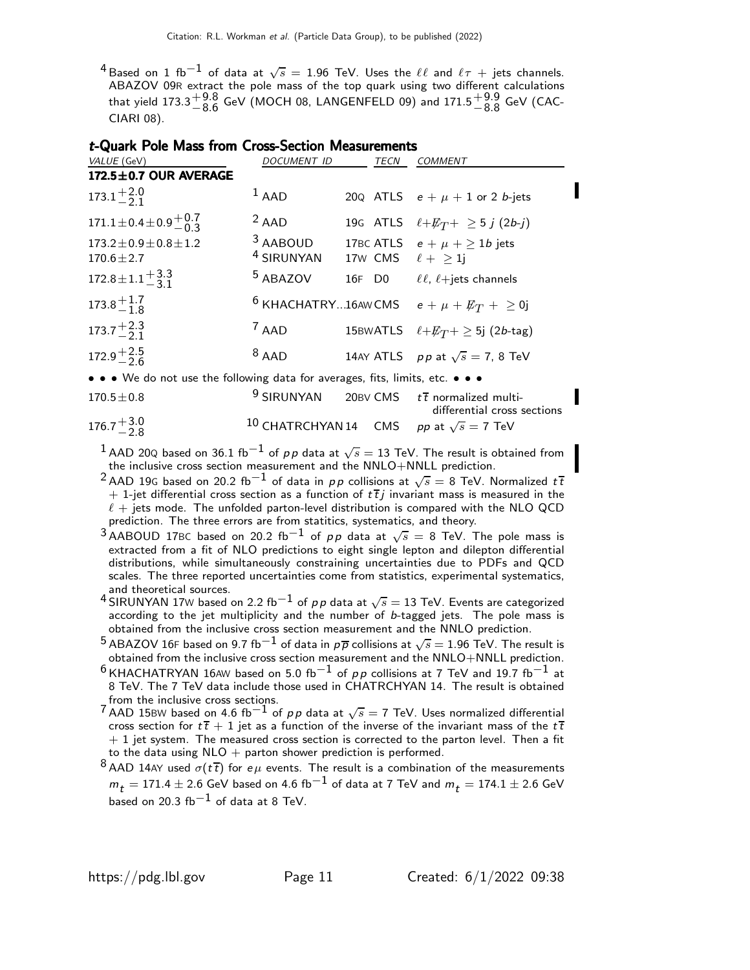$^4$ Based on 1 fb $^{-1}$  of data at  $\sqrt{s} =$  1.96 TeV. Uses the  $\ell\ell$  and  $\ell\tau$  + jets channels. ABAZOV 09R extract the pole mass of the top quark using two different calculations that yield 173.3 $^{+9.8}_{-8.6}$  $^{+9.8}_{-8.6}$  GeV (MOCH 08, LANGENFELD 09) and  $171.5^{+9.9}_{-8.8}$  $^{+9.9}_{-8.8}$  GeV (CAC-CIARI 08).

| t-Quark Pole Mass from Cross-Section Measurements |  |  |
|---------------------------------------------------|--|--|
|---------------------------------------------------|--|--|

| VALUE (GeV)                                                                   | <i>DOCUMENT ID</i>                | TECN                   | <i>COMMENT</i>                                                       |
|-------------------------------------------------------------------------------|-----------------------------------|------------------------|----------------------------------------------------------------------|
| 172.5±0.7 OUR AVERAGE                                                         |                                   |                        |                                                                      |
| $173.1^{+2.0}_{-2.1}$                                                         | $1$ AAD                           |                        | 200 ATLS $e + \mu + 1$ or 2 <i>b</i> -jets                           |
| $171.1 \pm 0.4 \pm 0.9 \pm 0.7$                                               | $2$ AAD                           |                        | 19G ATLS $\ell + E_T + \geq 5 j (2b-j)$                              |
| $173.2 \pm 0.9 \pm 0.8 \pm 1.2$<br>$170.6 \pm 2.7$                            | 3 AABOUD<br><sup>4</sup> SIRUNYAN | 17w CMS $\ell + > 1$ j | 17BC ATLS $e + \mu + \ge 1b$ jets                                    |
| $172.8 \pm 1.1 \frac{+3.3}{-3.1}$                                             | <sup>5</sup> ABAZOV               |                        | 16F D0 $\ell, \ell + \text{jets channels}$                           |
| $173.8 \frac{+1.7}{-1.8}$                                                     |                                   |                        | <sup>6</sup> KHACHATRY16AWCMS $e + \mu + \not\!\!{E_T} + \geq 0$ j   |
| $173.7^{+2.3}_{-2.1}$                                                         | $7$ AAD                           |                        | 15BWATLS $\ell + E_T + \geq 5j$ (2b-tag)                             |
| $172.9^{+2.5}_{-2.6}$                                                         | $8$ AAD                           |                        | 14AY ATLS $pp$ at $\sqrt{s} = 7$ , 8 TeV                             |
| • • • We do not use the following data for averages, fits, limits, etc. • • • |                                   |                        |                                                                      |
| $170.5 \pm 0.8$                                                               | <sup>9</sup> SIRUNYAN             |                        | 20BV CMS $t\bar{t}$ normalized multi-<br>differential cross sections |
| $\sim$ $\sim$ $\sim$                                                          |                                   |                        |                                                                      |

| $176.7^{+3.0}_{-2.8}$ | <sup>10</sup> CHATRCHYAN 14 CMS pp at $\sqrt{s} = 7$ TeV |  |
|-----------------------|----------------------------------------------------------|--|
|                       |                                                          |  |

 $^1$  AAD 20Q based on 36.1 fb $^{-1}$  of  $\rho \rho$  data at  $\sqrt{s}=$  13 TeV. The result is obtained from the inclusive cross section measurement and the NNLO+NNLL prediction.

- $^2$ AAD 19G based on 20.2 fb $^{-1}$  of data in  $\rho \rho$  collisions at  $\sqrt{s} =$  8 TeV. Normalized  $t\, \overline{t}$  $+$  1-jet differential cross section as a function of  $t\bar{t}j$  invariant mass is measured in the  $\ell$  + jets mode. The unfolded parton-level distribution is compared with the NLO QCD prediction. The three errors are from statitics, systematics, and theory.
- $^3$ AABOUD 17BC based on 20.2 fb $^{-1}$  of  $\rho \rho$  data at  $\sqrt{s} =$  8 TeV. The pole mass is extracted from a fit of NLO predictions to eight single lepton and dilepton differential distributions, while simultaneously constraining uncertainties due to PDFs and QCD scales. The three reported uncertainties come from statistics, experimental systematics, and theoretical sources.
- 4 SIRUNYAN 17W based on 2.2 fb<sup>-1</sup> of pp data at  $\sqrt{s} = 13$  TeV. Events are categorized according to the jet multiplicity and the number of b-tagged jets. The pole mass is obtained from the inclusive cross section measurement and the NNLO prediction.
- $^5$ ABAZOV 16F based on 9.7 fb $^{-1}$  of data in  $\rho\overline{\rho}$  collisions at  $\sqrt{s} = 1.96$  TeV. The result is obtained from the inclusive cross section measurement and the NNLO+NNLL prediction.
- $6$  KHACHATRYAN 16AW based on 5.0 fb<sup>-1</sup> of pp collisions at 7 TeV and 19.7 fb<sup>-1</sup> at 8 TeV. The 7 TeV data include those used in CHATRCHYAN 14. The result is obtained from the inclusive cross sections.
- 7 AAD 15BW based on 4.6 fb<sup>−1</sup> of pp data at  $\sqrt{s} = 7$  TeV. Uses normalized differential cross section for  $t\bar{t} + 1$  jet as a function of the inverse of the invariant mass of the  $t\bar{t}$  $+$  1 jet system. The measured cross section is corrected to the parton level. Then a fit to the data using  $NLO$  + parton shower prediction is performed.
- 8 AAD 14AY used  $\sigma(t\bar{t})$  for  $e\mu$  events. The result is a combination of the measurements  $m_t = 171.4 \pm 2.6$  GeV based on 4.6 fb<sup>-1</sup> of data at 7 TeV and  $m_t = 174.1 \pm 2.6$  GeV based on 20.3  $\text{fb}^{-1}$  of data at 8 TeV.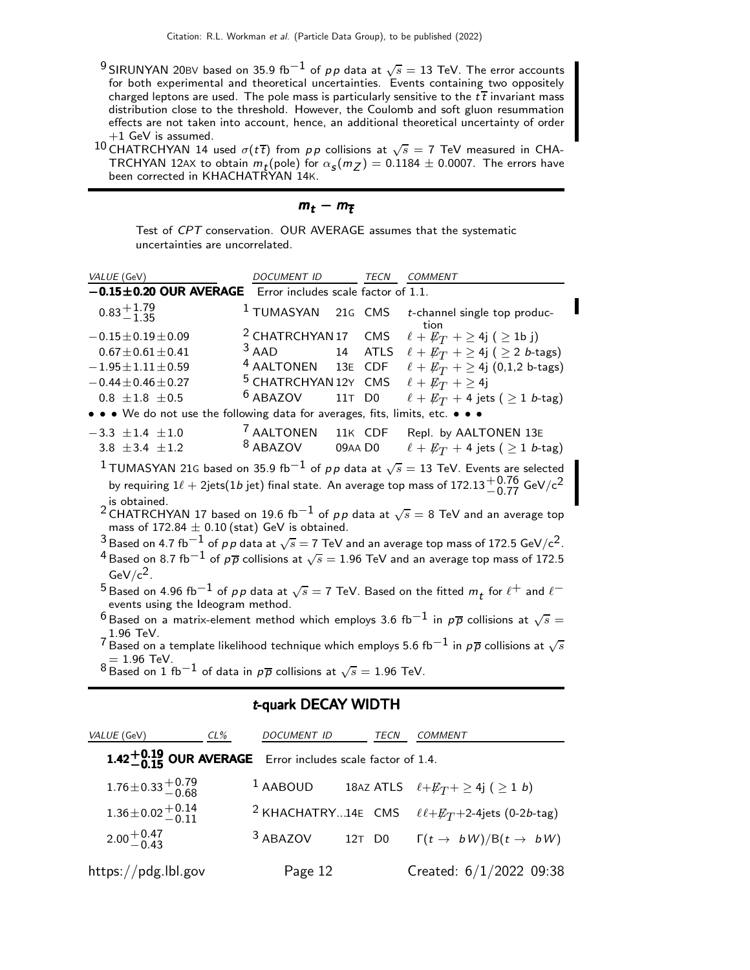- $^9$ SIRUNYAN 20BV based on 35.9 fb $^{-1}$  of  $\rho \rho$  data at  $\sqrt{s}=$  13 TeV. The error accounts for both experimental and theoretical uncertainties. Events containing two oppositely charged leptons are used. The pole mass is particularly sensitive to the  $t\bar{t}$  invariant mass distribution close to the threshold. However, the Coulomb and soft gluon resummation effects are not taken into account, hence, an additional theoretical uncertainty of order  $+1$  GeV is assumed.
- $^{10}$ CHATRCHYAN 14 used  $\sigma(t\bar{t})$  from  $p\bar{p}$  collisions at  $\sqrt{s}=7$  TeV measured in CHA-TRCHYAN 12AX to obtain  $m_t$ (pole) for  $\alpha_S(m_Z) = 0.1184 \pm 0.0007$ . The errors have been corrected in KHACHATRYAN 14K.

| m. |  | ,,,, |
|----|--|------|
|----|--|------|

Test of CPT conservation. OUR AVERAGE assumes that the systematic uncertainties are uncorrelated.

| VALUE (GeV)                                                                               | <b>DOCUMENT ID</b>                  |         | TECN    | <b>COMMENT</b>                                                                                                               |
|-------------------------------------------------------------------------------------------|-------------------------------------|---------|---------|------------------------------------------------------------------------------------------------------------------------------|
| $-0.15 \pm 0.20$ OUR AVERAGE                                                              | Error includes scale factor of 1.1. |         |         |                                                                                                                              |
| $0.83 + 1.79$                                                                             | <sup>1</sup> TUMASYAN 21G CMS       |         |         | t-channel single top produc-<br>tion                                                                                         |
| $-0.15 \pm 0.19 \pm 0.09$                                                                 | <sup>2</sup> CHATRCHYAN 17 CMS      |         |         | $\ell + \not\!\!{E}_T + \geq 4j$ ( $\geq 1b$ j)                                                                              |
| $0.67 \pm 0.61 \pm 0.41$                                                                  | $3$ AAD                             |         | 14 ATLS | $\ell + \not\!\!{E_T}$ + $\geq$ 4j ( $\geq$ 2 <i>b</i> -tags)                                                                |
| $-1.95 \pm 1.11 \pm 0.59$                                                                 | <sup>4</sup> AALTONEN 13E CDF       |         |         | $\ell + E_T$ + $\geq$ 4j (0,1,2 b-tags)                                                                                      |
| $-0.44 \pm 0.46 \pm 0.27$                                                                 | <sup>5</sup> CHATRCHYAN 12Y CMS     |         |         | $\ell + \not\!\!{E_T}$ + $\geq$ 4j                                                                                           |
| $0.8 \pm 1.8 \pm 0.5$                                                                     | <sup>6</sup> ABAZOV                 | 11T D0  |         | $\ell + \not\!\!{E_T}$ + 4 jets ( $\geq$ 1 <i>b</i> -tag)                                                                    |
| • • • We do not use the following data for averages, fits, limits, etc. • • •             |                                     |         |         |                                                                                                                              |
| $-3.3 \pm 1.4 \pm 1.0$                                                                    | <sup>7</sup> AALTONEN               |         | 11K CDF | Repl. by AALTONEN 13E                                                                                                        |
| 3.8 $\pm$ 3.4 $\pm$ 1.2                                                                   | <sup>8</sup> ABAZOV                 | 09AA D0 |         | $\ell + \not\!\!{E_T}$ + 4 jets ( $\geq$ 1 <i>b</i> -tag)                                                                    |
|                                                                                           |                                     |         |         | $^1$ TUMASYAN 21G based on 35.9 fb $^{-1}$ of $p\,p$ data at $\sqrt{s}=$ 13 TeV. Events are selected                         |
|                                                                                           |                                     |         |         | by requiring $1\ell + 2$ jets $(1b$ jet) final state. An average top mass of 172.13 $^{+0.76}_{-0.77}$ GeV/c <sup>2</sup>    |
| is obtained.                                                                              |                                     |         |         | <sup>2</sup> CHATRCHYAN 17 based on 19.6 fb <sup>-1</sup> of pp data at $\sqrt{s} = 8$ TeV and an average top                |
| mass of $172.84 \pm 0.10$ (stat) GeV is obtained.                                         |                                     |         |         |                                                                                                                              |
|                                                                                           |                                     |         |         | $^3$ Based on 4.7 fb $^{-1}$ of $\rho \rho$ data at $\sqrt{s}$ $=$ 7 TeV and an average top mass of 172.5 GeV/c $^2$ .       |
|                                                                                           |                                     |         |         | $^4$ Based on 8.7 fb $^{-1}$ of $\rho\overline{\rho}$ collisions at $\sqrt{s}=$ 1.96 TeV and an average top mass of 172.5    |
| $GeV/c^2$ .                                                                               |                                     |         |         |                                                                                                                              |
|                                                                                           |                                     |         |         | $^5$ Based on 4.96 fb $^{-1}$ of $pp$ data at $\sqrt{s} = 7$ TeV. Based on the fitted $m_t$ for $\ell^+$ and $\ell^-$        |
| events using the Ideogram method.                                                         |                                     |         |         |                                                                                                                              |
|                                                                                           |                                     |         |         | $^6$ Based on a matrix-element method which employs 3.6 fb $^{-1}$ in $p\overline{p}$ collisions at $\sqrt{s} =$             |
| $1.96$ TeV.                                                                               |                                     |         |         | $^7$ Based on a template likelihood technique which employs 5.6 fb $^{-1}$ in $\rho\overline{\rho}$ collisions at $\sqrt{s}$ |
| $= 1.96$ TeV.                                                                             |                                     |         |         |                                                                                                                              |
| $^8$ Based on 1 fb $^{-1}$ of data in $p\overline{p}$ collisions at $\sqrt{s}=$ 1.96 TeV. |                                     |         |         |                                                                                                                              |

#### t-quark DECAY WIDTH

| VALUE (GeV)                                                 | CL% | DOCUMENT ID                                                  | TECN | <b>COMMENT</b>                                                                |
|-------------------------------------------------------------|-----|--------------------------------------------------------------|------|-------------------------------------------------------------------------------|
|                                                             |     | 1.42 $+0.19$ OUR AVERAGE Error includes scale factor of 1.4. |      |                                                                               |
| $1.76 \pm 0.33 \pm 0.79$                                    |     | $1$ AABOUD                                                   |      | 18AZ ATLS $\ell + E_T + \geq 4j$ ( $\geq 1$ b)                                |
| $1.36 \pm 0.02 \begin{array}{c} +0.14 \\ -0.11 \end{array}$ |     |                                                              |      | <sup>2</sup> KHACHATRY14E CMS $\ell+\not{\!\! E_T}+2-4\text{jets}$ (0-2b-tag) |
| $2.00 + 0.47$                                               |     |                                                              |      | <sup>3</sup> ABAZOV 12T D0 $\Gamma(t \rightarrow bW)/B(t \rightarrow bW)$     |
| https://pdg.lbl.gov                                         |     | Page 12                                                      |      | Created: $6/1/2022$ 09:38                                                     |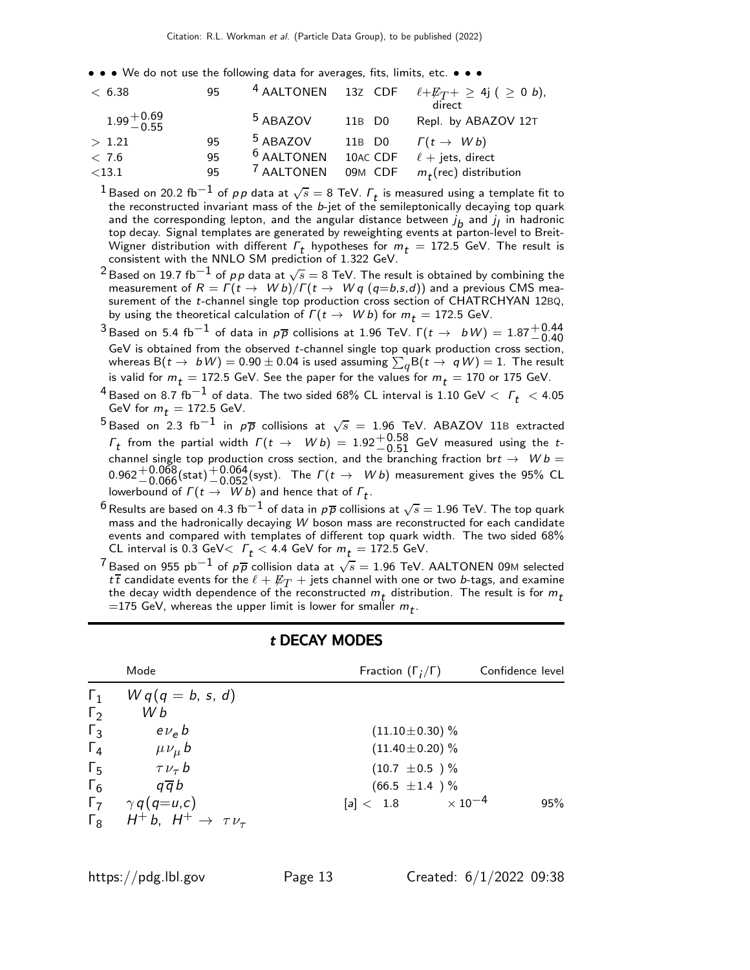• • • We do not use the following data for averages, fits, limits, etc. • • •

| < 6.38                 | 95 |                       |                    | <sup>4</sup> AALTONEN 13Z CDF $\ell + E_T + \geq 4j$ ( $\geq 0$ b),<br>direct |
|------------------------|----|-----------------------|--------------------|-------------------------------------------------------------------------------|
| $1.99 + 0.69$<br>-0.55 |    | <sup>5</sup> ABAZOV   | 11B D <sub>0</sub> | Repl. by ABAZOV 12T                                                           |
| > 1.21                 | 95 | <sup>5</sup> ABAZOV   | 11B D <sub>0</sub> | $\Gamma(t \rightarrow Wb)$                                                    |
| < 7.6                  | 95 | <sup>6</sup> AALTONEN | 10AC CDF           | $\ell$ + jets, direct                                                         |
| $<$ 13.1               | 95 | <sup>7</sup> AALTONEN |                    | 09M CDF $m_t$ (rec) distribution                                              |

 $^1$ Based on 20.2 fb $^{-1}$  of  $\rho \rho$  data at  $\sqrt{s} =$  8 TeV.  $\varGamma_t$  is measured using a template fit to the reconstructed invariant mass of the b-jet of the semileptonically decaying top quark and the corresponding lepton, and the angular distance between  $j_b$  and  $j_l$  in hadronic top decay. Signal templates are generated by reweighting events at parton-level to Breit-Wigner distribution with different  $\Gamma_t$  hypotheses for  $m_t = 172.5$  GeV. The result is consistent with the NNLO SM prediction of 1.322 GeV.

- $^2$ Based on 19.7 fb $^{-1}$  of  $\rho \rho$  data at  $\sqrt{s}=$  8 TeV. The result is obtained by combining the measurement of  $R = \Gamma(t \to Wb)/\Gamma(t \to Wq (q=b,s,d))$  and a previous CMS measurement of the t-channel single top production cross section of CHATRCHYAN 12BQ, by using the theoretical calculation of  $\Gamma(t \to Wb)$  for  $m_t = 172.5$  GeV.
- <sup>3</sup> Based on 5.4 fb<sup>-1</sup> of data in  $p\overline{p}$  collisions at 1.96 TeV.  $\Gamma(t \to bW) = 1.87^{+0.44}_{-0.40}$  $\frac{1}{2}$  as a direct on the observed t-channel single top quark production cross section,<br>GeV is obtained from the observed t-channel single top quark production cross section, whereas  $\mathsf{B}(t\to\ b\, W)=0.90\pm0.04$  is used assuming  $\sum_{q}\mathsf{B}(t\to\ q\, W)=1.$  The result is valid for  $m_t = 172.5$  GeV. See the paper for the values for  $m_t = 170$  or 175 GeV.
- $^4$  Based on 8.7 fb $^{-1}$  of data. The two sided 68% CL interval is 1.10 GeV  $<~\digamma_t~<$  4.05 GeV for  $m_t = 172.5$  GeV.
- $^5$ Based on 2.3 fb $^{-1}$  in  $\rho\overline{\rho}$  collisions at  $\sqrt{s}$  = 1.96 TeV. ABAZOV 11B extracted  $\Gamma_t$  from the partial width  $\Gamma(t \to Wb) = 1.92^{+0.58}_{-0.51}$  GeV measured using the tchannel single top production cross section, and the branching fraction brt  $\rightarrow$   $Wb =$ 0.962 $+$ 0.068(stat) $+$ 0.064(syst). The  $\Gamma(t \to Wb)$  measurement gives the 95% CL lowerbound of  $\Gamma(t \to Wb)$  and hence that of  $\Gamma_t$ .
- $^6$ Results are based on 4.3 fb $^{-1}$  of data in  $\rho\overline{\rho}$  collisions at  $\sqrt{s}=$  1.96 TeV. The top quark mass and the hadronically decaying  $W$  boson mass are reconstructed for each candidate events and compared with templates of different top quark width. The two sided 68% CL interval is 0.3 GeV $\langle$   $\Gamma_t$   $\langle$  4.4 GeV for  $m_t$  = 172.5 GeV.
- $^7$ Based on 955 pb $^{-1}$  of  $\rho\overline{\rho}$  collision data at  $\sqrt{s}=$  1.96 TeV. AALTONEN 09M selected t $\overline{t}$  candidate events for the  $\ell + \not\!\!E_T + \overline{\jmath}$ ets channel with one or two b-tags, and examine the decay width dependence of the reconstructed  $m_t$  distribution. The result is for  $m_t$  $=$ 175 GeV, whereas the upper limit is lower for smaller  $m_{\boldsymbol{t}}.$

|              | Mode                                        | Fraction $(\Gamma_i/\Gamma)$     | Confidence level |
|--------------|---------------------------------------------|----------------------------------|------------------|
| $\Gamma_1$   | $Wq(q = b, s, d)$                           |                                  |                  |
| $\Gamma_2$   | W b                                         |                                  |                  |
| $\Gamma_3$   | $e\nu_e b$                                  | $(11.10 \pm 0.30)$ %             |                  |
| $\Gamma_4$   | $\mu \nu_{\mu} b$                           | $(11.40 \pm 0.20)$ %             |                  |
| $\Gamma_{5}$ | $\tau \nu_{\tau} b$                         | $(10.7 \pm 0.5)$ %               |                  |
| $\Gamma_6$   | $q\overline{q}b$                            | $(66.5 \pm 1.4) \%$              |                  |
| $\Gamma$     | $\gamma q(q=u,c)$                           | $\times$ 10 $^{-4}$<br>[a] < 1.8 | 95%              |
| $\Gamma_8$   | $H^+ b$ , $H^+ \rightarrow \tau \nu_{\tau}$ |                                  |                  |

#### t DECAY MODES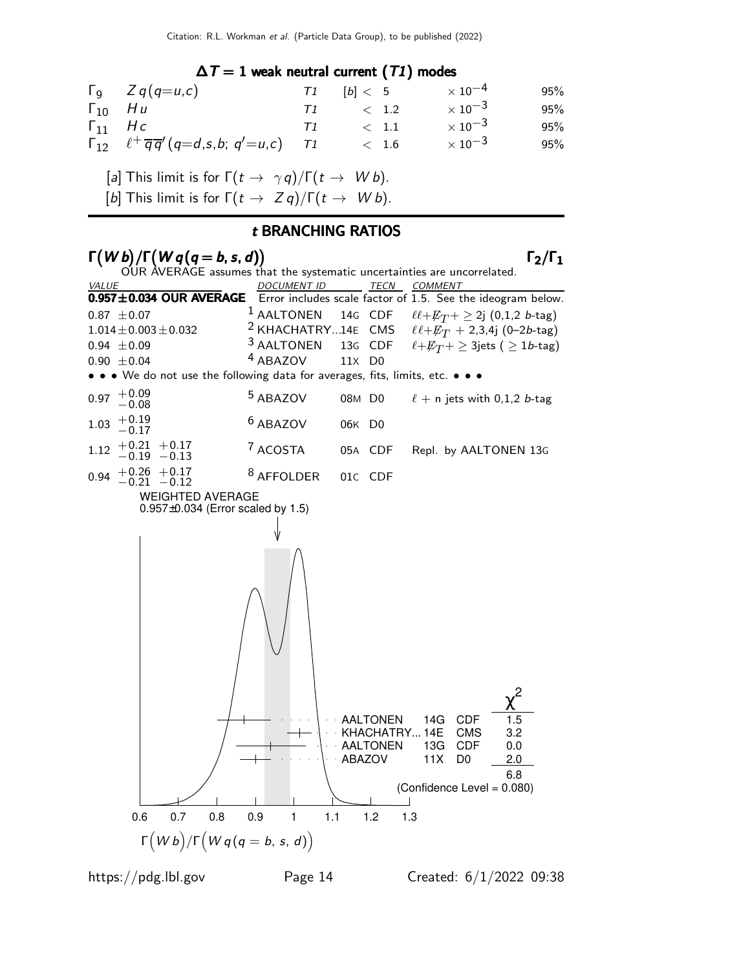#### $\Delta T = 1$  weak neutral current (T1) modes

| $\Gamma$ <sub>9</sub> $Z$ <i>q</i> ( <i>q</i> = <i>u</i> , <i>c</i> )        |          | $T1$ $[b] < 5$ | $\times$ 10 $^{-4}$ | 95% |
|------------------------------------------------------------------------------|----------|----------------|---------------------|-----|
| $\Gamma_{10}$ Hu                                                             |          | $\langle 1.2$  | $\times$ 10 $^{-3}$ | 95% |
| $\Gamma_{11}$ Hc                                                             | $\top 1$ | $\langle$ 1.1  | $\times$ 10 $^{-3}$ | 95% |
| $\Gamma_{12}$ $\ell^+ \overline{q} \overline{q}' (q=d,s,b; q'=u,c)$ $\tau_1$ |          | < 1.6          | $\times$ 10 $^{-3}$ | 95% |

[a] This limit is for  $\Gamma(t \to \gamma q)/\Gamma(t \to W b)$ .

[b] This limit is for  $\Gamma(t \to Z q)/\Gamma(t \to W b)$ .

#### t BRANCHING RATIOS

#### $\Gamma(Wb)/\Gamma(Wq(q=b,s,d))$   $\Gamma_2/\Gamma_1$

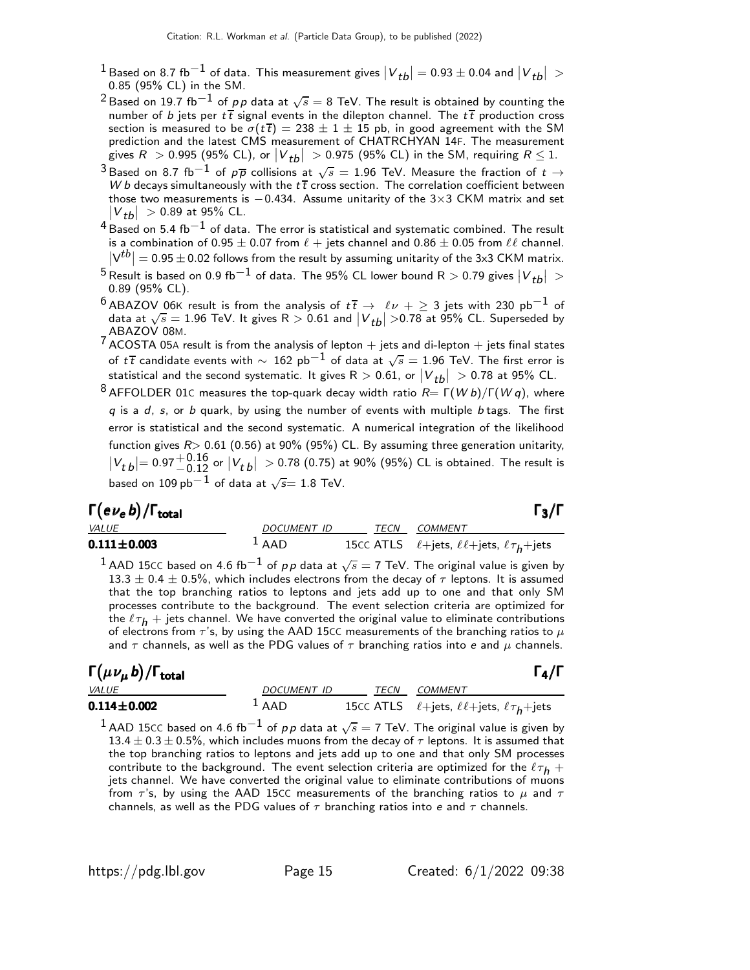- 1 Based on 8.7 fb<sup>−1</sup> of data. This measurement gives  $|V_{tb}| = 0.93 \pm 0.04$  and  $|V_{tb}| >$ 0.85 (95% CL) in the SM.
- $^2$ Based on 19.7 fb $^{-1}$  of  $\rho\, \rho$  data at  $\sqrt{s}=$  8 TeV. The result is obtained by counting the number of b jets per  $t\bar{t}$  signal events in the dilepton channel. The  $t\bar{t}$  production cross section is measured to be  $\sigma(t\bar{t}) = 238 \pm 1 \pm 15$  pb, in good agreement with the SM prediction and the latest CMS measurement of CHATRCHYAN 14F. The measurement gives  $R > 0.995$  (95% CL), or  $\left|V_{tb}\right| > 0.975$  (95% CL) in the SM, requiring  $R \leq 1$ .
- <sup>3</sup> Based on 8.7 fb<sup>−1</sup> of  $p\overline{p}$  collisions at  $\sqrt{s} = 1.96$  TeV. Measure the fraction of  $t \to W$ *b* decays simultaneously with the  $t\overline{t}$  cross section. The correlation coefficient between those two measurements is  $-0.434$ . Assume unitarity of the 3×3 CKM matrix and set  $|V_{tb}| > 0.89$  at 95% CL.
- $^4$ Based on 5.4 fb $^{-1}$  of data. The error is statistical and systematic combined. The result is a combination of 0.95  $\pm$  0.07 from  $\ell$  + jets channel and 0.86  $\pm$  0.05 from  $\ell\ell$  channel.  $|V^{tb}| = 0.95 \pm 0.02$  follows from the result by assuming unitarity of the 3x3 CKM matrix.
- <sup>5</sup> Result is based on 0.9 fb $^{-1}$  of data. The 95% CL lower bound R  $>$  0.79 gives  $|V_{tb}|$   $>$ 0.89 (95% CL).
- $^6$  ABAZOV 06K result is from the analysis of  $t\,\overline{t}\,\rightarrow\,\,\ell\nu\,+\geq 3$  jets with 230 pb $^{-1}$  of data at  $\sqrt{s} = 1.96$  TeV. It gives  $R > 0.61$  and  $|V_{tb}| > 0.78$  at 95% CL. Superseded by ABAZOV 08M.
- 7 ACOSTA 05<sup>A</sup> result is from the analysis of lepton + jets and di-lepton + jets final states of  $t\overline{t}$  candidate events with  $\sim~162$  pb $^{-1}$  of data at  $\sqrt{s}=1.96$  TeV. The first error is statistical and the second systematic. It gives  $\mathsf{R}>0.61$ , or  $\left|V_{\textit{tb}}\right|$   $>0.78$  at 95% CL.
- $8$  AFFOLDER 01c measures the top-quark decay width ratio  $R= \Gamma(Wb)/\Gamma(Wq)$ , where  $q$  is a  $d$ ,  $s$ , or  $b$  quark, by using the number of events with multiple  $b$  tags. The first error is statistical and the second systematic. A numerical integration of the likelihood function gives  $R$  > 0.61 (0.56) at 90% (95%) CL. By assuming three generation unitarity,  $|V_{t\,b}| = 0.97 {+0.16 \atop -0.12}$  or  $|V_{t\,b}| > 0.78$  (0.75) at 90% (95%) CL is obtained. The result is based on  $109\,{\rm pb}^{-1}$  of data at  $\sqrt{s}{=}\;1.8$  TeV.

| $\Gamma(e\nu_{\rm \bm e}\,b)/\Gamma_{\rm total}$ |             |      | $\Gamma_3/\Gamma$                                              |
|--------------------------------------------------|-------------|------|----------------------------------------------------------------|
| <b>VALUE</b>                                     | DOCUMENT ID | TECN | COMMENT                                                        |
| $0.111 \!\pm\! 0.003$                            | $1$ AAD     |      | 15CC ATLS $\ell$ +jets, $\ell \ell$ +jets, $\ell \tau_h$ +jets |
|                                                  |             |      |                                                                |

 $^1$  AAD 15CC based on 4.6 fb $^{-1}$  of  $\rho \rho$  data at  $\sqrt{s}=$  7 TeV. The original value is given by  $13.3 \pm 0.4 \pm 0.5 \%$ , which includes electrons from the decay of  $\tau$  leptons. It is assumed that the top branching ratios to leptons and jets add up to one and that only SM processes contribute to the background. The event selection criteria are optimized for the  $\ell \tau_h$  + jets channel. We have converted the original value to eliminate contributions of electrons from  $\tau$ 's, by using the AAD 15CC measurements of the branching ratios to  $\mu$ and  $\tau$  channels, as well as the PDG values of  $\tau$  branching ratios into e and  $\mu$  channels.

## Γ $(\mu \nu_{\mu} b)/\Gamma_{\text{total}}$  Γ<sub>4</sub>/Γ

| $\Gamma(\mu \nu_{\mu} \, b)/\Gamma_{\rm total}$ |                    |      | $\Gamma_4/\Gamma$                                                         |
|-------------------------------------------------|--------------------|------|---------------------------------------------------------------------------|
| <b>VALUE</b>                                    | DOCUMENT ID        | TECN | <i>COMMENT</i>                                                            |
| $0.114 \!\pm\! 0.002$                           | $\overline{A}$ AAD |      | 15CC ATLS $\ell$ +jets, $\ell \ell$ +jets, $\ell \tau$ <sub>h</sub> +jets |

 $^{\text{1}}$  AAD 15CC based on 4.6 fb $^{-1}$  of  $\rho \rho$  data at  $\sqrt{s}=$  7 TeV. The original value is given by  $13.4 \pm 0.3 \pm 0.5$ %, which includes muons from the decay of  $\tau$  leptons. It is assumed that the top branching ratios to leptons and jets add up to one and that only SM processes contribute to the background. The event selection criteria are optimized for the  $\ell \tau_h$  + jets channel. We have converted the original value to eliminate contributions of muons from  $\tau$ 's, by using the AAD 15CC measurements of the branching ratios to  $\mu$  and  $\tau$ channels, as well as the PDG values of  $\tau$  branching ratios into e and  $\tau$  channels.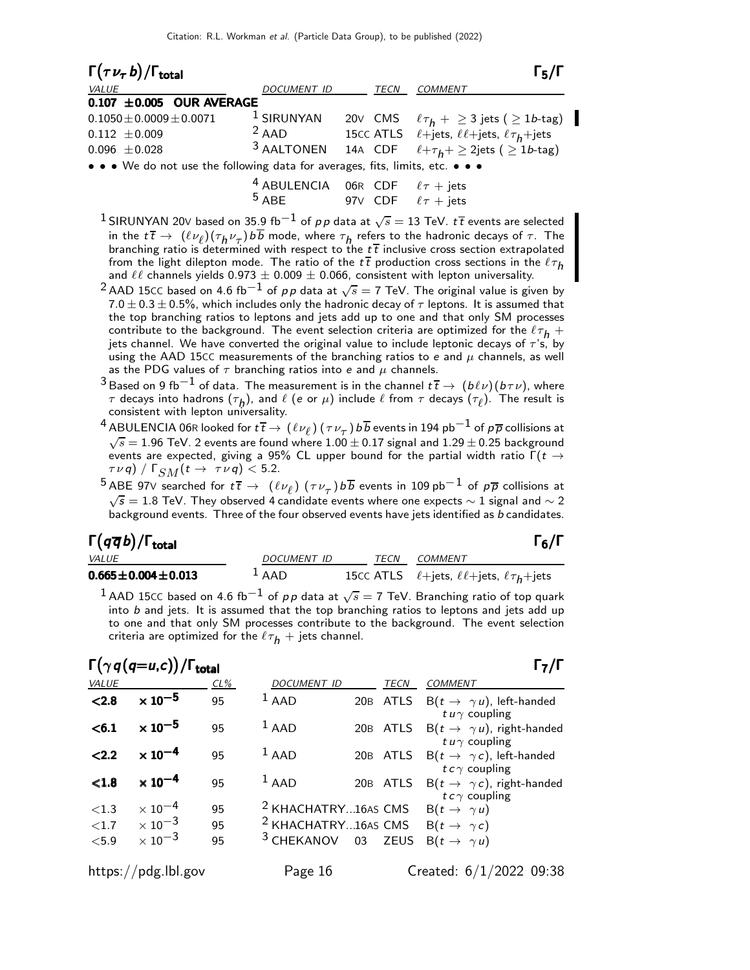|             |                                                          | $\Gamma_{5}/\Gamma$                                                                                                                                            |
|-------------|----------------------------------------------------------|----------------------------------------------------------------------------------------------------------------------------------------------------------------|
| DOCUMENT ID | <b>TECN</b>                                              | <b>COMMENT</b>                                                                                                                                                 |
|             |                                                          |                                                                                                                                                                |
|             |                                                          | 20V CMS $\ell \tau_h + \geq 3$ jets ( $\geq 1b$ -tag)                                                                                                          |
|             |                                                          | 15CC ATLS $\ell$ +jets, $\ell\ell$ +jets, $\ell\tau_h$ +jets                                                                                                   |
|             |                                                          |                                                                                                                                                                |
|             |                                                          |                                                                                                                                                                |
|             | $0.107 \pm 0.005$ OUR AVERAGE<br>$1$ SIRUNYAN<br>$2$ AAD | <sup>3</sup> AALTONEN 14A CDF $\ell + \tau_h + \geq 2$ jets ( $\geq 1$ b-tag)<br>• • • We do not use the following data for averages, fits, limits, etc. • • • |

| <sup>4</sup> ABULENCIA 06R CDF $\ell \tau$ + jets |  |                            |
|---------------------------------------------------|--|----------------------------|
| $^5$ ABE $\,$                                     |  | 97V CDF $\ell \tau$ + jets |

- $^1$ SIRUNYAN 20V based on 35.9 fb $^{-1}$  of  $\rho \rho$  data at  $\sqrt{s}=$  13 TeV.  $t\,\overline{t}$  events are selected in the  $t\,\overline{t} \to \ (\ell\nu_\ell)(\tau_h\nu_\tau)$ bb mode, where  $\tau_h$  refers to the hadronic decays of  $\tau$ . The branching ratio is determined with respect to the  $t\bar{t}$  inclusive cross section extrapolated from the light dilepton mode. The ratio of the  $t\bar{t}$  production cross sections in the  $\ell \tau_h$ and  $\ell\ell$  channels yields  $0.973 \pm 0.009 \pm 0.066$ , consistent with lepton universality.
- $^2$ AAD 15CC based on 4.6 fb $^{-1}$  of  $\rho \rho$  data at  $\sqrt{s}=$  7 TeV. The original value is given by  $7.0 \pm 0.3 \pm 0.5 \%$ , which includes only the hadronic decay of  $\tau$  leptons. It is assumed that the top branching ratios to leptons and jets add up to one and that only SM processes contribute to the background. The event selection criteria are optimized for the  $\ell \tau_h$  + jets channel. We have converted the original value to include leptonic decays of  $\tau$ 's, by using the AAD 15CC measurements of the branching ratios to e and  $\mu$  channels, as well as the PDG values of  $\tau$  branching ratios into e and  $\mu$  channels.
- $^3$ Based on 9 fb $^{-1}$  of data. The measurement is in the channel  $t\,\overline{t}\to\,(b\ell\nu)(b\tau\nu)$ , where  $\tau$  decays into hadrons  $(\tau_h)$ , and  $\ell$  (e or  $\mu$ ) include  $\ell$  from  $\tau$  decays  $(\tau_{\ell})$ . The result is consistent with lepton universality.
- $^4$  ABULENCIA 06R looked for  $t\,\overline{t}\to(\ell\nu_\ell)$   $(\tau\nu_\tau)$   $b\overline{b}$  events in 194 pb $^{-1}$  of  $p\overline{p}$  collisions at  $\sqrt{s} = 1.96$  TeV. 2 events are found where  $1.00 \pm 0.17$  signal and  $1.29 \pm 0.25$  background events are expected, giving a 95% CL upper bound for the partial width ratio  $\Gamma(t \rightarrow$  $(\tau \nu q) / \Gamma_{SM}(t \rightarrow \tau \nu q) < 5.2$ .
- $^5$ ABE 97V searched for  $t\,\overline{t}\,\to\,\ (\ell\nu_\ell)$   $(\tau\nu_\tau)$   $b\overline{b}$  events in 109 pb $^{-1}$  of  $\rho\overline{\rho}$  collisions at  $\sqrt{s} = 1.8$  TeV. They observed 4 candidate events where one expects  $\sim 1$  signal and  $\sim 2$ background events. Three of the four observed events have jets identified as b candidates.

#### Γ $(q\overline{q}b)/\Gamma_{\rm total}$  Γενικά προσπα

| <i>VALUE</i>                | <i>DOCUMENT ID</i> | TECN | <i>COMMENT</i>                                                 |
|-----------------------------|--------------------|------|----------------------------------------------------------------|
| $0.665 \pm 0.004 \pm 0.013$ | $\overline{A}$ AAD |      | 15CC ATLS $\ell$ +jets, $\ell \ell$ +jets, $\ell \tau_h$ +jets |
|                             |                    |      |                                                                |

 $^{\text{1}}$  AAD 15CC based on 4.6 fb $^{-1}$  of  $\rho \rho$  data at  $\sqrt{s}=$  7 TeV. Branching ratio of top quark into  $b$  and jets. It is assumed that the top branching ratios to leptons and jets add up to one and that only SM processes contribute to the background. The event selection criteria are optimized for the  $\ell \tau_h$  + jets channel.

#### $\Gamma(\gamma\,q(q=u,c))$ /Γ<sub>total</sub> Γ<sub>7</sub>/Γ

| <b>VALUE</b> |                           | $CL\%$ | <b>DOCUMENT ID</b>             | <b>TECN</b> | <b>COMMENT</b>                                                      |
|--------------|---------------------------|--------|--------------------------------|-------------|---------------------------------------------------------------------|
| < 2.8        | $\times$ 10 <sup>-5</sup> | 95     | $1$ AAD                        | 20B ATLS    | $B(t \rightarrow \gamma u)$ , left-handed<br>t $u \gamma$ coupling  |
| < 6.1        | $\times$ 10 <sup>-5</sup> | 95     | $1$ AAD                        | 20B ATLS    | $B(t \rightarrow \gamma u)$ , right-handed<br>t $u \gamma$ coupling |
| < 2.2        | $\times$ 10 <sup>-4</sup> | 95     | $1$ AAD                        | 20B ATLS    | $B(t \rightarrow \gamma c)$ , left-handed<br>$tc\gamma$ coupling    |
| < 1.8        | $\times 10^{-4}$          | 95     | $1$ AAD                        | 20B ATLS    | $B(t \rightarrow \gamma c)$ , right-handed<br>$tc\gamma$ coupling   |
| ${<}1.3$     | $\times$ 10 $^{-4}$       | 95     | <sup>2</sup> KHACHATRY16AS CMS |             | $B(t \rightarrow \gamma u)$                                         |
| ${<}1.7$     | $\times$ 10 <sup>-3</sup> | 95     | <sup>2</sup> KHACHATRY16AS CMS |             | $B(t \rightarrow \gamma c)$                                         |
| $<5.9$       | $\times$ 10 <sup>-3</sup> | 95     | <sup>3</sup> CHEKANOV 03 ZEUS  |             | $B(t \rightarrow \gamma u)$                                         |
|              | https://pdg.lbl.gov       |        | Page 16                        |             | Created: 6/1/2022 09:38                                             |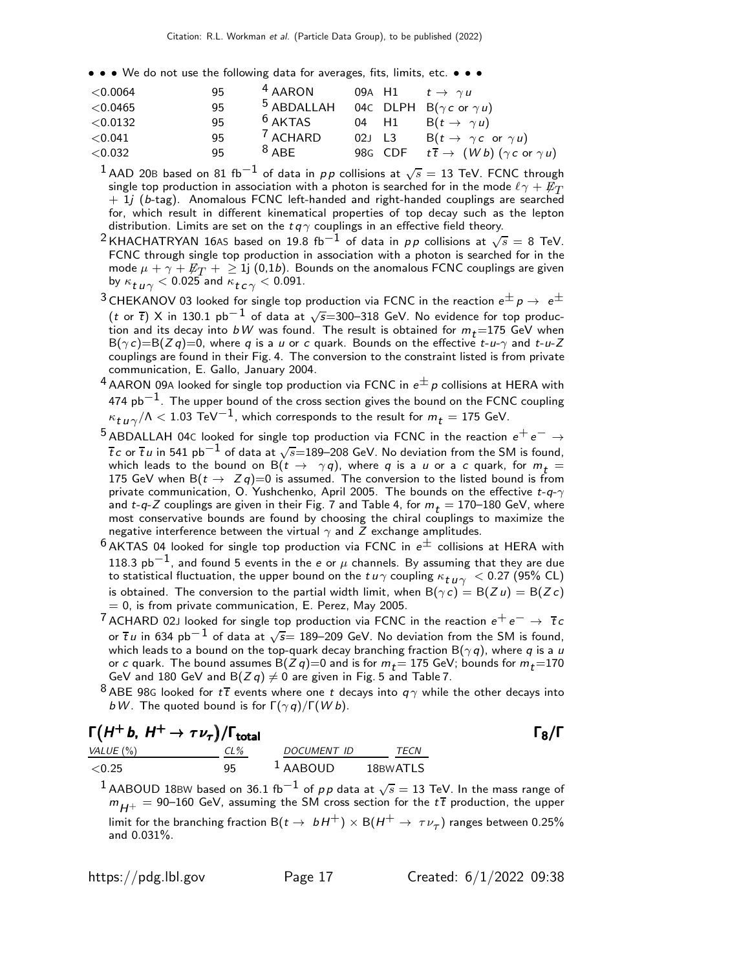• • • We do not use the following data for averages, fits, limits, etc. • • •

| $<$ 0.0064 | 95 | <sup>4</sup> AARON  |        | 09A H1 $t \rightarrow \gamma u$                                         |
|------------|----|---------------------|--------|-------------------------------------------------------------------------|
| < 0.0465   | 95 |                     |        | <sup>5</sup> ABDALLAH 04C DLPH B( $\gamma c$ or $\gamma u$ )            |
| < 0.0132   | 95 | $6$ AKTAS           |        | 04 H1 B( $t \rightarrow \gamma u$ )                                     |
| < 0.041    | 95 | <sup>7</sup> ACHARD | 02J L3 | $B(t \rightarrow \gamma c \text{ or } \gamma u)$                        |
| < 0.032    | 95 | $8$ ABE             |        | 98G CDF $t\overline{t} \rightarrow (Wb)(\gamma c \text{ or } \gamma u)$ |

 $^1$  AAD 20B based on 81 fb $^{-1}$  of data in  $\rho \rho$  collisions at  $\sqrt{s} =$  13 TeV. FCNC through single top production in association with a photon is searched for in the mode  $\ell \gamma + \bar{E_T}$  $+$  1j (b-tag). Anomalous FCNC left-handed and right-handed couplings are searched for, which result in different kinematical properties of top decay such as the lepton distribution. Limits are set on the  $t\,q\,\gamma$  couplings in an effective field theory.

<sup>2</sup> KHACHATRYAN 16As based on 19.8 fb<sup>-1</sup> of data in pp collisions at  $\sqrt{s} = 8$  TeV. FCNC through single top production in association with a photon is searched for in the mode  $\mu + \gamma + \cancel{E_T} + \geq 1$  (0,1*b*). Bounds on the anomalous FCNC couplings are given by  $\kappa_{\boldsymbol{t} \boldsymbol{u} \gamma} < 0.025$  and  $\kappa_{\boldsymbol{t} \boldsymbol{c} \gamma} < 0.091$ .

 $^3$ CHEKANOV 03 looked for single top production via FCNC in the reaction  $e^\pm \, p \rightarrow \; e^\pm$ (t or t̄) X in 130.1 pb $^{-1}$  of data at  $\sqrt{s}$ =300–318 GeV. No evidence for top production and its decay into bW was found. The result is obtained for  $m_t = 175$  GeV when  $B(\gamma c) = B(Z q) = 0$ , where q is a u or c quark. Bounds on the effective  $t$ -u- $\gamma$  and  $t$ -u-Z couplings are found in their Fig. 4. The conversion to the constraint listed is from private communication, E. Gallo, January 2004.

- $^4$  AARON 09A looked for single top production via FCNC in  $e^{\pm}$  p collisions at HERA with 474  $pb<sup>-1</sup>$ . The upper bound of the cross section gives the bound on the FCNC coupling  $\kappa_{\boldsymbol{t}\, \boldsymbol{u}\, \gamma}/\Lambda < 1.03$  TeV $^{-1}$ , which corresponds to the result for  $m_{\boldsymbol{t}} = 175$  GeV.
- 5 ABDALLAH 04C looked for single top production via FCNC in the reaction  $e^+e^-\rightarrow$  $\overline{t}\,c$  or  $\overline{t}\,u$  in 541 pb $^{-1}$  of data at  $\sqrt{s}{=}$ 189–208 GeV. No deviation from the SM is found, which leads to the bound on  $B(t \to \gamma q)$ , where q is a u or a c quark, for  $m_t =$ 175 GeV when  $B(t \rightarrow Z q) = 0$  is assumed. The conversion to the listed bound is from private communication, O. Yushchenko, April 2005. The bounds on the effective  $t$ - $q$ - $\gamma$ and t-q-Z couplings are given in their Fig. 7 and Table 4, for  $m_t = 170-180$  GeV, where most conservative bounds are found by choosing the chiral couplings to maximize the negative interference between the virtual  $\gamma$  and  $\bar{Z}$  exchange amplitudes.
- $^6$ AKTAS 04 looked for single top production via FCNC in  $e^{\pm}$  collisions at HERA with 118.3  $pb^{-1}$ , and found 5 events in the e or  $\mu$  channels. By assuming that they are due to statistical fluctuation, the upper bound on the  $t u \gamma$  coupling  $\kappa_{t \, u \, \gamma} < 0.27$  (95% CL) is obtained. The conversion to the partial width limit, when  $B(\gamma c) = B(Z u) = B(Z c)$  $= 0$ , is from private communication, E. Perez, May 2005.
- <sup>7</sup> ACHARD 02J looked for single top production via FCNC in the reaction  $e^+e^-\rightarrow\bar{t}\,c$ or  $\overline{t}$   $\mu$  in 634 pb $^{-1}$  of data at  $\sqrt{s}$ = 189–209 GeV. No deviation from the SM is found, which leads to a bound on the top-quark decay branching fraction  $\mathsf{B}(\gamma \, \bm{q})$ , where  $\bm{q}$  is a  $\bm{\mathit{u}}$ or c quark. The bound assumes  $B(Z q)=0$  and is for  $m_t= 175$  GeV; bounds for  $m_t=$  170 GeV and 180 GeV and B $(Z \, q) \neq 0$  are given in Fig. 5 and Table 7.
- $8$  ABE 98G looked for  $t\bar{t}$  events where one t decays into  $q\gamma$  while the other decays into bW. The quoted bound is for  $\Gamma(\gamma q)/\Gamma(W b)$ .

| $\Gamma(H^+ b, H^+ \rightarrow \tau \nu_\tau)/\Gamma_{\text{total}}$ |     |                       |          | $\Gamma_8/\Gamma$ |
|----------------------------------------------------------------------|-----|-----------------------|----------|-------------------|
| VALUE (%)                                                            | CL% | DOCUMENT ID           | TECN     |                   |
| ${<}0.25$                                                            | 95  | $\overline{A}$ AABOUD | 18BWATLS |                   |

 $^1$ AABOUD 18BW based on 36.1 fb $^{-1}$  of  $\rho \rho$  data at  $\sqrt{s}=$  13 TeV. In the mass range of  $m_{H+}$  = 90–160 GeV, assuming the SM cross section for the  $t\bar{t}$  production, the upper limit for the branching fraction B $(t \to b H^+) \times B(H^+ \to \tau \nu_\tau)$  ranges between 0.25% and 0.031%.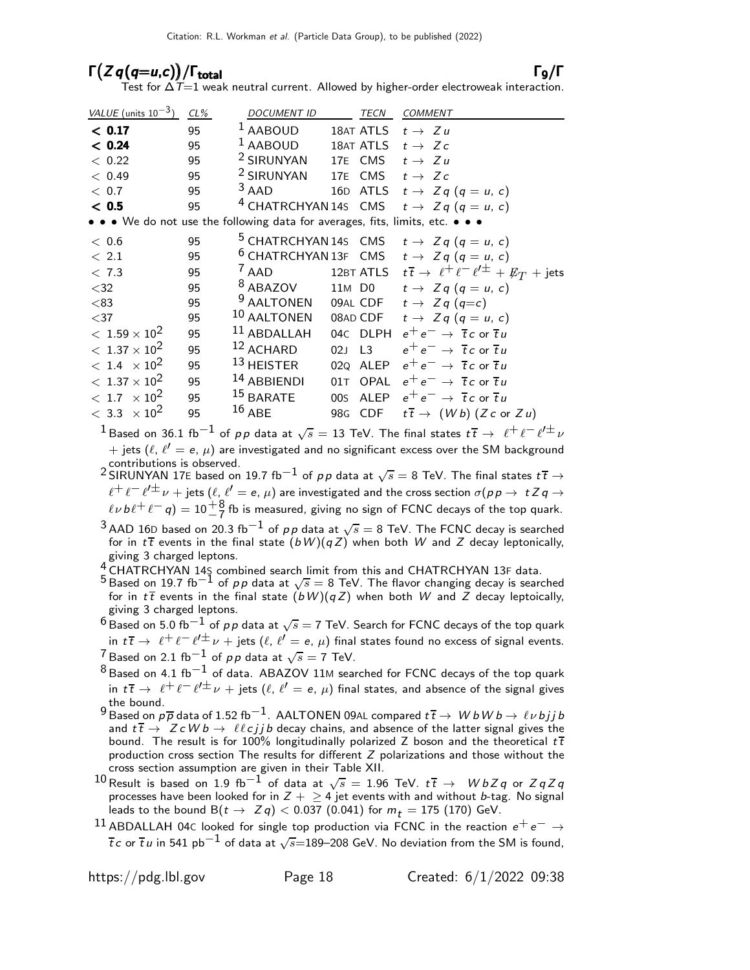### $\Gamma(Zq(q=u,c)) / \Gamma_{\text{total}}$  Γ9/Γ

Test for  $\Delta \dot{\mathcal{T}}{=}1$  weak neutral current. Allowed by higher-order electroweak interaction.

| VALUE (units $10^{-3}$ ) | $CL\%$ | <b>DOCUMENT ID</b>                                                            |        | TECN      | <b>COMMENT</b>                                                                     |
|--------------------------|--------|-------------------------------------------------------------------------------|--------|-----------|------------------------------------------------------------------------------------|
| < 0.17                   | 95     | <sup>1</sup> AABOUD                                                           |        | 18AT ATLS | $t \rightarrow Zu$                                                                 |
| < 0.24                   | 95     | $1$ AABOUD                                                                    |        | 18AT ATLS | $t \rightarrow Zc$                                                                 |
| < 0.22                   | 95     | <sup>2</sup> SIRUNYAN                                                         |        |           | 17E CMS $t \rightarrow Zu$                                                         |
| < 0.49                   | 95     | <sup>2</sup> SIRUNYAN                                                         |        |           | 17E CMS $t \rightarrow Zc$                                                         |
| < 0.7                    | 95     | $3$ AAD                                                                       |        |           | 16D ATLS $t \rightarrow Zq (q = u, c)$                                             |
| < 0.5                    | 95     |                                                                               |        |           | <sup>4</sup> CHATRCHYAN 14s CMS $t \rightarrow Zq (q = u, c)$                      |
|                          |        | • • • We do not use the following data for averages, fits, limits, etc. • • • |        |           |                                                                                    |
| < 0.6                    | 95     |                                                                               |        |           | <sup>5</sup> CHATRCHYAN 14s CMS $t \rightarrow Zq (q = u, c)$                      |
| $\langle$ 2.1            | 95     |                                                                               |        |           | <sup>6</sup> CHATRCHYAN 13F CMS $t \rightarrow Zq (q = u, c)$                      |
| < 7.3                    | 95     | $^7$ AAD                                                                      |        |           | 12BT ATLS $t\overline{t} \rightarrow \ell^+ \ell^- \ell'^{\pm} + \not{E}_T$ + jets |
| $<$ 32                   | 95     | <sup>8</sup> ABAZOV                                                           |        |           | 11M D0 $t \rightarrow Zq (q = u, c)$                                               |
| < 83                     | 95     | $9$ AALTONEN                                                                  |        |           | 09AL CDF $t \rightarrow Zq (q=c)$                                                  |
| $<$ 37                   | 95     | $10$ AALTONEN                                                                 |        |           | 08AD CDF $t \rightarrow Zq (q = u, c)$                                             |
| $<\,1.59\times 10^{2}$   | 95     | $11$ ABDALLAH                                                                 |        | 04C DLPH  | $e^+e^- \rightarrow \overline{t}c$ or $\overline{t}u$                              |
| $< 1.37 \times 10^2$     | 95     | 12 ACHARD                                                                     | 02J L3 |           | $e^+e^- \rightarrow \overline{t}c$ or $\overline{t}u$                              |
| $< 1.4 \times 10^{2}$    | 95     | 13 HEISTER                                                                    |        | 02Q ALEP  | $e^+e^- \rightarrow \overline{t}c$ or $\overline{t}u$                              |
| $< 1.37 \times 10^2$     | 95     | 14 ABBIENDI                                                                   |        | 01T OPAL  | $e^+e^- \rightarrow \overline{t}c$ or $\overline{t}u$                              |
| $< 1.7 \times 10^2$      | 95     | $15$ BARATE                                                                   |        | 00s ALEP  | $e^+e^- \rightarrow \overline{t}c$ or $\overline{t}u$                              |
| $< 3.3 \times 10^2$      | 95     | $16$ ABE                                                                      |        | 98G CDF   | $t\bar{t}$ $\rightarrow$ $(Wb)$ $(Zc$ or $Zu)$                                     |

 $^1$ Based on 36.1 fb $^{-1}$  of  $\rho \rho$  data at  $\sqrt{s}=$  13 TeV. The final states  $t\,\overline{t}\to\ \ell^+\ell^-\ell'^{\pm}\nu$  $+$  jets  $(\ell, \, \ell' =$   $\mathsf{e}, \, \mu)$  are investigated and no significant excess over the SM background contributions is observed.

2 SIRUNYAN 17E based on 19.7 fb<sup>-1</sup> of  $pp$  data at  $\sqrt{s} = 8$  TeV. The final states  $t\bar{t} \rightarrow$  $\ell^+\ell^-\ell'^\pm\nu$   $+$  jets  $(\ell,\ell'=$  e,  $\mu)$  are investigated and the cross section  $\sigma(p\, p\to\ t\, Z\, q\to\ell^+\ell^ \ell \nu b \ell^+ \ell^- q$ ) =  $10\frac{+8}{-7}$  fb is measured, giving no sign of FCNC decays of the top quark.

 $^3$ AAD 16D based on 20.3 fb $^{-1}$  of  $\rho \rho$  data at  $\sqrt{s} =$  8 TeV. The FCNC decay is searched for in  $t\bar{t}$  events in the final state  $(bW)(qZ)$  when both W and Z decay leptonically, giving 3 charged leptons.

 $^{4}_{2}$  CHATRCHYAN 14§ combined search limit from this and CHATRCHYAN 13F data.

 $5$  Based on 19.7 fb<sup>-1</sup> of *p p* data at  $\sqrt{s} = 8$  TeV. The flavor changing decay is searched for in  $t\bar{t}$  events in the final state  $(bW)(qZ)$  when both W and Z decay leptoically, giving 3 charged leptons.

 $^6$  Based on 5.0 fb $^{-1}$  of pp data at  $\sqrt{s} = 7$  TeV. Search for FCNC decays of the top quark in  $t\bar{t} \to \ell^+ \ell^- \ell'^\pm \nu$  + jets  $(\ell, \ell'=e, \mu)$  final states found no excess of signal events.  $^7$ Based on 2.1 fb $^{-1}$  of  $\rho \rho$  data at  $\sqrt{s}=7$  TeV.

- $8$  Based on 4.1 fb<sup>-1</sup> of data. ABAZOV 11M searched for FCNC decays of the top quark in  $t\bar{t} \to \ell^+ \ell^- \ell'^\pm \nu$  + jets  $(\ell, \ell'=e, \mu)$  final states, and absence of the signal gives the bound.
- 9 Based on  $p\overline{p}$  data of 1.52 fb<sup>-1</sup>. AALTONEN 09AL compared  $t\overline{t} \rightarrow WbWb \rightarrow \ell \nu bjjb$ and  $t\bar{t}$   $\rightarrow$   $ZcWb \rightarrow \ell \ell cjjb$  decay chains, and absence of the latter signal gives the bound. The result is for 100% longitudinally polarized Z boson and the theoretical  $t\bar{t}$ production cross section The results for different  $Z$  polarizations and those without the cross section assumption are given in their Table XII.
- $^{10}$  Result is based on 1.9 fb $^{-1}$  of data at  $\sqrt{s} =$  1.96 TeV.  $t\overline{t} \rightarrow \,\,\,\, WbZq$  or  $ZqZq$ processes have been looked for in  $Z + \geq 4$  jet events with and without *b*-tag. No signal leads to the bound  $B(t \to Zq) < 0.037$  (0.041) for  $m_t = 175$  (170) GeV.
- $^{11}$  ABDALLAH 04C looked for single top production via FCNC in the reaction  $e^+e^-\rightarrow$  $\overline{t}\,c$  or  $\overline{t}\,u$  in 541 pb $^{-1}$  of data at  $\sqrt{s}{=}189{-}208$  GeV. No deviation from the SM is found,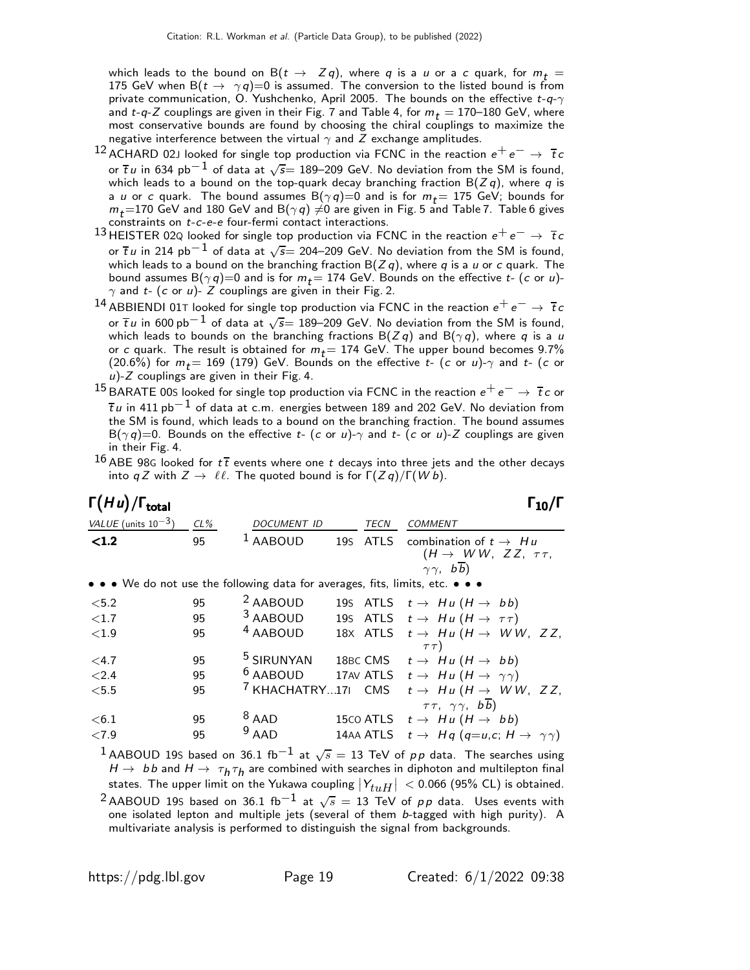which leads to the bound on B( $t \to Zq$ ), where q is a u or a c quark, for  $m_t =$ 175 GeV when B $(t \to \gamma q)$ =0 is assumed. The conversion to the listed bound is from private communication, O. Yushchenko, April 2005. The bounds on the effective  $t-q-\gamma$ and t-q-Z couplings are given in their Fig. 7 and Table 4, for  $m_t = 170$ –180 GeV, where most conservative bounds are found by choosing the chiral couplings to maximize the negative interference between the virtual  $\gamma$  and Z exchange amplitudes.

- $^{12}$  ACHARD 02J looked for single top production via FCNC in the reaction  $e^+e^-\rightarrow\bar{t}\,c$ or  $\overline{t}$   $\mu$  in 634 pb $^{-1}$  of data at  $\sqrt{s}$ = 189–209 GeV. No deviation from the SM is found, which leads to a bound on the top-quark decay branching fraction  $B(Zq)$ , where q is a u or c quark. The bound assumes  $B(\gamma q)=0$  and is for  $m_t = 175$  GeV; bounds for  $m_t$ =170 GeV and 180 GeV and B $(\gamma \, q) \neq 0$  are given in Fig. 5 and Table 7. Table 6 gives constraints on t-c-e-e four-fermi contact interactions.
- 13 HEISTER 02Q looked for single top production via FCNC in the reaction  $e^+e^- \rightarrow \overline{t}c$ or  $\overline{t}$   $\mu$  in 214 pb $^{-1}$  of data at  $\sqrt{s}$ = 204–209 GeV. No deviation from the SM is found, which leads to a bound on the branching fraction  $B(Z q)$ , where q is a u or c quark. The bound assumes  $B(\gamma q)=0$  and is for  $m_t = 174$  GeV. Bounds on the effective  $t$ - (c or u)- $\gamma$  and t- (c or u)- Z couplings are given in their Fig. 2.
- 14 ABBIENDI 01T looked for single top production via FCNC in the reaction  $e^+e^-\rightarrow\bar\tau c$ or  $\overline{t}$ u in 600 pb $^{-1}$  of data at  $\sqrt{s}$ = 189–209 GeV. No deviation from the SM is found, which leads to bounds on the branching fractions  $B(Zq)$  and  $B(\gamma q)$ , where q is a u or c quark. The result is obtained for  $m_t = 174$  GeV. The upper bound becomes 9.7% (20.6%) for  $m_t = 169$  (179) GeV. Bounds on the effective t- (c or u)- $\gamma$  and t- (c or  $u$ )- $Z$  couplings are given in their Fig. 4.
- <sup>15</sup> BARATE 00S looked for single top production via FCNC in the reaction  $e^+e^-\rightarrow \overline{t}c$  or  $\overline{t}$ u in 411 pb<sup>−1</sup> of data at c.m. energies between 189 and 202 GeV. No deviation from the SM is found, which leads to a bound on the branching fraction. The bound assumes  $B(\gamma q)=0$ . Bounds on the effective t- (c or u)- $\gamma$  and t- (c or u)-Z couplings are given in their Fig. 4.
- $16$  ABE 98G looked for  $t\bar{t}$  events where one t decays into three jets and the other decays into q Z with  $Z \to \ell \ell$ . The quoted bound is for  $\Gamma(Zq)/\Gamma(Wb)$ .

| $\Gamma(Hu)/\Gamma_{\rm total}$ |        |                                                                               |             |                                                                                                  |
|---------------------------------|--------|-------------------------------------------------------------------------------|-------------|--------------------------------------------------------------------------------------------------|
| VALUE (units $10^{-3}$ )        | $CL\%$ | <b>DOCUMENT ID</b>                                                            | <b>TECN</b> | <b>COMMENT</b>                                                                                   |
| < 1.2                           | 95     | <b>AABOUD</b>                                                                 | 19s ATLS    | combination of $t \rightarrow Hu$<br>$(H \rightarrow WW, ZZ, \tau\tau,$<br>$\gamma \gamma$ , bb) |
|                                 |        | • • • We do not use the following data for averages, fits, limits, etc. • • • |             |                                                                                                  |
| < 5.2                           | 95     | <sup>2</sup> AABOUD                                                           |             | 195 ATLS $t \rightarrow Hu (H \rightarrow bb)$                                                   |
| $\langle 1.7$                   | 95     | <sup>3</sup> AABOUD                                                           |             | 195 ATLS $t \rightarrow Hu(H \rightarrow \tau\tau)$                                              |
| <1.9                            | 95     | <sup>4</sup> AABOUD                                                           |             | 18X ATLS $t \rightarrow Hu(H \rightarrow WW, ZZ,$<br>$\tau \tau$ )                               |
| $<$ 4.7                         | 95     | <sup>5</sup> SIRUNYAN                                                         |             | 18BC CMS $t \rightarrow Hu (H \rightarrow bb)$                                                   |
| < 2.4                           | 95     | <sup>6</sup> AABOUD                                                           |             | 17AV ATLS $t \rightarrow Hu(H \rightarrow \gamma\gamma)$                                         |
| < 5.5                           | 95     | <sup>7</sup> KHACHATRY17L CMS                                                 |             | $t \rightarrow Hu (H \rightarrow WW, ZZ,$<br>$\tau\tau$ , $\gamma\gamma$ , $b\overline{b}$ )     |
| < 6.1                           | 95     | $8$ AAD                                                                       |             | 15co ATLS $t \rightarrow Hu (H \rightarrow bb)$                                                  |
| ${<}7.9$                        | 95     | $9$ AAD                                                                       |             | 14AA ATLS $t \to Hq (q=u,c; H \to \gamma \gamma)$                                                |
|                                 |        |                                                                               |             |                                                                                                  |

 $^1$ AABOUD 19S based on 36.1 fb $^{-1}$  at  $\sqrt{s} =$  13 TeV of  $\rho \rho$  data. The searches using  $H\rightarrow~b\,b$  and  $H\rightarrow~\tau_{\textit{h}}\tau_{\textit{h}}$  are combined with searches in diphoton and multilepton final states. The upper limit on the Yukawa coupling  $|Y_{tuH}| < 0.066$  (95% CL) is obtained.  $^2$ AABOUD 19S based on 36.1 fb $^{-1}$  at  $\sqrt{s} =$  13 TeV of  $\rho \rho$  data. Uses events with one isolated lepton and multiple jets (several of them b-tagged with high purity). A multivariate analysis is performed to distinguish the signal from backgrounds.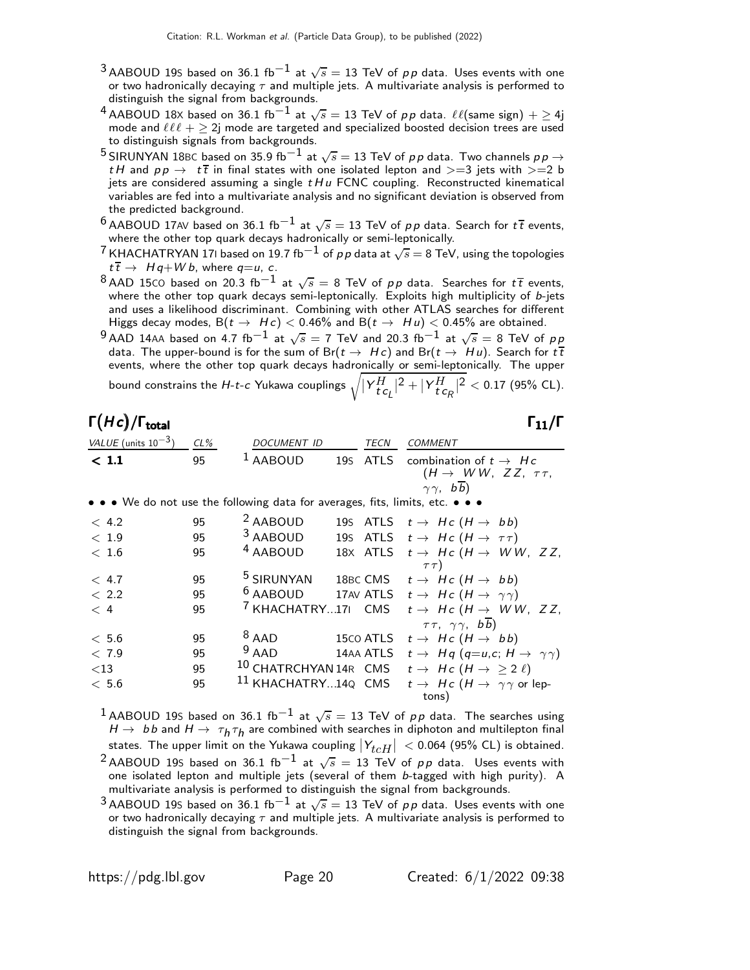- $^3$ AABOUD 19S based on 36.1 fb $^{-1}$  at  $\sqrt{s}=$  13 TeV of  $\rho\, \rho$  data. Uses events with one or two hadronically decaying  $\tau$  and multiple jets. A multivariate analysis is performed to distinguish the signal from backgrounds.
- $^4$  AABOUD 18X based on 36.1 fb $^{-1}$  at  $\sqrt{s}=$  13 TeV of  $p\,p$  data.  $\ell\ell(\text{same sign}) + \geq 4\text{j}$ mode and  $\ell\ell\ell + \geq 2$ j mode are targeted and specialized boosted decision trees are used to distinguish signals from backgrounds.
- <sup>5</sup> SIRUNYAN 18BC based on 35.9 fb $^{-1}$  at  $\sqrt{s} = 13$  TeV of pp data. Two channels pp  $\rightarrow$ t H and  $pp \rightarrow t\bar{t}$  in final states with one isolated lepton and  $>=$  3 jets with  $>=$  b jets are considered assuming a single  $tHu$  FCNC coupling. Reconstructed kinematical variables are fed into a multivariate analysis and no significant deviation is observed from the predicted background.
- $^6$  AABOUD 17AV based on 36.1 fb $^{-1}$  at  $\sqrt{s}=$  13 TeV of  $\rho\,p$  data. Search for  $t\,\overline{t}$  events, where the other top quark decays hadronically or semi-leptonically.
- $^7$ KHACHATRYAN 171 based on 19.7 fb $^{-1}$  of  $\rho \rho$  data at  $\sqrt{s} =$  8 TeV, using the topologies  $t\overline{t} \rightarrow H q + W b$ , where  $q=u$ , c.
- $^8$ AAD 15CO based on 20.3 fb $^{-1}$  at  $\sqrt{s} =$  8 TeV of  $\rho \rho$  data. Searches for  $t\, \overline{t}$  events, where the other top quark decays semi-leptonically. Exploits high multiplicity of b-jets and uses a likelihood discriminant. Combining with other ATLAS searches for different Higgs decay modes,  $B(t \to Hc) < 0.46\%$  and  $B(t \to Hu) < 0.45\%$  are obtained.

 $^9$ AAD 14AA based on 4.7 fb $^{-1}$  at  $\sqrt{s}=$  7 TeV and 20.3 fb $^{-1}$  at  $\sqrt{s}=$  8 TeV of  $\rho\,p$ data. The upper-bound is for the sum of Br $(t \to Hc)$  and Br $(t \to Hu)$ . Search for  $t\overline{t}$ events, where the other top quark decays hadronically or semi-leptonically. The upper bound constrains the H-*t-c* Yukawa couplings  $\sqrt{\lvert Y^H_{\bm{t}}c^{}_{\bm{\ell}}\rvert^2+\lvert Y^H_{\bm{t}}c^{}_{\bm{\ell}}\rvert^2} < 0.17$  (95% CL).

#### Γ $(Hc)/\Gamma_{\text{total}}$  Γ $_{11}/\Gamma$ /Γ $_{\rm total}$  Γ $_{11}/$  Γ

| VALUE (units $10^{-3}$ ) | $CL\%$ | <i>DOCUMENT ID</i>                                                            | TECN     | COMMENT                                                        |
|--------------------------|--------|-------------------------------------------------------------------------------|----------|----------------------------------------------------------------|
| $<$ 1.1                  | 95     | $1$ AABOUD                                                                    | 19S ATLS | combination of $t\to Hc$<br>$(H \rightarrow WW, ZZ, \tau\tau,$ |
|                          |        | • • • We do not use the following data for averages, fits, limits, etc. • • • |          | $\gamma \gamma$ , $b\overline{b}$ )                            |
| < 4.2                    | 95     | <sup>2</sup> AABOUD                                                           |          | 195 ATLS $t \rightarrow Hc (H \rightarrow bb)$                 |
| < 1.9                    | 95     | 3 AABOUD                                                                      |          | 195 ATLS $t \rightarrow Hc (H \rightarrow \tau \tau)$          |
| < 1.6                    | 95     | <sup>4</sup> AABOUD                                                           |          | 18X ATLS $t \rightarrow Hc$ ( $H \rightarrow WW$ , ZZ,         |
|                          |        |                                                                               |          | $\tau\tau$ )                                                   |

| < 4.7  | 95 | <sup>5</sup> SIRUNYAN | 18BC CMS $t \rightarrow Hc$ $(H \rightarrow bb)$                                          |
|--------|----|-----------------------|-------------------------------------------------------------------------------------------|
| < 2.2  | 95 |                       | <sup>6</sup> AABOUD 17AV ATLS $t \rightarrow Hc$ ( $H \rightarrow \gamma \gamma$ )        |
| < 4    | 95 |                       | <sup>7</sup> KHACHATRY171 CMS $t \rightarrow Hc$ ( $H \rightarrow WW$ , ZZ,               |
|        |    |                       | $\tau\tau$ , $\gamma\gamma$ , bb)                                                         |
| < 5.6  | 95 | $8$ AAD               | 15co ATLS $t \rightarrow Hc$ $(H \rightarrow bb)$                                         |
| < 7.9  | 95 | $9$ AAD               | 14AA ATLS $t \to Hq (q=u, c; H \to \gamma \gamma)$                                        |
| $<$ 13 | 95 |                       | 10 CHATRCHYAN 14R CMS $t \to Hc$ ( $H \to \geq 2 \ell$ )                                  |
| < 5.6  | 95 |                       | <sup>11</sup> KHACHATRY14Q CMS $t \rightarrow Hc$ ( $H \rightarrow \gamma \gamma$ or lep- |
|        |    |                       | tons)                                                                                     |

 $^1$ AABOUD 19S based on 36.1 fb $^{-1}$  at  $\sqrt{s}=$  13 TeV of  $\rho\, \rho$  data. The searches using  $H\rightarrow~b\,b$  and  $H\rightarrow~\tau_{\textit{h}}\tau_{\textit{h}}$  are combined with searches in diphoton and multilepton final states. The upper limit on the Yukawa coupling  $|Y_{t c H}| < 0.064$  (95% CL) is obtained. <sup>2</sup> AABOUD 19S based on 36.1 fb<sup>-1</sup> at  $\sqrt{s} = 13$  TeV of pp data. Uses events with one isolated lepton and multiple jets (several of them  $b$ -tagged with high purity). A

multivariate analysis is performed to distinguish the signal from backgrounds.  $^3$ AABOUD 19S based on 36.1 fb $^{-1}$  at  $\sqrt{s}=$  13 TeV of  $\rho\, \rho$  data. Uses events with one

or two hadronically decaying  $\tau$  and multiple jets. A multivariate analysis is performed to distinguish the signal from backgrounds.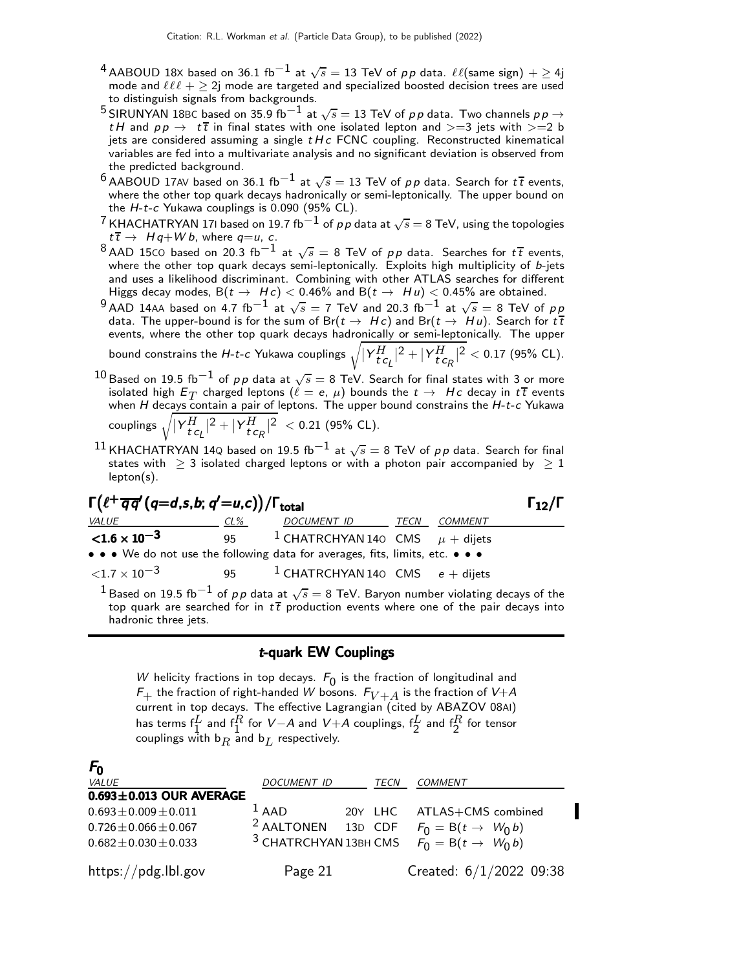- $^4$  AABOUD 18X based on 36.1 fb $^{-1}$  at  $\sqrt{s}=$  13 TeV of  $p\,p$  data.  $\ell\ell(\text{same sign}) + \geq 4\text{j}$ mode and  $\ell\ell\ell + \geq 2$ j mode are targeted and specialized boosted decision trees are used to distinguish signals from backgrounds.
- <sup>5</sup> SIRUNYAN 18BC based on 35.9 fb<sup>−1</sup> at  $\sqrt{s} = 13$  TeV of pp data. Two channels pp  $\rightarrow$ tH and  $pp \rightarrow t\bar{t}$  in final states with one isolated lepton and  $>=$ 3 jets with  $>=$ 2 b jets are considered assuming a single  $t H c$  FCNC coupling. Reconstructed kinematical variables are fed into a multivariate analysis and no significant deviation is observed from the predicted background.
- $^6$  AABOUD 17AV based on 36.1 fb<sup>-1</sup> at  $\sqrt{s} = 13$  TeV of pp data. Search for  $t\bar{t}$  events, where the other top quark decays hadronically or semi-leptonically. The upper bound on the  $H$ -t-c Yukawa couplings is 0.090 (95% CL).
- $^7$  KHACHATRYAN 171 based on 19.7 fb $^{-1}$  of  $\rho\, \rho$  data at  $\sqrt{s} =$  8 TeV, using the topologies  $t\bar{t}$   $\rightarrow$  Hq+W b, where q=u, c.
- $^8$ AAD 15CO based on 20.3 fb $^{-1}$  at  $\sqrt{s} =$  8 TeV of  $\rho \rho$  data. Searches for  $t\,\overline{t}$  events, where the other top quark decays semi-leptonically. Exploits high multiplicity of  $b$ -jets and uses a likelihood discriminant. Combining with other ATLAS searches for different Higgs decay modes,  $B(t \to Hc) < 0.46\%$  and  $B(t \to Hu) < 0.45\%$  are obtained.
- $^9$ AAD 14AA based on 4.7 fb $^{-1}$  at  $\sqrt{s}=$  7 TeV and 20.3 fb $^{-1}$  at  $\sqrt{s}=$  8 TeV of  $\rho\,p$ data. The upper-bound is for the sum of Br( $t \to Hc$ ) and Br( $t \to Hu$ ). Search for  $t\bar{t}$ events, where the other top quark decays hadronically or semi-leptonically. The upper bound constrains the H-*t-c* Yukawa couplings  $\sqrt{\lvert Y^H_{\bm{t}}c_{L}\rvert^2+\lvert Y^H_{\bm{t}}c_{R}\rvert^2} <$  0.17 (95% CL).
- $^{10}\,$ Based on 19.5 fb $^{-1}$  of  $\rho\, \rho$  data at  $\sqrt{s} =$  8 TeV. Search for final states with 3 or more isolated high  $E_T$  charged leptons  $(\ell = e, \mu)$  bounds the  $t \to Hc$  decay in  $t\bar{t}$  events when  $H$  decays contain a pair of leptons. The upper bound constrains the  $H$ -t-c Yukawa couplings  $\sqrt{ |Y^H_{t\, \mathsf{c}_L}|^2 + |Y^H_{t\, \mathsf{c}_R}|^2} \ < 0.21$  (95% CL).
- $^{11}$ KHACHATRYAN 14Q based on 19.5 fb $^{-1}$  at  $\sqrt{s}=$  8 TeV of  $\rho\, \rho$  data. Search for final states with  $\geq 3$  isolated charged leptons or with a photon pair accompanied by  $\geq 1$ lepton(s).

## $\Gamma(\ell^+\overline{q}\overline{q}'(q=d,s,b;q'=u,c)) / \Gamma_{\text{total}}$  Γ<sub>12</sub>/Γ

|                                                                                                                     |     |                                                   |         | --- |
|---------------------------------------------------------------------------------------------------------------------|-----|---------------------------------------------------|---------|-----|
| <i>VALUE</i>                                                                                                        | CL% | DOCUMENT ID TECN                                  | COMMENT |     |
| ${<}1.6\times10^{-3}$                                                                                               |     | 95 <sup>1</sup> CHATRCHYAN 140 CMS $\mu$ + dijets |         |     |
| • • • We do not use the following data for averages, fits, limits, etc. • • •                                       |     |                                                   |         |     |
| $<$ 1.7 $\times$ 10 $^{-3}$                                                                                         |     | 95 $1$ CHATRCHYAN 140 CMS $e +$ dijets            |         |     |
| <sup>1</sup> Based on 19.5 fb <sup>-1</sup> of pp data at $\sqrt{s} = 8$ TeV. Baryon number violating decays of the |     |                                                   |         |     |

top quark are searched for in  $t\bar{t}$  production events where one of the pair decays into hadronic three jets.

#### t-quark EW Couplings

W helicity fractions in top decays.  $F_0$  is the fraction of longitudinal and  $F_+$  the fraction of right-handed W bosons.  $F_{V+A}$  is the fraction of V+A current in top decays. The effective Lagrangian (cited by ABAZOV 08AI) has terms  $\mathsf{f}^L_1$  and  $\mathsf{f}^R_1$  for  $\mathsf{V}\text{-}\mathsf{A}$  and  $\mathsf{V}\text{+}\mathsf{A}$  couplings,  $\mathsf{f}^L_2$  and  $\mathsf{f}^R_2$  for tensor couplings with  $b_R$  and  $b_L$  respectively.

| $F_0$                         |                                                                       |                            |
|-------------------------------|-----------------------------------------------------------------------|----------------------------|
| <b>VALUE</b>                  | <b>DOCUMENT ID</b><br>TECN                                            | <b>COMMENT</b>             |
| $0.693 \pm 0.013$ OUR AVERAGE |                                                                       |                            |
| $0.693 \pm 0.009 \pm 0.011$   | $1$ AAD                                                               | 20Y LHC ATLAS+CMS combined |
| $0.726 \pm 0.066 \pm 0.067$   | <sup>2</sup> AALTONEN 13D CDF $F_0 = B(t \rightarrow W_0 b)$          |                            |
| $0.682 \pm 0.030 \pm 0.033$   | <sup>3</sup> CHATRCHYAN 13BH CMS $\vec{F_0} = B(t \rightarrow W_0 b)$ |                            |
| https://pdg.lbl.gov           | Page 21                                                               | Created: $6/1/2022$ 09:38  |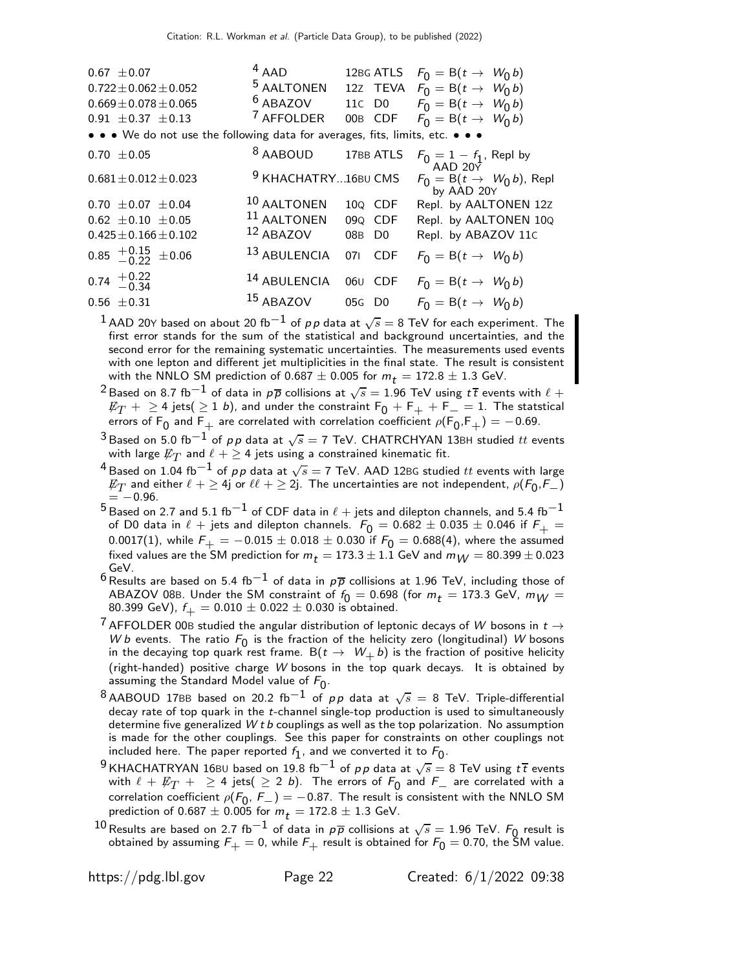| 12BG ATLS $F_0 = B(t \rightarrow W_0 b)$<br>12z TEVA $F_0 = B(t \rightarrow W_0 b)$<br>11c D0 $F_0 = B(t \to W_0 b)$<br>00B CDF $F_0 = B(t \rightarrow W_0 b)$ |
|----------------------------------------------------------------------------------------------------------------------------------------------------------------|
|                                                                                                                                                                |
| $F_0 = 1 - f_1$ , Repl by                                                                                                                                      |
| $F_0 = B(t \rightarrow W_0 b)$ , Repl<br>by AAD 20Y                                                                                                            |
| Repl. by AALTONEN 12Z                                                                                                                                          |
| Repl. by AALTONEN 10Q                                                                                                                                          |
| Repl. by ABAZOV 11C                                                                                                                                            |
|                                                                                                                                                                |
|                                                                                                                                                                |
|                                                                                                                                                                |
| $F_0 = B(t \rightarrow W_0 b)$<br>$F_0 = B(t \rightarrow W_0 b)$<br>$F_0 = B(t \rightarrow W_0 b)$                                                             |

 $^1$  AAD 20Y based on about 20 fb $^{-1}$  of  $\rho \rho$  data at  $\sqrt{s}=$  8 TeV for each experiment. The first error stands for the sum of the statistical and background uncertainties, and the second error for the remaining systematic uncertainties. The measurements used events with one lepton and different jet multiplicities in the final state. The result is consistent with the NNLO SM prediction of 0.687  $\pm$  0.005 for  $m_t = 172.8 \pm 1.3$  GeV.

- $^2$ Based on 8.7 fb $^{-1}$  of data in  $\rho\overline{\rho}$  collisions at  $\sqrt{s}=1.96$  TeV using  $t\overline{t}$  events with  $\ell$  +  $E_T$  +  $\geq$  4 jets(  $\geq$  1 b), and under the constraint  $F_0$  +  $F_+$  +  $F_-=$  1. The statstical errors of  $\mathsf{F}_0$  and  $\mathsf{F}_+$  are correlated with correlation coefficient  $\rho(\mathsf{F}_0,\mathsf{F}_+)= -$  0.69.
- $^3$ Based on 5.0 fb $^{-1}$  of  $\rho\, \rho$  data at  $\sqrt{s}=$  7 TeV. CHATRCHYAN 13BH studied  $tt$  events with large  $\not\!\!E_T$  and  $\ell + \geq 4$  jets using a constrained kinematic fit.
- $^4$ Based on 1.04 fb $^{-1}$  of  $\rho \rho$  data at  $\sqrt{s}=$  7 TeV. AAD 12BG studied  $tt$  events with large  $\not\!\! E_T$  and either  $\ell +\geq 4$ j or  $\ell\ell +\geq 2$ j. The uncertainties are not independent,  $\rho(\mathcal{F}_0,\mathcal{F}_-)$  $=$   $-0.96$ .
- $^5$ Based on 2.7 and 5.1 fb $^{-1}$  of CDF data in  $\ell$  + jets and dilepton channels, and 5.4 fb $^{-1}$ of D0 data in  $\ell$  + jets and dilepton channels.  $F_0 = 0.682 \pm 0.035 \pm 0.046$  if  $F_+$  = 0.0017(1), while  $\mathcal{F}_+=-0.015\pm0.018\pm$  0.030 if  $\mathcal{F}_0=$  0.688(4), where the assumed fixed values are the SM prediction for  $m_t = 173.3 \pm 1.1$  GeV and  $m_W = 80.399 \pm 0.023$ GeV.

6 Results are based on 5.4 fb<sup>-1</sup> of data in  $p\overline{p}$  collisions at 1.96 TeV, including those of ABAZOV 08B. Under the SM constraint of  $f_0 = 0.698$  (for  $m_t = 173.3$  GeV,  $m_W =$ 80.399 GeV),  $f_{+} = 0.010 \pm 0.022 \pm 0.030$  is obtained.

- $^7$  AFFOLDER 00B studied the angular distribution of leptonic decays of W bosons in  $t \rightarrow$ W b events. The ratio  $F_0$  is the fraction of the helicity zero (longitudinal) W bosons in the decaying top quark rest frame. B( $t \to W_+ b$ ) is the fraction of positive helicity (right-handed) positive charge W bosons in the top quark decays. It is obtained by assuming the Standard Model value of  $F_0$ .
- $^8$ AABOUD 17BB based on 20.2 fb<sup>-1</sup> of pp data at  $\sqrt{s} =$  8 TeV. Triple-differential decay rate of top quark in the t-channel single-top production is used to simultaneously determine five generalized  $W$  t b couplings as well as the top polarization. No assumption is made for the other couplings. See this paper for constraints on other couplings not included here. The paper reported  $f_1$ , and we converted it to  $F_0$ .
- $^9$ KHACHATRYAN 16BU based on 19.8 fb $^{-1}$  of  $\rho \rho$  data at  $\sqrt{s} =$  8 TeV using  $t\,\overline{t}$  events with  $\ell + \not\!\!E_T + \geq 4$  jets(  $\geq 2$  b). The errors of  $F_0$  and  $F_+$  are correlated with a<br>completion as flictuated  $(F_-, F_-)$  . On  $27$  . The month is expectated with the NNU O SM. correlation coefficient  $\rho(F_0, F_-) = -0.87$ . The result is consistent with the NNLO SM<br>prodiction of 0.687 + 0.005 for m = 172.8 + 1.3 CoV prediction of 0.687  $\pm$  0.005 for  $m_t = 172.8 \pm 1.3$  GeV.
- <sup>10</sup> Results are based on 2.7 fb<sup>−1</sup> of data in  $p\overline{p}$  collisions at  $\sqrt{s} = 1.96$  TeV.  $F_0$  result is obtained by assuming  $\mathit{F}_{+} = 0$ , while  $\mathit{F}_{+}$  result is obtained for  $\mathit{F}_{0} = 0.70$ , the SM value.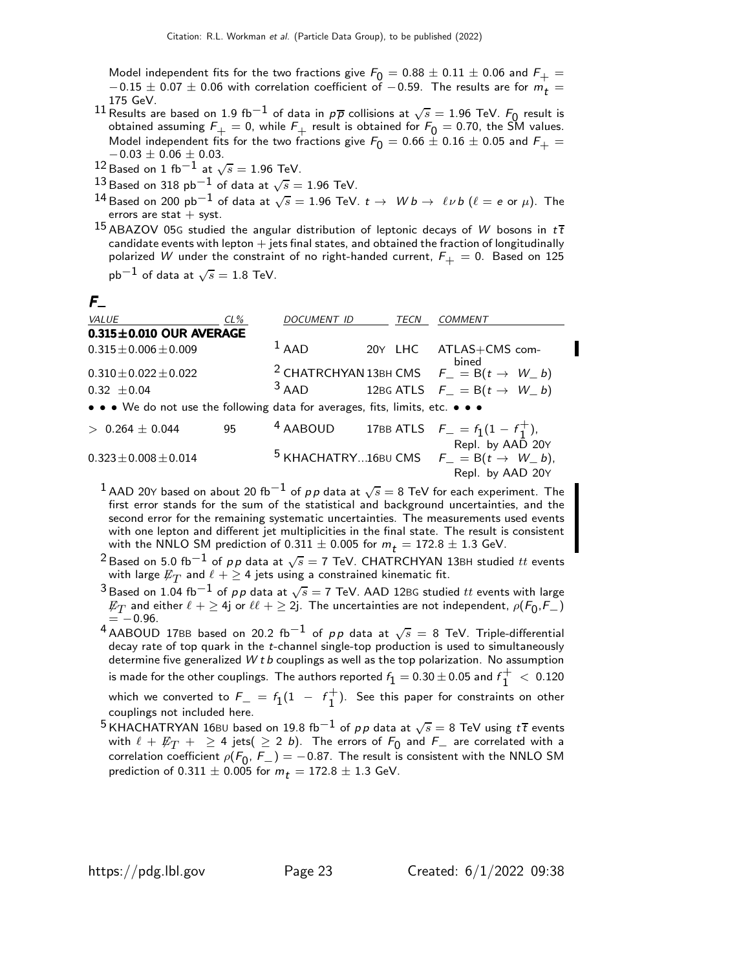Model independent fits for the two fractions give  $F_0 = 0.88 \pm 0.11 \pm 0.06$  and  $F_+ =$  $-0.15 \pm 0.07 \pm 0.06$  with correlation coefficient of  $-0.59$ . The results are for  $m_{\tilde{t}} =$ 175 GeV.

- 11 Results are based on 1.9 fb<sup>-1</sup> of data in  $p\overline{p}$  collisions at  $\sqrt{s} = 1.96$  TeV.  $F_0$  result is obtained assuming  $F_+=0$ , while  $F_+$  result is obtained for  $F_0=$  0.70, the SM values. Model independent fits for the two fractions give  $F_0 = 0.66 \pm 0.16 \pm 0.05$  and  $F_+ =$  $-0.03 \pm 0.06 \pm 0.03$ .
- $^{12}$  Based on 1 fb $^{-1}$  at  $\sqrt{s}=$  1.96 TeV.
- $^{13}$ Based on 318 pb $^{-1}$  of data at  $\sqrt{s}=$  1.96 TeV.
- $^{14}$ Based on 200 pb $^{-1}$  of data at  $\sqrt{s}=$  1.96 TeV.  $t\rightarrow \;\;W\,b \rightarrow \;\ell \,\nu\,b$   $(\ell =$   $e$  or  $\mu).$  The errors are stat  $+$  syst.
- 15 ABAZOV 05G studied the angular distribution of leptonic decays of W bosons in  $t\bar{t}$ candidate events with lepton  $+$  jets final states, and obtained the fraction of longitudinally polarized W under the constraint of no right-handed current,  $F_{+} = 0$ . Based on 125

 ${\sf pb}^{-1}$  of data at  $\sqrt{s}=1.8$  TeV.

#### $F_=$

| <b>VALUE</b>                                                                  | $CL\%$ | <b>DOCUMENT ID</b> | TECN | <b>COMMENT</b>                                                                                                           |
|-------------------------------------------------------------------------------|--------|--------------------|------|--------------------------------------------------------------------------------------------------------------------------|
| $0.315 \pm 0.010$ OUR AVERAGE                                                 |        |                    |      |                                                                                                                          |
| $0.315 \pm 0.006 \pm 0.009$                                                   |        | $1$ AAD            |      | 20Y LHC ATLAS+CMS com-<br>bined                                                                                          |
| $0.310 \pm 0.022 \pm 0.022$                                                   |        |                    |      | <sup>2</sup> CHATRCHYAN 13BH CMS $F_-=B(t \rightarrow W_b)$                                                              |
| $0.32 \pm 0.04$                                                               |        | $3$ AAD            |      | 12BG ATLS $F_{-} = B(t \rightarrow W_{-} b)$                                                                             |
| • • • We do not use the following data for averages, fits, limits, etc. • • • |        |                    |      |                                                                                                                          |
| $> 0.264 \pm 0.044$                                                           | 95     |                    |      | 4 AABOUD 17BB ATLS $F_{-} = f_1(1 - f_1^+)$ ,                                                                            |
| $0.323 \pm 0.008 \pm 0.014$                                                   |        |                    |      | Repl. by AAD 20Y<br><sup>5</sup> KHACHATRY16BU CMS $F_{-} = B(t \rightarrow W_{-} b)$ ,<br>$D_{\text{out}}$ L. AAD $20x$ |

- $^1$  AAD 20Y based on about 20 fb $^{-1}$  of  $\rho \rho$  data at  $\sqrt{s}=$  8 TeV for each experiment. The first error stands for the sum of the statistical and background uncertainties, and the second error for the remaining systematic uncertainties. The measurements used events with one lepton and different jet multiplicities in the final state. The result is consistent with the NNLO SM prediction of 0.311  $\pm$  0.005 for  $m_t = 172.8 \pm 1.3$  GeV.
- $^2$ Based on 5.0 fb $^{-1}$  of  $\rho\, \rho$  data at  $\sqrt{s} =$  7 TeV. CHATRCHYAN 13BH studied  $tt$  events with large  $\not\!\!E_T$  and  $\ell + \geq 4$  jets using a constrained kinematic fit.
- $^3$ Based on 1.04 fb $^{-1}$  of  $\rho \rho$  data at  $\sqrt{s}=$  7 TeV. AAD 12BG studied  $tt$  events with large  $\not\!\!E_T$  and either  $\ell + \geq 4$ j or  $\ell\ell + \geq 2$ j. The uncertainties are not independent,  $\rho(F_0,F_-)$  $= -0.96$ .

 $^4$ AABOUD 17BB based on 20.2 fb $^{-1}$  of  $\rho \rho$  data at  $\sqrt{s} =$  8 TeV. Triple-differential decay rate of top quark in the t-channel single-top production is used to simultaneously determine five generalized  $W$  t  $b$  couplings as well as the top polarization. No assumption is made for the other couplings. The authors reported  $f_{\text{1}} =$  0.30  $\pm$  0.05 and  $f_{\text{1}}^+$  $+1$  < 0.120 which we converted to  $F_$  =  $f_1$ (1 -  $f_1^+$  $_1^+$ ). See this paper for constraints on other couplings not included here.

 $^5$ KHACHATRYAN 16BU based on 19.8 fb $^{-1}$  of  $\rho \rho$  data at  $\sqrt{s} =$  8 TeV using  $t\,\overline{t}$  events with  $\ell + \not\!\!E_T + \geq 4$  jets(  $\geq 2$  b). The errors of  $F_0$  and  $F_+$  are correlated with a<br>completion as flictuated  $(F_-, F_-)$  . On  $27$  . The month is expectated with the NNU O SM. correlation coefficient  $\rho(F_0, F_-) = -0.87$ . The result is consistent with the NNLO SM<br>prodiction of 0.311 + 0.005 for m = 172.8 + 1.3 CoV prediction of 0.311  $\pm$  0.005 for  $m_t = 172.8 \pm 1.3$  GeV.

Repl. by AAD 20Y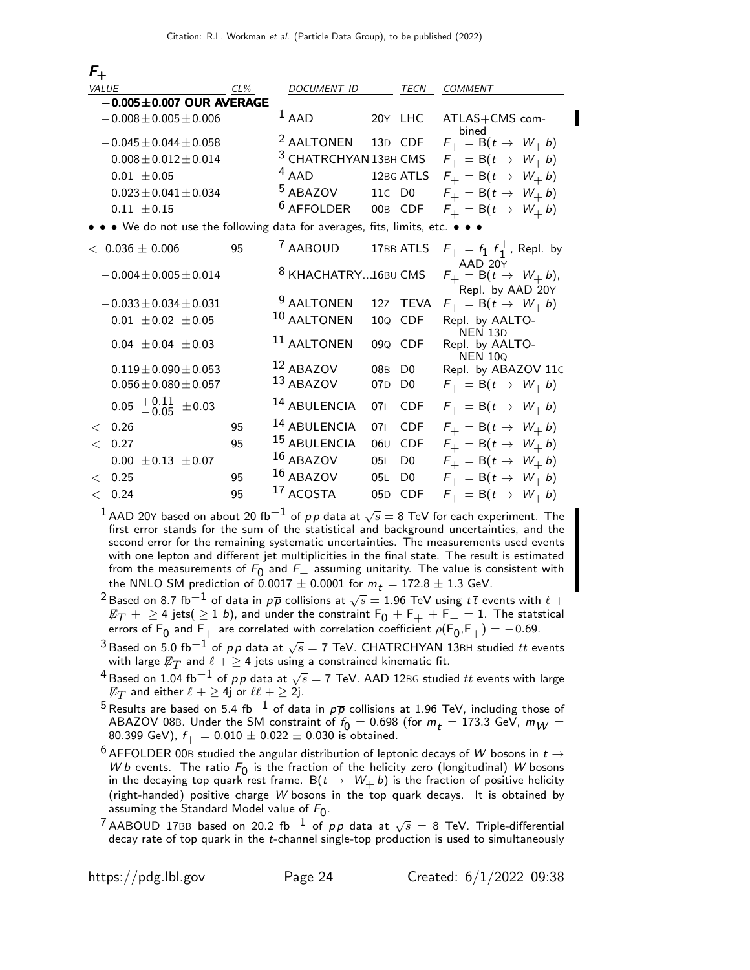| $F_{+}$                                                                     |        |                                  |                 |                |                                                                |
|-----------------------------------------------------------------------------|--------|----------------------------------|-----------------|----------------|----------------------------------------------------------------|
| <b>VALUE</b>                                                                | $CL\%$ | DOCUMENT ID                      |                 | TECN           | COMMENT                                                        |
| $-0.005 \pm 0.007$ OUR AVERAGE                                              |        |                                  |                 |                |                                                                |
| $-0.008 \pm 0.005 \pm 0.006$                                                |        | $1$ AAD                          |                 | 20Y LHC        | ATLAS+CMS com-                                                 |
| $-0.045 \pm 0.044 \pm 0.058$                                                |        | <sup>2</sup> AALTONEN            |                 | 13D CDF        | bined<br>$F_+ = B(t \rightarrow W_+ b)$                        |
| $0.008 \pm 0.012 \pm 0.014$                                                 |        | <sup>3</sup> CHATRCHYAN 13BH CMS |                 |                | $F_+ = B(t \rightarrow W_+ b)$                                 |
| $0.01 \pm 0.05$                                                             |        | $4$ AAD                          |                 | 12BG ATLS      | $F_+ = B(t \rightarrow W_+ b)$                                 |
| $0.023 \pm 0.041 \pm 0.034$                                                 |        | $5$ ABAZOV                       | 11C D0          |                | $F_+ = B(t \rightarrow W_+ b)$                                 |
| $0.11 \pm 0.15$                                                             |        | <sup>6</sup> AFFOLDER            |                 | 00B CDF        | $F_+ = B(t \rightarrow W_+ b)$                                 |
| • • We do not use the following data for averages, fits, limits, etc. • • • |        |                                  |                 |                |                                                                |
| $<$ 0.036 $\pm$ 0.006                                                       | 95     | <sup>7</sup> AABOUD              |                 | 17BB ATLS      | $F_{+} = f_1 f_1^{+}$ , Repl. by                               |
| $-0.004 \pm 0.005 \pm 0.014$                                                |        | 8 KHACHATRY16BU CMS              |                 |                | AAD 20Y<br>$F_+ = B(t \rightarrow W_+ b),$<br>Repl. by AAD 20Y |
| $-0.033 \pm 0.034 \pm 0.031$                                                |        | <sup>9</sup> AALTONEN            |                 | 12Z TEVA       | $F_+ = B(t \rightarrow W_+ b)$                                 |
| $-0.01 \pm 0.02 \pm 0.05$                                                   |        | 10 AALTONEN                      | 10Q             | <b>CDF</b>     | Repl. by AALTO-                                                |
| $-0.04 \pm 0.04 \pm 0.03$                                                   |        | <sup>11</sup> AALTONEN           |                 | 09Q CDF        | <b>NEN 13D</b><br>Repl. by AALTO-<br><b>NEN 100</b>            |
| $0.119 \pm 0.090 \pm 0.053$                                                 |        | 12 ABAZOV                        | 08 <sub>B</sub> | D <sub>0</sub> | Repl. by ABAZOV 11C                                            |
| $0.056 \pm 0.080 \pm 0.057$                                                 |        | 13 ABAZOV                        | 07 <sub>D</sub> | D <sub>0</sub> | $F_+ = B(t \rightarrow W_+ b)$                                 |
| $0.05 \begin{array}{c} +0.11 \\ -0.05 \end{array}$<br>$\pm$ 0.03            |        | <sup>14</sup> ABULENCIA          | 071             | <b>CDF</b>     | $F_+ = B(t \rightarrow W_+ b)$                                 |
| 0.26<br>$\lt$                                                               | 95     | 14 ABULENCIA                     | 071             | <b>CDF</b>     | $F_+ = B(t \rightarrow W_+ b)$                                 |
| < 0.27                                                                      | 95     | 15 ABULENCIA                     | 06 <sub>U</sub> | <b>CDF</b>     | $F_+ = B(t \rightarrow W_+ b)$                                 |
| $0.00 \pm 0.13 \pm 0.07$                                                    |        | 16 ABAZOV                        | 05L             | D <sub>0</sub> | $F_+ = B(t \rightarrow W_+ b)$                                 |
| 0.25<br>$\lt$                                                               | 95     | 16 ABAZOV                        | 05L             | D <sub>0</sub> | $F_+ = B(t \rightarrow W_+ b)$                                 |
| < 0.24                                                                      | 95     | 17 ACOSTA                        |                 | 05D CDF        | $F_+ = B(t \rightarrow W_+ b)$                                 |

 $^1$  AAD 20Y based on about 20 fb $^{-1}$  of  $\rho \rho$  data at  $\sqrt{s}=$  8 TeV for each experiment. The first error stands for the sum of the statistical and background uncertainties, and the second error for the remaining systematic uncertainties. The measurements used events with one lepton and different jet multiplicities in the final state. The result is estimated from the measurements of  $F_0$  and  $F_+$  assuming unitarity. The value is consistent with the NNLO SM prediction of 0.0017  $\pm$  0.0001 for m  $-$  172.8  $\pm$  1.2 GeV. the NNLO SM prediction of 0.0017  $\pm$  0.0001 for  $m_t = 172.8 \pm 1.3$  GeV.

- $^2$ Based on 8.7 fb $^{-1}$  of data in  $\rho\overline{\rho}$  collisions at  $\sqrt{s}=1.96$  TeV using  $t\overline{t}$  events with  $\ell$   $+$  $E_T$  +  $\geq$  4 jets(  $\geq$  1 b), and under the constraint  $F_0$  +  $F_+$  +  $F_-=$  1. The statstical errors of  $\mathsf{F}_0$  and  $\mathsf{F}_+$  are correlated with correlation coefficient  $\rho(\mathsf{F}_0,\mathsf{F}_+)= -$  0.69.
- $^3$ Based on 5.0 fb $^{-1}$  of  $\rho\, \rho$  data at  $\sqrt{s} =$  7 TeV. CHATRCHYAN 13BH studied  $tt$  events with large  $\not\!\!E_T$  and  $\ell + \geq 4$  jets using a constrained kinematic fit.
- $^4$ Based on 1.04 fb $^{-1}$  of  $\rho \rho$  data at  $\sqrt{s}=$  7 TeV. AAD 12BG studied  $tt$  events with large  $\not\!\!E_T$  and either  $\ell + \geq$  4j or  $\ell\ell + \geq$  2j.
- <sup>5</sup> Results are based on 5.4 fb<sup>-1</sup> of data in  $p\overline{p}$  collisions at 1.96 TeV, including those of ABAZOV 08B. Under the SM constraint of  $f_0 = 0.698$  (for  $m_t = 173.3$  GeV,  $m_W =$ 80.399 GeV),  $f_{\perp} = 0.010 \pm 0.022 \pm 0.030$  is obtained.
- $^6$  AFFOLDER 00B studied the angular distribution of leptonic decays of W bosons in  $t \rightarrow$ W b events. The ratio  $F_0$  is the fraction of the helicity zero (longitudinal) W bosons in the decaying top quark rest frame.  $\mathsf{B}(t\to~W_+ \,b)$  is the fraction of positive helicity (right-handed) positive charge W bosons in the top quark decays. It is obtained by assuming the Standard Model value of  $F_0$ .
- <sup>7</sup> AABOUD 17BB based on 20.2 fb<sup>-1</sup> of pp data at  $\sqrt{s} = 8$  TeV. Triple-differential decay rate of top quark in the t-channel single-top production is used to simultaneously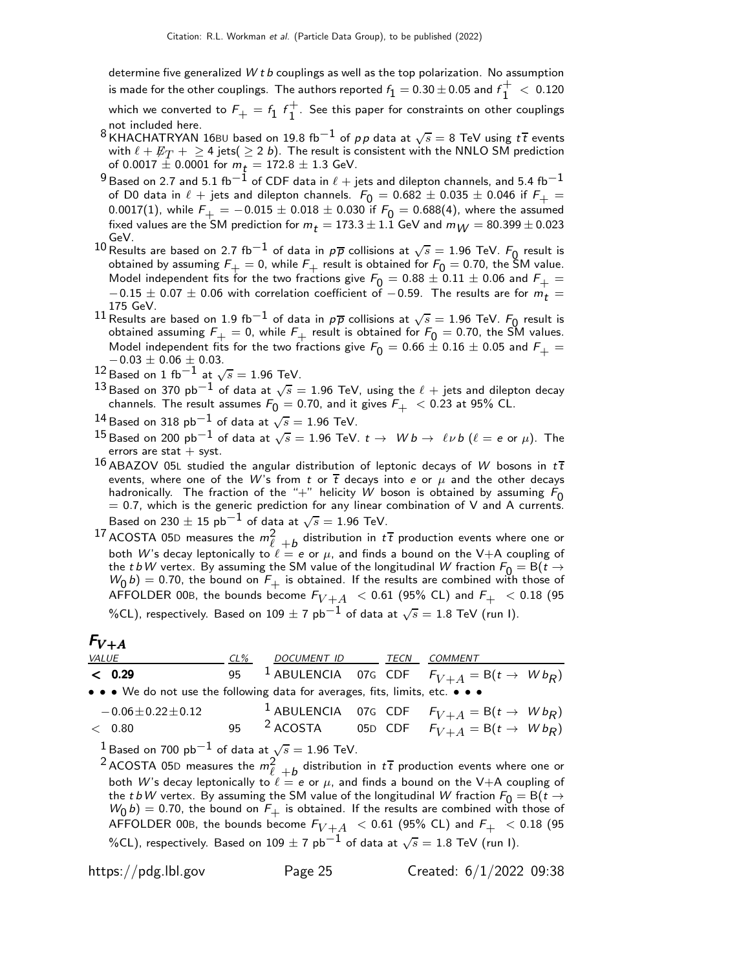determine five generalized  $W t b$  couplings as well as the top polarization. No assumption is made for the other couplings. The authors reported  $f_{\text{1}}=$  0.30  $\pm$  0.05 and  $f_{\text{1}}^{+}$  $\frac{1}{1}$  < 0.120

which we converted to  $\mathit{F}_{+}^{}=\mathit{f}_{1}^{} \; \mathit{f}_{1}^+$  $\bar{1}$ . See this paper for constraints on other couplings not included here.

- 8 KHACHATRYAN 16BU based on 19.8 fb $^{-1}$  of  $p \, p$  data at  $\sqrt{s} = 8$  TeV using  $t \, \overline{t}$  events with  $\ell + \not\!\!{E}_T + \geq$  4 jets $(\geq$  2 b). The result is consistent with the NNLO SM prediction of 0.0017  $\pm$  0.0001 for  $m_t = 172.8 \pm 1.3$  GeV.
- $^9$ Based on 2.7 and 5.1 fb $^{-1}$  of CDF data in  $\ell$  + jets and dilepton channels, and 5.4 fb $^{-1}$ of D0 data in  $\ell$  + jets and dilepton channels.  $F_0 = 0.682 \pm 0.035 \pm 0.046$  if  $F_+$  = 0.0017(1), while  $F_{+} = -0.015 \pm 0.018 \pm 0.030$  if  $F_{0} = 0.688(4)$ , where the assumed fixed values are the SM prediction for  $m_t = 173.3 \pm 1.1$  GeV and  $m_W = 80.399 \pm 0.023$ GeV.
- 10 Results are based on 2.7 fb<sup>-1</sup> of data in  $p\overline{p}$  collisions at  $\sqrt{s} = 1.96$  TeV.  $F_0$  result is obtained by assuming  $F_+ = 0$ , while  $F_+$  result is obtained for  $F_0 = 0.70$ , the SM value. Model independent fits for the two fractions give  $F_0 = 0.88 \pm 0.11 \pm 0.06$  and  $F_+ =$  $-0.15 \pm 0.07 \pm 0.06$  with correlation coefficient of  $-0.59$ . The results are for  $m_{\tilde{t}} =$ 175 GeV.
- 11 Results are based on 1.9 fb<sup>-1</sup> of data in  $p\overline{p}$  collisions at  $\sqrt{s} = 1.96$  TeV.  $F_0$  result is obtained assuming  $F_+=0$ , while  $F_+$  result is obtained for  $F_0=$  0.70, the SM values. Model independent fits for the two fractions give  $F_0 = 0.66 \pm 0.16 \pm 0.05$  and  $F_+ =$  $-0.03 \pm 0.06 \pm 0.03$ .
- $^{12}$  Based on 1 fb $^{-1}$  at  $\sqrt{s}=$  1.96 TeV.
- $^{13}$ Based on 370 pb $^{-1}$  of data at  $\sqrt{s}=$  1.96 TeV, using the  $\ell$   $+$  jets and dilepton decay channels. The result assumes  $F_0 = 0.70$ , and it gives  $F_+ < 0.23$  at 95% CL.
- $^{14}$ Based on 318 pb $^{-1}$  of data at  $\sqrt{s}=$  1.96 TeV.
- $^{15}$ Based on 200 pb $^{-1}$  of data at  $\sqrt{s}=$  1.96 TeV.  $t\rightarrow \;\;W\,b \rightarrow \;\ell \,\nu\,b$   $(\ell =$   $e$  or  $\mu).$  The errors are stat  $+$  syst.
- 16 ABAZOV 05L studied the angular distribution of leptonic decays of W bosons in  $t\bar{t}$ events, where one of the  $W$ 's from  $t$  or  $\overline{t}$  decays into  $e$  or  $\mu$  and the other decays hadronically. The fraction of the "+" helicity W boson is obtained by assuming  $F_0$  $= 0.7$ , which is the generic prediction for any linear combination of V and A currents. Based on 230  $\pm$  15  ${\rm pb}^{-1}$  of data at  $\sqrt{s} = 1.96$  TeV.
- $^{17}$  ACOSTA 05D measures the  $m_\ell^2$   $_{+b}$  distribution in  $t\,\overline{t}$  production events where one or both W's decay leptonically to  $\ell = e$  or  $\mu$ , and finds a bound on the V+A coupling of the t bW vertex. By assuming the SM value of the longitudinal W fraction  $F_0 = B(t \rightarrow$  $W_0(b) = 0.70$ , the bound on  $F_+$  is obtained. If the results are combined with those of AFFOLDER 00B, the bounds become  $F_{V+A}$  < 0.61 (95% CL) and  $F_{+}$  < 0.18 (95 %CL), respectively. Based on 109  $\pm$  7 pb $^{-1}$  of data at  $\sqrt{s}=$  1.8 TeV (run I).

#### $F_{V+A}$

| <b>VALUE</b>                                                                                                          | $CL\%$ | DOCUMENT ID | TECN | <i>COMMENT</i>                                                       |
|-----------------------------------------------------------------------------------------------------------------------|--------|-------------|------|----------------------------------------------------------------------|
| < 0.29                                                                                                                |        |             |      | 95 $^{-1}$ ABULENCIA 07G CDF $F_{V+A} = {\sf B}(t\rightarrow\ Wb_R)$ |
| $\bullet \bullet \bullet$ We do not use the following data for averages, fits, limits, etc. $\bullet \bullet \bullet$ |        |             |      |                                                                      |

| $-0.06 \pm 0.22 \pm 0.12$ |                        | <sup>1</sup> ABULENCIA 07G CDF $F_{V+A} = B(t \rightarrow Wb_R)$ |  |
|---------------------------|------------------------|------------------------------------------------------------------|--|
| $<$ 0.80                  | 95 <sup>2</sup> ACOSTA | 05D CDF $F_{V+A} = B(t \rightarrow Wb_R)$                        |  |

 $^1$ Based on 700 pb $^{-1}$  of data at  $\sqrt{s}=1.96$  TeV.

<sup>2</sup> ACOSTA 05D measures the  $m_\ell^2$  +b distribution in  $t\bar{t}$  production events where one or both W's decay leptonically to  $\ell = e$  or  $\mu$ , and finds a bound on the V+A coupling of the t bW vertex. By assuming the SM value of the longitudinal W fraction  $F_0 = B(t \rightarrow t)$  $W_0(b) = 0.70$ , the bound on  $F_+$  is obtained. If the results are combined with those of AFFOLDER 00B, the bounds become  $F_{V+A}$  < 0.61 (95% CL) and  $F_{+}$  < 0.18 (95 %CL), respectively. Based on 109  $\pm$  7 pb $^{-1}$  of data at  $\sqrt{s}=$  1.8 TeV (run I).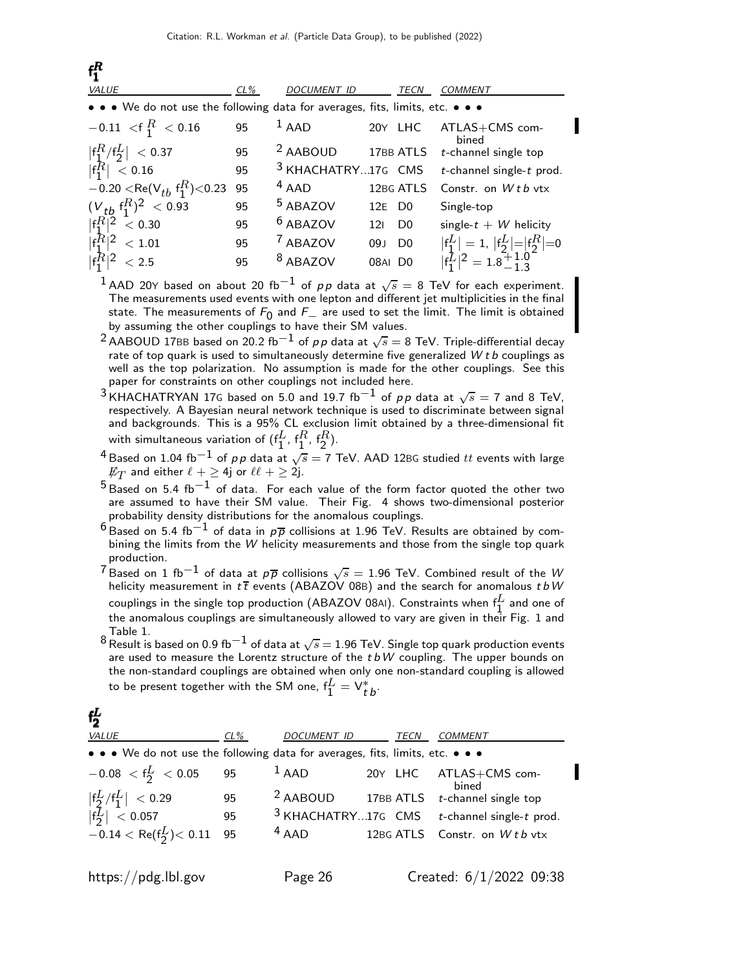| $f_1^R$                                                                       |        |                               |                    |                |                                |
|-------------------------------------------------------------------------------|--------|-------------------------------|--------------------|----------------|--------------------------------|
| VALUE                                                                         | $CL\%$ | <b>DOCUMENT ID</b>            |                    | TECN           | <i>COMMENT</i>                 |
| • • • We do not use the following data for averages, fits, limits, etc. • • • |        |                               |                    |                |                                |
| $-0.11 < f_1^R < 0.16$                                                        | 95     | $^1$ AAD                      |                    | 20Y LHC        | ATLAS+CMS com-<br>bined        |
| $ f_1^R/f_2^L  < 0.37$                                                        | 95     | <sup>2</sup> AABOUD 17BB ATLS |                    |                | $t$ -channel single top        |
| $\big  \mathsf{f}_1^R \big  < 0.16$                                           | 95     | <sup>3</sup> KHACHATRY17G CMS |                    |                | $t$ -channel single- $t$ prod. |
| $-0.20 <$ Re(V <sub>tb</sub> f <sub>1</sub> <sup>R</sup> )<0.23               | 95     | $4$ AAD                       |                    | 12BG ATLS      | Constr. on $W t b vtx$         |
| $(V_{tb} f_1^R)^2 < 0.93$                                                     | 95     | <sup>5</sup> ABAZOV           | 12E D <sub>0</sub> |                | Single-top                     |
| $ f_1^R ^2 < 0.30$                                                            | 95     | <sup>6</sup> ABAZOV           | 121                | D <sub>0</sub> | single- $t + W$ helicity       |
| $ f_1^R ^2 < 1.01$                                                            | 95     | <sup>7</sup> ABAZOV           | 09J D <sub>0</sub> |                | $ f_1^L =1,  f_2^L = f_2^R =0$ |
| $ f_1^R ^2 < 2.5$                                                             | 95     | <sup>8</sup> ABAZOV           | 08AI DO            |                | $ f_1^L ^2 = 1.8 - 1.8$        |
|                                                                               |        |                               |                    |                |                                |

 $^1$  AAD 20Y based on about 20 fb $^{-1}$  of  $\rho \rho$  data at  $\sqrt{s} =$  8 TeV for each experiment. The measurements used events with one lepton and different jet multiplicities in the final state. The measurements of  $F_0$  and  $F_+$  are used to set the limit. The limit is obtained<br>by assuming the other sounlings to beys their SM values. by assuming the other couplings to have their SM values.

 $^2$  AABOUD 17BB based on 20.2 fb $^{-1}$  of  $\rho \rho$  data at  $\sqrt{s} =$  8 TeV. Triple-differential decay rate of top quark is used to simultaneously determine five generalized  $W t b$  couplings as well as the top polarization. No assumption is made for the other couplings. See this paper for constraints on other couplings not included here.

- <sup>3</sup> KHACHATRYAN 17G based on 5.0 and 19.7 fb<sup>-1</sup> of pp data at  $\sqrt{s} = 7$  and 8 TeV, respectively. A Bayesian neural network technique is used to discriminate between signal and backgrounds. This is a 95% CL exclusion limit obtained by a three-dimensional fit with simultaneous variation of  $(f_1^L, f_1^R, f_2^R)$ .
- <sup>4</sup> Based on 1.04 fb<sup>−1</sup> of pp data at  $\sqrt{s} = 7$  TeV. AAD 12BG studied  $tt$  events with large  $\not\!\!E_T$  and either  $\ell + \geq 4$ j or  $\ell\ell + \geq 2$ j.
- $5$  Based on 5.4 fb $^{-1}$  of data. For each value of the form factor quoted the other two are assumed to have their SM value. Their Fig. 4 shows two-dimensional posterior probability density distributions for the anomalous couplings.
- $^6$ Based on 5.4 fb $^{-1}$  of data in  $p\overline{p}$  collisions at 1.96 TeV. Results are obtained by combining the limits from the W helicity measurements and those from the single top quark production.
- $^7$ Based on 1 fb $^{-1}$  of data at  $p\overline{p}$  collisions  $\sqrt{s}=$  1.96 TeV. Combined result of the  $W$ helicity measurement in  $t\bar{t}$  events (ABAZOV 08B) and the search for anomalous  $tbW$ couplings in the single top production (ABAZOV 08AI). Constraints when  $f_1^L$  and one of the anomalous couplings are simultaneously allowed to vary are given in their Fig. 1 and Table 1.
- $8\overline{\phantom{1}}$ Result is based on 0.9 fb $^{-1}$  of data at  $\sqrt{s}=$  1.96 TeV. Single top quark production events are used to measure the Lorentz structure of the  $tbW$  coupling. The upper bounds on the non-standard couplings are obtained when only one non-standard coupling is allowed to be present together with the SM one,  $\mathsf{f}^L_1=\mathsf{V}^*_{t\,b}$ .

| $f_2^L$                                                                       |     |             |      |                                                  |
|-------------------------------------------------------------------------------|-----|-------------|------|--------------------------------------------------|
| VALUE                                                                         | CL% | DOCUMENT ID | TECN | <b>COMMENT</b>                                   |
| • • • We do not use the following data for averages, fits, limits, etc. • • • |     |             |      |                                                  |
| $-0.08 < f_{2}^L < 0.05$ 95                                                   |     | $1$ AAD     |      | 20Y LHC ATLAS+CMS com-<br>bined                  |
|                                                                               |     |             |      | $2$ AABOUD 17BB ATLS $t$ -channel single top     |
|                                                                               |     |             |      | $3$ KHACHATRY17G CMS $t$ -channel single-t prod. |
|                                                                               |     | $4$ AAD     |      | 12BG ATLS Constr. on Wtb vtx                     |
|                                                                               |     |             |      |                                                  |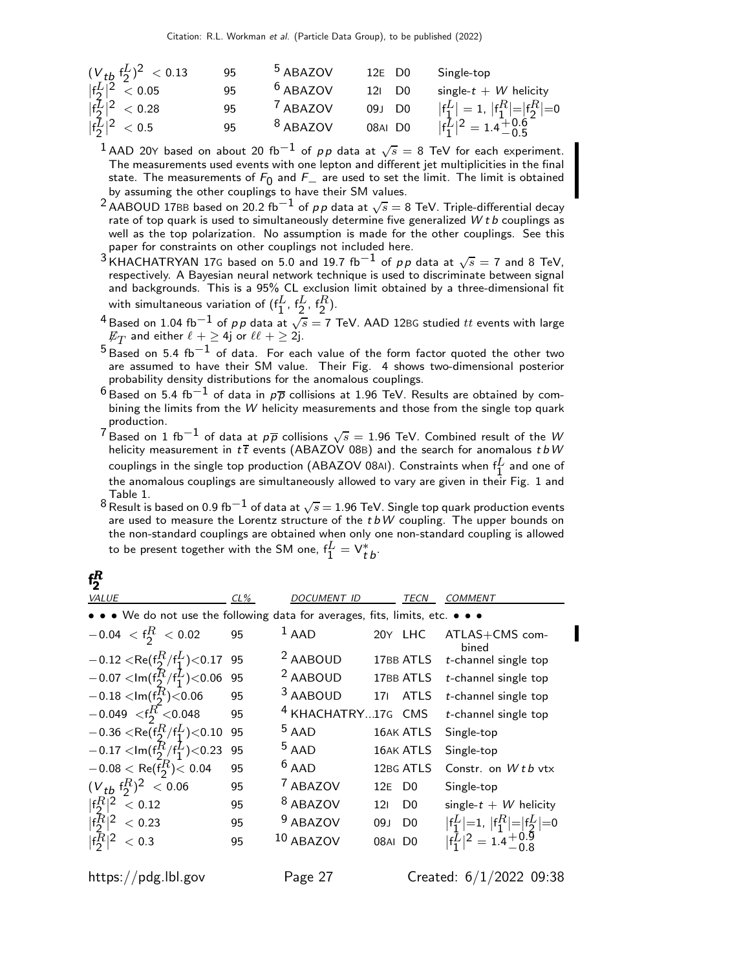| $(V_{tb} f_2^L)^2 < 0.13$                                  | 95 | <sup>5</sup> ABAZOV | 12E D <sub>0</sub>   | Single-top                                                 |
|------------------------------------------------------------|----|---------------------|----------------------|------------------------------------------------------------|
|                                                            | 95 | <sup>6</sup> ABAZOV | $12I$ D <sub>0</sub> | single- $t + W$ helicity                                   |
| $\frac{ f_2^L ^2}{ f_2^L ^2} < 0.05$<br>$ f_2^L ^2 < 0.28$ | 95 | <sup>7</sup> ABAZOV | 09J D0               | $ f_1^L =1,  f_1^R = f_2^R =0$                             |
| $ f_2^{\bar{L}} ^2 < 0.5$                                  | 95 | <sup>8</sup> ABAZOV | 08AI D0              | $ f_1^L ^2 = 1.4 \begin{matrix} +0.6 \\ -0.5 \end{matrix}$ |
|                                                            |    |                     |                      |                                                            |

 $^1$  AAD 20Y based on about 20 fb $^{-1}$  of  $\rho \rho$  data at  $\sqrt{s} =$  8 TeV for each experiment. The measurements used events with one lepton and different jet multiplicities in the final state. The measurements of  $F_0$  and  $F_+$  are used to set the limit. The limit is obtained<br>by assuming the other sounlings to beys their SM values. by assuming the other couplings to have their SM values.

<sup>2</sup> AABOUD 17BB based on 20.2 fb<sup>-1</sup> of pp data at  $\sqrt{s} = 8$  TeV. Triple-differential decay rate of top quark is used to simultaneously determine five generalized  $W t b$  couplings as well as the top polarization. No assumption is made for the other couplings. See this paper for constraints on other couplings not included here.

<sup>3</sup> KHACHATRYAN 17G based on 5.0 and 19.7 fb<sup>-1</sup> of pp data at  $\sqrt{s} = 7$  and 8 TeV, respectively. A Bayesian neural network technique is used to discriminate between signal and backgrounds. This is a 95% CL exclusion limit obtained by a three-dimensional fit with simultaneous variation of  $(f_1^L, f_2^L, f_2^R)$ .

<sup>4</sup> Based on 1.04 fb<sup>−1</sup> of pp data at  $\sqrt{s} = 7$  TeV. AAD 12BG studied  $tt$  events with large  $\not\!\!E_T$  and either  $\ell + \geq$  4j or  $\ell\ell + \geq$  2j.

 $5$  Based on 5.4 fb<sup>-1</sup> of data. For each value of the form factor quoted the other two are assumed to have their SM value. Their Fig. 4 shows two-dimensional posterior probability density distributions for the anomalous couplings.

- $^6$ Based on 5.4 fb $^{-1}$  of data in  $\rho\overline{\rho}$  collisions at 1.96 TeV. Results are obtained by combining the limits from the W helicity measurements and those from the single top quark production.
- $7$  Based on 1 fb<sup>-1</sup> of data at  $p\overline{p}$  collisions  $\sqrt{s} = 1.96$  TeV. Combined result of the W helicity measurement in  $t\bar{t}$  events (ABAZOV 08B) and the search for anomalous  $tbW$ couplings in the single top production (ABAZOV 08AI). Constraints when  $f_1^L$  and one of the anomalous couplings are simultaneously allowed to vary are given in their Fig. 1 and Table 1.
- $8\overline{\phantom{0}}$ Result is based on 0.9 fb $^{-1}$  of data at  $\sqrt{s} = 1.96$  TeV. Single top quark production events are used to measure the Lorentz structure of the  $tbW$  coupling. The upper bounds on the non-standard couplings are obtained when only one non-standard coupling is allowed to be present together with the SM one,  $\mathsf{f}^L_1=\mathsf{V}^*_{t\,b}.$

#### f R 2

| <b>VALUE</b>                                                                                                          | $CL\%$ | DOCUMENT ID                   |                    | TECN           | <i>COMMENT</i>                                                                                                                                                                 |
|-----------------------------------------------------------------------------------------------------------------------|--------|-------------------------------|--------------------|----------------|--------------------------------------------------------------------------------------------------------------------------------------------------------------------------------|
| $\bullet \bullet \bullet$ We do not use the following data for averages, fits, limits, etc. $\bullet \bullet \bullet$ |        |                               |                    |                |                                                                                                                                                                                |
| $-0.04 < f_2^R < 0.02$                                                                                                | 95     | $1$ AAD                       |                    | 20Y LHC        | ATLAS+CMS com-<br>bined                                                                                                                                                        |
| $-0.12 <$ Re(f <sub>2</sub> $^{R}/$ f <sub>1</sub> $^{L}$ )<0.17 95                                                   |        | <sup>2</sup> AABOUD           |                    | 17BB ATLS      | $t$ -channel single top                                                                                                                                                        |
| $-0.07 <$ Im(f <sub>2</sub> $^{R}_{2}/$ f <sub>1</sub> $^{L}_{1}$ )<0.06 95                                           |        | <sup>2</sup> AABOUD           |                    | 17BB ATLS      | $t$ -channel single top                                                                                                                                                        |
| $-0.18 <$ Im(f <sub>2</sub> $\overline{R}$ )<0.06                                                                     | 95     | <sup>3</sup> AABOUD           | 17 <sub>1</sub>    | <b>ATLS</b>    | $t$ -channel single top                                                                                                                                                        |
| $-0.049 < f_2^R < 0.048$                                                                                              | 95     | <sup>4</sup> KHACHATRY17G CMS |                    |                | $t$ -channel single top                                                                                                                                                        |
| $-0.36 < \text{Re}(f_2^R/f_1^L) < 0.10$                                                                               | 95     | $5$ AAD                       |                    | 16AK ATLS      | Single-top                                                                                                                                                                     |
| $-0.17 <$ Im(f <sub>2</sub> $^{R}/$ f <sub>1</sub> <sup>1</sup> )<0.23                                                | 95     | $5$ AAD                       |                    | 16AK ATLS      | Single-top                                                                                                                                                                     |
| $-0.08 < \text{Re}(\overline{\mathsf{f}_{2}^{R}}) < 0.04$                                                             | 95     | $6$ AAD                       |                    | 12BG ATLS      | Constr. on $Wtb$ vtx                                                                                                                                                           |
| $(V_{tb} f_2^R)^2 < 0.06$                                                                                             | 95     | <sup>7</sup> ABAZOV           | 12E D <sub>0</sub> |                | Single-top                                                                                                                                                                     |
| $ f_2^R ^2$<br>< 0.12                                                                                                 | 95     | <sup>8</sup> ABAZOV           | 121                | D <sub>0</sub> | single- $t + W$ helicity                                                                                                                                                       |
| $ f_2^R ^2 < 0.23$                                                                                                    | 95     | <sup>9</sup> ABAZOV           | 09J                | D <sub>0</sub> | $\left  \begin{matrix} f_1^L \\ 1 \end{matrix} \right  = 1, \left  \begin{matrix} f_1^R \\ 1 \end{matrix} \right  = \left  \begin{matrix} f_2^L \\ 2 \end{matrix} \right  = 0$ |
| $ f_2^R ^2 < 0.3$                                                                                                     | 95     | $10$ ABAZOV                   | 08AI DO            |                | $ f_1^L ^2 = 1.4 + 0.9$                                                                                                                                                        |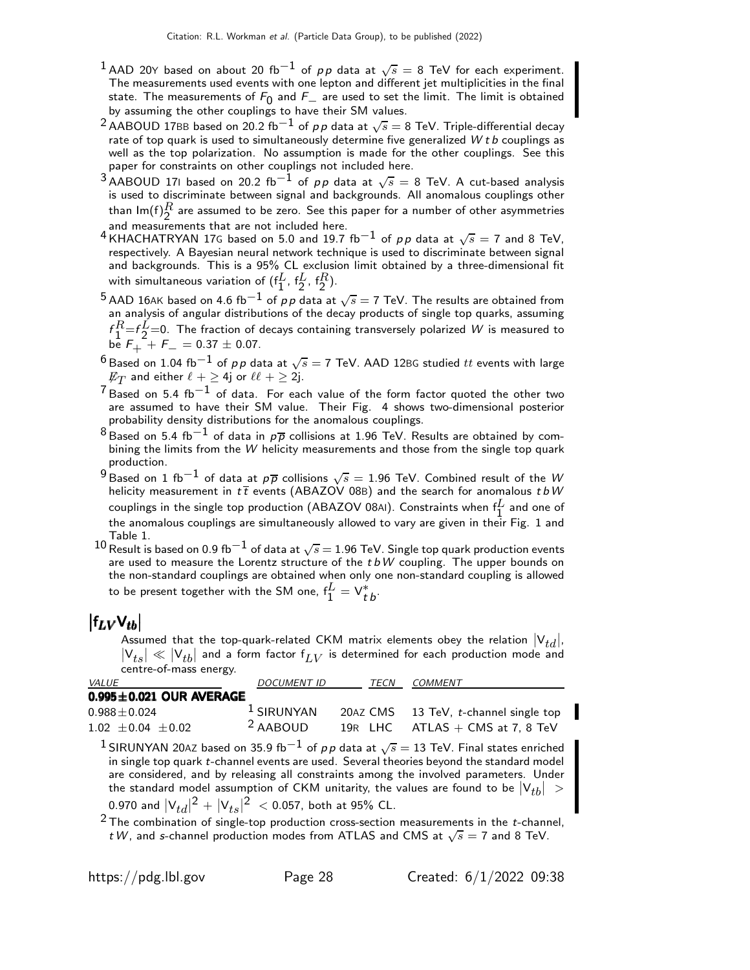- $^1$  AAD 20Y based on about 20 fb $^{-1}$  of  $\rho \rho$  data at  $\sqrt{s} =$  8 TeV for each experiment. The measurements used events with one lepton and different jet multiplicities in the final state. The measurements of  $F_0$  and  $F_+$  are used to set the limit. The limit is obtained<br>by assuming the other couplings to baye their SM values. by assuming the other couplings to have their SM values.
- $^2$  AABOUD 17BB based on 20.2 fb $^{-1}$  of  $\rho \rho$  data at  $\sqrt{s} =$  8 TeV. Triple-differential decay rate of top quark is used to simultaneously determine five generalized  $W t b$  couplings as well as the top polarization. No assumption is made for the other couplings. See this paper for constraints on other couplings not included here.
- $^3$ AABOUD 171 based on 20.2 fb $^{-1}$  of  $\rho \rho$  data at  $\sqrt{s} =$  8 TeV. A cut-based analysis is used to discriminate between signal and backgrounds. All anomalous couplings other than lm $(\mathsf{f})_2^R$  are assumed to be zero. See this paper for a number of other asymmetries and measurements that are not included here.
- 4 KHACHATRYAN 17G based on 5.0 and 19.7 fb<sup>-1</sup> of pp data at  $\sqrt{s} = 7$  and 8 TeV, respectively. A Bayesian neural network technique is used to discriminate between signal and backgrounds. This is a 95% CL exclusion limit obtained by a three-dimensional fit with simultaneous variation of  $(f_1^L, f_2^L, f_2^R)$ .
- $^5$  AAD 16AK based on 4.6 fb $^{-1}$  of  $\rho\, \rho$  data at  $\sqrt{s}=$  7 TeV. The results are obtained from an analysis of angular distributions of the decay products of single top quarks, assuming  $f_1^R = f_2^L = 0$ . The fraction of decays containing transversely polarized W is measured to  $be^{\frac{1}{2}}F_{+}^2 + F_{-} = 0.37 \pm 0.07.$
- $^6$ Based on 1.04 fb $^{-1}$  of  $\rho \rho$  data at  $\sqrt{s}=$  7 TeV. AAD 12BG studied  $tt$  events with large  $\not\!\!E_T$  and either  $\ell + \geq$  4j or  $\ell\ell + \geq$  2j.
- $^7$ Based on 5.4 fb $^{-1}$  of data. For each value of the form factor quoted the other two are assumed to have their SM value. Their Fig. 4 shows two-dimensional posterior probability density distributions for the anomalous couplings.
- $^8$ Based on 5.4 fb $^{-1}$  of data in  $\rho\overline{\rho}$  collisions at 1.96 TeV. Results are obtained by combining the limits from the W helicity measurements and those from the single top quark production.
- $^9$ Based on 1 fb $^{-1}$  of data at  $p\overline{p}$  collisions  $\sqrt{s}=$  1.96 TeV. Combined result of the  $W$ helicity measurement in  $t\bar{t}$  events (ABAZOV 08B) and the search for anomalous  $tbW$ couplings in the single top production (ABAZOV 08AI). Constraints when  $f_1^L$  and one of the anomalous couplings are simultaneously allowed to vary are given in their Fig. 1 and Table 1.
- $^{10}$  Result is based on 0.9 fb $^{-1}$  of data at  $\sqrt{s} = 1.96$  TeV. Single top quark production events are used to measure the Lorentz structure of the  $tbW$  coupling. The upper bounds on the non-standard couplings are obtained when only one non-standard coupling is allowed to be present together with the SM one,  ${\sf f}_{1}^L={\sf V}_{t}^*{}_{b}.$

# $\left| \mathsf{f}_{LV}\mathsf{V}_{tb} \right|$

Assumed that the top-quark-related CKM matrix elements obey the relation  $|V_{td}|$ ,  $\left|\mathsf{V}_{ts}\right| \ll \left|\mathsf{V}_{tb}\right|$  and a form factor  $\mathsf{f}_{LV}$  is determined for each production mode and centre-of-mass energy.

| VALUE                                                         | <b>DOCUMENT ID</b>  |  | <b>COMMENT</b>                                                                                                                                                                                                                                                                                                                                                                                      |
|---------------------------------------------------------------|---------------------|--|-----------------------------------------------------------------------------------------------------------------------------------------------------------------------------------------------------------------------------------------------------------------------------------------------------------------------------------------------------------------------------------------------------|
| $0.995 \pm 0.021$ OUR AVERAGE                                 |                     |  |                                                                                                                                                                                                                                                                                                                                                                                                     |
| $0.988 \pm 0.024$                                             | $1$ SIRUNYAN        |  | 20AZ CMS 13 TeV, t-channel single top                                                                                                                                                                                                                                                                                                                                                               |
| $1.02 \pm 0.04 \pm 0.02$                                      | <sup>2</sup> AABOUD |  | 19R LHC $ATLAS + CMS$ at 7, 8 TeV                                                                                                                                                                                                                                                                                                                                                                   |
| 0.970 and $ V_{td} ^2 +  V_{ts} ^2 < 0.057$ , both at 95% CL. |                     |  | <sup>1</sup> SIRUNYAN 20AZ based on 35.9 fb <sup>-1</sup> of pp data at $\sqrt{s} = 13$ TeV. Final states enriched<br>in single top quark t-channel events are used. Several theories beyond the standard model<br>are considered, and by releasing all constraints among the involved parameters. Under<br>the standard model assumption of CKM unitarity, the values are found to be $ V_{th}  >$ |
|                                                               |                     |  | $2$ The combination of single-top production cross-section measurements in the t-channel,<br>t W, and s-channel production modes from ATLAS and CMS at $\sqrt{s} = 7$ and 8 TeV.                                                                                                                                                                                                                    |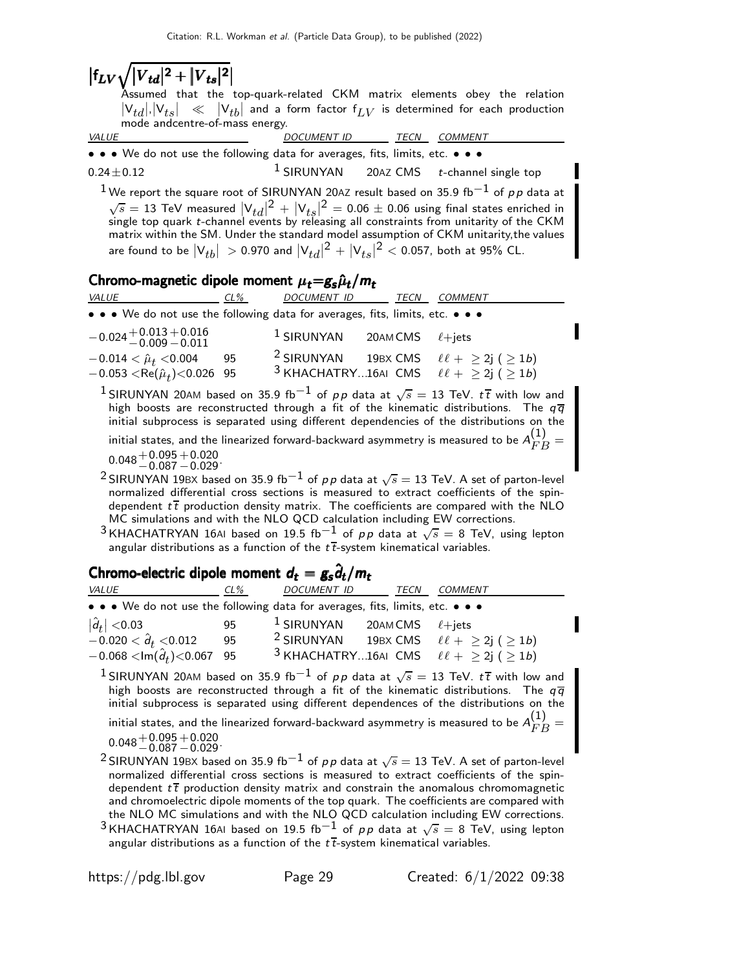# $\left|f_{LV}\sqrt{\left|V_{td}\right|^{2}+\left|V_{ts}\right|^{2}}\right|$

**/ | v td| ㅜ | v ts| |**<br>Assumed that the top-quark-related CKM matrix elements obey the relation  $|\mathsf{V}_{td}|, |\mathsf{V}_{ts}| \;\;\ll\;\; |\mathsf{V}_{tb}|$  and a form factor  $\mathsf{f}_{LV}$  is determined for each production mode andcentre-of-mass energy.<br>VALUE

DOCUMENT ID TECN COMMENT

• • • We do not use the following data for averages, fits, limits, etc. • • •  $0.24+0.12$ <br> $1$  SIRUNYAN 20AZ CMS *t*-channe  $0.24 \pm 0.12$  1 SIRUNYAN 20AZ CMS t-channel single top

<sup>1</sup>We report the square root of SIRUNYAN 20AZ result based on 35.9 fb<sup>-1</sup> of pp data at  $\sqrt{s}=13$  TeV measured  $|V_{td}|^2+|V_{ts}|^2=0.06\pm0.06$  using final states enriched in single top quark *t*-channel events by releasing all constraints from unitarity of the CKM matrix within the SM. Under the standard model assumption of CKM unitarity,the values are found to be  $\vert\mathsf{V}_{tb}\vert\ >$  0.970 and  $\vert\mathsf{V}_{td}\vert^2+\vert\mathsf{V}_{ts}\vert^2 <$  0.057, both at 95% CL.

#### Chromo-magnetic dipole moment  $\mu_t = g_s \hat{\mu}_t / m_t$

| <b>VALUE</b>                                                                  | CL% | <i>DOCUMENT ID</i>                 | TECN | COMMENT                                                            |
|-------------------------------------------------------------------------------|-----|------------------------------------|------|--------------------------------------------------------------------|
| • • • We do not use the following data for averages, fits, limits, etc. • • • |     |                                    |      |                                                                    |
| $-0.024 + 0.013 + 0.016$<br>$-0.009 - 0.011$                                  |     | $1$ SIRUNYAN 20AMCMS $\ell +$ jets |      |                                                                    |
| $-0.014 < \hat{\mu}_t < 0.004$                                                | 95  |                                    |      | <sup>2</sup> SIRUNYAN 19BX CMS $\ell \ell + \geq 2j$ ( $\geq 1b$ ) |
| $-0.053 < \text{Re}(\hat{\mu}_t) < 0.026$ 95                                  |     |                                    |      | <sup>3</sup> KHACHATRY16AI CMS $\ell \ell + \geq 2j$ ( $\geq 1b$ ) |
|                                                                               |     |                                    |      |                                                                    |

 $^1$ SIRUNYAN 20AM based on 35.9 fb $^{-1}$  of  $\rho \rho$  data at  $\sqrt{s} = 13$  TeV.  $t\overline{t}$  with low and high boosts are reconstructed through a fit of the kinematic distributions. The  $q \overline q$ initial subprocess is separated using different dependencies of the distributions on the

initial states, and the linearized forward-backward asymmetry is measured to be  $A_{FB}^{\left( 1\right) }=$ 

 $0.048 + 0.095$ <br>−0.087  $^{+0.020}_{-0.029}$ 

 $^2$ SIRUNYAN 19BX based on 35.9 fb $^{-1}$  of  $\rho \rho$  data at  $\sqrt{s}=$  13 TeV. A set of parton-level normalized differential cross sections is measured to extract coefficients of the spindependent  $t\bar{t}$  production density matrix. The coefficients are compared with the NLO MC simulations and with the NLO QCD calculation including EW corrections.

<sup>3</sup> KHACHATRYAN 16AI based on 19.5 fb<sup>-1</sup> of pp data at  $\sqrt{s} = 8$  TeV, using lepton angular distributions as a function of the  $t\bar{t}$ -system kinematical variables.

## Chromo-electric dipole moment  $d_t = g_s \hat{d}_t / m_t$

| <i>VALUE</i>                                                                  | $CL\%$ | DOCUMENT ID TECN                   | <i>COMMENT</i>                                                     |
|-------------------------------------------------------------------------------|--------|------------------------------------|--------------------------------------------------------------------|
| • • • We do not use the following data for averages, fits, limits, etc. • • • |        |                                    |                                                                    |
| $ \hat{d}_t  < 0.03$                                                          | 95     | $1$ SIRUNYAN 20AMCMS $\ell +$ jets |                                                                    |
| $-0.020 < \hat{d}_t < 0.012$                                                  | 95     | <sup>2</sup> SIRUNYAN              | 19BX CMS $\ell \ell + \geq 2j$ ( $\geq 1b$ )                       |
| $-0.068 < \ln(\hat{d}_t) < 0.067$ 95                                          |        |                                    | <sup>3</sup> KHACHATRY16AI CMS $\ell \ell + \geq 2j$ ( $\geq 1b$ ) |

 $^1$ SIRUNYAN 20AM based on 35.9 fb $^{-1}$  of  $\rho \rho$  data at  $\sqrt{s} = 13$  TeV.  $t\overline{t}$  with low and high boosts are reconstructed through a fit of the kinematic distributions. The  $q\bar{q}$ initial subprocess is separated using different dependences of the distributions on the

initial states, and the linearized forward-backward asymmetry is measured to be  $A_{FB}^{\left( 1\right) }=$ 

 $0.048 + 0.095 - 0.087$  $^{+0.020}_{-0.029}$ 

- $^2$ SIRUNYAN 19BX based on 35.9 fb $^{-1}$  of  $\rho \rho$  data at  $\sqrt{s} =$  13 TeV. A set of parton-level normalized differential cross sections is measured to extract coefficients of the spindependent  $t\bar{t}$  production density matrix and constrain the anomalous chromomagnetic and chromoelectric dipole moments of the top quark. The coefficients are compared with the NLO MC simulations and with the NLO QCD calculation including EW corrections.
- $^3$ KHACHATRYAN 16AI based on 19.5 fb $^{-1}$  of  $p \, p$  data at  $\sqrt{s} = 8$  TeV, using lepton angular distributions as a function of the  $t\bar{t}$ -system kinematical variables.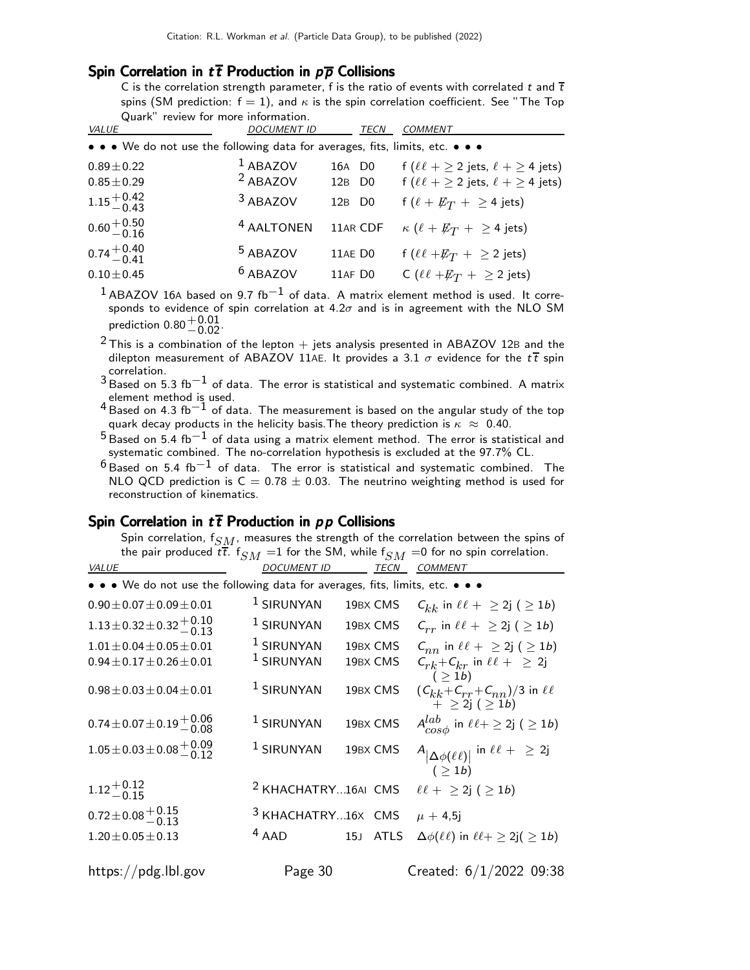#### Spin Correlation in  $t\bar{t}$  Production in  $p\bar{p}$  Collisions

C is the correlation strength parameter, f is the ratio of events with correlated t and  $\bar{t}$ spins (SM prediction:  $f = 1$ ), and  $\kappa$  is the spin correlation coefficient. See "The Top Quark" review for more information.

| <b>DOCUMENT ID</b>    | TECN                | <b>COMMENT</b>                                                                |
|-----------------------|---------------------|-------------------------------------------------------------------------------|
|                       |                     |                                                                               |
| $1$ ABAZOV            | 16A D <sub>0</sub>  | f ( $\ell \ell + \geq 2$ jets, $\ell + \geq 4$ jets)                          |
|                       | 12B D <sub>0</sub>  | f ( $\ell\ell + \geq 2$ jets, $\ell + \geq 4$ jets)                           |
| <sup>3</sup> ABAZOV   | 12B D <sub>0</sub>  | f $(\ell + \not\!\!{E_T} + \geq 4$ jets)                                      |
| <sup>4</sup> AALTONEN | 11AR CDF            | $\kappa\,\left(\ell + E_T\,+\, \geq 4\;\text{jets}\right)$                    |
| <sup>5</sup> ABAZOV   | 11AE DO             | f ( $\ell\ell + \not\!\!E_T$ + $\geq$ 2 jets)                                 |
| $6$ ABAZOV            | 11AF DO             | C ( $\ell\ell + \not\!\!E_T$ + $\geq$ 2 jets)                                 |
|                       | <sup>2</sup> ABAZOV | • • • We do not use the following data for averages, fits, limits, etc. • • • |

- $1$ ABAZOV 16A based on 9.7 fb $^{-1}$  of data. A matrix element method is used. It corresponds to evidence of spin correlation at  $4.2\sigma$  and is in agreement with the NLO SM prediction  $0.80^{+0.01}_{-0.02}$ .
- $2$  This is a combination of the lepton  $+$  jets analysis presented in ABAZOV 12B and the dilepton measurement of ABAZOV 11AE. It provides a 3.1  $\sigma$  evidence for the  $t\bar{t}$  spin correlation.
- $3$  Based on 5.3 fb $^{-1}$  of data. The error is statistical and systematic combined. A matrix element method is used.
- 4 Based on 4.3 fb−1 of data. The measurement is based on the angular study of the top quark decay products in the helicity basis. The theory prediction is  $\kappa \approx 0.40$ .
- $^5$ Based on 5.4 fb $^{-1}$  of data using a matrix element method. The error is statistical and systematic combined. The no-correlation hypothesis is excluded at the 97.7% CL.
- $^6$ Based on 5.4 fb $^{-1}$  of data. The error is statistical and systematic combined. The NLO QCD prediction is  $C = 0.78 \pm 0.03$ . The neutrino weighting method is used for reconstruction of kinematics.

#### Spin Correlation in  $t\bar{t}$  Production in pp Collisions

Spin correlation,  $f_{SM}$ , measures the strength of the correlation between the spins of the pair produced  $t\overline{t}$ .  $\mathsf{f}_{SM}$   $=$ 1 for the SM, while  $\mathsf{f}_{SM}$   $=$ 0 for no spin correlation.

| VALUE                                                                         | <b>DOCUMENT ID</b>             | <b>TECN</b>        | <b>COMMENT</b>                                                                       |
|-------------------------------------------------------------------------------|--------------------------------|--------------------|--------------------------------------------------------------------------------------|
| • • • We do not use the following data for averages, fits, limits, etc. • • • |                                |                    |                                                                                      |
| $0.90 \pm 0.07 \pm 0.09 \pm 0.01$                                             | $1$ SIRUNYAN                   | 19BX CMS           | $C_{kk}$ in $\ell\ell + \geq 2j$ ( $\geq 1b$ )                                       |
| $1.13 \pm 0.32 \pm 0.32 \pm 0.10$                                             | <sup>1</sup> SIRUNYAN          | 19BX CMS           | $C_{rr}$ in $\ell \ell + \geq 2j$ ( $\geq 1b$ )                                      |
| $1.01 \pm 0.04 \pm 0.05 \pm 0.01$                                             | $1$ SIRUNYAN                   | 19BX CMS           | $C_{nn}$ in $\ell\ell + \geq 2j$ ( $\geq 1b$ )                                       |
| $0.94 \pm 0.17 \pm 0.26 \pm 0.01$                                             | <sup>1</sup> SIRUNYAN          | 19BX CMS           | $C_{rk} + C_{kr}$ in $\ell\ell + \geq 2j$                                            |
| $0.98 \pm 0.03 \pm 0.04 \pm 0.01$                                             | $1$ SIRUNYAN                   | 19BX CMS           | $( \geq 1b)$<br>$(C_{kk}+C_{rr}+C_{nn})/3$ in $\ell\ell$<br>$+ \geq 2j \; (\geq 1b)$ |
| $0.74 \pm 0.07 \pm 0.19 \begin{array}{l} +0.06 \\ -0.08 \end{array}$          | $1$ SIRUNYAN                   | 19BX CMS           | $A^{lab}_{cos\phi}$ in $\ell \ell + \geq 2j$ ( $\geq 1b$ )                           |
| $1.05 \pm 0.03 \pm 0.08 \begin{array}{l} +0.09 \\ -0.12 \end{array}$          | $1$ SIRUNYAN                   | 19BX CMS           | $A_{ \Delta\phi(\ell\ell) }$ in $\ell\ell + \geq 2j$<br>( > 1b)                      |
| $1.12^{+0.12}_{-0.15}$                                                        | <sup>2</sup> KHACHATRY16AI CMS |                    | $\ell \ell + \geq 2j \; (\geq 1b)$                                                   |
| $0.72 \pm 0.08 \pm 0.15$                                                      | <sup>3</sup> KHACHATRY16X CMS  |                    | $\mu + 4.5$ j                                                                        |
| $1.20 \pm 0.05 \pm 0.13$                                                      | $4$ AAD                        | 15J<br><b>ATLS</b> | $\Delta\phi(\ell\ell)$ in $\ell\ell + \geq 2j(\geq 1b)$                              |
| https://pdg.lbl.gov                                                           | Page 30                        |                    | Created: 6/1/2022 09:38                                                              |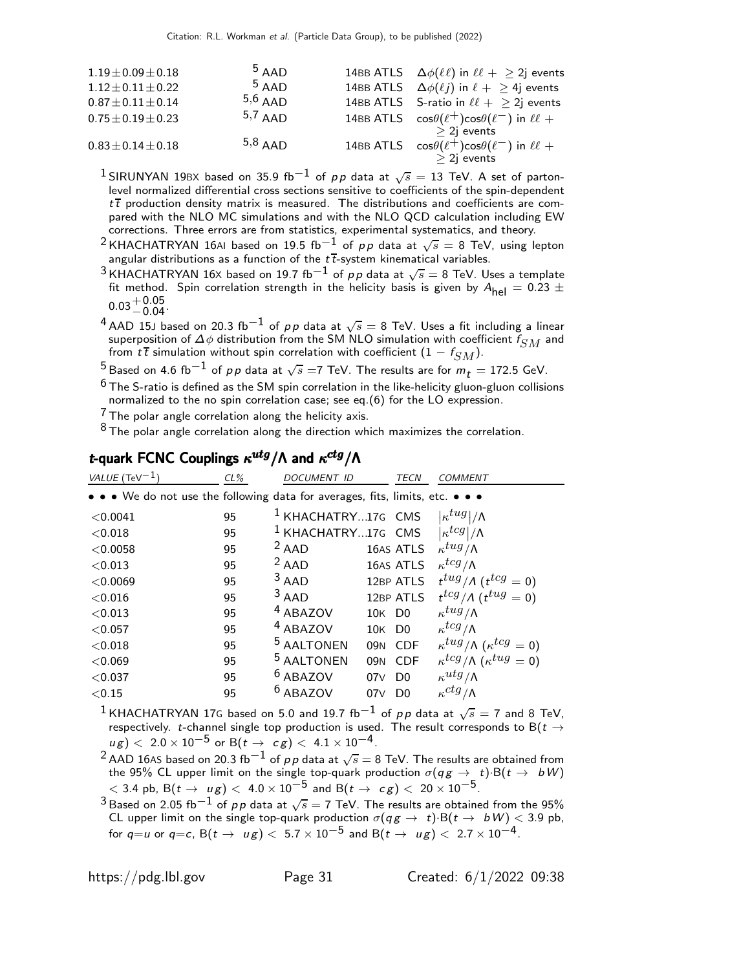| $1.19 \pm 0.09 \pm 0.18$ | $5$ AAD   | 14BB ATLS $\Delta \phi(\ell\ell)$ in $\ell\ell + > 2j$ events     |
|--------------------------|-----------|-------------------------------------------------------------------|
| $1.12 \pm 0.11 \pm 0.22$ | $5$ AAD   | 14BB ATLS $\Delta \phi(\ell j)$ in $\ell + \geq 4j$ events        |
| $0.87 \pm 0.11 \pm 0.14$ | $5,6$ AAD | 14BB ATLS S-ratio in $\ell\ell +$ > 2j events                     |
| $0.75 \pm 0.19 \pm 0.23$ | $5,7$ AAD | 14BB ATLS $\cos\theta(\ell^+) \cos\theta(\ell^-)$ in $\ell\ell +$ |
|                          |           | $>$ 2j events                                                     |
| $0.83 \pm 0.14 \pm 0.18$ | $5,8$ AAD | 14BB ATLS $\cos\theta(\ell^+) \cos\theta(\ell^-)$ in $\ell\ell +$ |
|                          |           | $>$ 2 <sub>i</sub> events                                         |

 $^1$ SIRUNYAN 19BX based on 35.9 fb $^{-1}$  of  $\rho \rho$  data at  $\sqrt{s} =$  13 TeV. A set of partonlevel normalized differential cross sections sensitive to coefficients of the spin-dependent  $t\bar{t}$  production density matrix is measured. The distributions and coefficients are compared with the NLO MC simulations and with the NLO QCD calculation including EW corrections. Three errors are from statistics, experimental systematics, and theory.

 $^2$ KHACHATRYAN 16AI based on 19.5 fb $^{-1}$  of  $\rho\rho$  data at  $\sqrt{s} =$  8 TeV, using lepton angular distributions as a function of the  $t\bar{t}$ -system kinematical variables.

- $^3$ KHACHATRYAN 16X based on 19.7 fb $^{-1}$  of  $\rho \rho$  data at  $\sqrt{s}=$  8 TeV. Uses a template fit method. Spin correlation strength in the helicity basis is given by  $A_{\text{hel}} = 0.23 \pm 0.05$  $0.03 + 0.05$ <br>-0.04
- $^4$  AAD 15J based on 20.3 fb $^{-1}$  of  $\rho \rho$  data at  $\sqrt{s} =$  8 TeV. Uses a fit including a linear superposition of  $\Delta \phi$  distribution from the SM NLO simulation with coefficient  $f_{SM}$  and from  $t\bar{t}$  simulation without spin correlation with coefficient  $(1 - f_{SM})$ .

<sup>5</sup>Based on 4.6 fb $^{-1}$  of pp data at  $\sqrt{s}$  =7 TeV. The results are for  $m_t = 172.5$  GeV.

 $6$  The S-ratio is defined as the SM spin correlation in the like-helicity gluon-gluon collisions normalized to the no spin correlation case; see eq.(6) for the LO expression.

 $7$  The polar angle correlation along the helicity axis.

 $8$  The polar angle correlation along the direction which maximizes the correlation.

#### t-quark FCNC Couplings  $\kappa^{utg}/\Lambda$  and  $\kappa^{ctg}/\Lambda$

| $CL\%$ | <b>DOCUMENT ID</b>    |     | <b>TECN</b>    | <b>COMMENT</b>                                                                                                                                                                                                                                                                              |
|--------|-----------------------|-----|----------------|---------------------------------------------------------------------------------------------------------------------------------------------------------------------------------------------------------------------------------------------------------------------------------------------|
|        |                       |     |                |                                                                                                                                                                                                                                                                                             |
| 95     |                       |     |                | $\kappa^{tug}$ / $\wedge$                                                                                                                                                                                                                                                                   |
| 95     |                       |     |                | $\kappa^{tcg} /\Lambda$                                                                                                                                                                                                                                                                     |
| 95     | $2$ AAD               |     |                | $\kappa^{tug}/\Lambda$                                                                                                                                                                                                                                                                      |
| 95     | $2$ AAD               |     |                | $\kappa^{tcg}/\Lambda$                                                                                                                                                                                                                                                                      |
| 95     | $3$ AAD               |     |                | $t^{tug}/\Lambda$ ( $t^{tcg}=0$ )                                                                                                                                                                                                                                                           |
| 95     | $3$ AAD               |     |                | $t^{tcg}/\Lambda$ ( $t^{tug} = 0$ )                                                                                                                                                                                                                                                         |
| 95     | <sup>4</sup> ABAZOV   |     |                | $\kappa^{tug}/\Lambda$                                                                                                                                                                                                                                                                      |
| 95     | <sup>4</sup> ABAZOV   |     |                | $\kappa^{tcg}/\Lambda$                                                                                                                                                                                                                                                                      |
| 95     | <sup>5</sup> AALTONEN |     |                | $\kappa^{tug}/\Lambda$ ( $\kappa^{tcg}=0$ )                                                                                                                                                                                                                                                 |
| 95     | <sup>5</sup> AALTONEN |     |                | $\kappa^{tcg}/\Lambda$ ( $\kappa^{tug}=0$ )                                                                                                                                                                                                                                                 |
| 95     | <sup>6</sup> ABAZOV   |     |                | $\kappa^{utg}/\Lambda$                                                                                                                                                                                                                                                                      |
| 95     | <sup>6</sup> ABAZOV   | 07V | D <sub>0</sub> | $\kappa^{ctg}/\Lambda$                                                                                                                                                                                                                                                                      |
|        |                       |     |                | • • • We do not use the following data for averages, fits, limits, etc. • • •<br><sup>1</sup> KHACHATRY17G CMS<br><sup>1</sup> KHACHATRY17G CMS<br>16AS ATLS<br>16AS ATLS<br>12BP ATLS<br>12BP ATLS<br>10K D <sub>0</sub><br>10K DO<br>09N CDF<br>09N CDF<br>07 <sub>V</sub> D <sub>0</sub> |

 $^1$ KHACHATRYAN 17G based on 5.0 and 19.7 fb $^{-1}$  of  $\rho\rho$  data at  $\sqrt{s}=$  7 and 8 TeV, respectively. t-channel single top production is used. The result corresponds to B( $t \rightarrow$  $u g$ )  $< 2.0 \times 10^{-5}$  or B( $t \to cg$ )  $< 4.1 \times 10^{-4}$ .

 $^2$  AAD 16AS based on 20.3 fb $^{-1}$  of  $\rho \rho$  data at  $\sqrt{s} =$  8 TeV. The results are obtained from the 95% CL upper limit on the single top-quark production  $\sigma(q \, g \, \rightarrow \, t) \cdot {\rm B}(t \rightarrow \ b \, W)$  $< 3.4$  pb, B $(t\to \mu g)< 4.0\times 10^{-5}$  and B $(t\to \ c \,g)< 20\times 10^{-5}$ .

 $^3$ Based on 2.05 fb $^{-1}$  of  $\rho \rho$  data at  $\sqrt{s}=$  7 TeV. The results are obtained from the 95% CL upper limit on the single top-quark production  $\sigma(q g \to \; t) \!\cdot\! \mathsf{B}(t \to \; bW) < 3.9$  pb, for  $q=u$  or  $q=c$ ,  $B(t \to u g) < 5.7 \times 10^{-5}$  and  $B(t \to u g) < 2.7 \times 10^{-4}$ .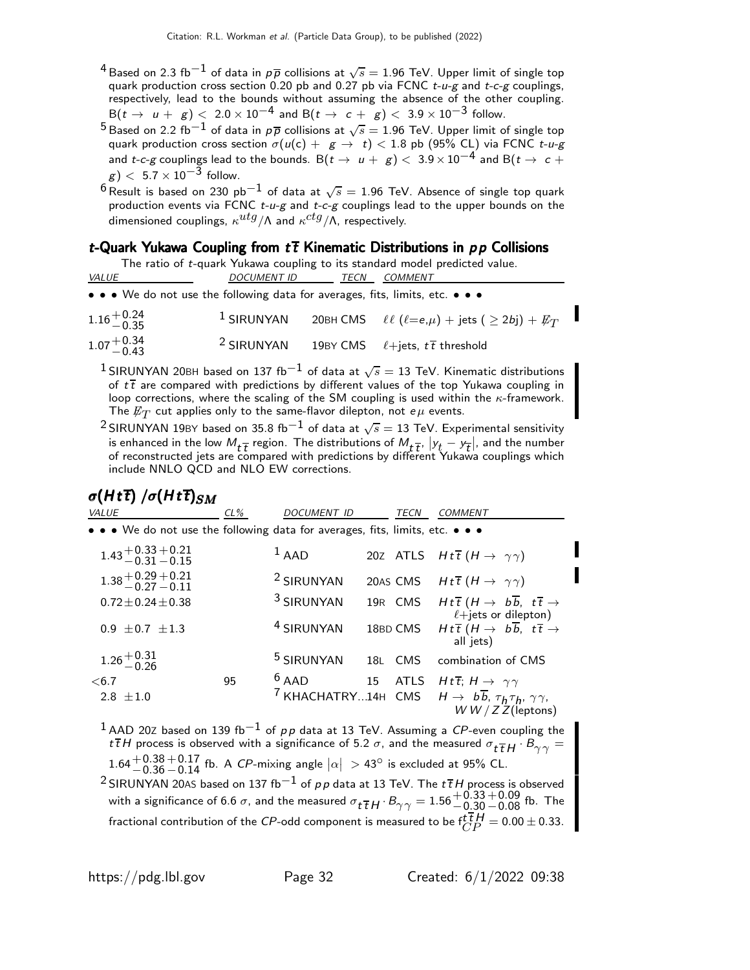- $^4$ Based on 2.3 fb $^{-1}$  of data in  $\rho\overline{\rho}$  collisions at  $\sqrt{s}=$  1.96 TeV. Upper limit of single top quark production cross section 0.20 pb and 0.27 pb via FCNC  $t-u-g$  and  $t-c-g$  couplings, respectively, lead to the bounds without assuming the absence of the other coupling.  $B(t \to u + g) < 2.0 \times 10^{-4}$  and  $B(t \to c + g) < 3.9 \times 10^{-3}$  follow.
- $^5$ Based on 2.2 fb $^{-1}$  of data in  $\rho\overline{\rho}$  collisions at  $\sqrt{s}=1.96$  TeV. Upper limit of single top quark production cross section  $\sigma(u({\sf c})+~\mathsf{g}\to~t)< 1.8$  pb (95% CL) via FCNC *t-u-g* and  $t$ -c- $g$  couplings lead to the bounds. B $(t\to~u+~g)<~3.9\times 10^{-4}$  and B $(t\to~c+$  $g$ )  $<$  5.7  $\times$  10<sup>-3</sup> follow.
- $^6$ Result is based on 230 pb $^{-1}$  of data at  $\sqrt{s} =$  1.96 TeV. Absence of single top quark production events via FCNC  $t$ -u-g and  $t$ -c-g couplings lead to the upper bounds on the dimensioned couplings,  $\kappa^{utg}/\Lambda$  and  $\kappa^{ctg}/\Lambda$ , respectively.

#### t-Quark Yukawa Coupling from  $t\bar{t}$  Kinematic Distributions in  $p \bar{p}$  Collisions

| The ratio of t-quark Yukawa coupling to its standard model predicted value.                                           |                       |      |                                                                                            |  |  |  |  |  |  |  |
|-----------------------------------------------------------------------------------------------------------------------|-----------------------|------|--------------------------------------------------------------------------------------------|--|--|--|--|--|--|--|
| <i>VALUE</i>                                                                                                          | <i>DOCUMENT ID</i>    | TECN | COMMENT                                                                                    |  |  |  |  |  |  |  |
| $\bullet \bullet \bullet$ We do not use the following data for averages, fits, limits, etc. $\bullet \bullet \bullet$ |                       |      |                                                                                            |  |  |  |  |  |  |  |
| $1.16 + 0.24$<br>$-0.35$                                                                                              | $1$ SIRUNYAN          |      | 20BH CMS $\ell\ell$ ( $\ell = e, \mu$ ) + jets ( $\geq 2b$ j) + $\not\hspace{-1.2mm}E_{T}$ |  |  |  |  |  |  |  |
| $1.07 + 0.34$<br>-0.43                                                                                                | <sup>2</sup> SIRUNYAN |      | 19BY CMS $\ell + \text{jets}, t\bar{t}$ threshold                                          |  |  |  |  |  |  |  |

 $^1$ SIRUNYAN 20BH based on 137 fb $^{-1}$  of data at  $\sqrt{s}=$  13 TeV. Kinematic distributions of  $t\bar{t}$  are compared with predictions by different values of the top Yukawa coupling in loop corrections, where the scaling of the SM coupling is used within the  $\kappa$ -framework. The  $\not\!\!E_T$  cut applies only to the same-flavor dilepton, not  $e\mu$  events.

 $^2$ SIRUNYAN 19BY based on 35.8 fb $^{-1}$  of data at  $\sqrt{s}=$  13 TeV. Experimental sensitivity is enhanced in the low  $M_t \frac{1}{\tau}$  region. The distributions of  $M_t \frac{1}{\tau}$ ,  $|y_t - y_t|$ , and the number of reconstructed jets are compared with predictions by different Yukawa couplings which include NNLO QCD and NLO EW corrections.

### $\sigma(H t\bar{t})$  / $\sigma(H t\bar{t})_{SM}$

| VALUE                                                                                                                 | $CL\%$ | <b>DOCUMENT ID</b>    | TECN    | <b>COMMENT</b>                                                                                                                                                                    |
|-----------------------------------------------------------------------------------------------------------------------|--------|-----------------------|---------|-----------------------------------------------------------------------------------------------------------------------------------------------------------------------------------|
| $\bullet \bullet \bullet$ We do not use the following data for averages, fits, limits, etc. $\bullet \bullet \bullet$ |        |                       |         |                                                                                                                                                                                   |
| $1.43 + 0.33 + 0.21$<br>$-0.31 - 0.15$                                                                                |        | $1$ AAD               |         | 20Z ATLS $Ht\bar{t}$ $(H \rightarrow \gamma\gamma)$                                                                                                                               |
| $1.38 + 0.29 + 0.21$<br>-0.27 - 0.11                                                                                  |        | <sup>2</sup> SIRUNYAN |         | 20AS CMS $Ht\overline{t}$ $(H \rightarrow \gamma\gamma)$                                                                                                                          |
| $0.72 \pm 0.24 \pm 0.38$                                                                                              |        | <sup>3</sup> SIRUNYAN |         | 19R CMS $Ht\bar{t}$ $(H \rightarrow b\bar{b}, t\bar{t} \rightarrow$<br>$\ell + \text{jets or dilepton})$                                                                          |
| $0.9 \pm 0.7 \pm 1.3$                                                                                                 |        | <sup>4</sup> SIRUNYAN |         | 18BD CMS $Ht\overline{t}$ $(H \rightarrow b\overline{b}, t\overline{t} \rightarrow$<br>all jets)                                                                                  |
| $1.26 + 0.31$<br>-0.26                                                                                                |        | <sup>5</sup> SIRUNYAN | 18L CMS | combination of CMS                                                                                                                                                                |
| < 6.7<br>2.8 $\pm 1.0$                                                                                                | 95     | $6$ AAD               |         | 15 ATLS $Ht\overline{t}$ ; $H \rightarrow \gamma\gamma$<br><sup>7</sup> KHACHATRY14H CMS $H \rightarrow b\overline{b}$ , $\tau_h \tau_h$ , $\gamma \gamma$ ,<br>$WW/ZZ$ (leptons) |

 $^{\rm 1}$  AAD 20Z based on 139 fb $^{-1}$  of  $\rho\, \rho$  data at 13 TeV. Assuming a  $C$ P-even coupling the t H process is observed with a significance of 5.2  $\sigma$ , and the measured  $\sigma_{t\bar{t}}H \cdot B_{\gamma\gamma} =$ 1.64 $^{+0.38}_{-0.36}$  -0.17 fb. A CP-mixing angle  $|\alpha| >$  43° is excluded at 95% CL.  $-0.36$ 

 $^2$ SIRUNYAN 20As based on 137 fb $^{-1}$  of  $\rho\, \rho$  data at 13 TeV. The  $t \, \overline{t}$  H process is observed with a significance of 6.6  $\sigma$ , and the measured  $\sigma\frac{1}{tH}\cdot B_{\gamma\gamma}=1.56\frac{+0.33}{-0.30}$  $^{+0.09}_{-0.08}$  fb. The fractional contribution of the  ${\it CP\text{-}odd}$  component is measured to be  $\mathit{f}^{\small{\textsf{T}}}_{CP}H=0.00\pm0.33.$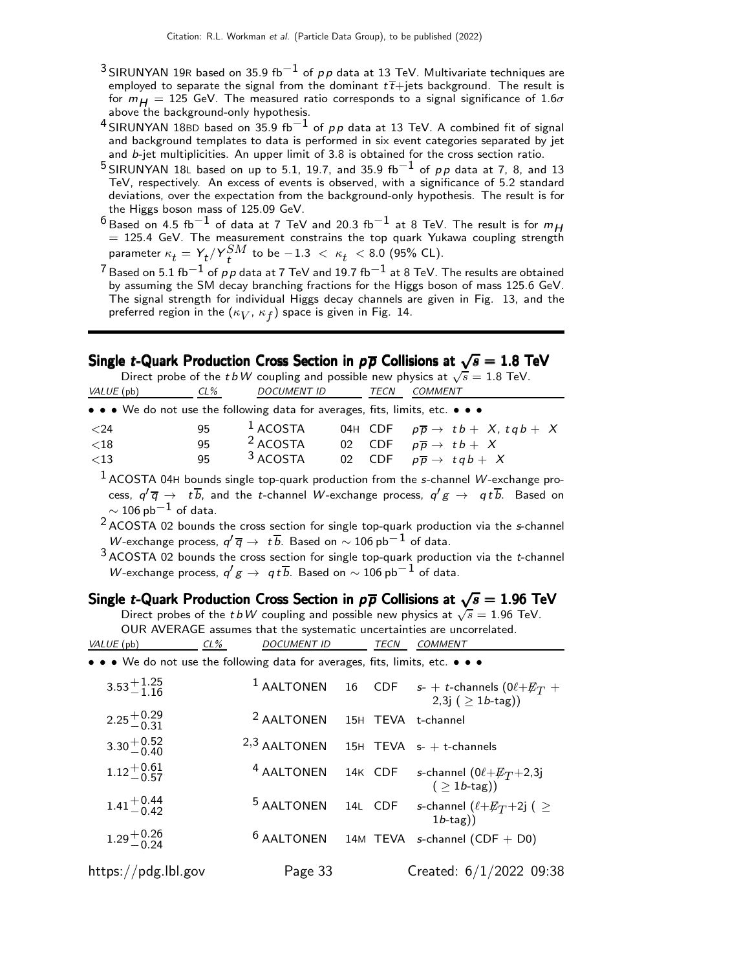- 3 SIRUNYAN 19R based on 35.9 fb<sup>-1</sup> of pp data at 13 TeV. Multivariate techniques are employed to separate the signal from the dominant  $t\bar{t}$ +jets background. The result is for  $m_H = 125$  GeV. The measured ratio corresponds to a signal significance of 1.6 $\sigma$ above the background-only hypothesis.
- <sup>4</sup> SIRUNYAN 18BD based on 35.9 fb<sup>-1</sup> of pp data at 13 TeV. A combined fit of signal and background templates to data is performed in six event categories separated by jet and b-jet multiplicities. An upper limit of 3.8 is obtained for the cross section ratio.
- <sup>5</sup> SIRUNYAN 18L based on up to 5.1, 19.7, and 35.9 fb<sup>-1</sup> of pp data at 7, 8, and 13 TeV, respectively. An excess of events is observed, with a significance of 5.2 standard deviations, over the expectation from the background-only hypothesis. The result is for the Higgs boson mass of 125.09 GeV.
- <sup>6</sup> Based on 4.5 fb $^{-1}$  of data at 7 TeV and 20.3 fb $^{-1}$  at 8 TeV. The result is for  $m_{H}$  = 125.4 GeV. The measurement constrains the top quark Yukawa coupling strength parameter  $\kappa_t = Y_t/Y_t^{SM}$  to be  $-1.3~<~\kappa_t~<8.0$  (95% CL).
- $\frac{7}{7}$  Based on 5.1 fb<sup>-1</sup> of pp data at 7 TeV and 19.7 fb<sup>-1</sup> at 8 TeV. The results are obtained by assuming the SM decay branching fractions for the Higgs boson of mass 125.6 GeV. The signal strength for individual Higgs decay channels are given in Fig. 13, and the preferred region in the  $(\kappa_V^{},\,\kappa_f^{})$  space is given in Fig. 14.

### Single *t*-Quark Production Cross Section in  $\rho \overline{\rho}$  Collisions at  $\sqrt{s}=1.8$  TeV

|                       |     |                                                                               |                     |  | Direct probe of the t bW coupling and possible new physics at $\sqrt{s} = 1.8$ TeV. |
|-----------------------|-----|-------------------------------------------------------------------------------|---------------------|--|-------------------------------------------------------------------------------------|
| VALUE (pb)            | CL% |                                                                               | DOCUMENT ID<br>TECN |  | COMMENT                                                                             |
|                       |     | • • • We do not use the following data for averages, fits, limits, etc. • • • |                     |  |                                                                                     |
| $<$ 24                | 95  | $1$ ACOSTA                                                                    |                     |  | 04H CDF $p\overline{p} \rightarrow tb+ X, tqb+ X$                                   |
| ${<}18$               | 95  | <sup>2</sup> ACOSTA                                                           |                     |  | 02 CDF $p\overline{p} \rightarrow tb + X$                                           |
| ${<}13$               | 95  | 3 ACOSTA                                                                      |                     |  | 02 CDF $p\overline{p} \rightarrow tqb + X$                                          |
| $1.000 - 0.00 - 0.00$ |     |                                                                               |                     |  |                                                                                     |

 $<sup>1</sup>$  ACOSTA 04H bounds single top-quark production from the s-channel W-exchange pro-</sup> cess,  $q' \overline{q} \rightarrow t b$ , and the t-channel W-exchange process,  $q'g \rightarrow qtb$ . Based on  $\sim$  106 pb $^{-1}$  of data.

2 ACOSTA 02 bounds the cross section for single top-quark production via the s-channel *W*-exchange process,  $q' \overline{q} \rightarrow t \overline{b}$ . Based on  $\sim 106$  pb $^{-1}$  of data.

 $3$  ACOSTA 02 bounds the cross section for single top-quark production via the *t*-channel *W*-exchange process,  $q'g \rightarrow q t \overline{b}$ . Based on  $\sim 106$  pb $^{-1}$  of data.

### Single *t*-Quark Production Cross Section in  $\rho \overline{\rho}$  Collisions at  $\sqrt{s} = 1.96$  TeV

Direct probes of the t bW coupling and possible new physics at  $\sqrt{s} = 1.96$  TeV. OUR AVERAGE assumes that the systematic uncertainties are uncorrelated. VALUE (pb) CL% DOCUMENT ID TECN COMMENT

|  |  |  |  |  |  |  |  |  |  | • • • We do not use the following data for averages, fits, limits, etc. • • • |  |  |  |  |  |  |
|--|--|--|--|--|--|--|--|--|--|-------------------------------------------------------------------------------|--|--|--|--|--|--|
|--|--|--|--|--|--|--|--|--|--|-------------------------------------------------------------------------------|--|--|--|--|--|--|

| $3.53^{+1.25}_{-1.16}$ |                                          |  | <sup>1</sup> AALTONEN 16 CDF $s$ - + t-channels $(0 \ell + \not\!\!{E_T} +$<br>$2,3j (> 1b$ -tag) |
|------------------------|------------------------------------------|--|---------------------------------------------------------------------------------------------------|
| $2.25 + 0.29$<br>-0.31 | <sup>2</sup> AALTONEN 15H TEVA t-channel |  |                                                                                                   |
| $3.30 + 0.52$<br>-0.40 | $2,3$ AALTONEN 15H TEVA s- + t-channels  |  |                                                                                                   |
| $1.12^{+0.61}_{-0.57}$ |                                          |  | <sup>4</sup> AALTONEN 14K CDF s-channel $(0\ell + E_T + 2,3)$<br>$($ > 1 <i>b</i> -tag))          |
| $1.41^{+0.44}_{-0.42}$ | <sup>5</sup> AALTONEN                    |  | 14L CDF s-channel $(\ell+\cancel{E_T}+2j)$ ( $\geq$<br>$1b$ -tag))                                |
| $1.29^{+0.26}_{-0.24}$ |                                          |  | $6$ AALTONEN 14M TEVA s-channel (CDF + D0)                                                        |
| https://pdg.lbl.gov    | Page 33                                  |  | Created: $6/1/2022$ 09:38                                                                         |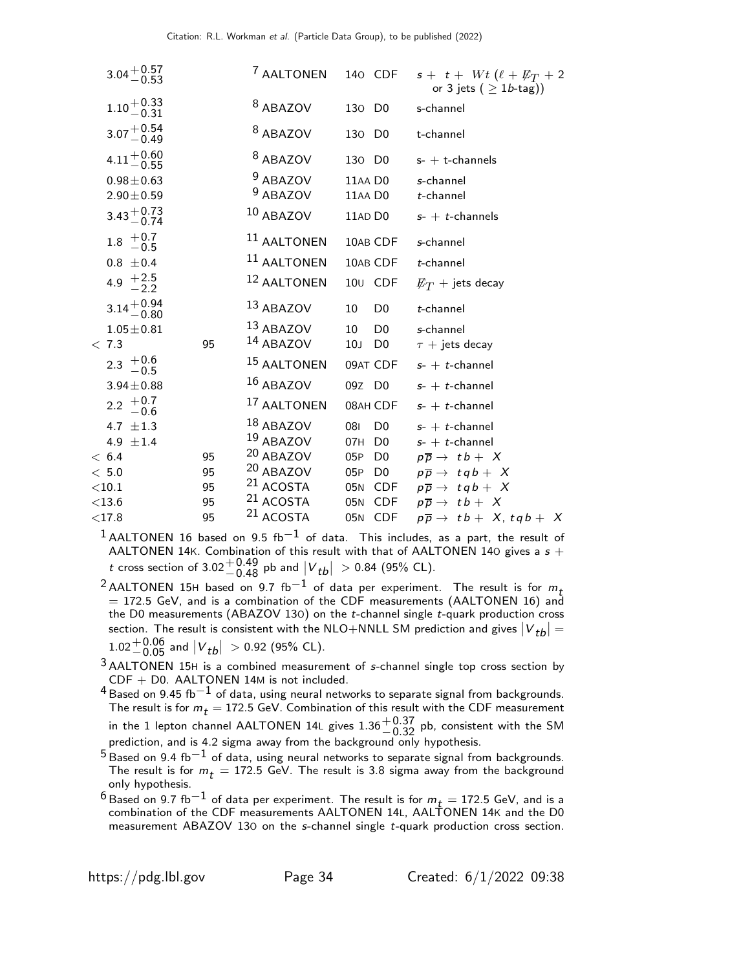| $3.04 + 0.57$                                   |    | <sup>7</sup> AALTONEN             |                    |                     | 140 CDF $s + t + Wt (\ell + \not\!\!{E_T} + 2$<br>or 3 jets ( $> 1b$ -tag)) |
|-------------------------------------------------|----|-----------------------------------|--------------------|---------------------|-----------------------------------------------------------------------------|
| $1.10 + 0.33$<br>$-0.31$                        |    | <sup>8</sup> ABAZOV               | 130 D <sub>0</sub> |                     | s-channel                                                                   |
| $3.07 + 0.54$<br>-0.49                          |    | <sup>8</sup> ABAZOV               | 130 D <sub>0</sub> |                     | t-channel                                                                   |
| $4.11 + 0.60$<br>-0.55                          |    | <sup>8</sup> ABAZOV               | 130 D <sub>0</sub> |                     | $s$ - $+$ t-channels                                                        |
| $0.98 \pm 0.63$<br>$2.90 \pm 0.59$              |    | <sup>9</sup> ABAZOV<br>$9$ ABAZOV | 11AA DO<br>11AA DO |                     | s-channel<br>$t$ -channel                                                   |
| $3.43 + 0.73$<br>-0.74                          |    | 10 ABAZOV                         | 11AD DO            |                     | $s$ - + t-channels                                                          |
| $1.8 \begin{array}{c} +0.7 \\ -0.5 \end{array}$ |    | <sup>11</sup> AALTONEN            |                    | 10AB CDF            | s-channel                                                                   |
| $0.8 \pm 0.4$                                   |    | <sup>11</sup> AALTONEN            |                    | 10AB CDF            | $t$ -channel                                                                |
| 4.9 $\frac{+2.5}{-2.2}$                         |    | 12 AALTONEN                       |                    | 10 <sub>U</sub> CDF | $\not\hspace{-1.2mm}E_{T}$ + jets decay                                     |
| $3.14 + 0.94$<br>$-0.80$                        |    | 13 ABAZOV                         | 10                 | D <sub>0</sub>      | t-channel                                                                   |
| $1.05 \pm 0.81$                                 |    | 13 ABAZOV                         | 10                 | D <sub>0</sub>      | s-channel                                                                   |
| < 7.3                                           | 95 | 14 ABAZOV                         | 10 <sub>J</sub>    | D <sub>0</sub>      | $\tau$ + jets decay                                                         |
| 2.3 $+0.6$<br>-0.5                              |    | <sup>15</sup> AALTONEN            |                    | 09AT CDF            | $s$ - $+$ t-channel                                                         |
| $3.94 \pm 0.88$                                 |    | 16 ABAZOV                         | 09Z D <sub>0</sub> |                     | $s$ - + t-channel                                                           |
| 2.2 $+0.7$<br>-0.6                              |    | 17 AALTONEN                       |                    | 08AH CDF            | $s$ - $+$ t-channel                                                         |
| 4.7 $\pm 1.3$                                   |    | 18 ABAZOV                         | 081                | D <sub>0</sub>      | $s$ - + t-channel                                                           |
| 4.9 $\pm 1.4$                                   |    | 19 ABAZOV                         | 07H                | D <sub>0</sub>      | $s$ - + t-channel                                                           |
| < 6.4                                           | 95 | <sup>20</sup> ABAZOV              | 05P                |                     | D0 $p\overline{p} \rightarrow tb+X$                                         |
| < 5.0                                           | 95 | <sup>20</sup> ABAZOV              | 05P D0             |                     | $p\overline{p} \rightarrow t q b + X$                                       |
| $<$ 10.1                                        | 95 | <sup>21</sup> ACOSTA              |                    |                     | 05N CDF $p\overline{p} \rightarrow tqb + X$                                 |
| $<$ 13.6                                        | 95 | <sup>21</sup> ACOSTA              |                    |                     | 05N CDF $p\overline{p} \rightarrow tb + X$                                  |
| ${<}17.8$                                       | 95 | <sup>21</sup> ACOSTA              |                    | 05N CDF             | $p\overline{p} \rightarrow tb+X, tqb+X$                                     |

 $^1$ AALTONEN 16 based on 9.5 fb $^{-1}$  of data. This includes, as a part, the result of AALTONEN 14K. Combination of this result with that of AALTONEN 140 gives a  ${\sf s}$  + t cross section of 3.02 $^{+0.49}_{-0.48}$  pb and  $|V_{tb}| >$  0.84 (95% CL).

<sup>2</sup> AALTONEN 15H based on 9.7 fb<sup>-1</sup> of data per experiment. The result is for  $m_t$  $=$  172.5 GeV, and is a combination of the CDF measurements (AALTONEN 16) and the D0 measurements (ABAZOV 13O) on the t-channel single t-quark production cross section. The result is consistent with the NLO+NNLL SM prediction and gives  $|V_{tb}| =$  $1.02^{+0.06}_{-0.05}$  and  $|V_{tb}| > 0.92$  (95% CL).

3 AALTONEN 15<sup>H</sup> is a combined measurement of s-channel single top cross section by CDF + D0. AALTONEN 14M is not included.

 $^4$ Based on 9.45 fb $^{-1}$  of data, using neural networks to separate signal from backgrounds. The result is for  $m_t = 172.5$  GeV. Combination of this result with the CDF measurement in the 1 lepton channel AALTONEN 14L gives  $1.36{+0.37 \atop -0.32}$  pb, consistent with the SM<br>prediction, and is 4.2 sigma away from the background only hypothesis.

 $^5$ Based on 9.4 fb $^{-1}$  of data, using neural networks to separate signal from backgrounds. The result is for  $m_t = 172.5$  GeV. The result is 3.8 sigma away from the background only hypothesis.

 $^6$ Based on 9.7 fb $^{-1}$  of data per experiment. The result is for  $m_{\it t} =$  172.5 GeV, and is a combination of the CDF measurements AALTONEN 14L, AALTONEN 14K and the D0 measurement ABAZOV 13O on the s-channel single t-quark production cross section.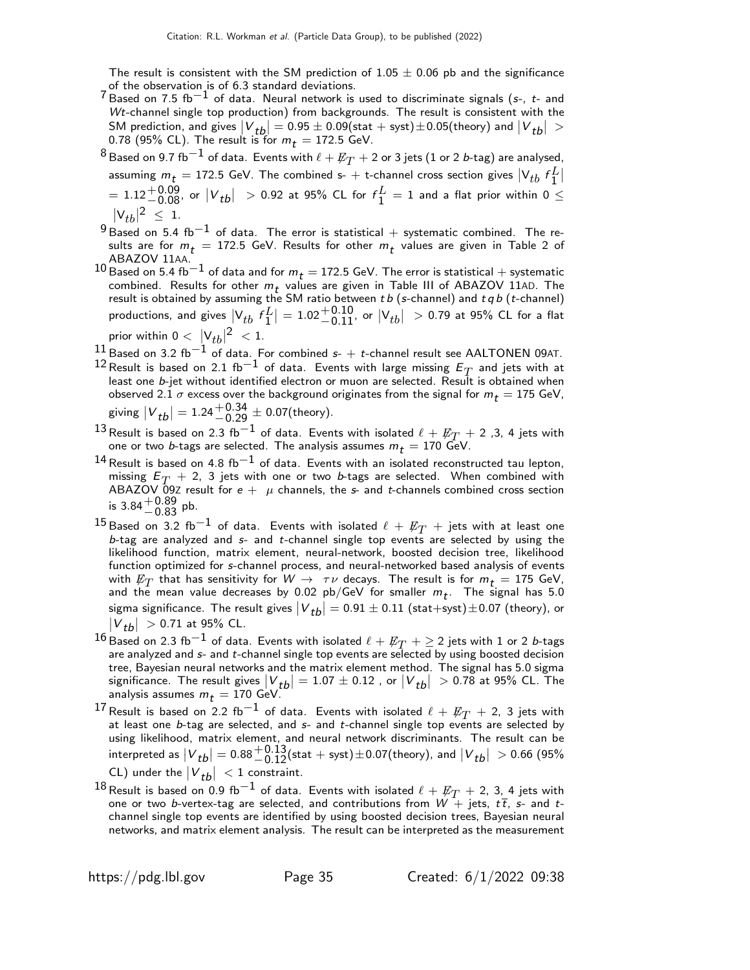The result is consistent with the SM prediction of  $1.05 \pm 0.06$  pb and the significance of the observation is of 6.3 standard deviations.

- 7 Based on 7.5 fb−1 of data. Neural network is used to discriminate signals (s-, t- and  $Wt$ -channel single top production) from backgrounds. The result is consistent with the SM prediction, and gives  $|V_{tb}| = 0.95 \pm 0.09$  (stat + syst)  $\pm 0.05$  (theory) and  $|V_{tb}| > 0.79$  (OF) (CL). The month is formed 173.5 GeV. 0.78 (95% CL). The result is for  $m_t = 172.5$  GeV.
- $^8$ Based on 9.7 fb $^{-1}$  of data. Events with  $\ell + \not\!\!{E_{T}}+$  2 or 3 jets (1 or 2 *b*-tag) are analysed, assuming  $m_t =$  172.5 GeV. The combined s-  $+$  t-channel cross section gives  $|V_{tb} f_1^L|$  $= 1.12^{+0.09}_{-0.08}$ , or  $|V_{tb}| > 0.92$  at 95% CL for  $f_1^L = 1$  and a flat prior within  $0 \leq$  $|V_{tb}|^2 \leq 1.$
- $^{9}$ Based on 5.4 fb $^{-1}$  of data. The error is statistical + systematic combined. The results are for  $m_t = 172.5$  GeV. Results for other  $m_t$  values are given in Table 2 of ABAZOV 11AA.
- 10 Based on 5.4 fb<sup>-1</sup> of data and for  $m_t = 172.5$  GeV. The error is statistical + systematic combined. Results for other  $m_t$  values are given in Table III of ABAZOV 11AD. The result is obtained by assuming the SM ratio between  $tb$  (s-channel) and  $t q b$  (t-channel) productions, and gives  $\left|V_{tb}\ f_{1}^{L}\right|=1.02^{+0.10}_{-0.11}$ , or  $\left|V_{tb}\right|\ >$  0.79 at 95% CL for a flat prior within  $0 < |\mathsf{V}_{tb}|^2 < 1$ .
- 11 Based on 3.2 fb<sup>−1</sup> of data. For combined s- + t-channel result see AALTONEN 09AT.
- $^{12}$  Result is based on 2.1 fb $^{-1}$  of data. Events with large missing  $E_T$  and jets with at least one b-jet without identified electron or muon are selected. Result is obtained when observed 2.1  $\sigma$  excess over the background originates from the signal for  $m_t = 175$  GeV, giving  $|V_{tb}| = 1.24^{+0.34}_{-0.29} \pm 0.07$ (theory).
- <sup>13</sup> Result is based on 2.3 fb $^{-1}$  of data. Events with isolated  $\ell + \cancel{E_T} + 2$  ,3, 4 jets with one or two *b*-tags are selected. The analysis assumes  $m_t = 170$  GeV.
- $^{14}\!$ Result is based on 4.8 fb $^{-1}$  of data. Events with an isolated reconstructed tau lepton, missing  $E_T$  + 2, 3 jets with one or two *b*-tags are selected. When combined with ABAZOV 09Z result for  $e + \mu$  channels, the s- and t-channels combined cross section is  $3.84 + 0.89$  pb.
- $^{15}$ Based on 3.2 fb $^{-1}$  of data. Events with isolated  $\ell$  +  $\not\!\!E_{T}$  + jets with at least one b-tag are analyzed and  $s$ - and t-channel single top events are selected by using the likelihood function, matrix element, neural-network, boosted decision tree, likelihood function optimized for s-channel process, and neural-networked based analysis of events with  $\not\!\!E_T$  that has sensitivity for  $W \to \tau \nu$  decays. The result is for  $m_t = 175$  GeV, and the mean value decreases by 0.02  $pb/GeV$  for smaller  $m_t$ . The signal has 5.0 sigma significance. The result gives  $|V_{tb}| = 0.91 \pm 0.11 \text{ (stat+syst)} \pm 0.07 \text{ (theory)}$ , or  $|V_{tb}| > 0.71$  at 95% CL.
- $^{16}$ Based on 2.3 fb $^{-1}$  of data. Events with isolated  $\ell + \not\!\!{E_{T}}$   $+ \geq$  2 jets with 1 or 2 *b*-tags are analyzed and  $s$ - and  $t$ -channel single top events are selected by using boosted decision tree, Bayesian neural networks and the matrix element method. The signal has 5.0 sigma significance. The result gives  $|V_{tb}| = 1.07 \pm 0.12$  , or  $|V_{tb}| > 0.78$  at 95% CL. The analysis assumes  $m_{\boldsymbol{\mathit{t}}} = 170$  GeV.
- $^{17}$  Result is based on 2.2 fb $^{-1}$  of data. Events with isolated  $\ell$  +  $\not\!\!E_{T}$  + 2, 3 jets with at least one b-tag are selected, and s- and t-channel single top events are selected by using likelihood, matrix element, and neural network discriminants. The result can be interpreted as  $|V_{tb}| = 0.88 \frac{+0.13}{-0.12} \text{(stat + syst)} \pm 0.07 \text{(theory)}$ , and  $|V_{tb}| > 0.66$  (95%) CL) under the  $|V_{tb}| < 1$  constraint.
- $^{18}$  Result is based on 0.9 fb $^{-1}$  of data. Events with isolated  $\ell + \not \!\! E_{T} +$  2, 3, 4 jets with one or two b-vertex-tag are selected, and contributions from  $W +$  jets,  $t\bar{t}$ , s- and tchannel single top events are identified by using boosted decision trees, Bayesian neural networks, and matrix element analysis. The result can be interpreted as the measurement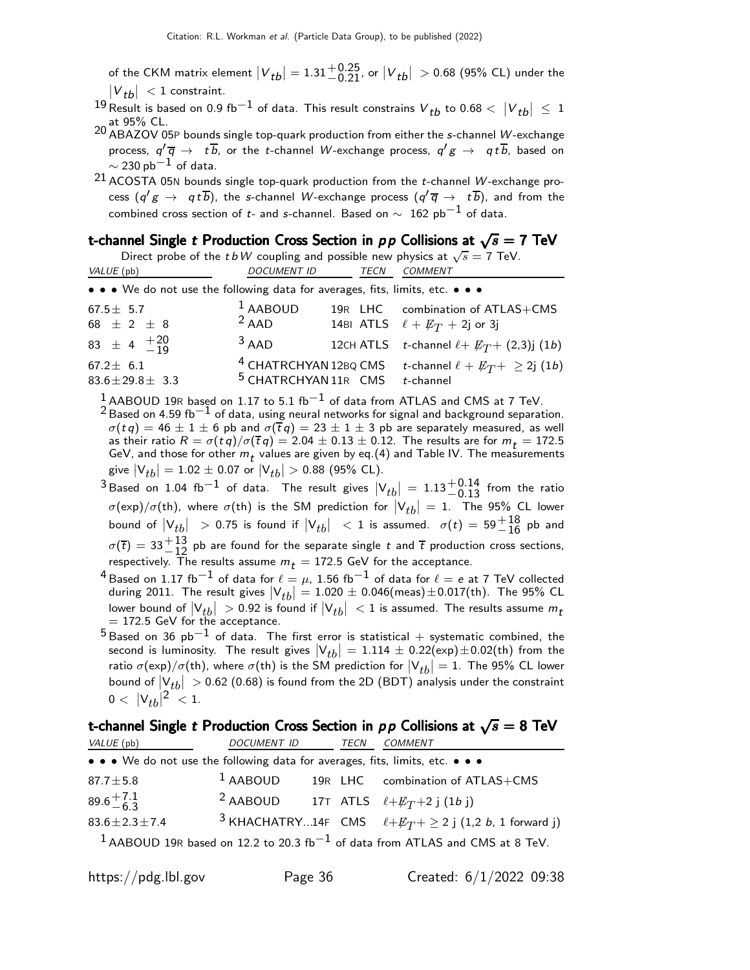of the CKM matrix element  $\left|V_{tb}\right|=1.31{+0.25\atop-0.21}$ , or  $\left|V_{tb}\right|$   $>$  0.68 (95% CL) under the  $|V_{tb}| < 1$  constraint.

<sup>19</sup> Result is based on 0.9 fb $^{-1}$  of data. This result constrains  $V_{tb}$  to 0.68  $<|V_{tb}| \leq 1$ at 95% CL.<br><sup>20</sup> ABAZOV 05P bounds single top-quark production from either the *s*-channel *W-*exchange

- process,  $q'(\overline{q}) \rightarrow t b$ , or the t-channel W-exchange process,  $q'g \rightarrow qtb$ , based on  $\sim$  230 pb $^{-1}$  of data.
- 21 ACOSTA 05N bounds single top-quark production from the *t*-channel  $\mu$ -exchange process  $(q'g\,\rightarrow\,\,q\,t\,b),$  the s-channel W-exchange process  $(q'\,\overline{q}\,\rightarrow\,{}~t\,b),$  and from the combined cross section of t- and s-channel. Based on  $\sim 162$  pb<sup>-1</sup> of data.

### t-channel Single t Production Cross Section in  $p \, p$  Collisions at  $\sqrt{s} = 7$  TeV

Direct probe of the t bW coupling and possible new physics at  $\sqrt{s} = 7$  TeV.

| VALUE (pb)                                                                    | DOCUMENT ID                                                         | TECN | <b>COMMENT</b>                                                                      |
|-------------------------------------------------------------------------------|---------------------------------------------------------------------|------|-------------------------------------------------------------------------------------|
| • • • We do not use the following data for averages, fits, limits, etc. • • • |                                                                     |      |                                                                                     |
| $67.5 \pm 5.7$<br>68 $\pm$ 2 $\pm$ 8                                          | $1$ AABOUD<br>$2$ AAD                                               |      | 19R LHC combination of ATLAS+CMS<br>14BI ATLS $\ell + \not\!\!{E_T} + 2j$ or 3j     |
| 83 $\pm$ 4 $^{+20}_{-19}$                                                     | $3$ AAD                                                             |      | 12CH ATLS <i>t</i> -channel $\ell$ + $\not\!\! E_T$ + (2,3)j (1 <i>b</i> )          |
| $67.2 \pm 6.1$<br>$83.6 \pm 29.8 \pm 3.3$                                     | <sup>4</sup> CHATRCHYAN 12BQ CMS<br><sup>5</sup> CHATRCHYAN 11R CMS |      | <i>t</i> -channel $\ell + \cancel{E_T}$ $+$ $\geq$ 2j (1 <i>b</i> )<br>$t$ -channel |

 $1$  AABOUD 19R based on 1.17 to 5.1 fb<sup>-1</sup> of data from ATLAS and CMS at 7 TeV. 2 Based on 4.59 fb<sup>−1</sup> of data, using neural networks for signal and background separation.  $\sigma(t q) = 46 \pm 1 \pm 6$  pb and  $\sigma(\bar{t} q) = 23 \pm 1 \pm 3$  pb are separately measured, as well as their ratio  $R = \sigma(tq)/\sigma(\overline{t}q) = 2.04 \pm 0.13 \pm 0.12$ . The results are for  $m_t = 172.5$ GeV, and those for other  $m_t$  values are given by eq.(4) and Table IV. The measurements give  $\left| {{\rm{V}}_{tb}} \right| = 1.02 \pm 0.07$  or  $\left| {{\rm{V}}_{tb}} \right| > 0.88$  (95% CL).

<sup>3</sup> Based on 1.04 fb<sup>-1</sup> of data. The result gives  $|V_{tb}| = 1.13^{+0.14}_{-0.13}$  from the ratio  $\sigma(\exp)/\sigma(\th)$ , where  $\sigma(\th)$  is the SM prediction for  $|V_{tb}| = 1$ . The 95% CL lower bound of  $\left|V_{tb}\right|$   $\;\;>$  0.75 is found if  $\left|V_{tb}\right|$   $\;<$  1 is assumed.  $\;\sigma(t) = 59 {+ 18 \atop - 16}$  pb and  $\sigma(\overline{t}) = 33_{-12}^{+13}$  pb are found for the separate single t and  $\overline{t}$  production cross sections, respectively. The results assume  $m_t = 172.5$  GeV for the acceptance.

- <sup>4</sup> Based on 1.17 fb $^{-1}$  of data for  $\ell = \mu$ , 1.56 fb $^{-1}$  of data for  $\ell = e$  at 7 TeV collected during 2011. The result gives  $|V_{tb}| = 1.020 \pm 0.046$ (meas) $\pm 0.017$ (th). The 95% CL lower bound of  $|{\sf V}_{tb}|~>$  0.92 is found if  $|{\sf V}_{tb}|~<$  1 is assumed. The results assume  $m_t$   $=$  172.5 GeV for the acceptance.
- $5$  Based on 36 pb<sup>-1</sup> of data. The first error is statistical + systematic combined, the second is luminosity. The result gives  $|V_{tb}| = 1.114 \pm 0.22$  (exp)  $\pm 0.02$  (th) from the ratio  $\sigma(\exp)/\sigma(\th)$ , where  $\sigma(\th)$  is the SM prediction for  $|V_{tb}| = 1$ . The 95% CL lower bound of  $|V_{tb}| > 0.62$  (0.68) is found from the 2D (BDT) analysis under the constraint  $0 < |V_{tb}|^2 < 1.$

### t-channel Single  $t$  Production Cross Section in  $\rho\, \rho$  Collisions at  $\sqrt{s}=8$  TeV

| VALUE (pb)                                                                    | DOCUMENT ID | TECN | COMMENT                                                                                    |
|-------------------------------------------------------------------------------|-------------|------|--------------------------------------------------------------------------------------------|
| • • • We do not use the following data for averages, fits, limits, etc. • • • |             |      |                                                                                            |
| $87.7 \pm 5.8$                                                                | $1$ AABOUD  |      | 19R LHC combination of ATLAS+CMS                                                           |
| $89.6^{+7.1}_{-6.3}$                                                          |             |      | <sup>2</sup> AABOUD 17T ATLS $\ell + E_T + 2j$ (1b j)                                      |
| $83.6 \pm 2.3 \pm 7.4$                                                        |             |      | <sup>3</sup> KHACHATRY14F CMS $\ell + E_T + \geq 2$ j (1,2 <i>b</i> , 1 forward j)         |
|                                                                               |             |      | $1$ AABOUD 19R based on 12.2 to 20.3 fb <sup>-1</sup> of data from ATLAS and CMS at 8 TeV. |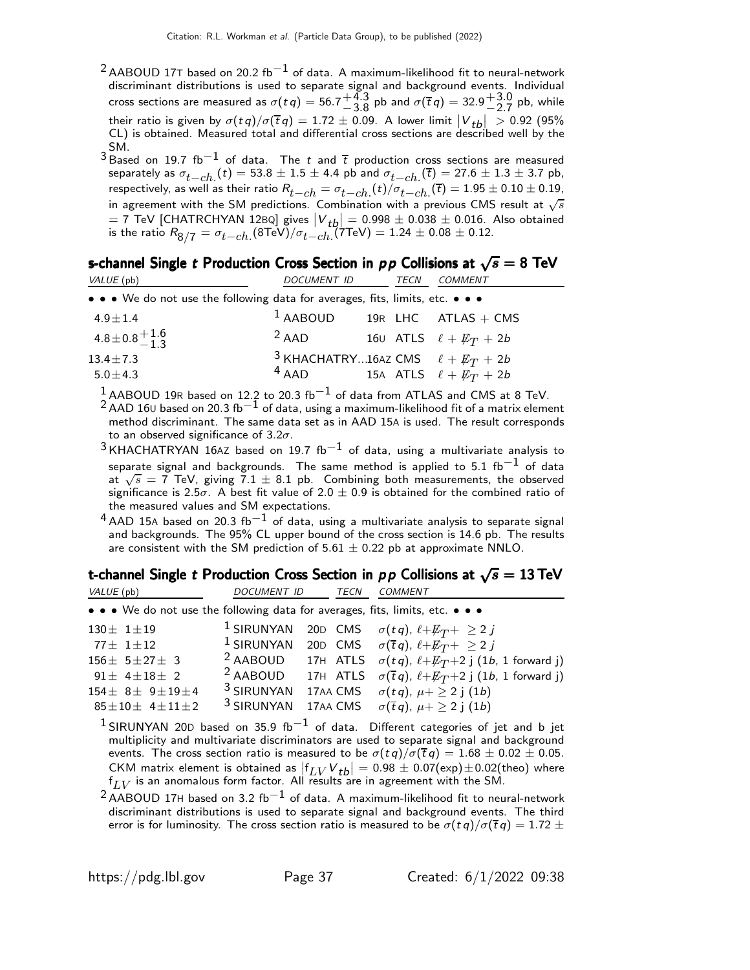- $^{2}$ AABOUD 17T based on 20.2 fb $^{-1}$  of data. A maximum-likelihood fit to neural-network discriminant distributions is used to separate signal and background events. Individual cross sections are measured as  $\sigma(tq) = 56.7 \frac{+4.3}{-3.8}$  $^{+4.3}_{-3.8}$  pb and  $\sigma(\overline{t}q) = 32.9^{+3.0}_{-2.7}$  $^{+3.0}_{-2.7}$  pb, while their ratio is given by  $\sigma(tq)/\sigma(\overline{t}q) = 1.72 \pm 0.09$ . A lower limit  $|V_{tb}| > 0.92$  (95%) CL) is obtained. Measured total and differential cross sections are described well by the SM.
- $3$  Based on 19.7 fb<sup>-1</sup> of data. The t and  $\overline{t}$  production cross sections are measured separately as  $\sigma_{t-ch.}(t) = 53.8 \pm 1.5 \pm 4.4$  pb and  $\sigma_{t-ch.}(\overline{t}) = 27.6 \pm 1.3 \pm 3.7$  pb, respectively, as well as their ratio  $R_{t-ch} = \sigma_{t-ch.}(t)/\sigma_{t-ch.}(\bar{t}) = 1.95 \pm 0.10 \pm 0.19$ , in agreement with the SM predictions. Combination with a previous CMS result at  $\sqrt{s}$  $= 7$  TeV [CHATRCHYAN 12BQ] gives  $|V_{th}| = 0.998 \pm 0.038 \pm 0.016$ . Also obtained is the ratio  $R_{\rm 8/7} = \sigma_{t-ch.}$ (8TeV) $/ \sigma_{t-ch.}$ (7TeV)  $= 1.24 \pm 0.08 \pm 0.12.$

### s-channel Single  $t$  Production Cross Section in  $p\,p$  Collisions at  $\sqrt{s} = 8$  TeV

| VALUE (pb)                                                                    | <b>DOCUMENT ID</b>                                          | TECN | <b>COMMENT</b>                       |
|-------------------------------------------------------------------------------|-------------------------------------------------------------|------|--------------------------------------|
| • • • We do not use the following data for averages, fits, limits, etc. • • • |                                                             |      |                                      |
| $4.9 \pm 1.4$                                                                 | $1$ AABOUD                                                  |      | 19R LHC $ATLAS + CMS$                |
| $4.8 \pm 0.8 + 1.6$                                                           | $2$ AAD                                                     |      | 160 ATLS $\ell + \not\!\!{E_T} + 2b$ |
| $13.4 \pm 7.3$<br>$5.0 \pm 4.3$                                               | <sup>3</sup> KHACHATRY16AZ CMS $\ell + E_T + 2b$<br>$4$ AAD |      | 15A ATLS $\ell + \not\!\!{E_T} + 2b$ |

 $\frac{1}{6}$ AABOUD 19R based on 12.2 to 20.3 fb $^{-1}$  of data from ATLAS and CMS at 8 TeV.

 $^2$  AAD 16∪ based on 20.3 fb $^{-1}$  of data, using a maximum-likelihood fit of a matrix element method discriminant. The same data set as in AAD 15A is used. The result corresponds to an observed significance of  $3.2\sigma$ .

- $3$  KHACHATRYAN 16AZ based on 19.7 fb<sup>-1</sup> of data, using a multivariate analysis to separate signal and backgrounds. The same method is applied to 5.1 fb $^{\rm -1}$  of data at  $\sqrt{s}$  = 7 TeV, giving 7.1  $\pm$  8.1 pb. Combining both measurements, the observed significance is 2.5 $\sigma$ . A best fit value of 2.0  $\pm$  0.9 is obtained for the combined ratio of the measured values and SM expectations.
- $4$ AAD 15A based on 20.3 fb $^{-1}$  of data, using a multivariate analysis to separate signal and backgrounds. The 95% CL upper bound of the cross section is 14.6 pb. The results are consistent with the SM prediction of  $5.61 \pm 0.22$  pb at approximate NNLO.

### t-channel Single t Production Cross Section in  $\rho \rho$  Collisions at  $\sqrt{s} = 13 \text{ TeV}$

| VALUE (pb)                                                                    | DOCUMENT ID           | TECN | <b>COMMENT</b>                                                      |                                                                                    |
|-------------------------------------------------------------------------------|-----------------------|------|---------------------------------------------------------------------|------------------------------------------------------------------------------------|
| • • • We do not use the following data for averages, fits, limits, etc. • • • |                       |      |                                                                     |                                                                                    |
| $130 \pm 1 \pm 19$                                                            |                       |      | <sup>1</sup> SIRUNYAN 20D CMS $\sigma(tq)$ , $\ell + E_T + \geq 2j$ |                                                                                    |
| $77\pm$ 1 $\pm$ 12                                                            | $1$ SIRUNYAN          |      | 20D CMS $\sigma(\bar{t}q)$ , $\ell + E_T + \geq 2j$                 |                                                                                    |
| $156 \pm 5 \pm 27 \pm 3$                                                      | $2$ AABOUD            |      |                                                                     | 17H ATLS $\sigma(tq)$ , $\ell + \not\!\!E_T$ +2 j (1b, 1 forward j)                |
| $91 \pm 4 \pm 18 \pm 2$                                                       | <sup>2</sup> AABOUD   |      |                                                                     | 17H ATLS $\sigma(\bar{t}q)$ , $\ell + \not\!\!E_T$ +2 j (1 <i>b</i> , 1 forward j) |
| $154 \pm 8 \pm 9 \pm 19 \pm 4$                                                | <sup>3</sup> SIRUNYAN |      | 17AA CMS $\sigma(tq)$ , $\mu + \geq 2$ j (1b)                       |                                                                                    |
| $85 \pm 10 \pm 4 \pm 11 \pm 2$                                                | <sup>3</sup> SIRUNYAN |      | 17AA CMS $\sigma(\overline{t}q)$ , $\mu + \geq 2$ j (1b)            |                                                                                    |

<sup>1</sup> SIRUNYAN 20D based on 35.9 fb<sup>-1</sup> of data. Different categories of jet and b jet multiplicity and multivariate discriminators are used to separate signal and background events. The cross section ratio is measured to be  $\sigma(tq)/\sigma(\overline{t}q) = 1.68 \pm 0.02 \pm 0.05$ . CKM matrix element is obtained as  $|f_{LV}V_{tb}| = 0.98 \pm 0.07$  (exp)  $\pm 0.02$  (theo) where  $\mathsf{f}_{LV}$  is an anomalous form factor. All results are in agreement with the SM.

 $2$ AABOUD 17H based on 3.2 fb $^{-1}$  of data. A maximum-likelihood fit to neural-network discriminant distributions is used to separate signal and background events. The third error is for luminosity. The cross section ratio is measured to be  $\sigma(tq)/\sigma(\overline{t}q) = 1.72 \pm 1.0$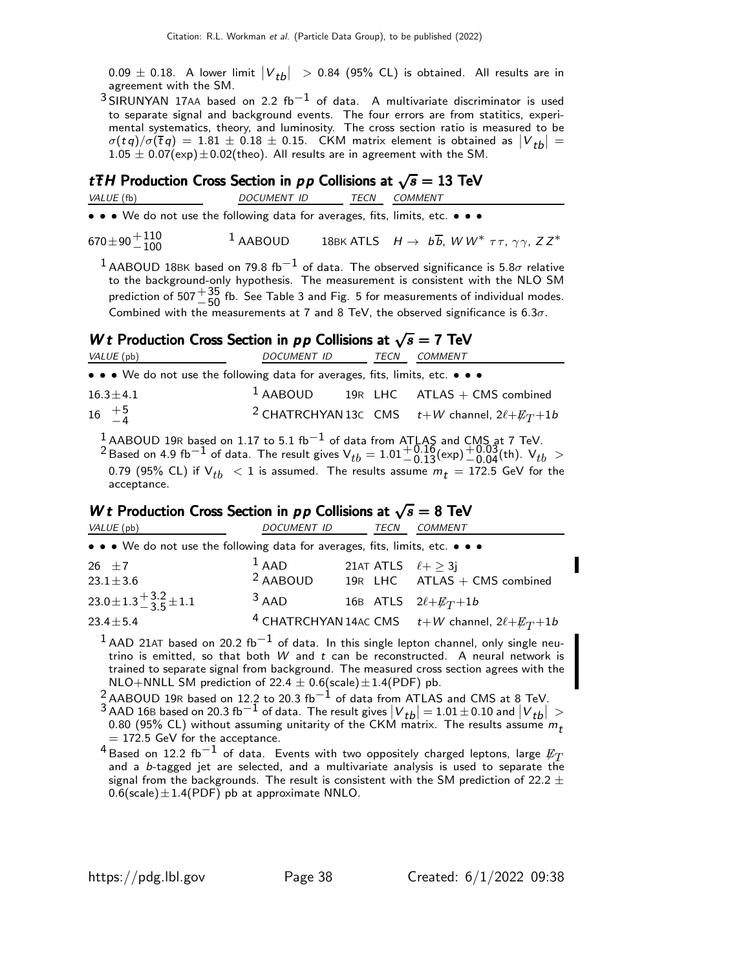$0.09 \pm 0.18$ . A lower limit  $|V_{tb}| > 0.84$  (95% CL) is obtained. All results are in agreement with the SM.

 $3$  SIRUNYAN 17AA based on 2.2 fb<sup>-1</sup> of data. A multivariate discriminator is used to separate signal and background events. The four errors are from statitics, experimental systematics, theory, and luminosity. The cross section ratio is measured to be  $\sigma(tq)/\sigma(\bar{t}q) = 1.81 \pm 0.18 \pm 0.15$ . CKM matrix element is obtained as  $|V_{tb}| =$ <br>1.05 + 0.07(xm) +0.02(that). All works are in a wave protected that a SM  $1.05 \pm 0.07$ (exp) $\pm 0.02$ (theo). All results are in agreement with the SM.

### t  $\overline{t}H$  Production Cross Section in  $pp$  Collisions at  $\sqrt{s} = 13$  TeV

VALUE (fb) DOCUMENT ID TECN COMMENT

• • • We do not use the following data for averages, fits, limits, etc. • • •

 $670\pm90\frac{+110}{-100}$ 1 AABOUD 18BK ATLS  $H \rightarrow b\overline{b}$ , W W<sup>\*</sup>  $\tau \tau$ ,  $\gamma \gamma$ , Z Z<sup>\*</sup>

 $1$ AABOUD 18BK based on 79.8 fb $^{-1}$  of data. The observed significance is 5.8 $\sigma$  relative to the background-only hypothesis. The measurement is consistent with the NLO SM prediction of 507 $^{+35}_{-50}$  fb. See Table 3 and Fig. 5 for measurements of individual modes.<br>Combined with the measurements at 7 and 8 TeV, the ebsenced significance is 6.3 Combined with the measurements at 7 and 8 TeV, the observed significance is  $6.3\sigma$ .

### W t Production Cross Section in p p Collisions at  $\sqrt{s} = 7$  TeV

| VALUE (pb)                                                                                         | DOCUMENT ID TECN                        | <i>COMMENT</i> |                                                                   |
|----------------------------------------------------------------------------------------------------|-----------------------------------------|----------------|-------------------------------------------------------------------|
| • • • We do not use the following data for averages, fits, limits, etc. • • •                      |                                         |                |                                                                   |
| $16.3 \pm 4.1$                                                                                     | $1$ AABOUD 19R LHC ATLAS + CMS combined |                |                                                                   |
| $16 \tfrac{+5}{-4}$                                                                                |                                         |                | <sup>2</sup> CHATRCHYAN 13c CMS $t+W$ channel, $2\ell + E_T + 1b$ |
| <sup>1</sup> AABOUD 19R based on 1.17 to 5.1 fb <sup>-1</sup> of data from ATLAS and CMS at 7 TeV. |                                         |                |                                                                   |

 $2^{\circ}$  Based on 4.9 fb<sup>-1</sup> of data. The result gives V<sub>tb</sub> = 1.01 -0.13(exp) -0.04(th). V<sub>tb</sub> ><br>
−0.20 (0.04 (t) if V<sub>tb</sub> < 1 is assumed. The works assumed. 1.325 CeV factor 0.79 (95% CL) if  $V_{th}$  < 1 is assumed. The results assume  $m_t = 172.5$  GeV for the acceptance.

### W t Production Cross Section in pp Collisions at  $\sqrt{s} = 8$  TeV

| VALUE (pb)                                                                    | DOCUMENT ID | TECN                        | COMMENT                                                            |
|-------------------------------------------------------------------------------|-------------|-----------------------------|--------------------------------------------------------------------|
| • • • We do not use the following data for averages, fits, limits, etc. • • • |             |                             |                                                                    |
| 26 $\pm 7$                                                                    | $1$ AAD     | 21AT ATLS $\ell + > 3i$     |                                                                    |
| $23.1 \pm 3.6$                                                                | $2$ AABOUD  |                             | 19R $LHC$ ATLAS + CMS combined                                     |
| $23.0 \pm 1.3 \pm \frac{3.2}{3.5} \pm 1.1$                                    | $3$ AAD     | 16B ATLS $2\ell + E_T + 1b$ |                                                                    |
| $23.4 \pm 5.4$                                                                |             |                             | <sup>4</sup> CHATRCHYAN 14AC CMS $t+W$ channel, $2\ell + E_T + 1b$ |

 $1$ AAD 21AT based on 20.2 fb<sup>-1</sup> of data. In this single lepton channel, only single neutrino is emitted, so that both  $W$  and  $t$  can be reconstructed. A neural network is trained to separate signal from background. The measured cross section agrees with the NLO+NNLL SM prediction of 22.4  $\pm$  0.6(scale) $\pm$ 1.4(PDF) pb.

 $^2$ AABOUD 19R based on 12.2 to 20.3 fb $^{-1}$  of data from ATLAS and CMS at 8 TeV.

 $3$  AAD 16B based on 20.3 fb<sup>-1</sup> of data. The result gives  $|V_{tb}| = 1.01 \pm 0.10$  and  $|V_{tb}| > 0.20$  (CF)<sup>(</sup> CL) with at a small point with of the CKM of The position is 0.80 (95% CL) without assuming unitarity of the CKM matrix. The results assume  $m_t$  $= 172.5$  GeV for the acceptance.

 $^4$ Based on 12.2 fb $^{-1}$  of data. Events with two oppositely charged leptons, large  $\not{\!\! E}_T$ and a b-tagged jet are selected, and a multivariate analysis is used to separate the signal from the backgrounds. The result is consistent with the SM prediction of 22.2  $\pm$  $0.6$ (scale) $\pm 1.4$ (PDF) pb at approximate NNLO.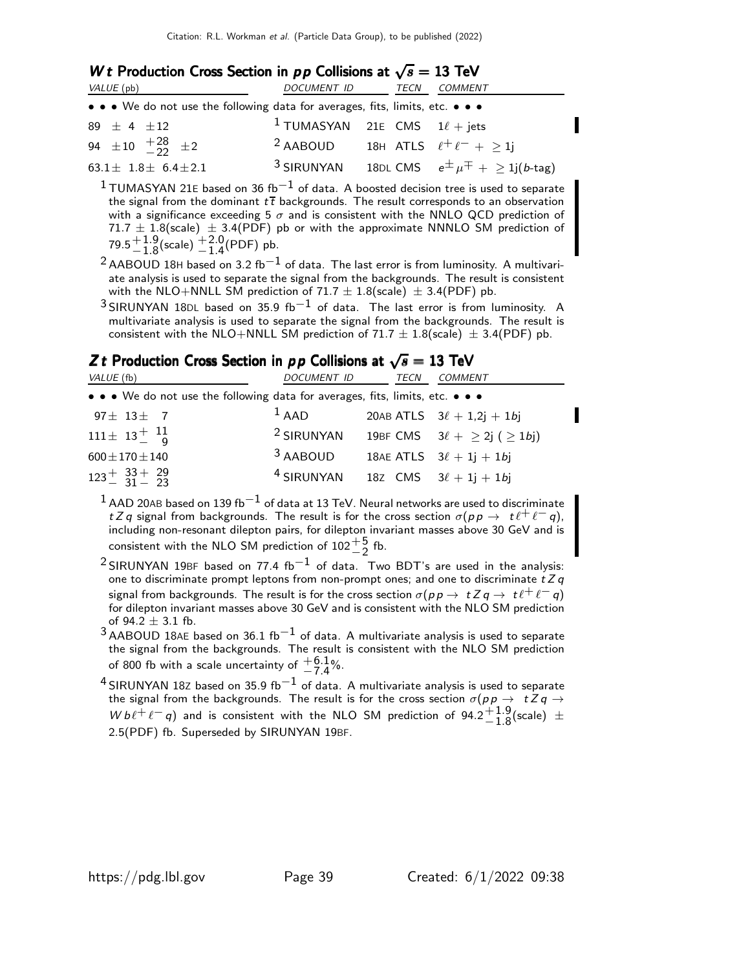### W t Production Cross Section in  $pp$  Collisions at  $\sqrt{s} = 13$  TeV

| VALUE (pb)                                                                    | DOCUMENT ID                                         | TECN | <i>COMMENT</i>                                     |
|-------------------------------------------------------------------------------|-----------------------------------------------------|------|----------------------------------------------------|
| • • • We do not use the following data for averages, fits, limits, etc. • • • |                                                     |      |                                                    |
| 89 $\pm$ 4 $\pm$ 12                                                           | <sup>1</sup> TUMASYAN 21E CMS $1\ell +$ jets        |      |                                                    |
| 94 $\pm 10$ $^{+28}_{-22}$ $\pm 2$                                            | <sup>2</sup> AABOUD 18H ATLS $\ell^+ \ell^-$ + > 1j |      |                                                    |
| $63.1 \pm 1.8 \pm 6.4 \pm 2.1$                                                | $3$ SIRUNYAN                                        |      | 18DL CMS $e^{\pm} \mu^{\mp} + \geq 1$ j $(b$ -tag) |

 $1$ TUMASYAN 21E based on 36 fb $-1$  of data. A boosted decision tree is used to separate the signal from the dominant  $t\bar{t}$  backgrounds. The result corresponds to an observation with a significance exceeding 5  $\sigma$  and is consistent with the NNLO QCD prediction of  $71.7 \pm 1.8$ (scale)  $\pm 3.4$ (PDF) pb or with the approximate NNNLO SM prediction of  $79.5 \begin{array}{c} +1.9 \\ -1.8 \end{array}$  $\,^{+1.9}_{-1.8}$ (scale)  $^{+2.0}_{-1.4}$ (PDF) pb.

- $^{2}$ AABOUD 18H based on 3.2 fb $^{-1}$  of data. The last error is from luminosity. A multivariate analysis is used to separate the signal from the backgrounds. The result is consistent with the NLO+NNLL SM prediction of 71.7  $\pm$  1.8(scale)  $\pm$  3.4(PDF) pb.
- $3$  SIRUNYAN 18DL based on 35.9 fb<sup>-1</sup> of data. The last error is from luminosity. A multivariate analysis is used to separate the signal from the backgrounds. The result is consistent with the NLO+NNLL SM prediction of 71.7  $\pm$  1.8(scale)  $\pm$  3.4(PDF) pb.

### Z t Production Cross Section in  $pp$  Collisions at  $\sqrt{s} = 13$  TeV

| VALUE (fb)                                                                    | DOCUMENT ID           | TECN | <b>COMMENT</b>                            |
|-------------------------------------------------------------------------------|-----------------------|------|-------------------------------------------|
| • • • We do not use the following data for averages, fits, limits, etc. • • • |                       |      |                                           |
| $97 \pm 13 \pm 7$                                                             | $1$ AAD               |      | 20AB ATLS $3\ell + 1,2j + 1bj$            |
| $111 \pm 13 \frac{+}{9}$ $11$                                                 | <sup>2</sup> SIRUNYAN |      | 19BF CMS $3\ell + \geq 2j$ ( $\geq 1bj$ ) |
| $600 \pm 170 \pm 140$                                                         | 3 AABOUD              |      | 18AE ATLS $3\ell + 1j + 1bj$              |
| $123 + \frac{33 + 29}{31 - 23}$                                               | <sup>4</sup> SIRUNYAN |      | 18Z CMS $3\ell + 1j + 1bj$                |

 $1$  AAD 20AB based on 139 fb $^{-1}$  of data at 13 TeV. Neural networks are used to discriminate t Z q signal from backgrounds. The result is for the cross section  $\sigma(p \, p \to t \, \ell^+ \, \ell^- \, q)$ , including non-resonant dilepton pairs, for dilepton invariant masses above 30 GeV and is consistent with the NLO SM prediction of  $102^{+5}_{-2}$  fb. −2

- $^2$ SIRUNYAN 19BF based on 77.4 fb $^{-1}$  of data. Two BDT's are used in the analysis: one to discriminate prompt leptons from non-prompt ones; and one to discriminate  $t Z q$ signal from backgrounds. The result is for the cross section  $\sigma(p \, p \to t Z \, q \to t \ell^+ \ell^- q)$ for dilepton invariant masses above 30 GeV and is consistent with the NLO SM prediction of  $94.2 \pm 3.1$  fb.
- $3$  AABOUD 18AE based on 36.1 fb $^{-1}$  of data. A multivariate analysis is used to separate the signal from the backgrounds. The result is consistent with the NLO SM prediction of 800 fb with a scale uncertainty of  $\frac{+6.1}{7}$ %.  $-7.4$
- $^4$ SIRUNYAN 18Z based on 35.9 fb $^{-1}$  of data. A multivariate analysis is used to separate the signal from the backgrounds. The result is for the cross section  $\sigma(p \, p \to \, t \, Z \, q \to \, \bar{z} \, q)$  $W b \ell^+ \ell^- q$ ) and is consistent with the NLO SM prediction of 94.2<sup>+1.9</sup>  $+1.9$ (scale)  $\pm$ 2.5(PDF) fb. Superseded by SIRUNYAN 19BF.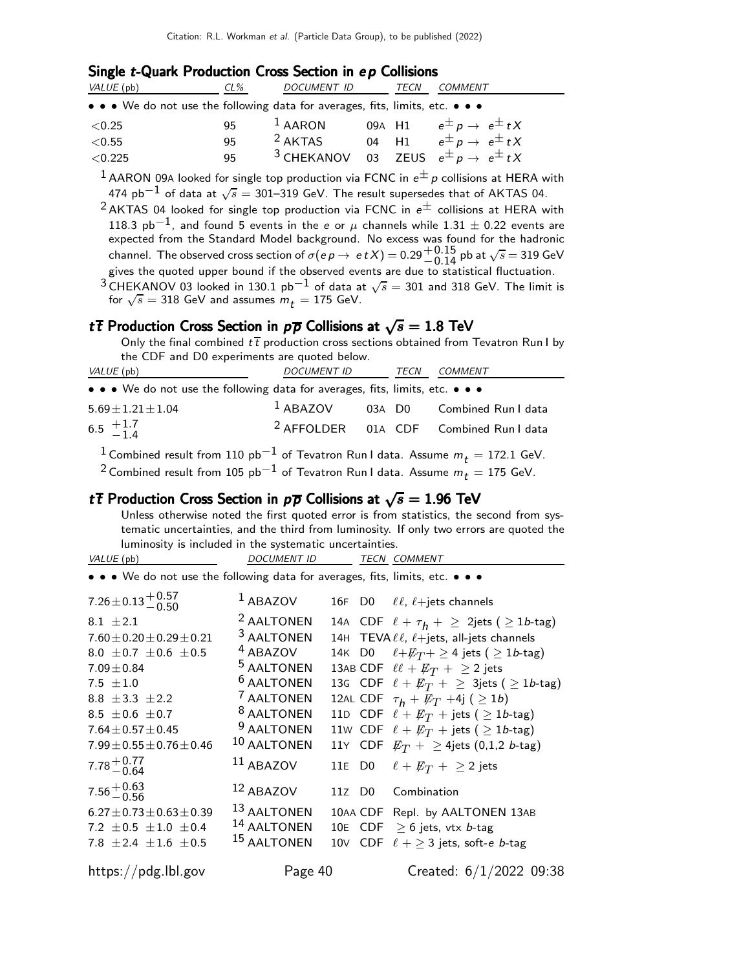#### Single t-Quark Production Cross Section in ep Collisions

| VALUE (pb)                                                                                                            | $CL\%$ | <b>DOCUMENT ID</b> | TECN | COMMENT                                                          |
|-----------------------------------------------------------------------------------------------------------------------|--------|--------------------|------|------------------------------------------------------------------|
| $\bullet \bullet \bullet$ We do not use the following data for averages, fits, limits, etc. $\bullet \bullet \bullet$ |        |                    |      |                                                                  |
| ${<}0.25$                                                                                                             | 95     | $1$ AARON          |      | 09A H1 $e^{\pm} p \rightarrow e^{\pm} tX$                        |
| ${<}0.55$                                                                                                             | 95     | $2$ AKTAS          |      | 04 H1 $e^{\pm} p \rightarrow e^{\pm} t X$                        |
| < 0.225                                                                                                               | 95     |                    |      | <sup>3</sup> CHEKANOV 03 ZEUS $e^{\pm} p \rightarrow e^{\pm} tX$ |

 $^1$  AARON 09A looked for single top production via FCNC in  $e^{\pm}$  p collisions at HERA with 474 pb $^{-1}$  of data at  $\sqrt{s}=$  301–319 GeV. The result supersedes that of AKTAS 04.

<sup>2</sup> AKTAS 04 looked for single top production via FCNC in  $e^{\pm}$  collisions at HERA with 118.3 pb<sup>-1</sup>, and found 5 events in the e or  $\mu$  channels while 1.31  $\pm$  0.22 events are expected from the Standard Model background. No excess was found for the hadronic channel. The observed cross section of  $\sigma(ep \to et X) = 0.29^{+0.15}_{-0.14}$  pb at  $\sqrt{s} = 319$  GeV gives the quoted upper bound if the observed events are due to statistical fluctuation.

 $^3$  CHEKANOV 03 looked in 130.1 pb $^{-1}$  of data at  $\sqrt{s} = 301$  and 318 GeV. The limit is for  $\sqrt{s}$  = 318 GeV and assumes  $m_t$  = 175 GeV.

### t $\overline{t}$  Production Cross Section in  $p\overline{p}$  Collisions at  $\sqrt{s} = 1.8$  TeV

Only the final combined  $t\bar{t}$  production cross sections obtained from Tevatron Run I by the CDF and D0 experiments are quoted below.

| VALUE (pb)                                                                                             | DOCUMENT ID TECN |  |  | <b>COMMENT</b>                                    |  |  |
|--------------------------------------------------------------------------------------------------------|------------------|--|--|---------------------------------------------------|--|--|
| • • • We do not use the following data for averages, fits, limits, etc. • • •                          |                  |  |  |                                                   |  |  |
| $5.69 \pm 1.21 \pm 1.04$                                                                               |                  |  |  | <sup>1</sup> ABAZOV 03A D0 Combined Run I data    |  |  |
| 6.5 $+1.7$<br>-1.4                                                                                     |                  |  |  | <sup>2</sup> AFFOLDER 01A CDF Combined Run I data |  |  |
| <sup>1</sup> Combined result from 110 $pb^{-1}$ of Tevatron Run I data. Assume $m_t = 172.1$ GeV.      |                  |  |  |                                                   |  |  |
| <sup>2</sup> Combined result from 105 pb <sup>-1</sup> of Tevatron Run I data. Assume $m_t = 175$ GeV. |                  |  |  |                                                   |  |  |

### t  $\bar{t}$  Production Cross Section in  $p\bar{p}$  Collisions at  $\sqrt{s} = 1.96$  TeV

Unless otherwise noted the first quoted error is from statistics, the second from systematic uncertainties, and the third from luminosity. If only two errors are quoted the luminosity is included in the systematic uncertainties.

```
VALUE (pb) DOCUMENT ID TECN COMMENT
• • • We do not use the following data for averages, fits, limits, etc. • • •
7.26 \pm 0.13 + 0.57 \ -0.501 ABAZOV 16F D0 \ell\ell, \ell+jets channels
8.1 \pm 2.1<br>7.60 \pm 0.20 \pm 0.29 \pm 0.21
                                                <sup>2</sup> AALTONEN 14A CDF \ell + \tau_h + \geq 2jets (\geq 1b-tag)<br><sup>3</sup> AALTONEN 14H TEVA \ell \ell, \ell +jets, all-jets channels
                                                <sup>3</sup> AALTONEN 14H TEVA \ell \ell, \ell + \text{jets}, all-jets channels 4<br>
4 ABAZOV 14K D0 \ell + \cancel{E_T} + \geq 4 jets (\geq 1b-tag
8.0 \pm 0.7 \pm 0.6 \pm 0.5<br>7.09\pm0.84
                                                <sup>4</sup> ABAZOV 14K D0 \ell + \cancel{E_T} + \geq 4 jets (\geq 1b-tag)<br><sup>5</sup> AALTONEN 13AB CDF \ell \ell + \cancel{E_T} + \geq 2 jets
                                                <sup>5</sup> AALTONEN 13AB CDF \ell\ell + \not\!\!{E_T} + \geq 2 jets<br><sup>6</sup> AALTONEN 13G CDF \ell + \not\!\!{E_T} + \geq 3jets (
7.5 \pm 1.0<sup>6</sup> AALTONEN 13G CDF \ell + \cancel{E_T} + \geq 3jets (\geq 1b-tag)<br><sup>7</sup> AALTONEN 12AL CDF \tau_h + \cancel{E_T} + 4j (\geq 1b)
8.8 \pm 3.3 \pm 2.2<sup>7</sup> AALTONEN 12AL CDF \tau_h + \cancel{E_T} + 4j ( \geq 1b)<br><sup>8</sup> AALTONEN 11D CDF \ell + \cancel{E_T} + \text{jets} ( \geq 1b8.5 \pm 0.6 \pm 0.7<br>7.64\pm0.57\pm0.45
                                                <sup>8</sup> AALTONEN 11D CDF \ell + \cancel{E}_T + \text{jets} ( \geq 1b-tag)<br><sup>9</sup> AALTONEN 11W CDF \ell + \cancel{E}_T + \text{jets} ( \geq 1b-tag)
7.64\pm0.57\pm0.45 <sup>9</sup> AALTONEN 11w CDF \ell + \not{E}_T + jets ( \geq 1b-tag)<br>7.99\pm0.55\pm0.76\pm0.46 <sup>10</sup> AALTONEN 11Y CDF \not{E}_T + > 4jets (0,1,2 b-tag)
                                                                              11Y CDF E_T + \geq 4jets (0,1,2 b-tag)
7.78 + 0.77−0.64
                                              11 ABAZOV 11E D0 \ell + E_T + \geq 2 jets
7.56 + 0.63<br>-0.56
                                              12 ABAZOV 11Z D0 Combination
6.27 \pm 0.73 \pm 0.63 \pm 0.39 13 AALTONEN 10AA CDF Repl. by AALTONEN 13AB<br>7.2 \pm 0.5 \pm 1.0 \pm 0.4 14 AALTONEN 10E CDF > 6 jets, vtx b-tag
7.2 \pm 0.5 \pm 1.0 \pm 0.4
                                              <sup>14</sup> AALTONEN 10E CDF \geq 6 jets, vtx b-tag<br><sup>15</sup> AALTONEN 10V CDF \ell + > 3 jets, soft-e
7.8 \pm 2.4 \pm 1.6 \pm 0.510\vee CDF \ell + \geq 3 jets, soft-e b-tag
https://pdg.lbl.gov Page 40 Created: 6/1/2022 09:38
```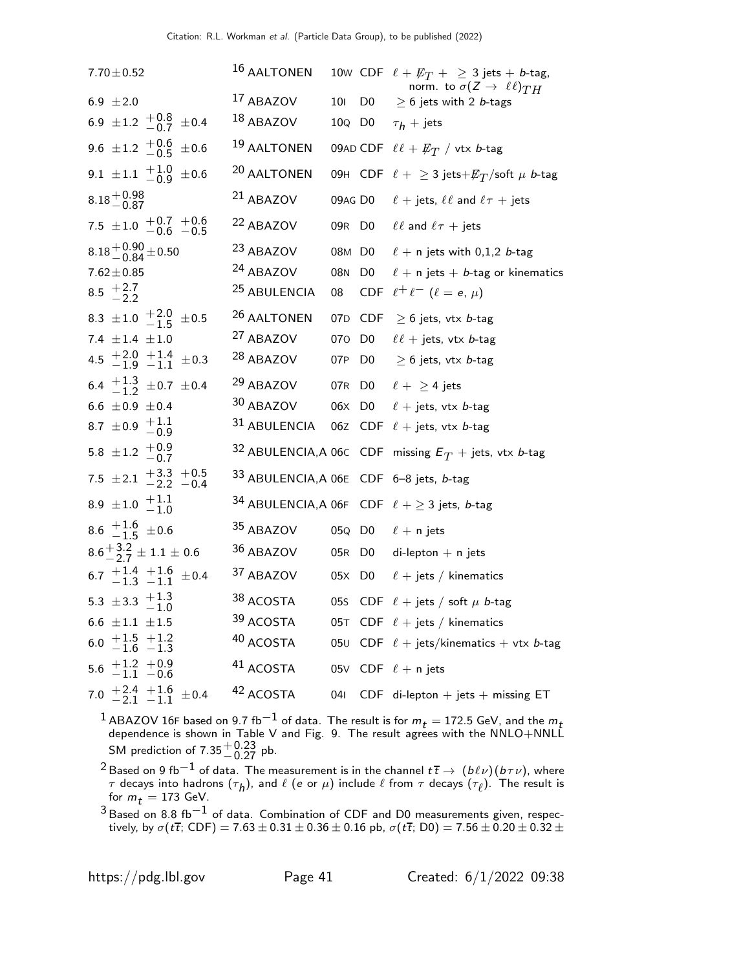| $7.70 \pm 0.52$                                       | 16 AALTONEN                             |                 |                | 10W CDF $\ell + \not\!\!{E_T}$ + $\geq$ 3 jets + <i>b</i> -tag,<br>norm. to $\sigma(Z \to \ell \ell)_{TH}$ |
|-------------------------------------------------------|-----------------------------------------|-----------------|----------------|------------------------------------------------------------------------------------------------------------|
| 6.9 $\pm 2.0$                                         | 17 ABAZOV                               | 10 <sub>l</sub> | D <sub>0</sub> | $\geq 6$ jets with 2 <i>b</i> -tags                                                                        |
| 6.9 ± 1.2 $^{+0.8}_{-0.7}$ ± 0.4                      | 18 ABAZOV                               |                 |                | 100 D0 $\tau_h$ + jets                                                                                     |
| 9.6 ± 1.2 $^{+0.6}_{-0.5}$ ± 0.6                      | 19 AALTONEN                             |                 |                | 09AD CDF $\ell \ell + E_T$ / vtx b-tag                                                                     |
| 9.1 $\pm$ 1.1 $\frac{+1.0}{-0.9}$ $\pm$ 0.6           | 20 AALTONEN                             |                 |                | 09H CDF $\ell + \geq 3$ jets + $\not\!\!E_T$ /soft $\mu$ b-tag                                             |
| $8.18 + 0.98$<br>-0.87                                | <sup>21</sup> ABAZOV                    |                 |                | 09AG D0 $\ell$ + jets, $\ell\ell$ and $\ell\tau$ + jets                                                    |
| 7.5 $\pm$ 1.0 $+$ 0.7 $+$ 0.6                         | 22 ABAZOV                               |                 |                | 09R D0 $\ell\ell$ and $\ell\tau$ + jets                                                                    |
| $8.18^{+0.90}_{-0.84}$ ± 0.50                         | 23 ABAZOV                               |                 | 08M D0         | $\ell$ + n jets with 0,1,2 b-tag                                                                           |
| $7.62 \pm 0.85$                                       | 24 ABAZOV                               | 08N             | D <sub>0</sub> | $\ell$ + n jets + b-tag or kinematics                                                                      |
| 8.5 $\frac{+2.7}{-2.2}$                               | <sup>25</sup> ABULENCIA                 | 08              |                | CDF $\ell^+ \ell^ (\ell = e, \mu)$                                                                         |
| 8.3 $\pm 1.0$ $+2.0$ $\pm 0.5$                        | <sup>26</sup> AALTONEN                  |                 |                | 07D CDF $\geq$ 6 jets, vtx <i>b</i> -tag                                                                   |
| 7.4 $\pm 1.4$ $\pm 1.0$                               | <sup>27</sup> ABAZOV                    |                 |                | 070 D0 $\ell\ell$ + jets, vtx b-tag                                                                        |
| 4.5 $\frac{+2.0}{-1.9}$ $\frac{+1.4}{-1.1}$ $\pm$ 0.3 | <sup>28</sup> ABAZOV                    | 07P             |                | D0 $\geq$ 6 jets, vtx <i>b</i> -tag                                                                        |
| 6.4 $\frac{+1.3}{-1.2}$ ± 0.7 ± 0.4                   | <sup>29</sup> ABAZOV                    |                 |                | 07R D0 $\ell + \geq 4$ jets                                                                                |
| 6.6 $\pm 0.9 \pm 0.4$                                 | 30 ABAZOV                               |                 |                | 06X D0 $\ell$ + jets, vtx <i>b</i> -tag                                                                    |
| 8.7 $\pm$ 0.9 $+$ 1.1<br>-0.9                         |                                         |                 |                | 31 ABULENCIA 06Z CDF $\ell$ + jets, vtx <i>b</i> -tag                                                      |
| 5.8 $\pm$ 1.2 $\frac{+0.9}{-0.7}$                     |                                         |                 |                | 32 ABULENCIA, A 06C CDF missing $E_T$ + jets, vtx <i>b</i> -tag                                            |
| 7.5 ± 2.1 $+3.3$ + 0.5<br>-2.2 -0.4                   | 33 ABULENCIA, A 06E CDF 6-8 jets, b-tag |                 |                |                                                                                                            |
| 8.9 ± 1.0 $+1.1$<br>-1.0                              |                                         |                 |                | 34 ABULENCIA, A 06F CDF $\ell + \geq 3$ jets, b-tag                                                        |
| 8.6 $\frac{+1.6}{-1.5}$ ± 0.6                         | 35 ABAZOV                               |                 |                | 05Q D0 $\ell$ + n jets                                                                                     |
| $8.6^{+3.2}_{-2.7} \pm 1.1 \pm 0.6$                   | 36 ABAZOV                               |                 |                | 05R D0 di-lepton + n jets                                                                                  |
| 6.7 $+1.4$ +1.6 $\pm$ 0.4                             | <sup>37</sup> ABAZOV                    |                 |                | 05X D0 $\ell$ + jets / kinematics                                                                          |
| 5.3 $\pm$ 3.3 $+1.3$<br>-1.0                          | 38 ACOSTA                               |                 |                | 05S CDF $\ell$ + jets / soft $\mu$ b-tag                                                                   |
| 6.6 $\pm 1.1$ $\pm 1.5$                               | 39 ACOSTA                               |                 |                | 05T CDF $\ell$ + jets / kinematics                                                                         |
| $+1.5$ $+1.2$<br>$-1.6$ $-1.3$<br>6.0                 | 40 ACOSTA                               |                 |                | 050 CDF $\ell$ + jets/kinematics + vtx b-tag                                                               |
| $5.6 \begin{array}{c} +1.2 \\ -1.1 \end{array}$ + 0.9 | 41 ACOSTA                               |                 |                | 05V CDF $\ell$ + n jets                                                                                    |
| 7.0 $+2.4$ +1.6 $\pm$ 0.4                             | 42 ACOSTA                               | 041             |                | CDF di-lepton $+$ jets $+$ missing ET                                                                      |

 $^1$ ABAZOV 16F based on 9.7 fb $^{-1}$  of data. The result is for  $m_t =$  172.5 GeV, and the  $m_t$  dependence is shown in Table V and Fig. 9. The result agrees with the NNLO+NNLL SM prediction of  $7.35^{+0.23}_{-0.27}$  pb.

 $^2$ Based on 9 fb $^{-1}$  of data. The measurement is in the channel  $t\,\overline{t}\to\,(b\ell\nu)(b\tau\nu)$ , where  $\tau$  decays into hadrons  $(\tau_h)$ , and  $\ell$  (e or  $\mu$ ) include  $\ell$  from  $\tau$  decays  $(\tau_{\ell})$ . The result is for  $m_t = 173$  GeV.

 $^3$ Based on 8.8 fb $^{-1}$  of data. Combination of CDF and D0 measurements given, respectively, by  $\sigma(t\overline{t};$  CDF)  $= 7.63 \pm 0.31 \pm 0.36 \pm 0.16$  pb,  $\sigma(t\overline{t};$  D0)  $= 7.56 \pm 0.20 \pm 0.32 \pm$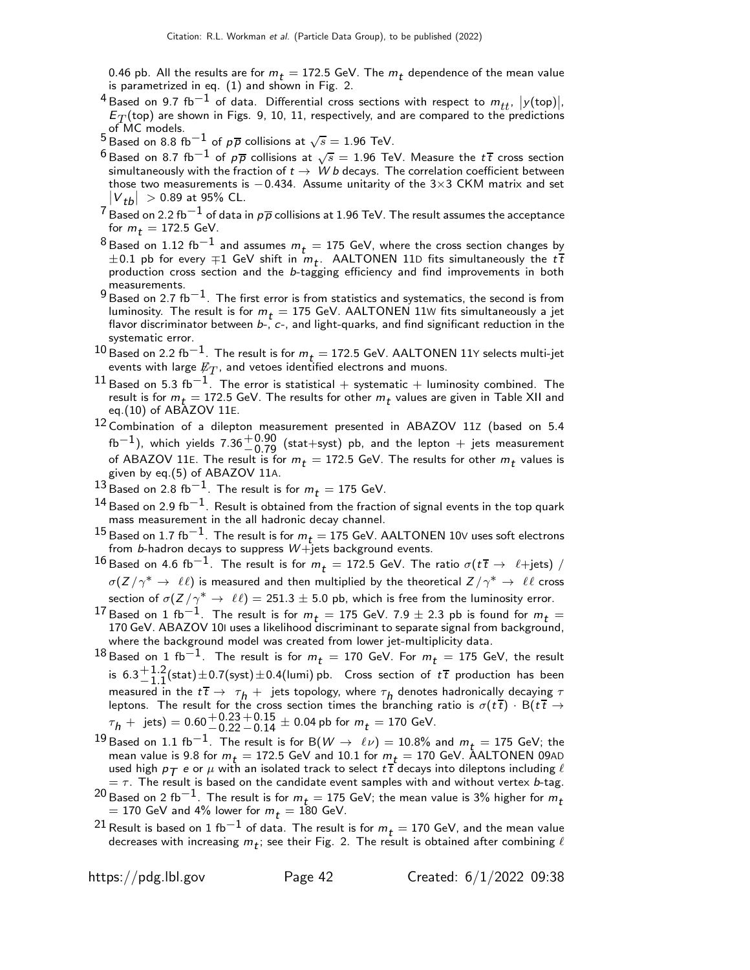0.46 pb. All the results are for  $m_t = 172.5$  GeV. The  $m_t$  dependence of the mean value is parametrized in eq. (1) and shown in Fig. 2.

- <sup>4</sup> Based on 9.7 fb<sup>-1</sup> of data. Differential cross sections with respect to  $m_{tt}$ ,  $|y(\text{top})|$ ,  $E_T$ (top) are shown in Figs. 9, 10, 11, respectively, and are compared to the predictions of MC models.
- <sup>5</sup> Based on 8.8 fb<sup>-1</sup> of  $p\overline{p}$  collisions at  $\sqrt{s} = 1.96$  TeV.
- $^6$ Based on 8.7 fb $^{-1}$  of  $\rho\overline{\rho}$  collisions at  $\sqrt{s}=$  1.96 TeV. Measure the  $t\,\overline{t}$  cross section simultaneously with the fraction of  $t \to W b$  decays. The correlation coefficient between those two measurements is  $-0.434$ . Assume unitarity of the 3×3 CKM matrix and set  $|V_{tb}| > 0.89$  at 95% CL.
- $^7$  Based on 2.2 fb $^{-1}$  of data in  $p\overline{p}$  collisions at 1.96 TeV. The result assumes the acceptance for  $m_t = 172.5$  GeV.
- $8$ Based on 1.12 fb $^{-1}$  and assumes  $m_{\tilde{t}} =$  175 GeV, where the cross section changes by  $\pm 0.1$  pb for every  $\mp 1$  GeV shift in  $m_t$ . AALTONEN 11D fits simultaneously the  $t\,\bar{t}$ production cross section and the b-tagging efficiency and find improvements in both measurements.
- 9 Based on 2.7 fb<sup> $-1$ </sup>. The first error is from statistics and systematics, the second is from  $\frac{1}{2}$ luminosity. The result is for  $m_t = 175$  GeV. AALTONEN 11W fits simultaneously a jet flavor discriminator between b-, c-, and light-quarks, and find significant reduction in the systematic error.
- $^{10}$ Based on 2.2 fb $^{-1}$ . The result is for  $m_{\it t} =$  172.5 GeV. AALTONEN 11Y selects multi-jet events with large  $\not\hspace{-1.2mm}E_{T}$ , and vetoes identified electrons and muons.
- $11$  Based on 5.3 fb<sup>-1</sup>. The error is statistical + systematic + luminosity combined. The result is for  $m_t = 172.5$  GeV. The results for other  $m_t$  values are given in Table XII and eq.(10) of ABAZOV 11E.
- $12$  Combination of a dilepton measurement presented in ABAZOV 11Z (based on 5.4  $f_{\rm b}$ <sup>-1</sup>), which yields 7.36<sup>+0.90</sup> (stat+syst) pb, and the lepton + jets measurement<br>of ABAZOV 115. The result is for m = 172.5 CoV. The results for other m, values is of ABAZOV 11E. The result is for  $m_t = 172.5$  GeV. The results for other  $m_t$  values is given by eq.(5) of ABAZOV 11A.
- $^{13}$  Based on 2.8 fb<sup>-1</sup>. The result is for  $m_t = 175$  GeV.
- $^{14}$ Based on 2.9 fb $^{-1}$ . Result is obtained from the fraction of signal events in the top quark mass measurement in the all hadronic decay channel.
- <sup>15</sup> Based on 1.7 fb<sup>-1</sup>. The result is for  $m_t = 175$  GeV. AALTONEN 10∨ uses soft electrons from b-hadron decays to suppress  $W +$ jets background events.
- $^{16}$ Based on 4.6 fb $^{-1}$ . The result is for  $m_{\it t} =$  172.5 GeV. The ratio  $\sigma(t \, \overline{t} \rightarrow \;\ell{+} \text{jets})$  /  $\sigma(Z/\gamma^* \to \ell\ell)$  is measured and then multiplied by the theoretical  $Z/\gamma^* \to \ell\ell$  cross section of  $\sigma(Z/\gamma^* \to \ell\ell) = 251.3 \pm 5.0$  pb, which is free from the luminosity error.
- 17 Based on 1 fb<sup>-1</sup>. The result is for  $m_t = 175$  GeV. 7.9 ± 2.3 pb is found for  $m_t =$ 170 GeV. ABAZOV 10I uses a likelihood discriminant to separate signal from background, where the background model was created from lower jet-multiplicity data.
- $18$  Based on 1 fb<sup>-1</sup>. The result is for  $m_t = 170$  GeV. For  $m_t = 175$  GeV, the result is  $6.3 \pm 1.2$  $-1.2$ (stat)±0.7(syst)±0.4(lumi) pb. Cross section of  $t\bar{t}$  production has been<br>  $-1.1$  in the  $t\bar{t}$ measured in the  $t\bar{t} \rightarrow \tau_h +$  jets topology, where  $\tau_h$  denotes hadronically decaying  $\tau$ leptons. The result for the cross section times the branching ratio is  $\sigma(t\bar{t})\cdot B(t\bar{t} \rightarrow$  $\tau_h+$  jets) =  $0.60{+0.23 \atop -0.22}$  $^{+0.15}_{-0.14}$  ± 0.04 pb for  $m_t = 170$  GeV.
- <sup>19</sup> Based on 1.1 fb<sup>-1</sup>. The result is for B( $W \rightarrow \ell \nu$ ) = 10.8% and  $m_t =$  175 GeV; the mean value is 9.8 for  $m_t = 172.5$  GeV and 10.1 for  $m_t = 170$  GeV. AALTONEN 09AD used high  $p_{\mathcal{T}}$  e or  $\mu$  with an isolated track to select  $t\bar{t}$  decays into dileptons including  $\ell$  $=$   $\tau$ . The result is based on the candidate event samples with and without vertex b-tag.
- $^{20}$  Based on 2 fb $^{-1}$ . The result is for  $m_t =$  175 GeV; the mean value is 3% higher for  $m_t$  $=$  170 GeV and 4% lower for  $m_t = 180$  GeV.
- <sup>21</sup> Result is based on 1 fb<sup>-1</sup> of data. The result is for  $m_t = 170$  GeV, and the mean value decreases with increasing  $m_{\tilde{t}}$ ; see their Fig. 2. The result is obtained after combining  $\ell$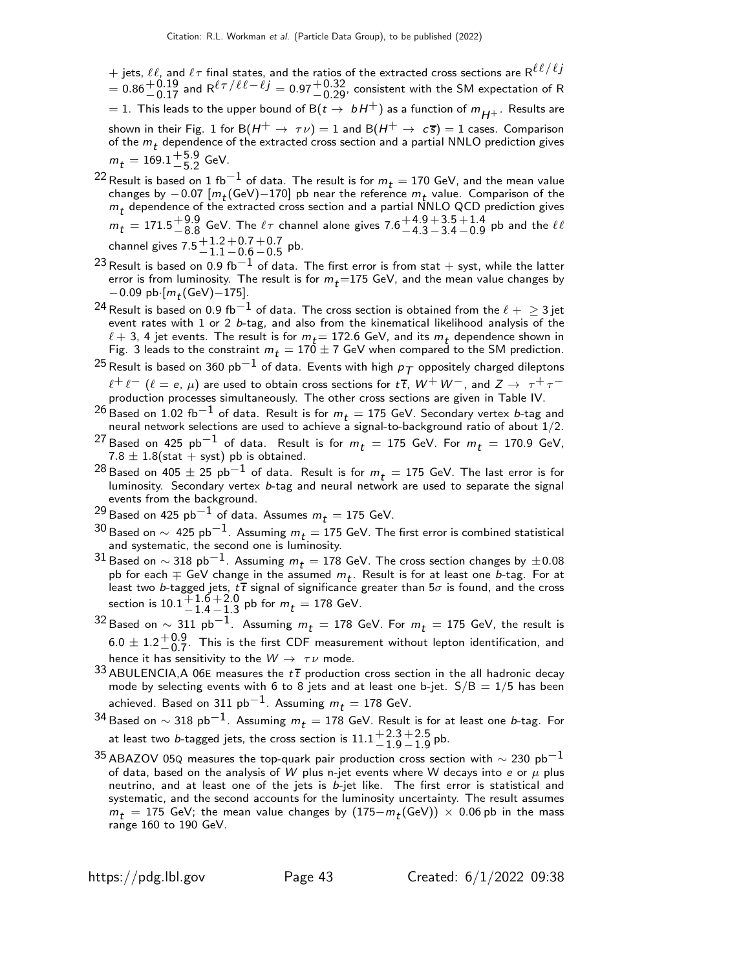$+$  jets,  $\ell\ell$ , and  $\ell\tau$  final states, and the ratios of the extracted cross sections are  $\mathsf{R}^{\ell\ell/\ell j}$  $\tau=0.86^{+0.19}_{-0.17}$  and R $^{\ell\tau/\ell\ell-\ell j}=$  0.97 $^{+0.32}_{-0.29}$ , consistent with the SM expectation of R  $=$  1. This leads to the upper bound of B $(t\to\ bH^+)$  as a function of  $m_{H^+}$  . Results are shown in their Fig. 1 for B $(H^+ \rightarrow \tau \nu) = 1$  and B $(H^+ \rightarrow c\bar{s}) = 1$  cases. Comparison of the  $m_t$  dependence of the extracted cross section and a partial NNLO prediction gives  $m_t = 169.1^{+5.9}_{-5.2}$  $-5.2$  GeV.

- <sup>22</sup> Result is based on 1 fb<sup>-1</sup> of data. The result is for  $m_t = 170$  GeV, and the mean value changes by  $-0.07$   $[m_t({\rm GeV})-170]$  pb near the reference  $m_t$  value. Comparison of the  $m_t$  dependence of the extracted cross section and a partial NNLO QCD prediction gives  $m_t^+=171.5^{+9.9}_{-8.8}$  GeV. The  $\ell\tau$  channel alone gives  $7.6^{+4.9}_{-4.3}{}^{+3.5}_{-3.4}{}^{+1.4}_{-0.9}$  pb and the  $\ell\ell$  $-8.8$  GeV. The  $\ell$ ? Channel alone gives  $\ell$  .0  $-4.3 - 3.4 - 0.9$ channel gives 7.5 $^{+\,1.2}_{-\,1.1}$  $+0.7$  $+0.7$  $-0.5$  pb.
- $-1.1$  $-0.6$ <sup>1</sup>  $^{23}\rm \, Result$  is based on 0.9 fb $^{-1}$  of data. The first error is from stat  $+$  syst, while the latter error is from luminosity. The result is for  $m_t$ =175 GeV, and the mean value changes by  $-0.09$  pb $\cdot$ [ $m_t$ (GeV) $-175$ ].
- <sup>24</sup> Result is based on 0.9 fb<sup>-1</sup> of data. The cross section is obtained from the  $\ell + \geq 3$  jet event rates with 1 or 2 b-tag, and also from the kinematical likelihood analysis of the  $\ell + 3$ , 4 jet events. The result is for  $m_t = 172.6$  GeV, and its  $m_t$  dependence shown in Fig. 3 leads to the constraint  $m_t = 170 \pm 7$  GeV when compared to the SM prediction.
- <sup>25</sup> Result is based on 360 pb<sup>-1</sup> of data. Events with high  $p_T$  oppositely charged dileptons  $\ell^+\ell^ (\ell =$   $\!e,\, \mu)$  are used to obtain cross sections for  $t\,\overline{t},\, W^+\, W^-$ , and  $Z\to~\tau^+\tau^$ production processes simultaneously. The other cross sections are given in Table IV.
- $^{26}$  Based on 1.02 fb $^{-1}$  of data. Result is for  $m_t = 175$  GeV. Secondary vertex b-tag and neural network selections are used to achieve a signal-to-background ratio of about  $1/2$ .
- $\bar{Z}$  Based on 425 pb $^{-1}$  of data. Result is for  $m_{\,t} \, = \, 175$  GeV. For  $m_{\,t} \, = \, 170.9$  GeV,  $7.8 \pm 1.8$ (stat + syst) pb is obtained.
- $^{28}$  Based on  $405 \pm 25$   ${\rm pb}^{-1}$  of data. Result is for  $m_t = 175$  GeV. The last error is for luminosity. Secondary vertex b-tag and neural network are used to separate the signal events from the background.
- $^{29}$  Based on 425  ${\rm pb}^{-1}$  of data. Assumes  $m_t =$  175 GeV.
- $^{30}$  Based on  $\sim\,$  425 pb $^{-1}$ . Assuming  $m_t =$  175 GeV. The first error is combined statistical and systematic, the second one is luminosity.
- 31 Based on ∼ 318 pb<sup>-1</sup>. Assuming  $m_t = 178$  GeV. The cross section changes by  $\pm 0.08$ pb for each  $\mp$  GeV change in the assumed  $m_t$ . Result is for at least one b-tag. For at least two b-tagged jets,  $t\bar{t}$  signal of significance greater than 5 $\sigma$  is found, and the cross section is  $10.1 + 1.6$  $-1.4$  $+2.0$  $^{+2.0}_{-1.3}$  pb for  $m_t = 178$  GeV.
- $^{32}$  Based on  $\sim 311$  pb $^{-1}$ . Assuming  $m_t = 178$  GeV. For  $m_t = 175$  GeV, the result is  $6.0 \pm 1.2 {+ 0.9 \atop - 0.7}$  $^{+0.9}_{-0.7}$  This is the first CDF measurement without lepton identification, and<br>−0.7 consitivity to the W sourcede hence it has sensitivity to the  $W \rightarrow \tau \nu$  mode.
- 33 ABULENCIA, A 06E measures the  $t\bar{t}$  production cross section in the all hadronic decay mode by selecting events with 6 to 8 jets and at least one b-jet.  $S/B = 1/5$  has been achieved. Based on 311 pb<sup>-1</sup>. Assuming  $m_t = 178$  GeV.
- 34 Based on ∼ 318 pb<sup>-1</sup>. Assuming  $m_t = 178$  GeV. Result is for at least one *b*-tag. For at least two *b*-tagged jets, the cross section is  $11.1^{+2.3}_{-1.0}$  $+2.5$  $-1.9$  pb.
- $-1.9$ <sup>35</sup> ABAZOV 05Q measures the top-quark pair production cross section with  $\sim$  230 pb<sup>−1</sup> of data, based on the analysis of W plus n-jet events where W decays into e or  $\mu$  plus neutrino, and at least one of the jets is  $b$ -jet like. The first error is statistical and systematic, and the second accounts for the luminosity uncertainty. The result assumes  $m_t = 175$  GeV; the mean value changes by  $(175 - m_t(\text{GeV})) \times 0.06$  pb in the mass range 160 to 190 GeV.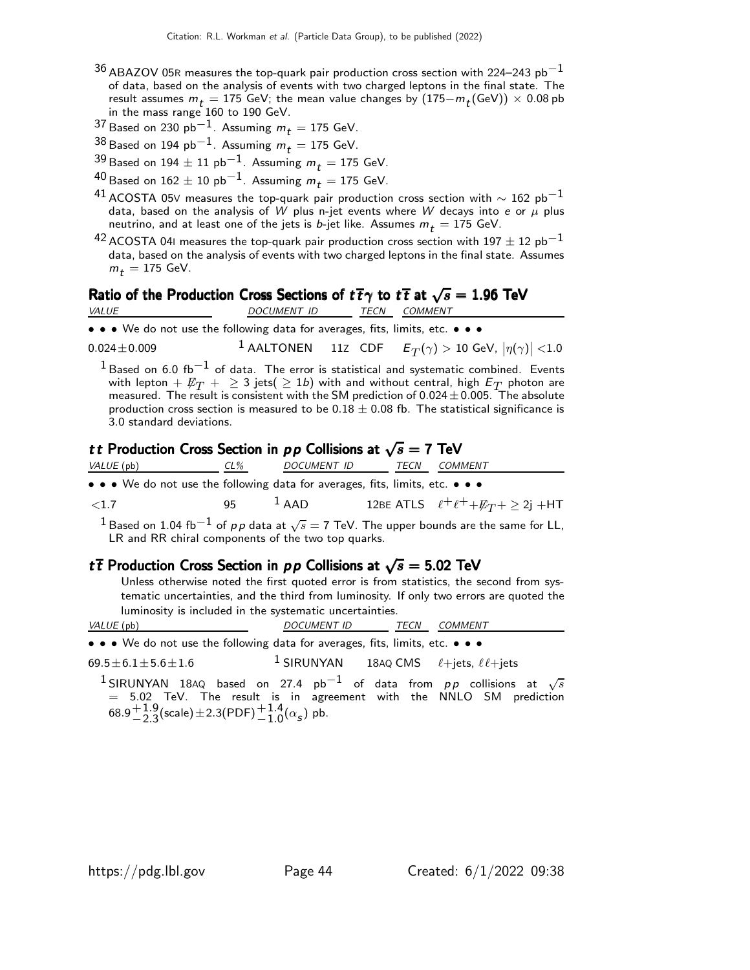- $36$  ABAZOV 05R measures the top-quark pair production cross section with 224–243 pb<sup>-1</sup> of data, based on the analysis of events with two charged leptons in the final state. The result assumes  $m_t = 175$  GeV; the mean value changes by  $(175 - m_t(\text{GeV})) \times 0.08$  pb in the mass range 160 to 190 GeV.
- <sup>37</sup> Based on 230 pb<sup>-1</sup>. Assuming  $m_t = 175$  GeV.
- $38$  Based on 194 pb<sup>-1</sup>. Assuming  $m_t = 175$  GeV.
- $39$  Based on 194  $\pm$  11 pb<sup>-1</sup>. Assuming  $m_t = 175$  GeV.
- $^{40}$  Based on 162  $\pm$  10 pb<sup>-1</sup>. Assuming  $m_t =$  175 GeV.
- <sup>41</sup> ACOSTA 05V measures the top-quark pair production cross section with  $\sim$  162 pb<sup>-1</sup> data, based on the analysis of W plus n-jet events where W decays into e or  $\mu$  plus neutrino, and at least one of the jets is b-jet like. Assumes  $m_t = 175$  GeV.
- $^{42}$  ACOSTA 041 measures the top-quark pair production cross section with 197  $\pm$  12 pb $^{-1}$ data, based on the analysis of events with two charged leptons in the final state. Assumes  $m_t = 175$  GeV.

## Ratio of the Production Cross Sections of  $t\bar{t}\gamma$  to  $t\bar{t}$  at  $\sqrt{s}=1.96$  TeV

| <i>VALUE</i> | DOCUMENT ID | TECN | <i>COMMENT</i> |  |
|--------------|-------------|------|----------------|--|
|              |             |      |                |  |

• • • We do not use the following data for averages, fits, limits, etc. • • •

 $0.024\pm0.009$   $1$  AALTONEN  $11$ Z CDF  $\left|{E_T}(\gamma)>10$  GeV,  $\left|\eta(\gamma)\right|<$ 1.0

 $1$  Based on 6.0 fb<sup>-1</sup> of data. The error is statistical and systematic combined. Events with lepton  $+$   $\not\!\!E_T$   $+$   $\geq$  3 jets(  $\geq$  1b) with and without central, high  $E_T$  photon are measured. The result is consistent with the SM prediction of  $0.024 \pm 0.005$ . The absolute production cross section is measured to be  $0.18 \pm 0.08$  fb. The statistical significance is 3.0 standard deviations.

### tt Production Cross Section in  $p p$  Collisions at  $\sqrt{s} = 7$  TeV

| VALUE (pb)                                                                                                            | CL% | <i>DOCUMENT ID</i> | TECN | COMMENT                                                  |  |
|-----------------------------------------------------------------------------------------------------------------------|-----|--------------------|------|----------------------------------------------------------|--|
| $\bullet \bullet \bullet$ We do not use the following data for averages, fits, limits, etc. $\bullet \bullet \bullet$ |     |                    |      |                                                          |  |
| < 1.7                                                                                                                 | 95  | $\overline{A}$ AAD |      | 12BE ATLS $\ell^+ \ell^+ + \not\!\!{E_T} + \geq 2j + HT$ |  |
|                                                                                                                       |     |                    |      |                                                          |  |

 $^1$ Based on 1.04 fb $^{-1}$  of  $\rho\, \rho$  data at  $\sqrt{s}=$  7 TeV. The upper bounds are the same for LL, LR and RR chiral components of the two top quarks.

### t  $\overline{t}$  Production Cross Section in  $p p$  Collisions at  $\sqrt{s} = 5.02$  TeV

Unless otherwise noted the first quoted error is from statistics, the second from systematic uncertainties, and the third from luminosity. If only two errors are quoted the luminosity is included in the systematic uncertainties.

| <b>VALUL</b><br>pb | $\tau$ $\tau$<br>٠N<br>IMF<br>י | <b>FECN</b> | $- - - -$<br>'⊢N<br>$\sqrt{10L}$<br>''''F |  |
|--------------------|---------------------------------|-------------|-------------------------------------------|--|
|--------------------|---------------------------------|-------------|-------------------------------------------|--|

• • • We do not use the following data for averages, fits, limits, etc. • • •

 $69.5 \pm 6.1 \pm 5.6 \pm 1.6$  $1$  SIRUNYAN 18AQ CMS  $\ell$ +jets,  $\ell\ell$ +jets

 $^1$ SIRUNYAN 18AQ based on 27.4 pb $^{-1}$  of data from  $pp$  collisions at  $\sqrt{s}$  $\,=\,$  5.02 TeV. The result is in agreement with the NNLO SM prediction  $68.9 + 1.9$  $^{+1.9}_{-2.3}$ (scale) $\pm$ 2.3(PDF) $^{+1.4}_{-1.0}$ ( $\alpha$ <sub>s</sub>) pb.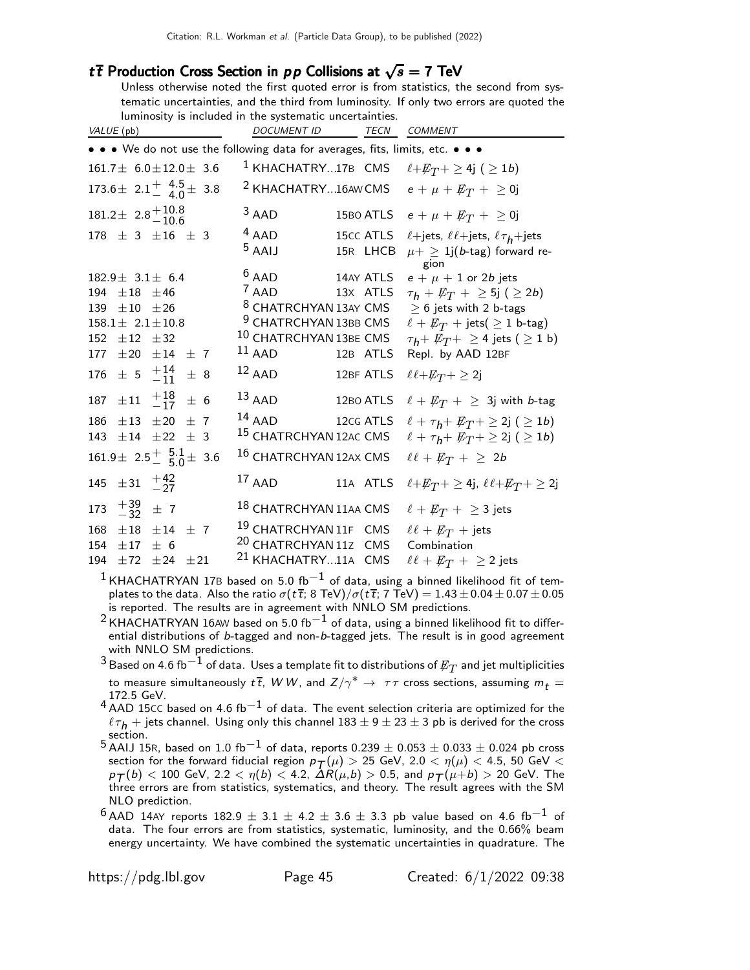### t $\overline{t}$  Production Cross Section in pp Collisions at  $\sqrt{s} = 7$  TeV

Unless otherwise noted the first quoted error is from statistics, the second from systematic uncertainties, and the third from luminosity. If only two errors are quoted the luminosity is included in the systematic uncertainties.

| VALUE (pb)                                                  | DOCUMENT ID TECN COMMENT                                                      |                                                         |
|-------------------------------------------------------------|-------------------------------------------------------------------------------|---------------------------------------------------------|
|                                                             | • • • We do not use the following data for averages, fits, limits, etc. • • • |                                                         |
| $161.7 \pm 6.0 \pm 12.0 \pm 3.6$                            | <sup>1</sup> KHACHATRY17B CMS                                                 | $\ell + E_T$ + $\geq$ 4j ( $\geq$ 1b)                   |
| 173.6 ± 2.1 $^{+}$ 4.5 ± 3.8                                | <sup>2</sup> KHACHATRY16AW CMS                                                | $e + \mu + \not\!\!{E_T} + \ge 0$ j                     |
| $181.2 \pm 2.8 \begin{array}{c} +10.8 \\ -10.6 \end{array}$ | $3$ AAD<br>15BO ATLS                                                          | $e + \mu + \not\!\!{E_T} + \ge 0$ j                     |
| $178 \pm 3 \pm 16 \pm 3$                                    | $4$ AAD<br>15cc ATLS                                                          | $\ell$ +jets, $\ell\ell$ +jets, $\ell\tau_h$ +jets      |
|                                                             | $5$ AAIJ<br>15R LHCB                                                          | $\mu + 1$ j(b-tag) forward re-                          |
| $182.9 \pm 3.1 \pm 6.4$                                     | $6$ AAD<br>14AY ATLS                                                          | gion<br>$e + \mu + 1$ or 2b jets                        |
| 194 $\pm 18$ $\pm 46$                                       | $7$ AAD<br>13X ATLS                                                           | $\tau_h + \not\!\!E_T + \geq 5j$ ( $\geq 2b$ )          |
| 139 $\pm 10$ $\pm 26$                                       | <sup>8</sup> CHATRCHYAN 13AY CMS                                              | $\geq$ 6 jets with 2 b-tags                             |
| $158.1 \pm 2.1 \pm 10.8$                                    | <sup>9</sup> CHATRCHYAN 13BB CMS                                              | $\ell + \not\!\!{E_T}$ + jets( $\geq 1$ b-tag)          |
| 152 $\pm$ 12 $\pm$ 32                                       | <sup>10</sup> CHATRCHYAN 13BE CMS                                             | $\tau_h$ + $\not\!\!E_T$ + $\geq$ 4 jets ( $\geq$ 1 b)  |
| $\pm 20 \pm 14$<br>177<br>±7                                | $^{11}$ AAD<br>12B ATLS                                                       | Repl. by AAD 12BF                                       |
| 176 $\pm$ 5 $\frac{+14}{-11}$<br>$\pm$ 8                    | $12$ AAD<br>12BF ATLS                                                         | $\ell \ell + E_T + \geq 2j$                             |
| $\pm 11$ $^{+18}_{-17}$<br>± 6<br>187                       | $^{13}$ AAD<br>12BO ATLS                                                      | $\ell + \not\!\!{E_T}$ + $\geq$ 3j with <i>b</i> -tag   |
| $\pm 13$ $\pm 20$<br>186<br>$+7$                            | $14$ AAD<br>12cg ATLS                                                         | $\ell + \tau_h + \not\!\!E_T + \geq 2j$ ( $\geq 1b$ )   |
| $\pm 22 \pm 3$<br>$\pm 14$<br>143                           | <sup>15</sup> CHATRCHYAN 12AC CMS                                             | $\ell + \tau_h + \not\!\!E_T + \geq 2j$ ( $\geq 1b$ )   |
| $161.9 \pm 2.5 \pm \frac{5.1}{5.0} \pm 3.6$                 | 16 CHATRCHYAN 12AX CMS                                                        | $\ell\ell + \not\!\!{E_T}$ + $\geq 2b$                  |
| 145 $\pm 31 + \frac{42}{27}$                                | $17$ AAD<br>11A ATLS                                                          | $\ell + E_T$ + $\geq$ 4j, $\ell \ell + E_T$ + $\geq$ 2j |
| 173 $+39/27$ $+ 7$                                          | <sup>18</sup> CHATRCHYAN 11AA CMS                                             | $\ell + \not\!\!{E_T}$ + $\geq$ 3 jets                  |
| $\pm 18$ $\pm 14$ $\pm$ 7<br>168                            | <sup>19</sup> CHATRCHYAN 11F CMS                                              | $\ell\ell + \not\!\!{E_T}$ + jets                       |
| 154<br>$\pm 17$<br>± 6                                      | <sup>20</sup> CHATRCHYAN 11Z CMS                                              | Combination                                             |
| $\pm 24$<br>194<br>±72<br>$\pm 21$                          | <sup>21</sup> KHACHATRY11A CMS                                                | $\ell\ell + \not\!\!{E_T}$ + $\geq$ 2 jets              |

<sup>1</sup> KHACHATRYAN 17B based on 5.0 fb<sup>-1</sup> of data, using a binned likelihood fit of templates to the data. Also the ratio  $\sigma(t\bar{t}; 8 \text{ TeV})/\sigma(t\bar{t}; 7 \text{ TeV}) = 1.43 \pm 0.04 \pm 0.07 \pm 0.05$ is reported. The results are in agreement with NNLO SM predictions.

<sup>2</sup> KHACHATRYAN 16AW based on 5.0 fb<sup>-1</sup> of data, using a binned likelihood fit to differential distributions of b-tagged and non-b-tagged jets. The result is in good agreement with NNLO SM predictions.

 $^3$ Based on 4.6 fb $^{-1}$  of data. Uses a template fit to distributions of  $\not\!\!E_T$  and jet multiplicities to measure simultaneously  $t\,\overline{t}$ ,  $W\,W$ , and  $Z/\gamma^{*} \rightarrow \tau\tau$  cross sections, assuming  $m_{\it t} =$ 172.5 GeV.

- $4$  AAD 15CC based on 4.6 fb<sup>-1</sup> of data. The event selection criteria are optimized for the  $\ell\tau_h$  + jets channel. Using only this channel 183  $\pm$  9  $\pm$  23  $\pm$  3 pb is derived for the cross section.
- 5 AAIJ 15R, based on 1.0 fb<sup>-1</sup> of data, reports  $0.239 \pm 0.053 \pm 0.033 \pm 0.024$  pb cross section for the forward fiducial region  $p_T(\mu) > 25$  GeV, 2.0  $< \eta(\mu) < 4.5$ , 50 GeV  $<$  $p_T(b) < 100$  GeV, 2.2  $< \eta(b) < 4.2$ ,  $\Delta R(\mu, b) > 0.5$ , and  $p_T(\mu+b) > 20$  GeV. The three errors are from statistics, systematics, and theory. The result agrees with the SM NLO prediction.
- $^{6}$  AAD 14AY reports 182.9  $\pm$  3.1  $\pm$  4.2  $\pm$  3.6  $\pm$  3.3 pb value based on 4.6 fb<sup>-1</sup> of data. The four errors are from statistics, systematic, luminosity, and the 0.66% beam energy uncertainty. We have combined the systematic uncertainties in quadrature. The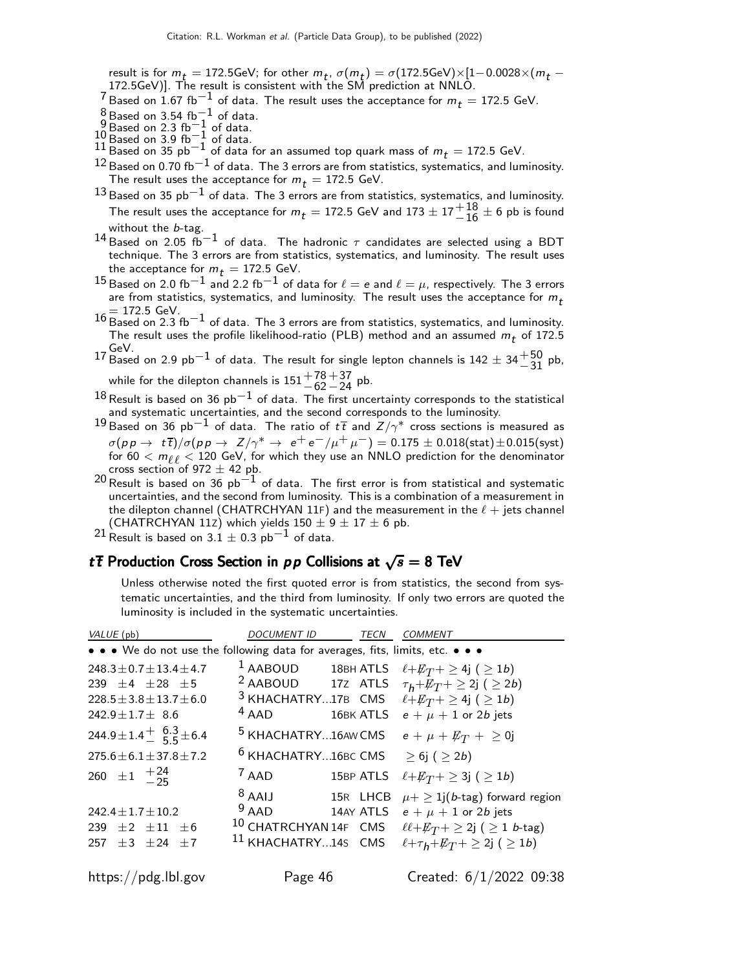result is for  $m_t = 172.5$ GeV; for other  $m_t$ ,  $\sigma(m_t) = \sigma(172.5$ GeV) $\times$ [1–0.0028 $\times$ ( $m_t$  –172.5GeV)]. The result is consistent with the SM prediction at NNLO.

<sup>7</sup> Based on 1.67 fb $^{-1}$  of data. The result uses the acceptance for  $m_t = 172.5$  GeV.

- 
- 
- 
- 8 Based on 3.54 fb<sup>−1</sup> of data.<br>9 Based on 2.3 fb<sup>−1</sup> of data.<br>10 Based on 3.9 fb<sup>−1</sup> of data.<br>11 Based on 35 pb<sup>−1</sup> of data for an assumed top quark mass of  $m_t = 172.5$  GeV.
- $^{12}$  Based on 0.70 fb $^{-1}$  of data. The 3 errors are from statistics, systematics, and luminosity. The result uses the acceptance for  $m_t = 172.5$  GeV.
- $13$  Based on 35 pb<sup>-1</sup> of data. The 3 errors are from statistics, systematics, and luminosity. The result uses the acceptance for  $m_t = 172.5$  GeV and  $173 \pm 17 {+18 \atop -16} \pm 6$  pb is found without the b-tag.
- $^{14}$ Based on 2.05 fb<sup>-1</sup> of data. The hadronic  $\tau$  candidates are selected using a BDT technique. The 3 errors are from statistics, systematics, and luminosity. The result uses the acceptance for  $m_t = 172.5$  GeV.
- $^{15}$ Based on 2.0 fb $^{-1}$  and 2.2 fb $^{-1}$  of data for  $\ell=e$  and  $\ell=\mu$ , respectively. The 3 errors are from statistics, systematics, and luminosity. The result uses the acceptance for  $m_t$
- $= 172.5$  GeV.<br>16 Based on 2.3 fb<sup>-1</sup> of data. The 3 errors are from statistics, systematics, and luminosity. The result uses the profile likelihood-ratio (PLB) method and an assumed  $m_t$  of 172.5
- 17 GeV.<br>17 Based on 2.9 pb $^{-1}$  of data. The result for single lepton channels is 142  $\pm$  34 $^{+50}_{-31}$  pb,

while for the dilepton channels is  $151^{+78}_{-62}$  $+37$  pb.<br> $-24$ 

 $18$  Result is based on 36  $pb<sup>-1</sup>$  of data. The first uncertainty corresponds to the statistical and systematic uncertainties, and the second corresponds to the luminosity.

- $^{19}$ Based on 36 pb $^{-1}$  of data. The ratio of  $t\,\overline{t}$  and  $Z/\gamma^{*}$  cross sections is measured as  $\sigma(p p \to t\overline{t})/\sigma(p p \to Z/\gamma^* \to e^+e^-/\mu^+\mu^-) = 0.175 \pm 0.018 \text{(stat)} \pm 0.015 \text{(syst)}$ for  $60 < m_{\ell\ell} < 120$  GeV, for which they use an NNLO prediction for the denominator cross section of  $972 \pm 42$  pb.
- 20 Result is based on 36 pb<sup>-1</sup> of data. The first error is from statistical and systematic uncertainties, and the second from luminosity. This is a combination of a measurement in the dilepton channel (CHATRCHYAN 11F) and the measurement in the  $\ell + j$  jets channel (CHATRCHYAN 11z) which yields  $150 \pm 9 \pm 17 \pm 6$  pb.

 $^{21}$  Result is based on  $3.1 \pm 0.3$  pb<sup>-1</sup> of data.

### tthe Production Cross Section in p p Collisions at  $\sqrt{s} = 8$  TeV

Unless otherwise noted the first quoted error is from statistics, the second from systematic uncertainties, and the third from luminosity. If only two errors are quoted the luminosity is included in the systematic uncertainties.

| VALUE (pb)                                                                    | <i>DOCUMENT ID</i>             | TECN      | COMMENT                                                      |
|-------------------------------------------------------------------------------|--------------------------------|-----------|--------------------------------------------------------------|
| • • • We do not use the following data for averages, fits, limits, etc. • • • |                                |           |                                                              |
| $248.3 \pm 0.7 \pm 13.4 \pm 4.7$                                              | $1$ AABOUD                     | 18BH ATLS | $\ell + E_T$ + $\geq$ 4j ( $\geq$ 1 <i>b</i> )               |
| $239 + 4 + 28 + 5$                                                            | <sup>2</sup> AABOUD 17Z ATLS   |           | $\tau_h + E_T + \geq 2j$ ( $\geq 2b$ )                       |
| $228.5 \pm 3.8 \pm 13.7 \pm 6.0$                                              | $3$ KHACHATRY17B $\,$ CMS $\,$ |           | $\ell + E_T$ + $\geq$ 4j ( $\geq$ 1 <i>b</i> )               |
| $242.9 + 1.7 + 8.6$                                                           | $4$ AAD                        | 16BK ATLS | $e + \mu + 1$ or 2b jets                                     |
| 244.9 ± 1.4 $\frac{+}{-}$ 5.3 ± 6.4                                           | <sup>5</sup> KHACHATRY16AW CMS |           | $e + \mu + \not\!\!{E_T} + \ge 0$ j                          |
| $275.6 \pm 6.1 \pm 37.8 \pm 7.2$                                              | <sup>6</sup> KHACHATRY16BC CMS |           | $\geq 6$ j ( $\geq 2b$ )                                     |
| 260 $\pm 1$ $^{+24}_{-25}$                                                    | $7$ AAD                        | 15BP ATLS | $\ell + E_T$ + $\geq$ 3j ( $\geq$ 1 <i>b</i> )               |
|                                                                               | $8$ AAIJ                       | 15R LHCB  | $\mu + \geq 1$ j(b-tag) forward region                       |
| $242.4 \pm 1.7 \pm 10.2$                                                      | $9$ AAD                        | 14AY ATLS | $e + \mu + 1$ or 2b jets                                     |
| $239 + 2 + 11 + 6$                                                            | 10 CHATRCHYAN 14F CMS          |           | $\ell\ell + \not\!\!E_T + \geq 2j$ ( $\geq 1$ <i>b</i> -tag) |
| $257 + 3 + 24 + 7$                                                            | <sup>11</sup> KHACHATRY145 CMS |           | $\ell + \tau_h + \not\!\!E_T + \geq 2j$ ( $\geq 1b$ )        |
|                                                                               |                                |           |                                                              |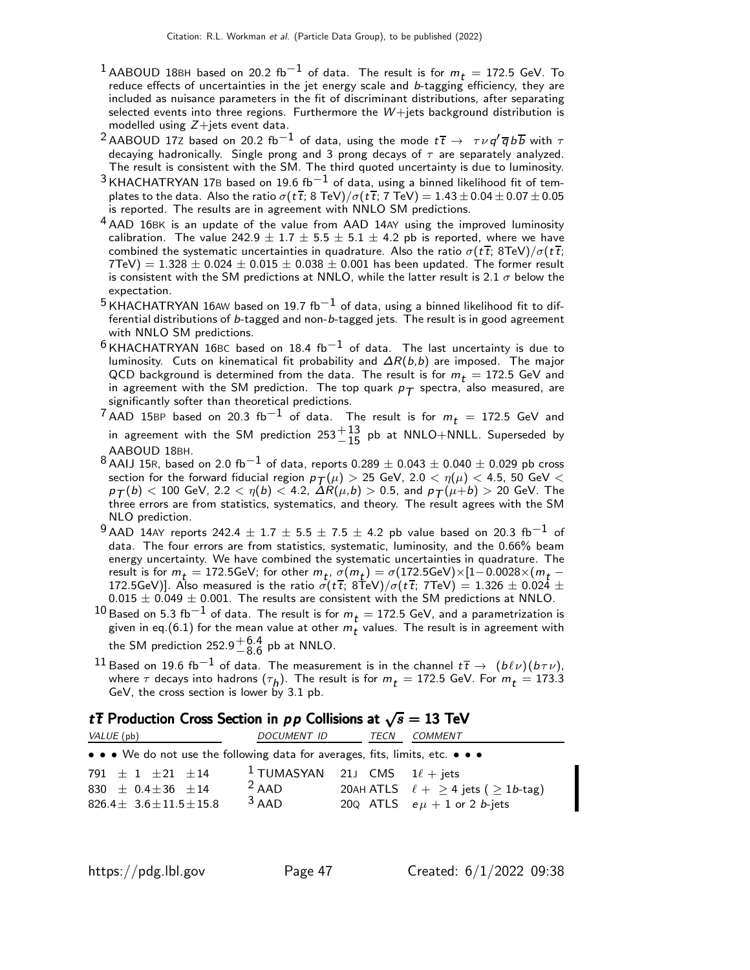- $1$  AABOUD 18BH based on 20.2 fb $^{-1}$  of data. The result is for  $m_t =$  172.5 GeV. To reduce effects of uncertainties in the jet energy scale and  $b$ -tagging efficiency, they are included as nuisance parameters in the fit of discriminant distributions, after separating selected events into three regions. Furthermore the  $W+$ jets background distribution is modelled using  $Z+$ jets event data.
- <sup>2</sup> AABOUD 17Z based on 20.2 fb<sup>-1</sup> of data, using the mode  $t\bar{t} \rightarrow \tau \nu q' \overline{q} b \overline{b}$  with  $\tau$ decaying hadronically. Single prong and 3 prong decays of  $\tau$  are separately analyzed. The result is consistent with the SM. The third quoted uncertainty is due to luminosity.
- $3$  KHACHATRYAN 17B based on 19.6 fb<sup>-1</sup> of data, using a binned likelihood fit of templates to the data. Also the ratio  $\sigma(t\,\overline{t};$  8 TeV)/ $\sigma(t\,\overline{t};$  7 TeV)  $=1.43\pm0.04\pm0.07\pm0.05$ is reported. The results are in agreement with NNLO SM predictions.
- 4 AAD 16BK is an update of the value from AAD 14AY using the improved luminosity calibration. The value 242.9  $\pm$  1.7  $\pm$  5.5  $\pm$  5.1  $\pm$  4.2 pb is reported, where we have combined the systematic uncertainties in quadrature. Also the ratio  $\sigma(t\bar{t})$ ; 8TeV)/ $\sigma(t\bar{t})$ ;  $7 \text{TeV}$ ) = 1.328  $\pm$  0.024  $\pm$  0.015  $\pm$  0.038  $\pm$  0.001 has been updated. The former result is consistent with the SM predictions at NNLO, while the latter result is 2.1  $\sigma$  below the expectation.
- $^5$ KHACHATRYAN 16AW based on 19.7 fb $^{-1}$  of data, using a binned likelihood fit to differential distributions of b-tagged and non-b-tagged jets. The result is in good agreement with NNLO SM predictions.
- $6$  KHACHATRYAN 16BC based on 18.4 fb<sup>-1</sup> of data. The last uncertainty is due to luminosity. Cuts on kinematical fit probability and  $\Delta R(b,b)$  are imposed. The major QCD background is determined from the data. The result is for  $m_t = 172.5$  GeV and in agreement with the SM prediction. The top quark  $p_T$  spectra, also measured, are significantly softer than theoretical predictions.
- <sup>7</sup> AAD 15BP based on 20.3 fb<sup>-1</sup> of data. The result is for  $m_t = 172.5$  GeV and in agreement with the SM prediction  $253^{+13}_{-15}$  pb at NNLO+NNLL. Superseded by AABOUD 18BH.
- 8 AAIJ 15R, based on 2.0 fb<sup>-1</sup> of data, reports  $0.289 \pm 0.043 \pm 0.040 \pm 0.029$  pb cross section for the forward fiducial region  $p_T(\mu) > 25$  GeV, 2.0  $< \eta(\mu) < 4.5$ , 50 GeV  $<$  $p_{\mathcal{T}}(b) < 100$  GeV, 2.2  $< \eta(b) < 4.2$ ,  $\Delta \ddot{R}(\mu, b) > 0.5$ , and  $p_{\mathcal{T}}(\mu+b) > 20$  GeV. The three errors are from statistics, systematics, and theory. The result agrees with the SM NLO prediction.
- 9 AAD 14AY reports 242.4  $\pm$  1.7  $\pm$  5.5  $\pm$  7.5  $\pm$  4.2 pb value based on 20.3 fb<sup>-1</sup> of data. The four errors are from statistics, systematic, luminosity, and the 0.66% beam energy uncertainty. We have combined the systematic uncertainties in quadrature. The result is for  $m_t = 172.5$ GeV; for other  $m_t$ ,  $\sigma(m_t) = \sigma(172.5$ GeV)× $[1-0.0028\times(m_t -$ 172.5GeV)]. Also measured is the ratio  $\sigma(t\bar{t}; 8\text{TeV})/\sigma(t\bar{t}; 7\text{TeV}) = 1.326 \pm 0.024 \pm 0.024$  $0.015 \pm 0.049 \pm 0.001$ . The results are consistent with the SM predictions at NNLO.
- $^{10}$  Based on 5.3 fb $^{-1}$  of data. The result is for  $m_t =$  172.5 GeV, and a parametrization is given in eq.(6.1) for the mean value at other  $m_t$  values. The result is in agreement with the SM prediction 252.9 $^{+6.4}_{-8.6}$  $^{+0.4}_{-8.6}$  pb at NNLO.
- 11 Based on 19.6 fb<sup>-1</sup> of data. The measurement is in the channel  $t\bar{t}$  →  $(b\ell\nu)(b\tau\nu)$ , where  $\tau$  decays into hadrons  $(\tau_h)$ . The result is for  $m_t = 172.5$  GeV. For  $m_t = 173.3$ GeV, the cross section is lower by 3.1 pb.

### t $\overline{t}$  Production Cross Section in pp Collisions at  $\sqrt{s} = 13$  TeV

| VALUE (pb)                                                                    | <i>DOCUMENT ID</i>                                      | TECN | COMMENT                                          |
|-------------------------------------------------------------------------------|---------------------------------------------------------|------|--------------------------------------------------|
| • • • We do not use the following data for averages, fits, limits, etc. • • • |                                                         |      |                                                  |
| $791 + 1 + 21 + 14$<br>830 $\pm$ 0.4 $\pm$ 36 $\pm$ 14                        | <sup>1</sup> TUMASYAN 21J CMS $1\ell$ + jets<br>$2$ AAD |      | 20AH ATLS $\ell + \geq 4$ jets ( $\geq 1b$ -tag) |
| $826.4 \pm 3.6 \pm 11.5 \pm 15.8$                                             | $3$ AAD                                                 |      | 20Q ATLS $e\mu + 1$ or 2 <i>b</i> -jets          |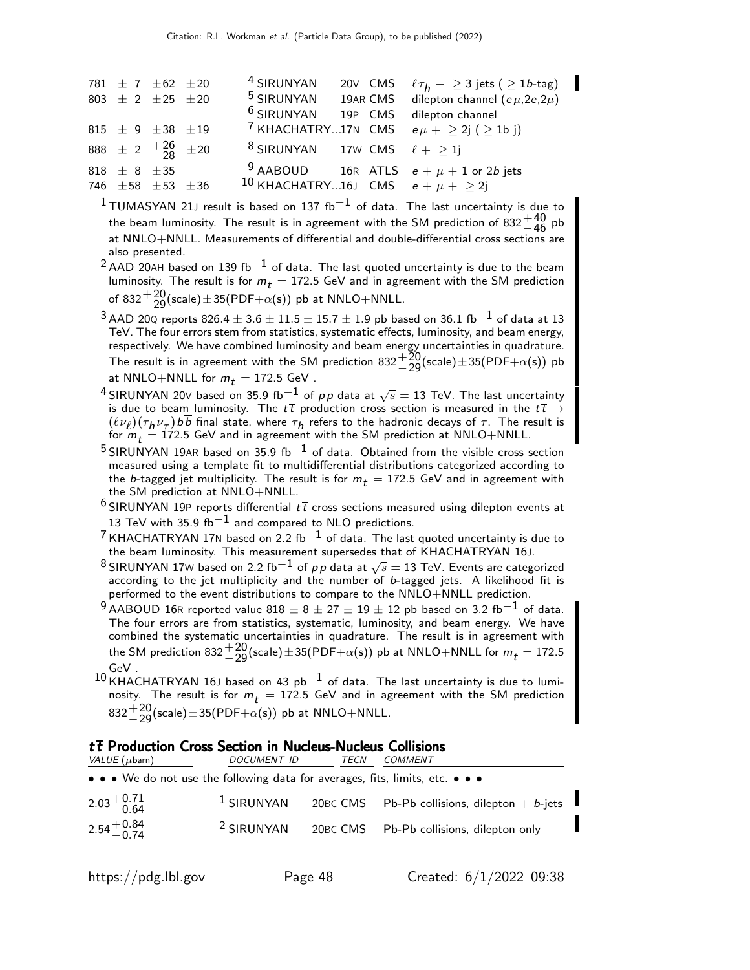|                      | 781 $\pm$ 7 $\pm$ 62 $\pm$ 20<br>803 $\pm$ 2 $\pm$ 25 $\pm$ 20 | <sup>4</sup> SIRUNYAN<br><sup>6</sup> SIRUNYAN 19P CMS |  | 20V CMS $\ell \tau_h + \geq 3$ jets ( $\geq 1b$ -tag)<br><sup>5</sup> SIRUNYAN 19AR CMS dilepton channel ( $e\mu$ , 2e, 2 $\mu$ )<br>dilepton channel |
|----------------------|----------------------------------------------------------------|--------------------------------------------------------|--|-------------------------------------------------------------------------------------------------------------------------------------------------------|
|                      | 815 $\pm$ 9 $\pm$ 38 $\pm$ 19                                  |                                                        |  | <sup>7</sup> KHACHATRY17N CMS $e\mu + \geq 2j$ ( $\geq 1b$ j)                                                                                         |
|                      | 888 $\pm$ 2 $\frac{+26}{-28}$ $\pm$ 20                         | <sup>8</sup> SIRUNYAN 17w CMS $\ell + \geq 1$ j        |  |                                                                                                                                                       |
| 818 $\pm$ 8 $\pm$ 35 | 746 $\pm 58$ $\pm 53$ $\pm 36$                                 | 10 KHACHATRY16J CMS $e + \mu + > 2i$                   |  | <sup>9</sup> AABOUD 16R ATLS $e + \mu + 1$ or 2b jets                                                                                                 |

 $1$ TUMASYAN 21J result is based on 137 fb<sup>-1</sup> of data. The last uncertainty is due to the beam luminosity. The result is in agreement with the SM prediction of  $832^{+40}_{-46}$  pb<br>of NNU Q LNNU L. Measurements of differential and double differential areas sections are at NNLO+NNLL. Measurements of differential and double-differential cross sections are also presented.

 $2$  AAD 20AH based on 139 fb $-1$  of data. The last quoted uncertainty is due to the beam luminosity. The result is for  $m_t = 172.5$  GeV and in agreement with the SM prediction of 832 $+20$ (scale) $\pm$ 35(PDF+ $\alpha$ (s)) pb at NNLO+NNLL.

 $^3$  AAD 20Q reports 826.4  $\pm$  3.6  $\pm$  11.5  $\pm$  15.7  $\pm$  1.9 pb based on 36.1 fb $^{-1}$  of data at 13 TeV. The four errors stem from statistics, systematic effects, luminosity, and beam energy, respectively. We have combined luminosity and beam energy uncertainties in quadrature. The result is in agreement with the SM prediction  $832 + \frac{20}{29}(\text{scale}) \pm 35(\text{PDF} + \alpha(\text{s}))$  pb at NNLO+NNLL for  $m_t = 172.5$  GeV.

- $^4$ SIRUNYAN 20∨ based on 35.9 fb $^{-1}$  of  $\rho \rho$  data at  $\sqrt{s}=$  13 TeV. The last uncertainty is due to beam luminosity. The  $t\bar{t}$  production cross section is measured in the  $t\bar{t} \rightarrow$  $(\ell \nu_\ell)(\tau_h \nu_\tau)$  b b final state, where  $\tau_h$  refers to the hadronic decays of  $\tau$ . The result is for  $m_t = 172.5$  GeV and in agreement with the SM prediction at NNLO+NNLL.
- 5 SIRUNYAN 19AR based on 35.9 fb<sup>-1</sup> of data. Obtained from the visible cross section measured using a template fit to multidifferential distributions categorized according to the b-tagged jet multiplicity. The result is for  $m_t = 172.5$  GeV and in agreement with the SM prediction at NNLO+NNLL.
- <sup>6</sup> SIRUNYAN 19P reports differential  $t\bar{t}$  cross sections measured using dilepton events at 13 TeV with 35.9 fb $^{-1}$  and compared to NLO predictions.
- $7$  KHACHATRYAN 17N based on 2.2 fb $^{-1}$  of data. The last quoted uncertainty is due to the beam luminosity. This measurement supersedes that of KHACHATRYAN 16J.
- $^8$ SIRUNYAN 17W based on 2.2 fb $^{-1}$  of  $\rho \rho$  data at  $\sqrt{s}=$  13 TeV. Events are categorized according to the jet multiplicity and the number of b-tagged jets. A likelihood fit is performed to the event distributions to compare to the NNLO+NNLL prediction.
- 9 AABOUD 16R reported value 818  $\pm$  8  $\pm$  27  $\pm$  19  $\pm$  12 pb based on 3.2 fb<sup>-1</sup> of data. The four errors are from statistics, systematic, luminosity, and beam energy. We have combined the systematic uncertainties in quadrature. The result is in agreement with the SM prediction 832 $^{+20}_{-29}$ (scale) $\pm$ 35(PDF $+\alpha$ (s)) pb at NNLO $+$ NNLL for  $m_{t} =$  172.5 GeV .
- $10$  KHACHATRYAN 16J based on 43 pb $^{-1}$  of data. The last uncertainty is due to luminosity. The result is for  $m_t = 172.5$  GeV and in agreement with the SM prediction  $832^{+20}_{-29}$ (scale) $\pm 35$ (PDF+ $\alpha$ (s)) pb at NNLO+NNLL.

#### $t\bar{t}$  Production Cross Section in Nucleus-Nucleus Collisions<br>VALUE (ubarn) DOCUMENT ID TECN COMMENT DOCUMENT ID

| $\cdots$ $\cdots$ $\cdots$                                                    |                       | ~~~~~~~~~~                                      |
|-------------------------------------------------------------------------------|-----------------------|-------------------------------------------------|
| • • • We do not use the following data for averages, fits, limits, etc. • • • |                       |                                                 |
| $2.03 + 0.71$<br>$-0.64$                                                      | $1$ SIRUNYAN          | 20BC CMS Pb-Pb collisions, dilepton $+ b$ -jets |
| $2.54^{+0.84}_{-0.74}$                                                        | <sup>2</sup> SIRUNYAN | 20BC CMS  Pb-Pb collisions, dilepton only       |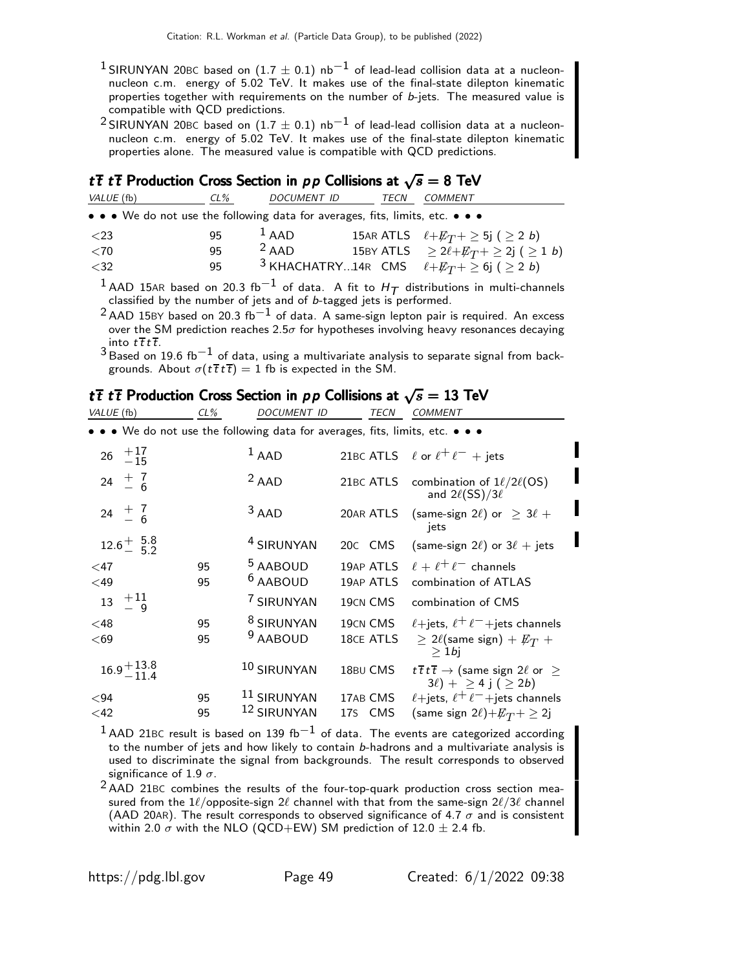- <sup>1</sup> SIRUNYAN 20BC based on (1.7  $\pm$  0.1) nb<sup>-1</sup> of lead-lead collision data at a nucleonnucleon c.m. energy of  $5.02$  TeV. It makes use of the final-state dilepton kinematic properties together with requirements on the number of b-jets. The measured value is compatible with QCD predictions.
- <sup>2</sup> SIRUNYAN 20BC based on (1.7  $\pm$  0.1) nb $^{-1}$  of lead-lead collision data at a nucleon-<br>nucleon c.m. energy of 5.02 TeV. It makes use of the final-state dilepton kinematic properties alone. The measured value is compatible with QCD predictions.

### $t\bar{t}$   $t\bar{t}$  Production Cross Section in  $pp$  Collisions at  $\sqrt{s} = 8$  TeV

| VALUE (fb)                                                                    | CL% | DOCUMENT ID | TECN | COMMENT                                                             |
|-------------------------------------------------------------------------------|-----|-------------|------|---------------------------------------------------------------------|
| • • • We do not use the following data for averages, fits, limits, etc. • • • |     |             |      |                                                                     |
| $\langle 23$                                                                  | 95  | $1$ AAD     |      | 15AR ATLS $\ell + E_T + \geq 5j$ ( $\geq 2b$ )                      |
| $<$ 70                                                                        | 95  | $2$ AAD     |      | 15BY ATLS $\geq 2\ell + E_T + \geq 2j$ ( $\geq 1$ b)                |
| $<$ 32                                                                        | 95  |             |      | <sup>3</sup> KHACHATRY14R CMS $\ell + E_T + \geq 6j$ ( $\geq 2 b$ ) |

 $^1$  AAD 15AR based on 20.3 fb $^{-1}$  of data. A fit to  $H_T$  distributions in multi-channels classified by the number of jets and of *b*-tagged jets is performed.

<sup>2</sup> AAD 15BY based on 20.3 fb<sup>-1</sup> of data. A same-sign lepton pair is required. An excess over the SM prediction reaches 2.5 $\sigma$  for hypotheses involving heavy resonances decaying into  $t\bar{t}t\bar{t}$ .

 $^3$ Based on 19.6 fb $^{-1}$  of data, using a multivariate analysis to separate signal from backgrounds. About  $\sigma(t\,\overline{t}\,t\,\overline{t}) = 1$  fb is expected in the SM.

### tt tt Production Cross Section in pp Collisions at  $\sqrt{s} = 13$  TeV

| VALUE (fb)               | $CL\%$   | <b>DOCUMENT ID</b>                                                            | TECN                  | <b>COMMENT</b>                                                                                                          |
|--------------------------|----------|-------------------------------------------------------------------------------|-----------------------|-------------------------------------------------------------------------------------------------------------------------|
|                          |          | • • • We do not use the following data for averages, fits, limits, etc. • • • |                       |                                                                                                                         |
| 26 $+17$<br>-15          |          | $1$ AAD                                                                       |                       | 21BC ATLS $\ell$ or $\ell^+ \ell^-$ + jets                                                                              |
| $+7$<br>$-6$<br>24       |          | $2$ AAD                                                                       | 21BC ATLS             | combination of $1\ell/2\ell(\mathsf{OS})$<br>and $2\ell$ (SS)/3 $\ell$                                                  |
| $24 \frac{+7}{-6}$       |          | $3$ AAD                                                                       | 20AR ATLS             | (same-sign 2 $\ell$ ) or $\geq 3\ell +$<br>jets                                                                         |
| $12.6^{+}_{-}$ 5.8       |          | <sup>4</sup> SIRUNYAN                                                         | 20C CMS               | (same-sign $2\ell$ ) or $3\ell$ + jets                                                                                  |
| $\leq$ 47<br>$<$ 49      | 95<br>95 | <sup>5</sup> AABOUD<br><sup>6</sup> AABOUD                                    | 19AP ATLS             | 19AP ATLS $\ell + \ell^+ \ell^-$ channels<br>combination of ATLAS                                                       |
| $^{+11}_{-9}$<br>13      |          | 7 SIRUNYAN                                                                    | 19CN CMS              | combination of CMS                                                                                                      |
| $<$ 48<br>$69$           | 95<br>95 | <sup>8</sup> SIRUNYAN<br><sup>9</sup> AABOUD                                  | 19CN CMS<br>18CE ATLS | $\ell$ +jets, $\ell^+ \ell^-$ +jets channels<br>$\geq 2\ell$ (same sign) + $\not{\!\! E_T}$ +<br>$>1$ bj                |
| $16.9 + 13.8$<br>$-11.4$ |          | 10 SIRUNYAN                                                                   | 18BU CMS              | $t \, \overline{t} \, t \, \overline{t} \rightarrow$ (same sign 2 $\ell$ or $\geq$<br>$3\ell$ + $\geq$ 4 j ( $\geq$ 2b) |
| <94<br>$<$ 42            | 95<br>95 | <sup>11</sup> SIRUNYAN<br>12 SIRUNYAN                                         | 17AB CMS<br>17S CMS   | $\ell$ +jets, $\ell^+ \ell^-$ +jets channels<br>(same sign 2 $\ell$ )+ $\not\!\! E_T$ + $\geq$ 2j                       |

 $1$ AAD 21BC result is based on 139 fb<sup>-1</sup> of data. The events are categorized according to the number of jets and how likely to contain b-hadrons and a multivariate analysis is used to discriminate the signal from backgrounds. The result corresponds to observed significance of 1.9  $\sigma$ .

2 AAD 21BC combines the results of the four-top-quark production cross section measured from the 1 $\ell$ /opposite-sign 2 $\ell$  channel with that from the same-sign 2 $\ell/3\ell$  channel (AAD 20AR). The result corresponds to observed significance of 4.7  $\sigma$  and is consistent within 2.0  $\sigma$  with the NLO (QCD+EW) SM prediction of 12.0  $\pm$  2.4 fb.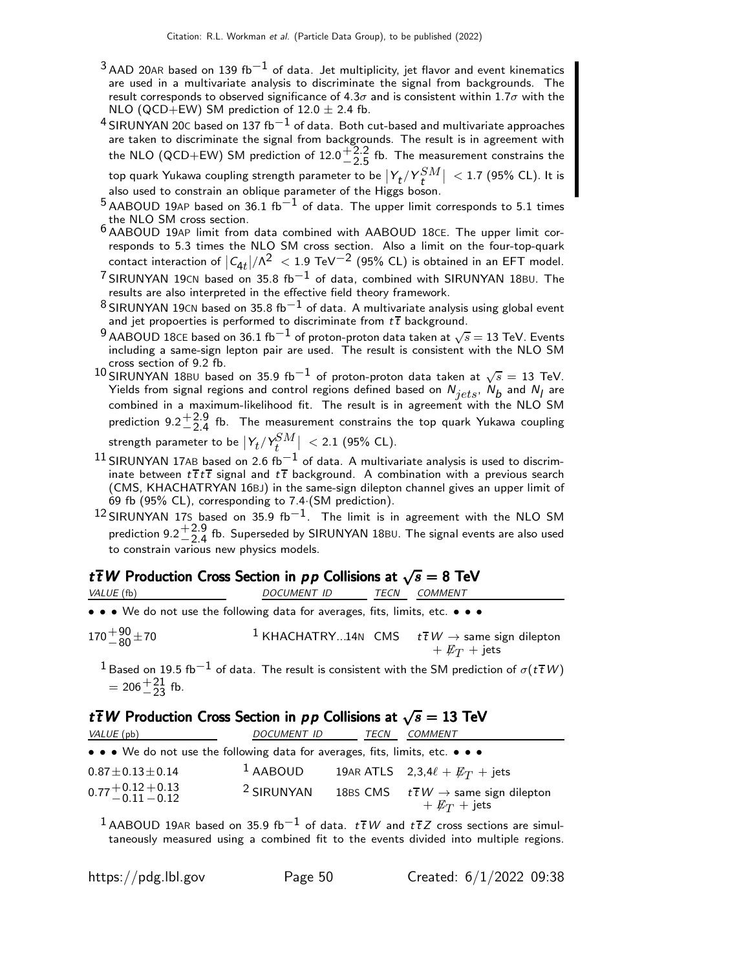- $3$  AAD 20AR based on 139 fb<sup>-1</sup> of data. Jet multiplicity, jet flavor and event kinematics are used in a multivariate analysis to discriminate the signal from backgrounds. The result corresponds to observed significance of 4.3 $\sigma$  and is consistent within 1.7 $\sigma$  with the NLO (QCD+EW) SM prediction of  $12.0 \pm 2.4$  fb.
- $4$  SIRUNYAN 20 $\text{c}$  based on 137 fb $^{-1}$  of data. Both cut-based and multivariate approaches are taken to discriminate the signal from backgrounds. The result is in agreement with the NLO (QCD+EW) SM prediction of  $12.0\frac{+2.2}{2.5}$  $-2.5$  fb. The measurement constrains the top quark Yukawa coupling strength parameter to be  $\bigl|Y_t/Y_t^{SM}\bigr|~< 1.7$  (95% CL). It is<br>also used to constrain an oblique parameter of the Higgs boson.

- $5$  AABOUD 19AP based on 36.1 fb<sup>-1</sup> of data. The upper limit corresponds to 5.1 times the NLO SM cross section.
- 6 AABOUD 19AP limit from data combined with AABOUD 18CE. The upper limit corresponds to 5.3 times the NLO SM cross section. Also a limit on the four-top-quark contact interaction of  $\left|C_{4t}\right|/\Lambda^2\ <$   $1.9$  TeV $^{-2}$  (95% CL) is obtained in an EFT model.
- $7$  SIRUNYAN 19CN based on 35.8 fb<sup>-1</sup> of data, combined with SIRUNYAN 18BU. The results are also interpreted in the effective field theory framework.
- $^8$ SIRUNYAN 19<code>CN</code> based on 35.8 fb $^{-1}$  of data. A multivariate analysis using global event and jet propoerties is performed to discriminate from  $t\bar{t}$  background.
- $^9$  AABOUD 18CE based on 36.1 fb $^{-1}$  of proton-proton data taken at  $\sqrt{s} =$  13 TeV. Events including a same-sign lepton pair are used. The result is consistent with the NLO SM cross section of 9.2 fb.
- 10 SIRUNYAN 18BU based on 35.9 fb<sup>-1</sup> of proton-proton data taken at  $\sqrt{s} = 13$  TeV. Yields from signal regions and control regions defined based on  $N_{jets},\ N_{b}$  and  $N_{l}$  are combined in a maximum-likelihood fit. The result is in agreement with the NLO SM prediction  $9.2 + \frac{2.9}{2.4}$  $\frac{+2.9}{-2.4}$  fb. The measurement constrains the top quark Yukawa coupling

strength parameter to be  $\ket{\mathsf{Y}_t/\mathsf{Y}_t^{SM}}$  $\left| \begin{array}{c} \partial M \ \partial t \end{array} \right| \; < 2.1$  (95% CL).

- $^{11}$  SIRUNYAN 17AB based on 2.6 fb $^{-1}$  of data. A multivariate analysis is used to discriminate between  $t\bar{t}t\bar{t}$  signal and  $t\bar{t}$  background. A combination with a previous search (CMS, KHACHATRYAN 16BJ) in the same-sign dilepton channel gives an upper limit of 69 fb (95% CL), corresponding to 7.4·(SM prediction).
- $12$  SIRUNYAN 17S based on 35.9 fb<sup>-1</sup>. The limit is in agreement with the NLO SM prediction  $9.2 + \frac{2.9}{2.4}$  $+$ 2.9 fb. Superseded by SIRUNYAN 18BU. The signal events are also used<br>—2.4<br>axious now physics models to constrain various new physics models.

### t $\overline{t}$  W Production Cross Section in pp Collisions at  $\sqrt{s} = 8$  TeV

| VALUE (fb)                                                                                                            | <i>DOCUMENT ID</i> | TECN | COMMENT                                                                                                                              |
|-----------------------------------------------------------------------------------------------------------------------|--------------------|------|--------------------------------------------------------------------------------------------------------------------------------------|
| $\bullet \bullet \bullet$ We do not use the following data for averages, fits, limits, etc. $\bullet \bullet \bullet$ |                    |      |                                                                                                                                      |
| $170 + \frac{90}{80} \pm 70$                                                                                          |                    |      | <sup>1</sup> KHACHATRY14N CMS $t\bar{t}W \rightarrow$ same sign dilepton<br>$+ E_T + \text{jets}$                                    |
| $= 206 + \frac{21}{23}$ fb.                                                                                           |                    |      | <sup>1</sup> Based on 19.5 fb <sup>-1</sup> of data. The result is consistent with the SM prediction of $\sigma(t\,\overline{t}\,W)$ |

### t TW Production Cross Section in pp Collisions at  $\sqrt{s} = 13$  TeV

| VALUE (pb)                                                                    | <b>DOCUMENT ID</b>    | TECN | COMMENT                                                                            |
|-------------------------------------------------------------------------------|-----------------------|------|------------------------------------------------------------------------------------|
| • • • We do not use the following data for averages, fits, limits, etc. • • • |                       |      |                                                                                    |
| $0.87 \pm 0.13 \pm 0.14$                                                      | $1$ AABOUD            |      | 19AR ATLS $2,3,4\ell + \not\!\!{E_T}$ + jets                                       |
| $0.77 + 0.12 + 0.13$<br>$-0.11 - 0.12$                                        | <sup>2</sup> SIRUNYAN |      | 18BS CMS $t\bar{t}W \rightarrow$ same sign dilepton<br>$+$ $\not{\!\! E_T}$ + jets |

1 AABOUD 19AR based on 35.9 fb<sup>-1</sup> of data.  $t\bar{t}W$  and  $t\bar{t}Z$  cross sections are simultaneously measured using a combined fit to the events divided into multiple regions.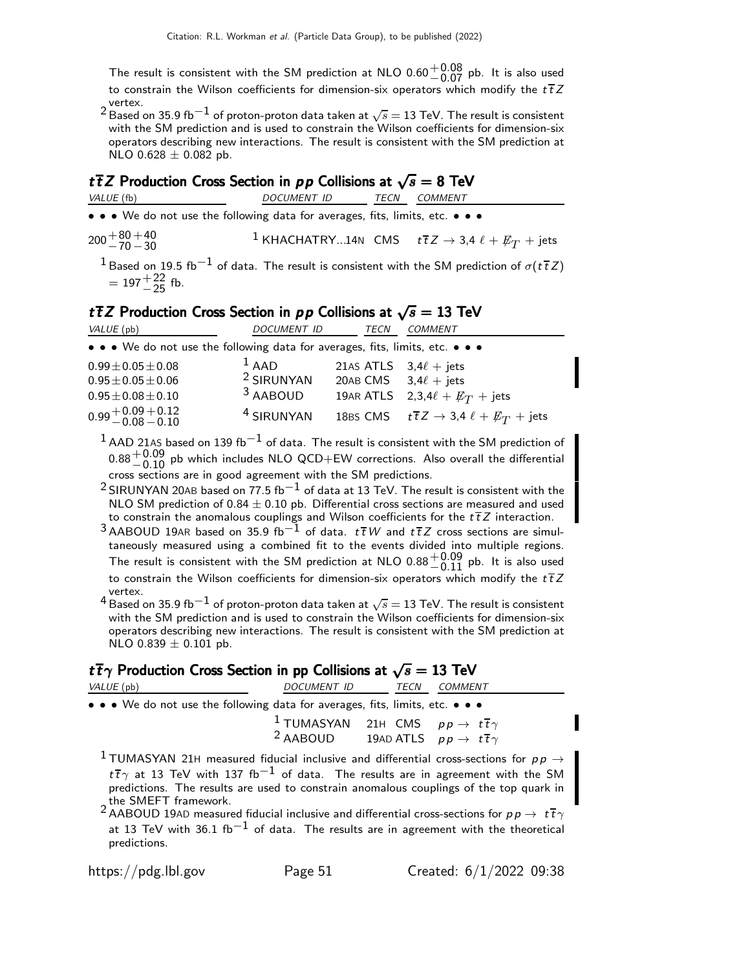The result is consistent with the SM prediction at NLO 0.60 $^{+0.08}_{-0.07}$  pb. It is also used<br>the section the Milane section to furthermaline in construe which medificities  $47.7$ to constrain the Wilson coefficients for dimension-six operators which modify the  $t\bar{t}Z$ vertex.

 $^{2}$  Based on 35.9 fb $^{-1}$  of proton-proton data taken at  $\sqrt{s} = 13$  TeV. The result is consistent with the SM prediction and is used to constrain the Wilson coefficients for dimension-six operators describing new interactions. The result is consistent with the SM prediction at NLO  $0.628 \pm 0.082$  pb.

### t $\overline{t}$  Z Production Cross Section in pp Collisions at  $\sqrt{s} = 8$  TeV

VALUE (fb) DOCUMENT ID TECN COMMENT

• • • We do not use the following data for averages, fits, limits, etc. • • •

 $200 + 80$ <br>-70  $+40$  $-30$ <sup>1</sup> KHACHATRY...14N CMS  $t\overline{t}Z \rightarrow 3,4 \ell + \not\!\!{E}_T + \text{jets}$ 

 $1$ Based on 19.5 fb $^{-1}$  of data. The result is consistent with the SM prediction of  $\sigma(t\bar{t}Z)$  $= 197 + {22 \over -25}$  fb.

### t $\overline{t}$  Z Production Cross Section in pp Collisions at  $\sqrt{s} = 13$  TeV

| VALUE (pb)                                                                    | <b>DOCUMENT ID</b>    | TECN                       | <b>COMMENT</b>                                                |
|-------------------------------------------------------------------------------|-----------------------|----------------------------|---------------------------------------------------------------|
| • • • We do not use the following data for averages, fits, limits, etc. • • • |                       |                            |                                                               |
| $0.99 \pm 0.05 \pm 0.08$                                                      | $1$ AAD               | 21AS ATLS $3,4\ell +$ jets |                                                               |
| $0.95 \pm 0.05 \pm 0.06$                                                      | <sup>2</sup> SIRUNYAN | 20AB CMS $3,4\ell +$ jets  |                                                               |
| $0.95 \pm 0.08 \pm 0.10$                                                      | <sup>3</sup> AABOUD   |                            | 19AR ATLS $2,3,4\ell + E_T + \text{jets}$                     |
| $0.99 + 0.09 + 0.12$<br>$-0.08 - 0.10$                                        | <sup>4</sup> SIRUNYAN |                            | 18BS CMS $t\bar{t}Z \rightarrow 3,4 \ell + E_T + \text{jets}$ |

 $1$  AAD 21AS based on 139 fb $^{-1}$  of data. The result is consistent with the SM prediction of  $0.88^{+0.09}_{-0.10}$  pb which includes NLO QCD+EW corrections. Also overall the differential cross sections are in good agreement with the SM predictions.

<sup>2</sup> SIRUNYAN 20AB based on 77.5 fb $^{-1}$  of data at 13 TeV. The result is consistent with the NLO SM prediction of  $0.84 \pm 0.10$  pb. Differential cross sections are measured and used to constrain the anomalous couplings and Wilson coefficients for the  $t\bar{t}Z$  interaction.

3 AABOUD 19AR based on 35.9 fb<sup>-1</sup> of data.  $t\bar{t}W$  and  $t\bar{t}Z$  cross sections are simultaneously measured using a combined fit to the events divided into multiple regions. The result is consistent with the SM prediction at NLO  $0.88 + 0.09$  pb. It is also used<br>the seasterin the Milleum section to further the convention which medific the  $4.7\%$ to constrain the Wilson coefficients for dimension-six operators which modify the  $t\overline{t}Z$ vertex.

 $^{4}$  Based on 35.9 fb $^{-1}$  of proton-proton data taken at  $\sqrt{s} = 13$  TeV. The result is consistent with the SM prediction and is used to constrain the Wilson coefficients for dimension-six operators describing new interactions. The result is consistent with the SM prediction at NLO 0.839  $\pm$  0.101 pb.

### $t\bar{t}\gamma$  Production Cross Section in pp Collisions at  $\sqrt{s} = 13$  TeV

| VALUE (pb)                                                                    | <i>DOCUMENT ID</i> | <b>COMMENT</b><br>TECN                                                                                                                                                                                                |
|-------------------------------------------------------------------------------|--------------------|-----------------------------------------------------------------------------------------------------------------------------------------------------------------------------------------------------------------------|
| • • • We do not use the following data for averages, fits, limits, etc. • • • |                    |                                                                                                                                                                                                                       |
|                                                                               |                    | <sup>1</sup> TUMASYAN 21H CMS $pp \rightarrow t\overline{t}\gamma$<br><sup>2</sup> AABOUD 19AD ATLS $pp \rightarrow t\overline{t}\gamma$                                                                              |
|                                                                               |                    | <sup>1</sup> TUMASYAN 21H measured fiducial inclusive and differential cross-sections for $p p \rightarrow$<br>$t\bar{t}\gamma$ at 13 TeV with 137 fb <sup>-1</sup> of data. The results are in agreement with the SM |

predictions. The results are used to constrain anomalous couplings of the top quark in the SMEFT framework.

<sup>2</sup> AABOUD 19AD measured fiducial inclusive and differential cross-sections for  $p p \to t \overline{t} \gamma$ at 13 TeV with 36.1 fb<sup>-1</sup> of data. The results are in agreement with the theoretical predictions.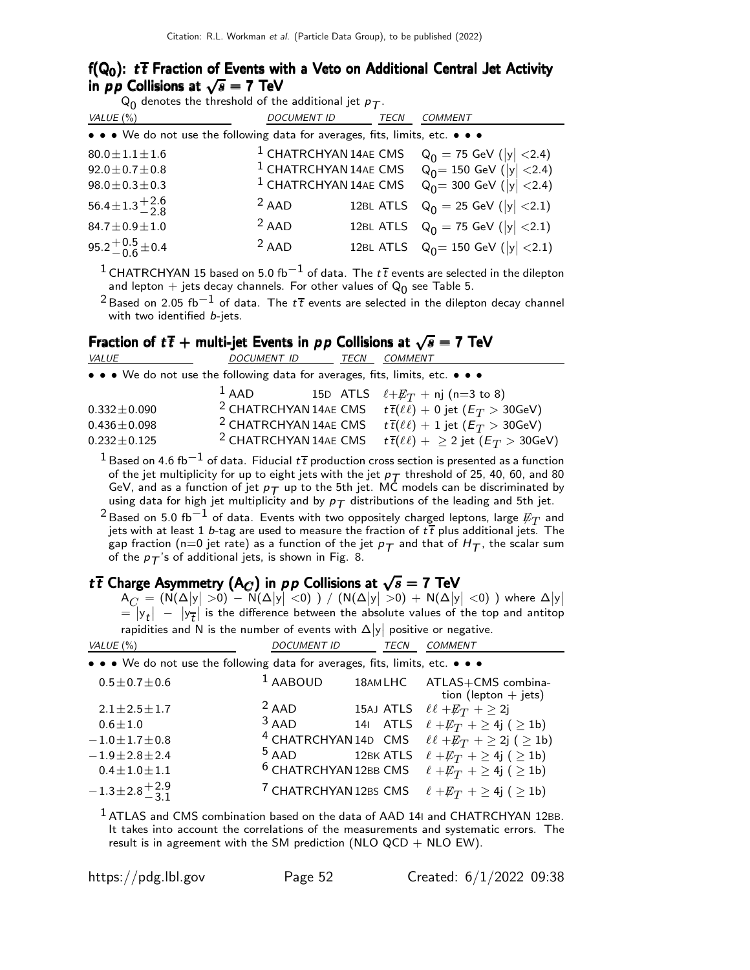#### f( $Q_0$ ):  $t\bar{t}$  Fraction of Events with a Veto on Additional Central Jet Activity in  $p \overline{p}$  Collisions at  $\sqrt{s} = 7$  TeV

| <b>DOCUMENT ID</b><br>VALUE $(\%)$<br><b>TECN</b><br><b>COMMENT</b>                                                                                                                                                                                                                                                                                                                                                                                                                                                          |  |  |  |  |  |  |
|------------------------------------------------------------------------------------------------------------------------------------------------------------------------------------------------------------------------------------------------------------------------------------------------------------------------------------------------------------------------------------------------------------------------------------------------------------------------------------------------------------------------------|--|--|--|--|--|--|
| • • • We do not use the following data for averages, fits, limits, etc. • • •                                                                                                                                                                                                                                                                                                                                                                                                                                                |  |  |  |  |  |  |
| <sup>1</sup> CHATRCHYAN 14AE CMS<br>$Q_0$ = 75 GeV ( y  <2.4)<br>$Q_0$ = 150 GeV ( y  <2.4)<br>$Q_0$ = 300 GeV ( y  <2.4)<br>$80.0 \pm 1.1 \pm 1.6$<br><sup>1</sup> CHATRCHYAN 14AE CMS<br>$92.0 \pm 0.7 \pm 0.8$<br><sup>1</sup> CHATRCHYAN 14AE CMS<br>$98.0 \pm 0.3 \pm 0.3$<br>$56.4 \pm 1.3 \pm 2.6$<br>$2$ AAD<br>12BL ATLS $Q_0 = 25$ GeV ( y  <2.1)<br>$2$ AAD<br>12BL ATLS $Q_0 = 75$ GeV $( y  < 2.1)$<br>$84.7 \pm 0.9 \pm 1.0$<br>95.2 <sup>+0.5</sup> ± 0.4<br>$2$ AAD<br>12BL ATLS $Q_0 = 150$ GeV ( y  < 2.1) |  |  |  |  |  |  |

<sup>1</sup> CHATRCHYAN 15 based on 5.0 fb<sup>-1</sup> of data. The  $t\bar{t}$  events are selected in the dilepton and lepton  $+$  jets decay channels. For other values of  $\mathsf{Q}_{\mathsf{0}}$  see Table 5.

<sup>2</sup> Based on 2.05 fb<sup>-1</sup> of data. The  $t\bar{t}$  events are selected in the dilepton decay channel with two identified b-jets.

Fraction of  $t\bar{t}$  + multi-jet Events in  $pp$  Collisions at  $\sqrt{s} = 7$  TeV

| VALUE                                                                         | <b>DOCUMENT ID</b>               | TECN | <b>COMMENT</b>                                                                     |
|-------------------------------------------------------------------------------|----------------------------------|------|------------------------------------------------------------------------------------|
| • • • We do not use the following data for averages, fits, limits, etc. • • • |                                  |      |                                                                                    |
|                                                                               | $1$ AAD                          |      | 15D ATLS $\ell + E_T$ + nj (n=3 to 8)                                              |
| $0.332 \pm 0.090$                                                             |                                  |      | <sup>2</sup> CHATRCHYAN 14AE CMS $t\bar{t}(\ell\bar{\ell})+0$ jet $(E_T > 30$ GeV) |
| $0.436 \pm 0.098$                                                             | <sup>2</sup> CHATRCHYAN 14AE CMS |      | $t\bar{t}(\ell\ell) + 1$ jet $(E_T > 30$ GeV)                                      |
| $0.232 \pm 0.125$                                                             | <sup>2</sup> CHATRCHYAN 14AE CMS |      | $t\bar{t}(\ell\ell)$ + $\geq$ 2 jet $(E_T > 30$ GeV)                               |
|                                                                               |                                  |      |                                                                                    |

<sup>1</sup> Based on 4.6 fb<sup>-1</sup> of data. Fiducial  $t\bar{t}$  production cross section is presented as a function of the jet multiplicity for up to eight jets with the jet  $p_T$  threshold of 25, 40, 60, and 80 GeV, and as a function of jet  $p_T$  up to the 5th jet. MC models can be discriminated by using data for high jet multiplicity and by  $p_{\mathcal{T}}$  distributions of the leading and 5th jet.

 $^2$ Based on 5.0 fb $^{-1}$  of data. Events with two oppositely charged leptons, large  $\not{\!\! E}_T$  and jets with at least  $1$  b-tag are used to measure the fraction of  $t\,\overline{t}$  plus additional jets. The gap fraction (n=0 jet rate) as a function of the jet  $p_T$  and that of  $H_T$ , the scalar sum of the  $p_T$ 's of additional jets, is shown in Fig. 8.

## tt $\overline{t}$  Charge Asymmetry  $(A_C)$  in  $\rho \rho$  Collisions at  $\sqrt{s}=$  7 TeV

 $\begin{split} \mathsf{A}_C&=\left(\mathsf{N}(\Delta\big|\mathsf{y}\big|>0)-\mathsf{N}(\Delta\big|\mathsf{y}\big|<0)\ \right)/\left(\mathsf{N}(\Delta\big|\mathsf{y}\big|>0)+\mathsf{N}(\Delta\big|\mathsf{y}\big|<0)\ \right) \ \text{where}\ \Delta\big|\mathsf{y}\big| \ =\big|\mathsf{y}_{\mathsf{t}}\big| \ -\big|\mathsf{y}_{\mathsf{t}}\big| \ \text{is the difference between the absolute values of the top and antitop \end{split}$ rapidities and N is the number of events with  $\Delta|{\sf y}|$  positive or negative.

| VALUE (%)                                                                     | <i>DOCUMENT ID</i>               | <b>TECN</b> | <b>COMMENT</b>                                       |
|-------------------------------------------------------------------------------|----------------------------------|-------------|------------------------------------------------------|
| • • • We do not use the following data for averages, fits, limits, etc. • • • |                                  |             |                                                      |
| $0.5 \pm 0.7 \pm 0.6$                                                         | $1$ AABOUD                       |             | 18AMLHC ATLAS+CMS combina-<br>tion (lepton $+$ jets) |
| $2.1 \pm 2.5 \pm 1.7$                                                         | $2$ AAD                          |             | 15AJ ATLS $\ell\ell + E_T$ + $\geq$ 2j               |
| $0.6 \pm 1.0$                                                                 | $3$ AAD                          |             | 141 ATLS $\ell + E_T$ + $\geq$ 4j ( $\geq$ 1b)       |
| $-1.0 \pm 1.7 \pm 0.8$                                                        | <sup>4</sup> CHATRCHYAN 14D CMS  |             | $\ell \ell + E_T$ + $\geq$ 2j ( $\geq$ 1b)           |
| $-1.9 \pm 2.8 \pm 2.4$                                                        | $5$ AAD                          | 12BK ATLS   | $\ell + E_T$ + $\geq$ 4j ( $\geq$ 1b)                |
| $0.4 \pm 1.0 \pm 1.1$                                                         | $6$ CHATRCHYAN 12BB CMS          |             | $\ell + E_T$ + $\geq$ 4j ( $\geq$ 1b)                |
| $-1.3\pm2.8\frac{+2.9}{-3.1}$                                                 | <sup>7</sup> CHATRCHYAN 12BS CMS |             | $\ell + E_T$ + $\geq$ 4j ( $\geq$ 1b)                |
|                                                                               |                                  |             |                                                      |

 $1$  ATLAS and CMS combination based on the data of AAD 14I and CHATRCHYAN 12BB. It takes into account the correlations of the measurements and systematic errors. The result is in agreement with the SM prediction (NLO  $QCD + NLO EW$ ).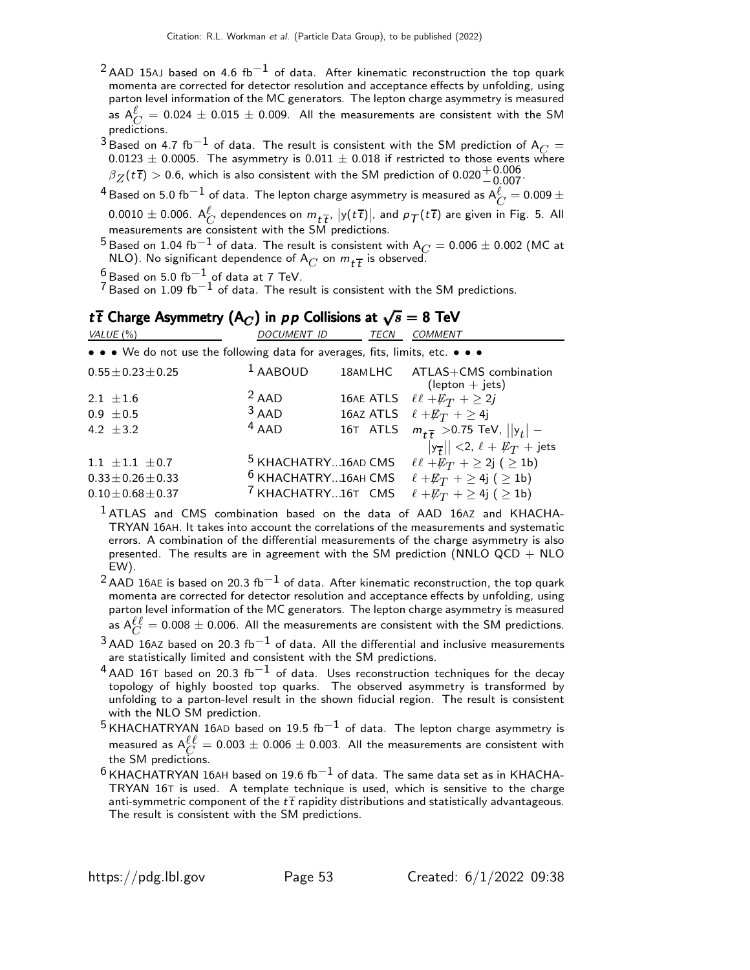- $2$ AAD 15AJ based on 4.6 fb<sup>-1</sup> of data. After kinematic reconstruction the top quark momenta are corrected for detector resolution and acceptance effects by unfolding, using parton level information of the MC generators. The lepton charge asymmetry is measured as  $A^{\ell}_{C} = 0.024 \pm 0.015 \pm 0.009$ . All the measurements are consistent with the SM predictions.
- $3$  Based on 4.7 fb<sup>-1</sup> of data. The result is consistent with the SM prediction of A<sub>C</sub> =  $0.0123 \pm 0.0005$ . The asymmetry is  $0.011 \pm 0.018$  if restricted to those events where  $\beta_Z(t\bar{t}) > 0.6$ , which is also consistent with the SM prediction of  $0.020^{+0.000}_{-0.007}$ .
- $^4$ Based on 5.0 fb $^{-1}$  of data. The lepton charge asymmetry is measured as  $\mathsf{A}_{C}^{\ell} =$  0.009  $\pm$  $0.0010 \pm 0.006$ .  $\mathsf{A}_{C}^{\ell}$  dependences on  $m_{t\overline{t}},~\vert \mathsf{y}(t\,\overline{t})\vert,$  and  $\rho_{\mathcal{T}}(t\,\overline{t})$  are given in Fig. 5. All measurements are consistent with the SM predictions.
- $^{5}$ Based on 1.04 fb $^{-1}$  of data. The result is consistent with  $\mathsf{A}_{C} = 0.006 \pm 0.002$  (MC at NLO). No significant dependence of  $A_C$  on  $m_{t\overline{t}}$  is observed.
- $\frac{6}{7}$ Based on 5.0 fb $^{-1}$  of data at 7 TeV.

 $^{7}$ Based on 1.09 fb $^{-1}$  of data. The result is consistent with the SM predictions.

| $t\bar{t}$ Charge Asymmetry (A <sub>C</sub> ) in pp Collisions at $\sqrt{s} = 8$ TeV |                                |             |                                                        |  |  |  |  |
|--------------------------------------------------------------------------------------|--------------------------------|-------------|--------------------------------------------------------|--|--|--|--|
| VALUE $(\%)$                                                                         | <b>DOCUMENT ID</b>             | <b>TECN</b> | <b>COMMENT</b>                                         |  |  |  |  |
| • • • We do not use the following data for averages, fits, limits, etc. • • •        |                                |             |                                                        |  |  |  |  |
| $0.55 \pm 0.23 \pm 0.25$                                                             | $1$ AABOUD                     | 18AM LHC    | $ATLAS + CMS$ combination<br>$($ lepton $+$ jets $)$   |  |  |  |  |
| 2.1 $\pm 1.6$                                                                        | $2$ AAD                        |             | 16AE ATLS $\ell \ell + E_T + \geq 2j$                  |  |  |  |  |
| $0.9 \pm 0.5$                                                                        | $3$ AAD                        |             | 16AZ ATLS $\ell + E_T + \geq 4j$                       |  |  |  |  |
| 4.2 $\pm$ 3.2                                                                        | $4$ AAD                        | 16T ATLS    | $m_{t\bar{t}} > 0.75$ TeV, $  y_t   -$                 |  |  |  |  |
|                                                                                      |                                |             | $ y_{\overline{t}} $ <2, $\ell + \not\!\!{E_T}$ + jets |  |  |  |  |
| $1.1 \pm 1.1 \pm 0.7$                                                                | <sup>5</sup> KHACHATRY16AD CMS |             | $\ell \ell + \not\!\!{E_T}$ + $\geq$ 2j ( $\geq$ 1b)   |  |  |  |  |
| $0.33 \pm 0.26 \pm 0.33$                                                             | <sup>6</sup> KHACHATRY16AH CMS |             | $\ell + E_T$ + $\geq$ 4j ( $\geq$ 1b)                  |  |  |  |  |
| $0.10 \pm 0.68 \pm 0.37$                                                             | <sup>7</sup> KHACHATRY16T CMS  |             | $\ell + E_T$ + $\geq$ 4j ( $\geq$ 1b)                  |  |  |  |  |

<sup>1</sup> ATLAS and CMS combination based on the data of AAD 16AZ and KHACHA-TRYAN 16AH. It takes into account the correlations of the measurements and systematic errors. A combination of the differential measurements of the charge asymmetry is also presented. The results are in agreement with the SM prediction (NNLO QCD + NLO EW).

- <sup>2</sup> AAD 16AE is based on 20.3 fb<sup>-1</sup> of data. After kinematic reconstruction, the top quark momenta are corrected for detector resolution and acceptance effects by unfolding, using parton level information of the MC generators. The lepton charge asymmetry is measured as  $A_C^{\ell\ell}=0.008\pm0.006$ . All the measurements are consistent with the SM predictions.
- $^3$ AAD 16AZ based on 20.3 fb $^{-1}$  of data. All the differential and inclusive measurements are statistically limited and consistent with the SM predictions.
- <sup>4</sup> AAD 16T based on 20.3 fb<sup>-1</sup> of data. Uses reconstruction techniques for the decay topology of highly boosted top quarks. The observed asymmetry is transformed by unfolding to a parton-level result in the shown fiducial region. The result is consistent with the NLO SM prediction.
- $5$  KHACHATRYAN 16AD based on 19.5 fb $^{-1}$  of data. The lepton charge asymmetry is measured as  $A_C^{\ell\ell} = 0.003 \pm 0.006 \pm 0.003$ . All the measurements are consistent with the SM predictions.
- $^6$ KHACHATRYAN 16AH based on 19.6 fb $^{-1}$  of data. The same data set as in KHACHA-TRYAN 16T is used. A template technique is used, which is sensitive to the charge anti-symmetric component of the  $t\bar{t}$  rapidity distributions and statistically advantageous. The result is consistent with the SM predictions.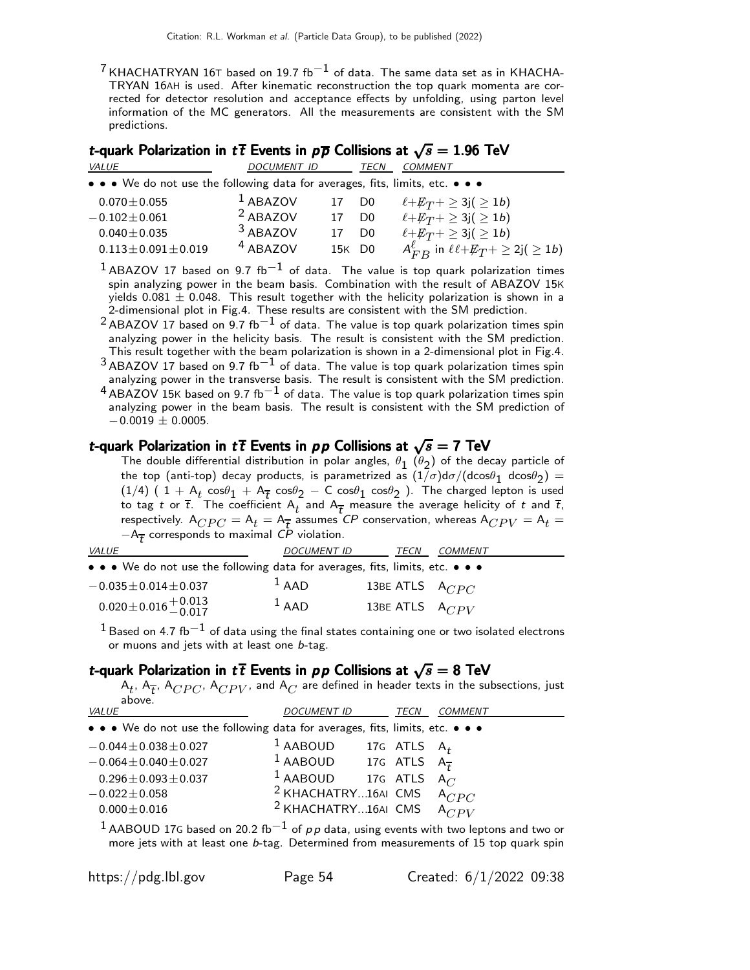$7$  KHACHATRYAN 16T based on 19.7 fb $^{-1}$  of data. The same data set as in KHACHA-TRYAN 16AH is used. After kinematic reconstruction the top quark momenta are corrected for detector resolution and acceptance effects by unfolding, using parton level information of the MC generators. All the measurements are consistent with the SM predictions.

| <i>t</i> -quark Polarization in $t\bar{t}$ Events in $p\bar{p}$ Collisions at $\sqrt{s} = 1.96$ TeV |                     |        |                |                                                         |  |  |
|-----------------------------------------------------------------------------------------------------|---------------------|--------|----------------|---------------------------------------------------------|--|--|
| VALUE                                                                                               | <b>DOCUMENT ID</b>  |        | TECN           | <b>COMMENT</b>                                          |  |  |
| • • • We do not use the following data for averages, fits, limits, etc. • • •                       |                     |        |                |                                                         |  |  |
| $0.070 \pm 0.055$                                                                                   | $1$ ABAZOV          | 17     | D <sub>0</sub> | $\ell + \cancel{E_T}$ + $\geq$ 3j( $\geq$ 1 <i>b</i> )  |  |  |
| $-0.102 \pm 0.061$                                                                                  | $2$ ABAZOV          | 17     | D <sub>0</sub> | $\ell + E_T + \geq 3j \geq 1b$                          |  |  |
| $0.040 \pm 0.035$                                                                                   | 3 ABAZOV            |        | D <sub>0</sub> | $\ell + E_T + \geq 3j(\geq 1b)$                         |  |  |
| $0.113 \pm 0.091 \pm 0.019$                                                                         | <sup>4</sup> ABAZOV | 15K D0 |                | $A_{FB}^{\ell}$ in $\ell \ell + E_T + \geq 2j(\geq 1b)$ |  |  |

 $1$ ABAZOV 17 based on 9.7 fb<sup>-1</sup> of data. The value is top quark polarization times spin analyzing power in the beam basis. Combination with the result of ABAZOV 15K yields  $0.081 \pm 0.048$ . This result together with the helicity polarization is shown in a 2-dimensional plot in Fig.4. These results are consistent with the SM prediction.

 $^{2}$ ABAZOV 17 based on 9.7 fb $^{-1}$  of data. The value is top quark polarization times spin analyzing power in the helicity basis. The result is consistent with the SM prediction. This result together with the beam polarization is shown in a 2-dimensional plot in Fig.4.

 $3$  ABAZOV 17 based on 9.7 fb $^{-1}$  of data. The value is top quark polarization times spin analyzing power in the transverse basis. The result is consistent with the SM prediction.

 $4$  ABAZOV 15K based on 9.7 fb $^{-1}$  of data. The value is top quark polarization times spin analyzing power in the beam basis. The result is consistent with the SM prediction of  $-0.0019 \pm 0.0005$ .

### t-quark Polarization in  $t\bar{t}$  Events in  $pp$  Collisions at  $\sqrt{s} = 7$  TeV

The double differential distribution in polar angles,  $\theta_1$   $(\theta_2)$  of the decay particle of the top (anti-top) decay products, is parametrized as  $(1/\sigma)d\sigma/(d\text{cos}\theta_{1}$  d $\text{cos}\theta_{2})=$  $(1/4)$  (  $1 + A_t \cos\theta_1 + A_{\overline{t}} \cos\theta_2 - C \cos\theta_1 \cos\theta_2$  ). The charged lepton is used to tag t or  $\overline{t}$ . The coefficient  $\mathsf{A}_t$  and  $\mathsf{A}_{\overline{t}}$  measure the average helicity of  $t$  and  $\overline{t}$ , respectively.  $A_{CPC} = A_t = A_{\overline{t}}$  assumes  $CP$  conservation, whereas  $A_{CPV} = A_t =$  $-A_{\overline{t}}$  corresponds to maximal  ${\it CP}$  violation.

| <b>VALUE</b>                                                                  | <b>DOCUMENT ID</b> | TECN                | COMMENT |
|-------------------------------------------------------------------------------|--------------------|---------------------|---------|
| • • • We do not use the following data for averages, fits, limits, etc. • • • |                    |                     |         |
| $-0.035 \pm 0.014 \pm 0.037$                                                  | $1$ AAD            | 13BE ATLS $A_{CPC}$ |         |
| $0.020 \pm 0.016 \pm 0.013$                                                   | $1$ AAD            | 13BE ATLS $A_{CPV}$ |         |

 $^{\rm 1}$ Based on 4.7 fb $^{\rm -1}$  of data using the final states containing one or two isolated electrons or muons and jets with at least one b-tag.

### t-quark Polarization in  $t\bar{t}$  Events in  $pp$  Collisions at  $\sqrt{s} = 8$  TeV

 $\mathsf{A}_t$ ,  $\mathsf{A}_{\overline{{\bm{\mathcal{L}}}}}$ ,  $\mathsf{A}_{CPU}$ ,  $\mathsf{A}_{CPU}$ , and  $\mathsf{A}_{C}$  are defined in header texts in the subsections, just above.

| VALUE                                                                         | <b>DOCUMENT ID</b>                              | <b>TECN</b>    | <b>COMMENT</b>    |
|-------------------------------------------------------------------------------|-------------------------------------------------|----------------|-------------------|
| • • • We do not use the following data for averages, fits, limits, etc. • • • |                                                 |                |                   |
| $-0.044 \pm 0.038 \pm 0.027$                                                  | $1$ AABOUD                                      | 17G ATLS $A_t$ |                   |
| $-0.064 \pm 0.040 \pm 0.027$                                                  | <sup>1</sup> AABOUD 17G ATLS $A_{\overline{t}}$ |                |                   |
| $0.296 \pm 0.093 \pm 0.037$                                                   | <sup>1</sup> AABOUD 17G ATLS                    |                | $A_{\mathcal{C}}$ |
| $-0.022 \pm 0.058$                                                            | <sup>2</sup> KHACHATRY16AI CMS                  |                | $A_{CPC}$         |
| $0.000 \pm 0.016$                                                             | <sup>2</sup> KHACHATRY16AI CMS                  |                | $A_{CPV}$         |
|                                                                               |                                                 |                |                   |

 $1$  AABOUD 17G based on 20.2 fb $^{-1}$  of pp data, using events with two leptons and two or more jets with at least one b-tag. Determined from measurements of 15 top quark spin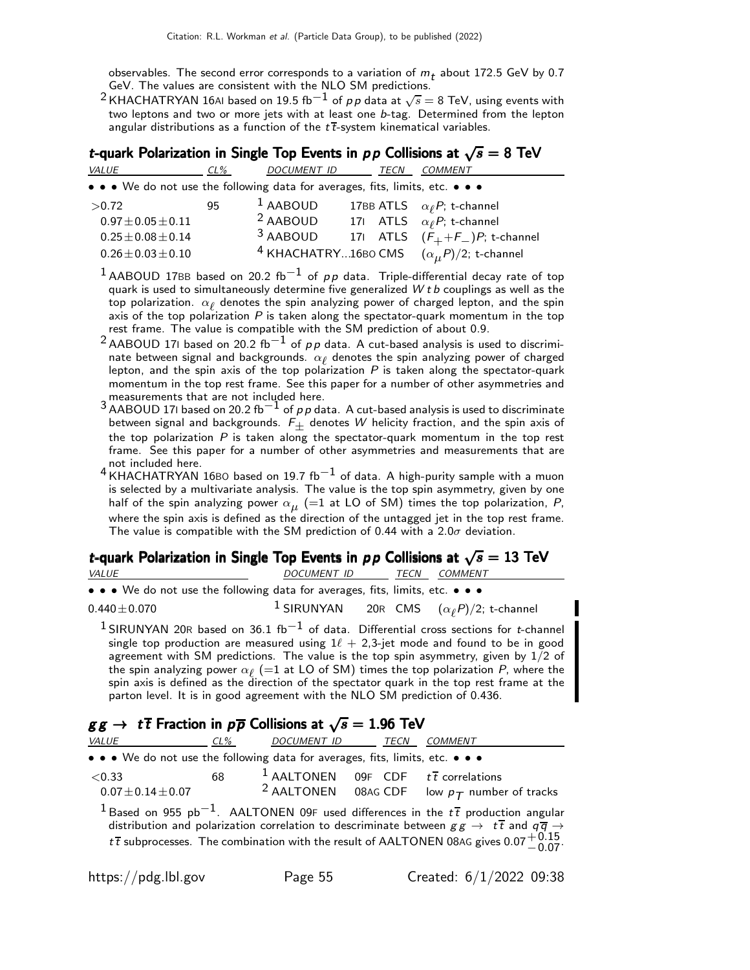observables. The second error corresponds to a variation of  $m_t$  about 172.5 GeV by 0.7 GeV. The values are consistent with the NLO SM predictions.

 $^2$ KHACHATRYAN 16AI based on 19.5 fb $^{-1}$  of  $\rho \rho$  data at  $\sqrt{s} =$  8 TeV, using events with two leptons and two or more jets with at least one b-tag. Determined from the lepton angular distributions as a function of the  $t\bar{t}$ -system kinematical variables.

| t-quark Polarization in Single Top Events in $pp$ Collisions at $\sqrt{s} = 8$ TeV |        |             |             |                                                                |  |  |  |
|------------------------------------------------------------------------------------|--------|-------------|-------------|----------------------------------------------------------------|--|--|--|
| <b>VALUE</b>                                                                       | $CL\%$ | DOCUMENT ID | <b>TECN</b> | <b>COMMENT</b>                                                 |  |  |  |
| • • • We do not use the following data for averages, fits, limits, etc. • • •      |        |             |             |                                                                |  |  |  |
| >0.72                                                                              | 95     | $1$ AABOUD  |             | 17BB ATLS $\alpha_{\ell}P$ ; t-channel                         |  |  |  |
| $0.97 \pm 0.05 \pm 0.11$                                                           |        | $2$ AABOUD  |             | 171 ATLS $\alpha_{\ell}P$ ; t-channel                          |  |  |  |
| $0.25 \pm 0.08 \pm 0.14$                                                           |        | 3 AABOUD    |             | 171 ATLS $(F_+ + F_-)P$ ; t-channel                            |  |  |  |
| $0.26 \pm 0.03 \pm 0.10$                                                           |        |             |             | <sup>4</sup> KHACHATRY16BO CMS $(\alpha_{\mu}P)/2$ ; t-channel |  |  |  |

- $1$ AABOUD 17BB based on 20.2 fb<sup>-1</sup> of  $p p$  data. Triple-differential decay rate of top quark is used to simultaneously determine five generalized  $W t b$  couplings as well as the top polarization.  $\alpha_{\ell}$  denotes the spin analyzing power of charged lepton, and the spin axis of the top polarization  $P$  is taken along the spectator-quark momentum in the top rest frame. The value is compatible with the SM prediction of about 0.9.
- 2 AABOUD 17I based on 20.2 fb<sup>-1</sup> of  $pp$  data. A cut-based analysis is used to discriminate between signal and backgrounds.  $\alpha_{\ell}$  denotes the spin analyzing power of charged lepton, and the spin axis of the top polarization  $P$  is taken along the spectator-quark momentum in the top rest frame. See this paper for a number of other asymmetries and measurements that are not included here.
- $3$  AABOUD 17I based on 20.2 fb $^{-1}$  of p p data. A cut-based analysis is used to discriminate between signal and backgrounds.  $F_{\pm}$  denotes W helicity fraction, and the spin axis of<br>the ten polarization B is taken along the spectator quark momentum in the ten rest the top polarization  $P$  is taken along the spectator-quark momentum in the top rest frame. See this paper for a number of other asymmetries and measurements that are not included here.
- 4 KHACHATRYAN 16BO based on 19.7  $fb^{-1}$  of data. A high-purity sample with a muon is selected by a multivariate analysis. The value is the top spin asymmetry, given by one half of the spin analyzing power  $\alpha_{\mu}^{}$  (=1 at LO of SM) times the top polarization,  $P$ , where the spin axis is defined as the direction of the untagged jet in the top rest frame. The value is compatible with the SM prediction of 0.44 with a  $2.0\sigma$  deviation.

### t-quark Polarization in Single Top Events in  $p p$  Collisions at  $\sqrt{s} = 13$  TeV

| <i>VALUE</i>                                                                                                          | DOCUMENT ID |  | <i>TECN COMMENT</i>                                            |
|-----------------------------------------------------------------------------------------------------------------------|-------------|--|----------------------------------------------------------------|
| $\bullet \bullet \bullet$ We do not use the following data for averages, fits, limits, etc. $\bullet \bullet \bullet$ |             |  |                                                                |
| $0.440 \pm 0.070$                                                                                                     |             |  | <sup>1</sup> SIRUNYAN 20R CMS $(\alpha_{\ell}P)/2$ ; t-channel |

<sup>1</sup> SIRUNYAN 20R based on 36.1 fb<sup>-1</sup> of data. Differential cross sections for t-channel single top production are measured using  $1\ell + 2.3$ -jet mode and found to be in good agreement with SM predictions. The value is the top spin asymmetry, given by  $1/2$  of the spin analyzing power  $\alpha_{\ell}$  (=1 at LO of SM) times the top polarization  $P$ , where the spin axis is defined as the direction of the spectator quark in the top rest frame at the parton level. It is in good agreement with the NLO SM prediction of 0.436.

# $gg \to t\bar{t}$  Fraction in  $p\bar{p}$  Collisions at  $\sqrt{s} = 1.96$  TeV

| <i>VALUE</i>                                                                  | $CL\%$ | DOCUMENT ID                                                | <b>TECN</b> | COMMENT                                                                                                                                                                                                                                                                                                                                |
|-------------------------------------------------------------------------------|--------|------------------------------------------------------------|-------------|----------------------------------------------------------------------------------------------------------------------------------------------------------------------------------------------------------------------------------------------------------------------------------------------------------------------------------------|
| • • • We do not use the following data for averages, fits, limits, etc. • • • |        |                                                            |             |                                                                                                                                                                                                                                                                                                                                        |
| ${<}0.33$<br>$0.07 \pm 0.14 \pm 0.07$                                         | 68     | <sup>1</sup> AALTONEN 09F CDF $t\overline{t}$ correlations |             | <sup>2</sup> AALTONEN 08AG CDF low $p_T$ number of tracks                                                                                                                                                                                                                                                                              |
|                                                                               |        |                                                            |             | <sup>1</sup> Based on 955 pb <sup>-1</sup> . AALTONEN 09F used differences in the $t\bar{t}$ production angular<br>distribution and polarization correlation to descriminate between $gg \to t\bar{t}$ and $q\bar{q} \to$<br>$t\bar{t}$ subprocesses. The combination with the result of AALTONEN 08AG gives 0.07 $^{+0.15}_{-0.07}$ . |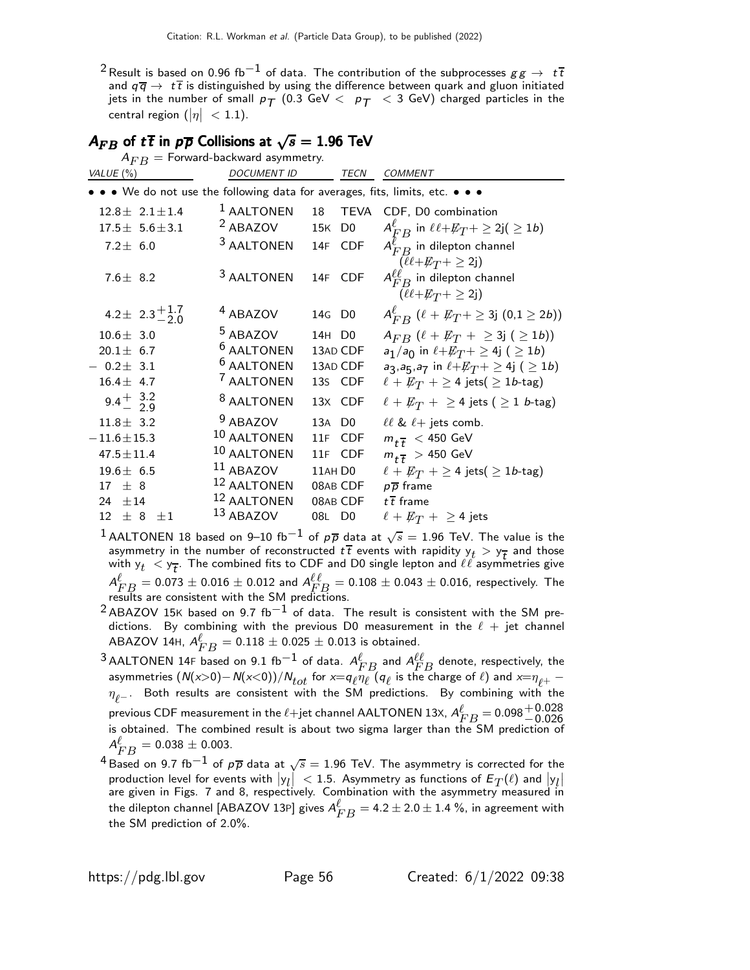$^2$ Result is based on 0.96 fb $^{-1}$  of data. The contribution of the subprocesses  $gg \to t\bar{t}$ and  $q\bar{q} \rightarrow t\bar{t}$  is distinguished by using the difference between quark and gluon initiated jets in the number of small  $p_T$  (0.3 GeV  $\langle p_T \rangle$   $\langle$  3 GeV) charged particles in the central region  $(|\eta| < 1.1)$ .

| $A_{FB}$ of $t\bar{t}$ in $p\bar{p}$ Collisions at $\sqrt{s} = 1.96$ TeV<br>$A_{FB}$ = Forward-backward asymmetry.                                     |                                                                                                                             |                                                    |                                                       |                                                                                                                                                                                                                                                                                                                                 |  |  |  |
|--------------------------------------------------------------------------------------------------------------------------------------------------------|-----------------------------------------------------------------------------------------------------------------------------|----------------------------------------------------|-------------------------------------------------------|---------------------------------------------------------------------------------------------------------------------------------------------------------------------------------------------------------------------------------------------------------------------------------------------------------------------------------|--|--|--|
| VALUE $(\%)$                                                                                                                                           | <i>DOCUMENT ID</i>                                                                                                          |                                                    | TECN                                                  | <b>COMMENT</b>                                                                                                                                                                                                                                                                                                                  |  |  |  |
| • • • We do not use the following data for averages, fits, limits, etc. • • •                                                                          |                                                                                                                             |                                                    |                                                       |                                                                                                                                                                                                                                                                                                                                 |  |  |  |
| $12.8 \pm 2.1 \pm 1.4$<br>$17.5 \pm 5.6 \pm 3.1$<br>$7.2 \pm 6.0$                                                                                      | <sup>1</sup> AALTONEN<br>$2$ ABAZOV<br><sup>3</sup> AALTONEN                                                                | 18<br>15K D0                                       | TEVA<br>14F CDF                                       | CDF, D0 combination<br>$A_{FB}^{\ell}$ in $\ell \ell + E_T^{\ell} + \geq 2j(\geq 1b)$<br>$A_{FB}^{\ell}$ in dilepton channel<br>$(\ell \ell + \not\!\!{E_T} + \geq 2j)$                                                                                                                                                         |  |  |  |
| 7.6 $\pm$ 8.2                                                                                                                                          | <sup>3</sup> AALTONEN                                                                                                       |                                                    | 14F CDF                                               | $A_{FB}^{\ell\ell}$ in dilepton channel<br>$(\ell \ell + \not\!\!{E_T} + \geq 2j)$                                                                                                                                                                                                                                              |  |  |  |
| 4.2 ± $2.3^{+1.7}_{-2.0}$                                                                                                                              | <sup>4</sup> ABAZOV                                                                                                         | 14G D <sub>0</sub>                                 |                                                       | $A_{FB}^{\ell}$ ( $\ell + E_T + \geq 3j$ (0,1 $\geq 2b$ ))                                                                                                                                                                                                                                                                      |  |  |  |
| $10.6 \pm 3.0$<br>$20.1 \pm 6.7$<br>$-0.2 \pm 3.1$<br>$16.4 \pm 4.7$                                                                                   | $5$ ABAZOV<br><sup>6</sup> AALTONEN<br><sup>6</sup> AALTONEN<br><sup>7</sup> AALTONEN                                       | 14H D0                                             | 13AD CDF<br>13AD CDF<br>13s CDF                       | $A_{FB}$ $(\ell + E_T + \geq 3j \; (\geq 1b))$<br>$a_1/a_0$ in $\ell + E_T + \geq 4j$ ( $\geq 1b$ )<br>$a_3, a_5, a_7$ in $\ell + E_T + \geq 4j$ ( $\geq 1b$ )<br>$\ell + E_T$ + $\geq$ 4 jets( $\geq$ 1 <i>b</i> -tag)                                                                                                         |  |  |  |
| 9.4 $\frac{+}{2}$ 3.2<br>$11.8 \pm 3.2$<br>$-11.6 \pm 15.3$<br>$47.5 \pm 11.4$<br>$19.6 \pm 6.5$<br>$17 \pm 8$<br>24 $\pm$ 14<br>$12 \pm 8$<br>$\pm 1$ | <sup>8</sup> AALTONEN<br>$9$ ABAZOV<br>10 AALTONEN<br>10 AALTONEN<br>$11$ ABAZOV<br>12 AALTONEN<br>12 AALTONEN<br>13 ABAZOV | 13A D <sub>0</sub><br>11AH <sub>D0</sub><br>08L D0 | 13X CDF<br>11F CDF<br>11F CDF<br>08AB CDF<br>08AB CDF | $\ell + \not\!\!{E_T}$ + $\geq$ 4 jets ( $\geq$ 1 <i>b</i> -tag)<br>$\ell\ell$ & $\ell$ + jets comb.<br>$m_{t\bar{t}}$ < 450 GeV<br>$m_{t\bar{t}} > 450$ GeV<br>$\ell + \not\!\!{E_T}$ + $\geq$ 4 jets( $\geq$ 1 <i>b</i> -tag)<br>$p\overline{p}$ frame<br>$t\,\overline{t}\,$ frame<br>$\ell + \not\!\!{E_T}$ + $\geq$ 4 jets |  |  |  |

 $^1$ AALTONEN 18 based on 9–10 fb $^{-1}$  of  $\rho \overline{\rho}$  data at  $\sqrt{s} =$  1.96 TeV. The value is the asymmetry in the number of reconstructed  $t\bar{t}$  events with rapidity  $y_t > y_{\bar{t}}$  and those with  $y_t < y_{\overline{t}}$ . The combined fits to CDF and D0 single lepton and  $\ell\ell$  asymmetries give  $A_{FB}^{\ell}=0.073\pm0.016\pm0.012$  and  $A_{FB}^{\ell\ell}=0.108\pm0.043\pm0.016,$  respectively. The results are consistent with the SM predictions.

- $2$  ABAZOV 15K based on 9.7 fb<sup>-1</sup> of data. The result is consistent with the SM predictions. By combining with the previous D0 measurement in the  $\ell +$  jet channel ABAZOV 14H,  $A_{FB}^{\ell} = 0.118 \pm 0.025 \pm 0.013$  is obtained.
- <sup>3</sup> AALTONEN 14F based on 9.1 fb $^{-1}$  of data.  $A_{FB}^{\ell}$  and  $A_{FB}^{\ell\ell}$  denote, respectively, the asymmetries  $(N(x>0)-N(x<0))/N_{tot}$  for  $x=q_{\ell}\eta_{\ell}$  ( $q_{\ell}$  is the charge of  $\ell$ ) and  $x=\eta_{\ell^+}-1$  $\eta_{\ell^-}$ . Both results are consistent with the SM predictions. By combining with the previous CDF measurement in the  $\ell$ +jet channel AALTONEN 13X,  $A_{FB}^{\ell} = 0.098_{-0.026}^{+0.028}$ <br>is obtained. The combined result is about two sigma larger than the SM prediction of is obtained. The combined result is about two sigma larger than the SM prediction of  $A_{FB}^{\ell} = 0.038 \pm 0.003.$
- $^4$ Based on 9.7 fb $^{-1}$  of  $\rho\overline{\rho}$  data at  $\sqrt{s}=$  1.96 TeV. The asymmetry is corrected for the production level for events with  $|y_l| < 1.5$ . Asymmetry as functions of  $E_T(\ell)$  and  $|y_l|$ are given in Figs. 7 and 8, respectively. Combination with the asymmetry measured in the dilepton channel [ABAZOV 13P] gives  $A_{FB}^{\ell} = 4.2 \pm 2.0 \pm 1.4$  %, in agreement with the SM prediction of 2.0%.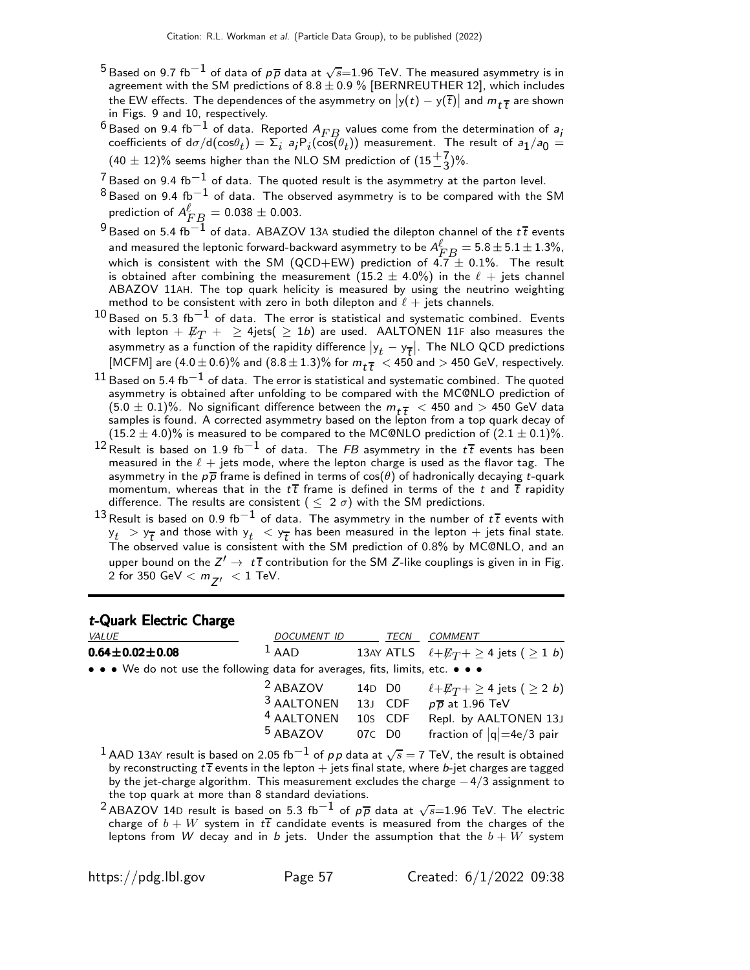- $^5$ Based on 9.7 fb $^{-1}$  of data of  $\rho\overline{\rho}$  data at  $\sqrt{s}{=}1.96$  TeV. The measured asymmetry is in agreement with the SM predictions of 8.8  $\pm$  0.9 % [BERNREUTHER 12], which includes the EW effects. The dependences of the asymmetry on  $|y(t) - y(\overline{t})|$  and  $m_t \overline{t}$  are shown in Figs. 9 and 10, respectively.
- 6 Based on 9.4 fb<sup>-1</sup> of data. Reported  $A_{FB}$  values come from the determination of a<sub>j</sub> coefficients of d $\sigma/\text{d}(\cos\theta_t) = \Sigma_i$  a; $\text{P}_i(\cos(\theta_t))$  measurement. The result of a $_1/a_0 =$  $(40 \pm 12)\%$  seems higher than the NLO SM prediction of  $(15\frac{+7}{-3})\%$ .
- $7$  Based on 9.4 fb $^{-1}$  of data. The quoted result is the asymmetry at the parton level.
- $8$  Based on 9.4 fb $^{-1}$  of data. The observed asymmetry is to be compared with the SM prediction of  $A_{FB}^{\ell} = 0.038 \pm 0.003.$
- <sup>9</sup> Based on 5.4 fb<sup>−1</sup> of data. ABAZOV 13A studied the dilepton channel of the t $\overline{t}$  events and measured the leptonic forward-backward asymmetry to be  $A_{FB}^{\ell} = 5.8 \pm 5.1 \pm 1.3\%$ , which is consistent with the SM (QCD+EW) prediction of  $4.7 \pm 0.1\%$ . The result is obtained after combining the measurement  $(15.2 \pm 4.0\%)$  in the  $\ell$  + jets channel ABAZOV 11AH. The top quark helicity is measured by using the neutrino weighting method to be consistent with zero in both dilepton and  $\ell +$  jets channels.
- $^{10}\rm{Based}$  on 5.3 fb $^{-1}$  of data. The error is statistical and systematic combined. Events with lepton  $+$   $\not\!\!E_{T}$   $+$   $\geq$  4jets(  $\geq$  1*b*) are used. <code>AALTONEN</code> 11F also measures the asymmetry as a function of the rapidity difference  $|y_t - y_{\overline{t}}|$ . The NLO QCD predictions [MCFM] are  $(4.0 \pm 0.6)\%$  and  $(8.8 \pm 1.3)\%$  for  $m_{t\overline{t}} < 450$  and  $>$  450 GeV, respectively.
- $^{11}$  Based on 5.4 fb $^{-1}$  of data. The error is statistical and systematic combined. The quoted asymmetry is obtained after unfolding to be compared with the MC@NLO prediction of  $(5.0 \pm 0.1)\%$ . No significant difference between the  $m_{t\bar{t}} < 450$  and  $> 450$  GeV data samples is found. A corrected asymmetry based on the lepton from a top quark decay of  $(15.2 \pm 4.0)\%$  is measured to be compared to the MC@NLO prediction of  $(2.1 \pm 0.1)\%$ .
- $12$  Result is based on 1.9 fb<sup>-1</sup> of data. The FB asymmetry in the  $t\bar{t}$  events has been measured in the  $\ell +$  jets mode, where the lepton charge is used as the flavor tag. The asymmetry in the  $p\bar{p}$  frame is defined in terms of  $cos(\theta)$  of hadronically decaying t-quark momentum, whereas that in the  $t\bar{t}$  frame is defined in terms of the t and  $\bar{t}$  rapidity difference. The results are consistent ( $\leq 2 \sigma$ ) with the SM predictions.
- $^{13}$ Result is based on 0.9 fb $^{-1}$  of data. The asymmetry in the number of  $t\overline{t}$  events with  $y_t > y_{\overline{t}}$  and those with  $y_t < y_{\overline{t}}$  has been measured in the lepton  $+$  jets final state. The observed value is consistent with the SM prediction of 0.8% by MC@NLO, and an upper bound on the  $Z' \to t\bar{t}$  contribution for the SM Z-like couplings is given in in Fig. 2 for 350 GeV  $< m_{Z'} < 1$  TeV.

#### t-Quark Electric Charge

| <b>VALUE</b>                                                                  | <b>DOCUMENT ID</b>    |        | TECN    | <b>COMMENT</b>                                     |
|-------------------------------------------------------------------------------|-----------------------|--------|---------|----------------------------------------------------|
| $0.64 \pm 0.02 \pm 0.08$                                                      | $1$ AAD               |        |         | 13AY ATLS $\ell + E_T + \geq 4$ jets ( $\geq 1$ b) |
| • • • We do not use the following data for averages, fits, limits, etc. • • • |                       |        |         |                                                    |
|                                                                               | $2$ ABAZOV            |        | 14D D0  | $\ell{+}E_T{+}\geq 4$ jets ( $\geq 2$ <i>b</i> )   |
|                                                                               | 3 AALTONEN 13J CDF    |        |         | $p\overline{p}$ at 1.96 TeV                        |
|                                                                               | <sup>4</sup> AALTONEN |        | 10s CDF | Repl. by AALTONEN 13J                              |
|                                                                               | $5$ ABAZOV            | 07C D0 |         | fraction of $ q =4e/3$ pair                        |
|                                                                               |                       |        |         |                                                    |

- $^1$  AAD 13AY result is based on 2.05 fb $^{-1}$  of  $\rho\, \rho$  data at  $\sqrt{s}=$  7 TeV, the result is obtained by reconstructing  $t\bar{t}$  events in the lepton  $+$  jets final state, where b-jet charges are tagged by the jet-charge algorithm. This measurement excludes the charge  $-4/3$  assignment to the top quark at more than 8 standard deviations.
- $^2$ ABAZOV 14D result is based on 5.3 fb $^{-1}$  of  $\rho\overline\rho$  data at  $\sqrt{s}{=}1.96$  TeV. The electric charge of  $b + W$  system in  $t\bar{t}$  candidate events is measured from the charges of the leptons from W decay and in b jets. Under the assumption that the  $b + W$  system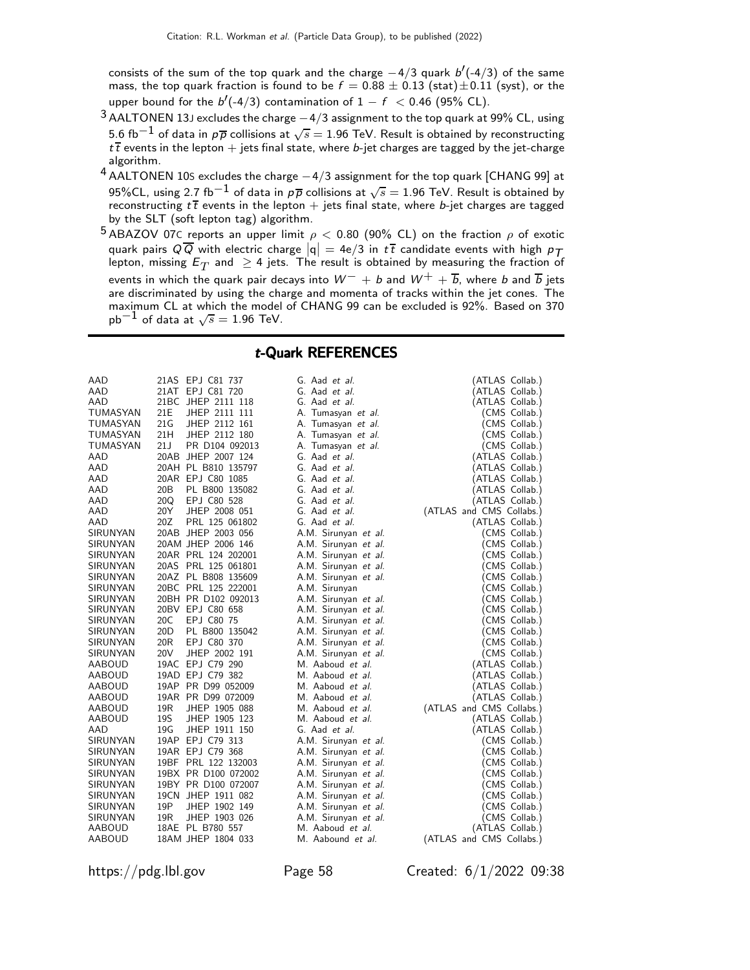consists of the sum of the top quark and the charge  $-4/3$  quark  $b'(-4/3)$  of the same mass, the top quark fraction is found to be  $f = 0.88 \pm 0.13$  (stat) $\pm 0.11$  (syst), or the upper bound for the  $b'(-4/3)$  contamination of  $1 - f < 0.46$  (95% CL).

- $3$  AALTONEN 13J excludes the charge  $-4/3$  assignment to the top quark at 99% CL, using 5.6 fb $^{-1}$  of data in  $\rho \overline{\rho}$  collisions at  $\sqrt{s}=$  1.96 TeV. Result is obtained by reconstructing  $t\bar{t}$  events in the lepton + jets final state, where b-jet charges are tagged by the jet-charge algorithm.
- <sup>4</sup> AALTONEN 10<sup>S</sup> excludes the charge <sup>−</sup>4/3 assignment for the top quark [CHANG 99] at 95%CL, using 2.7 fb $^{-1}$  of data in  $\rho\overline{\rho}$  collisions at  $\sqrt{s}=$  1.96 TeV. Result is obtained by reconstructing  $t\bar{t}$  events in the lepton + jets final state, where b-jet charges are tagged by the SLT (soft lepton tag) algorithm.
- $^5$ ABAZOV 07C reports an upper limit  $\rho <$  0.80 (90% CL) on the fraction  $\rho$  of exotic quark pairs  $Q\overline{Q}$  with electric charge  $|q| = 4e/3$  in  $t\overline{t}$  candidate events with high  $p\overline{T}$ lepton, missing  $\mathsf{E}_T$  and  $\, \geq 4$  jets. The result is obtained by measuring the fraction of events in which the quark pair decays into  $W^- + b$  and  $W^+ + \overline{b}$ , where b and  $\overline{b}$  jets are discriminated by using the charge and momenta of tracks within the jet cones. The maximum CL at which the model of CHANG 99 can be excluded is 92%. Based on 370  $pb^{-1}$  of data at  $\sqrt{s} = 1.96$  TeV.

#### t-Quark REFERENCES

| AAD      |                 | 21AS EPJ C81 737    | G. Aad et al.            | (ATLAS Collab.)          |
|----------|-----------------|---------------------|--------------------------|--------------------------|
| AAD      |                 | 21AT EPJ C81 720    | G. Aad et al.            | (ATLAS Collab.)          |
| AAD      |                 | 21BC JHEP 2111 118  | G. Aad et al.            | (ATLAS Collab.)          |
| TUMASYAN | 21E             | JHEP 2111 111       | A. Tumasyan et al.       | (CMS Collab.)            |
| TUMASYAN | 21 <sub>G</sub> | JHEP 2112 161       | A. Tumasyan et al.       | (CMS Collab.)            |
| TUMASYAN | 21H             | JHEP 2112 180       | A. Tumasyan et al.       | (CMS Collab.)            |
| TUMASYAN | 21J             | PR D104 092013      | A. Tumasyan et al.       | (CMS Collab.)            |
| AAD      |                 | 20AB JHEP 2007 124  | G. Aad et al.            | (ATLAS Collab.)          |
| AAD      |                 | 20AH PL B810 135797 | G. Aad et al.            | (ATLAS Collab.)          |
| AAD      |                 | 20AR EPJ C80 1085   | G. Aad et al.            | (ATLAS Collab.)          |
| AAD      | 20B             | PL B800 135082      | G. Aad <i>et al.</i>     | (ATLAS Collab.)          |
| AAD      | 20Q             | EPJ C80 528         | G. Aad <i>et al.</i>     | (ATLAS Collab.)          |
| AAD      | 20Y             | JHEP 2008 051       | G. Aad et al.            | (ATLAS and CMS Collabs.) |
| AAD      | 20Z             | PRL 125 061802      | G. Aad <i>et al.</i>     | (ATLAS Collab.)          |
| SIRUNYAN |                 | 20AB JHEP 2003 056  | A.M. Sirunyan et al.     | (CMS Collab.)            |
| SIRUNYAN |                 | 20AM JHEP 2006 146  | A.M. Sirunyan et al.     | (CMS Collab.)            |
| SIRUNYAN |                 | 20AR PRL 124 202001 | A.M. Sirunyan et al.     | 'CMS Collab.)            |
| SIRUNYAN |                 | 20AS PRL 125 061801 | A.M. Sirunyan et al.     | (CMS Collab.)            |
| SIRUNYAN |                 | 20AZ PL B808 135609 | A.M. Sirunyan et al.     | (CMS Collab.)            |
| SIRUNYAN |                 | 20BC PRL 125 222001 | A.M. Sirunyan            | (CMS Collab.)            |
| SIRUNYAN |                 | 20BH PR D102 092013 | A.M. Sirunyan et al.     | (CMS Collab.)            |
| SIRUNYAN |                 | 20BV EPJ C80 658    | A.M. Sirunyan et al.     | (CMS Collab.)            |
| SIRUNYAN | 20C             | EPJ C80 75          | A.M. Sirunyan et al.     | (CMS Collab.)            |
| SIRUNYAN | 20 <sub>D</sub> | PL B800 135042      | A.M. Sirunyan et al.     | (CMS Collab.)            |
| SIRUNYAN | 20 <sub>R</sub> | EPJ C80 370         | A.M. Sirunyan et al.     | (CMS Collab.)            |
| SIRUNYAN | 20V             | JHEP 2002 191       | A.M. Sirunyan et al.     | (CMS Collab.)            |
| AABOUD   |                 | 19AC EPJ C79 290    | M. Aaboud et al.         | (ATLAS Collab.)          |
| AABOUD   |                 | 19AD EPJ C79 382    | M. Aaboud et al.         | (ATLAS Collab.)          |
| AABOUD   |                 | 19AP PR D99 052009  | M. Aaboud et al.         | (ATLAS Collab.)          |
| AABOUD   |                 | 19AR PR D99 072009  | M. Aaboud et al.         | (ATLAS Collab.)          |
| AABOUD   | 19R             | JHEP 1905 088       | M. Aaboud et al.         | (ATLAS and CMS Collabs.) |
| AABOUD   | 19S             | JHEP 1905 123       | M. Aaboud <i>et al.</i>  | (ATLAS Collab.)          |
| AAD      | 19G             | JHEP 1911 150       | G. Aad et al.            | (ATLAS Collab.)          |
| SIRUNYAN |                 | 19AP EPJ C79 313    | A.M. Sirunyan et al.     | (CMS Collab.)            |
| SIRUNYAN |                 | 19AR EPJ C79 368    | A.M. Sirunyan et al.     | (CMS Collab.)            |
| SIRUNYAN |                 | 19BF PRL 122 132003 | A.M. Sirunyan et al.     | (CMS Collab.)            |
| SIRUNYAN |                 | 19BX PR D100 072002 | A.M. Sirunyan et al.     | (CMS Collab.)            |
| SIRUNYAN |                 | 19BY PR D100 072007 | A.M. Sirunyan et al.     | (CMS Collab.)            |
| SIRUNYAN |                 | 19CN JHEP 1911 082  | A.M. Sirunyan et al.     | (CMS Collab.)            |
| SIRUNYAN | 19P             | JHEP 1902 149       | A.M. Sirunyan et al.     | (CMS Collab.)            |
| SIRUNYAN | 19R             | JHEP 1903 026       | A.M. Sirunyan et al.     | (CMS Collab.)            |
| AABOUD   |                 | 18AE PL B780 557    | M. Aaboud et al.         | (ATLAS Collab.)          |
| AABOUD   |                 | 18AM JHEP 1804 033  | M. Aabound <i>et al.</i> | (ATLAS and CMS Collabs.) |
|          |                 |                     |                          |                          |

https://pdg.lbl.gov Page 58 Created: 6/1/2022 09:38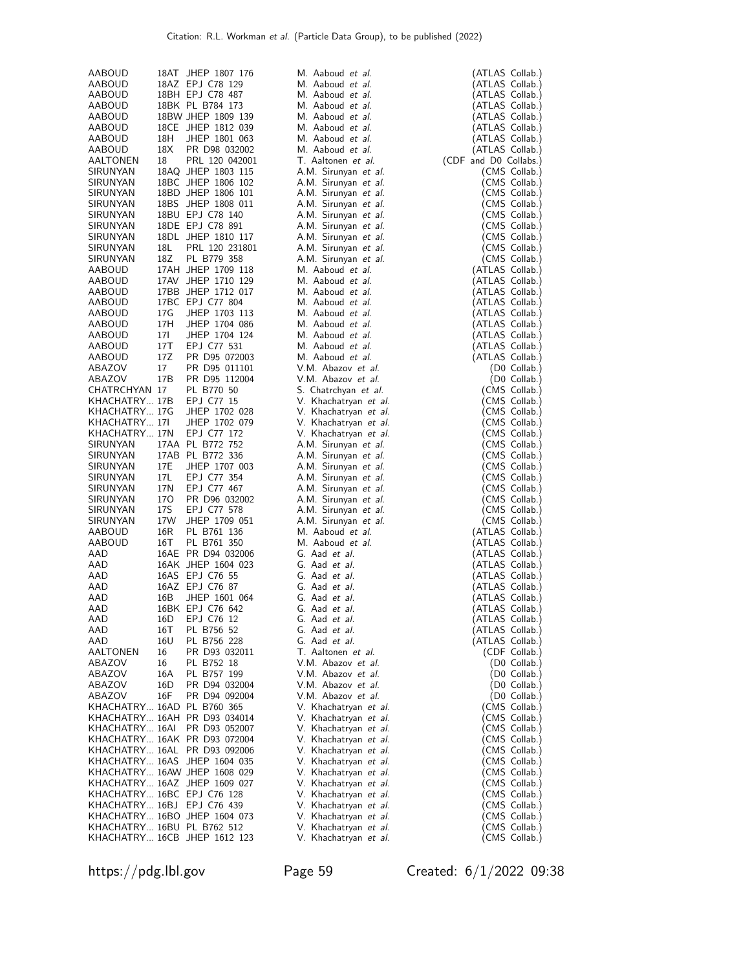| AABOUD                                                   |                 | 18AT JHEP 1807 176           | M. Aaboud et al.             | (ATLAS Collab.)                |
|----------------------------------------------------------|-----------------|------------------------------|------------------------------|--------------------------------|
| AABOUD                                                   |                 | 18AZ EPJ C78 129             | M. Aaboud et al.             | (ATLAS Collab.)                |
| AABOUD                                                   |                 | 18BH EPJ C78 487             | M. Aaboud et al.             | (ATLAS Collab.)                |
| AABOUD                                                   |                 | 18BK PL B784 173             | M. Aaboud et al.             | (ATLAS Collab.)                |
| AABOUD                                                   |                 | 18BW JHEP 1809 139           | M. Aaboud et al.             | (ATLAS Collab.)                |
|                                                          |                 | 18CE JHEP 1812 039           | M. Aaboud et al.             | (ATLAS Collab.)                |
| AABOUD                                                   |                 |                              |                              |                                |
| AABOUD                                                   | 18H             | JHEP 1801 063                | M. Aaboud et al.             | (ATLAS Collab.)                |
| AABOUD                                                   | 18 <sub>X</sub> | PR D98 032002                | M. Aaboud et al.             | (ATLAS Collab.)                |
| AALTONEN                                                 | 18              | PRL 120 042001               | T. Aaltonen et al.           | (CDF and D0 Collabs.)          |
| SIRUNYAN                                                 |                 | 18AQ JHEP 1803 115           | A.M. Sirunyan et al.         | (CMS Collab.)                  |
| SIRUNYAN                                                 |                 | 18BC JHEP 1806 102           | A.M. Sirunyan et al.         | (CMS Collab.)                  |
| SIRUNYAN                                                 |                 | 18BD JHEP 1806 101           | A.M. Sirunyan et al.         | (CMS Collab.)                  |
| SIRUNYAN                                                 |                 | 18BS JHEP 1808 011           | A.M. Sirunyan et al.         | (CMS Collab.)                  |
| SIRUNYAN                                                 |                 | 18BU EPJ C78 140             | A.M. Sirunyan et al.         | (CMS Collab.)                  |
| SIRUNYAN                                                 |                 | 18DE EPJ C78 891             | A.M. Sirunyan et al.         | (CMS Collab.)                  |
| SIRUNYAN                                                 |                 | 18DL JHEP 1810 117           | A.M. Sirunyan et al.         | (CMS Collab.)                  |
| SIRUNYAN                                                 | 18L             | PRL 120 231801               | A.M. Sirunyan et al.         | (CMS Collab.)                  |
| SIRUNYAN                                                 | 18Z             | PL B779 358                  | A.M. Sirunyan et al.         | (CMS Collab.)                  |
| AABOUD                                                   |                 | 17AH JHEP 1709 118           | M. Aaboud et al.             | (ATLAS Collab.)                |
| AABOUD                                                   |                 | 17AV JHEP 1710 129           | M. Aaboud et al.             | (ATLAS Collab.)                |
| AABOUD                                                   |                 | 17BB JHEP 1712 017           | M. Aaboud et al.             | (ATLAS Collab.)                |
| AABOUD                                                   |                 | 17BC EPJ C77 804             | M. Aaboud et al.             | (ATLAS Collab.)                |
| AABOUD                                                   | 17G             | JHEP 1703 113                | M. Aaboud et al.             | (ATLAS Collab.)                |
| AABOUD                                                   | 17H             | JHEP 1704 086                | M. Aaboud et al.             | (ATLAS Collab.)                |
| AABOUD                                                   | 17I             | JHEP 1704 124                | M. Aaboud et al.             | (ATLAS Collab.)                |
| AABOUD                                                   | 17T             | EPJ C77 531                  | M. Aaboud et al.             | (ATLAS Collab.)                |
| AABOUD                                                   | 17Z             | PR D95 072003                | M. Aaboud et al.             | (ATLAS Collab.)                |
| ABAZOV                                                   | 17              | PR D95 011101                | V.M. Abazov et al.           | (D0 Collab.)                   |
| ABAZOV                                                   | 17B             | PR D95 112004                | V.M. Abazov et al.           | (D0 Collab.)                   |
| CHATRCHYAN 17                                            |                 | PL B770 50                   | S. Chatrchyan et al.         | (CMS Collab.)                  |
| KHACHATRY 17B                                            |                 | EPJ C77 15                   | V. Khachatryan et al.        | (CMS Collab.)                  |
| KHACHATRY 17G                                            |                 | JHEP 1702 028                | V. Khachatryan et al.        | (CMS Collab.)                  |
| KHACHATRY 171                                            |                 | JHEP 1702 079                | V. Khachatryan <i>et al.</i> | (CMS Collab.)                  |
| KHACHATRY 17N                                            |                 | EPJ C77 172                  | V. Khachatryan et al.        | (CMS Collab.)                  |
| SIRUNYAN                                                 |                 | 17AA PL B772 752             | A.M. Sirunyan et al.         | (CMS Collab.)                  |
| SIRUNYAN                                                 |                 | 17AB PL B772 336             | A.M. Sirunyan et al.         | (CMS Collab.)                  |
| SIRUNYAN                                                 | 17E             | JHEP 1707 003                | A.M. Sirunyan et al.         | (CMS Collab.)                  |
| SIRUNYAN                                                 | 17L             | EPJ C77 354                  | A.M. Sirunyan et al.         | (CMS Collab.)                  |
| SIRUNYAN                                                 | 17N             | EPJ C77 467                  | A.M. Sirunyan et al.         | (CMS Collab.)                  |
| SIRUNYAN                                                 | 170             | PR D96 032002                | A.M. Sirunyan et al.         | (CMS Collab.)                  |
| SIRUNYAN                                                 | 17S             | EPJ C77 578                  | A.M. Sirunyan et al.         | (CMS Collab.)                  |
| SIRUNYAN                                                 | 17W             | JHEP 1709 051                | A.M. Sirunyan et al.         | (CMS Collab.)                  |
| AABOUD                                                   | 16R             | PL B761 136                  | M. Aaboud et al.             | (ATLAS Collab.)                |
| AABOUD                                                   | 16T             | PL B761 350                  | M. Aaboud et al.             | (ATLAS Collab.)                |
| AAD                                                      |                 | 16AE PR D94 032006           | G. Aad et al.                | (ATLAS Collab.)                |
| AAD                                                      |                 | 16AK JHEP 1604 023           | G. Aad et al.                | (ATLAS Collab.)                |
| AAD                                                      |                 | 16AS EPJ C76 55              | G. Aad et al.                | (ATLAS Collab.)                |
| AAD                                                      |                 | 16AZ EPJ C76 87              | G. Aad et al.                | (ATLAS Collab.)                |
| AAD                                                      | 16 <sub>B</sub> | JHEP 1601 064                | G. Aad et al.                | (ATLAS Collab.)                |
| AAD                                                      |                 | 16BK EPJ C76 642             | G. Aad et al.                | (ATLAS Collab.)                |
| AAD                                                      | 16D             | EPJ C76 12                   | G. Aad et al.                | (ATLAS Collab.)                |
| AAD                                                      | 16T             | PL B756 52                   | G. Aad et al.                | (ATLAS Collab.)                |
| AAD                                                      | 16U             | PL B756 228                  | G. Aad et al.                | (ATLAS Collab.)                |
| AALTONEN                                                 | 16              | PR D93 032011                | T. Aaltonen <i>et al.</i>    | (CDF Collab.)                  |
| ABAZOV                                                   | 16              | PL B752 18                   | V.M. Abazov <i>et al.</i>    | (D0 Collab.)                   |
| ABAZOV                                                   | 16A             | PL B757 199                  | V.M. Abazov et al.           | (D0 Collab.)                   |
| ABAZOV                                                   | 16D             | PR D94 032004                | V.M. Abazov et al.           | (D0 Collab.)                   |
| ABAZOV                                                   | 16F             | PR D94 092004                | V.M. Abazov et al.           | (D0 Collab.)                   |
| KHACHATRY 16AD PL B760 365                               |                 |                              | V. Khachatryan et al.        | (CMS Collab.)                  |
|                                                          |                 | KHACHATRY 16AH PR D93 034014 | V. Khachatryan et al.        | (CMS Collab.)                  |
|                                                          |                 | KHACHATRY 16AI PR D93 052007 | V. Khachatryan et al.        | (CMS Collab.)                  |
|                                                          |                 | KHACHATRY 16AK PR D93 072004 | V. Khachatryan et al.        | (CMS Collab.)                  |
|                                                          |                 | KHACHATRY 16AL PR D93 092006 | V. Khachatryan et al.        | (CMS Collab.)                  |
|                                                          |                 | KHACHATRY 16AS JHEP 1604 035 | V. Khachatryan et al.        | (CMS Collab.)                  |
|                                                          |                 | KHACHATRY 16AW JHEP 1608 029 | V. Khachatryan et al.        | (CMS Collab.)                  |
|                                                          |                 | KHACHATRY 16AZ JHEP 1609 027 | V. Khachatryan et al.        | (CMS Collab.)                  |
| KHACHATRY 16BC EPJ C76 128<br>KHACHATRY 16BJ EPJ C76 439 |                 |                              | V. Khachatryan et al.        | (CMS Collab.)                  |
|                                                          |                 | KHACHATRY 16BO JHEP 1604 073 | V. Khachatryan <i>et al.</i> | (CMS Collab.)                  |
| KHACHATRY 16BU PL B762 512                               |                 |                              | V. Khachatryan et al.        | (CMS Collab.)<br>(CMS Collab.) |
|                                                          |                 | KHACHATRY 16CB JHEP 1612 123 | V. Khachatryan et al.        | (CMS Collab.)                  |
|                                                          |                 |                              | V. Khachatryan et al.        |                                |

https://pdg.lbl.gov Page 59 Created: 6/1/2022 09:38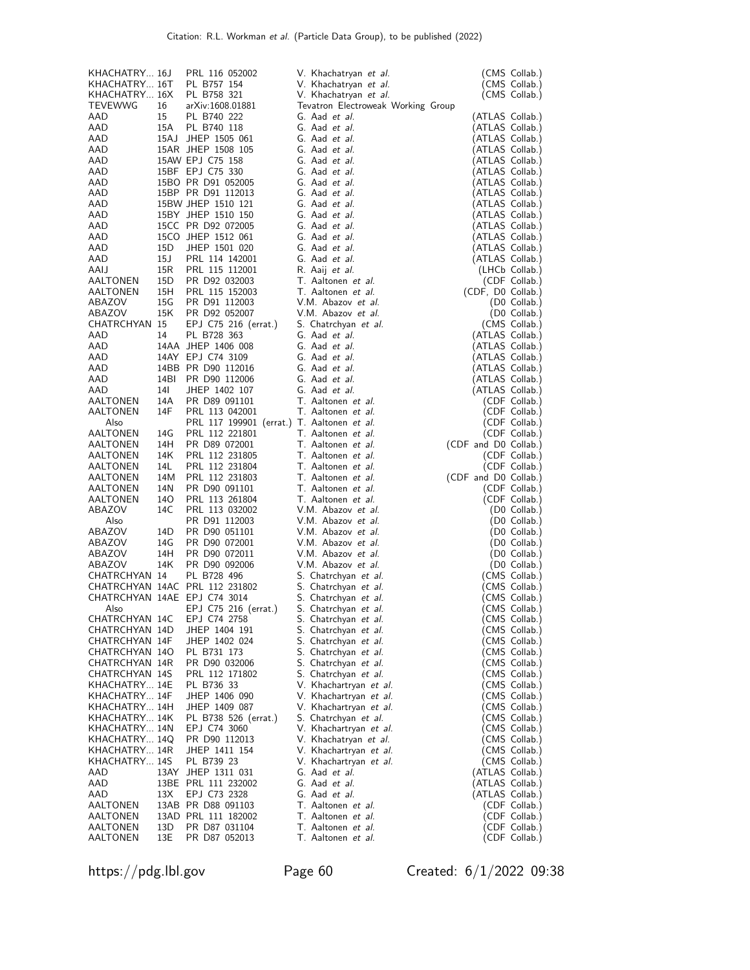| KHACHATRY 16T<br>PL B757 154<br>V. Khachatryan et al.<br>(CMS Collab.)<br>KHACHATRY 16X<br>PL B758 321<br>V. Khachatryan et al.<br>(CMS Collab.)<br>TEVEWWG<br>16<br>arXiv:1608.01881<br>Tevatron Electroweak Working Group<br>AAD<br>15<br>PL B740 222<br>G. Aad et al.<br>(ATLAS Collab.)<br>AAD<br>15A<br>PL B740 118<br>G. Aad et al.<br>(ATLAS Collab.)<br>AAD<br>15AJ JHEP 1505 061<br>G. Aad et al.<br>(ATLAS Collab.)<br>15AR JHEP 1508 105<br>AAD<br>G. Aad et al.<br>(ATLAS Collab.)<br>AAD<br>15AW EPJ C75 158<br>G. Aad et al.<br>(ATLAS Collab.)<br>AAD<br>15BF EPJ C75 330<br>G. Aad et al.<br>(ATLAS Collab.)<br>15BO PR D91 052005<br>AAD<br>G. Aad et al.<br>(ATLAS Collab.)<br>AAD<br>15BP PR D91 112013<br>G. Aad et al.<br>(ATLAS Collab.)<br>15BW JHEP 1510 121<br>(ATLAS Collab.)<br>AAD<br>G. Aad et al.<br>15BY JHEP 1510 150<br>AAD<br>G. Aad et al.<br>(ATLAS Collab.)<br>15CC PR D92 072005<br>AAD<br>G. Aad et al.<br>(ATLAS Collab.)<br>15CO JHEP 1512 061<br>AAD<br>G. Aad et al.<br>(ATLAS Collab.)<br>15D<br>JHEP 1501 020<br>AAD<br>G. Aad et al.<br>(ATLAS Collab.)<br>15J<br>AAD<br>PRL 114 142001<br>G. Aad et al.<br>(ATLAS Collab.)<br>15R<br>AAIJ<br>PRL 115 112001<br>R. Aaij et al.<br>(LHCb Collab.)<br>AALTONEN<br>15D<br>PR D92 032003<br>T. Aaltonen et al.<br>(CDF Collab.)<br>15H<br>(CDF, D0 Collab.)<br>AALTONEN<br>PRL 115 152003<br>T. Aaltonen et al.<br>15G<br>V.M. Abazov et al.<br>ABAZOV<br>PR D91 112003<br>(D0 Collab.)<br>ABAZOV<br>15K<br>PR D92 052007<br>V.M. Abazov et al.<br>(D0 Collab.)<br><b>CHATRCHYAN 15</b><br>EPJ C75 216 (errat.)<br>S. Chatrchyan et al.<br>(CMS Collab.)<br>AAD<br>14<br>PL B728 363<br>G. Aad et al.<br>(ATLAS Collab.)<br>AAD<br>14AA JHEP 1406 008<br>G. Aad et al.<br>(ATLAS Collab.)<br>14AY EPJ C74 3109<br>AAD<br>G. Aad et al.<br>(ATLAS Collab.)<br>14BB PR D90 112016<br>AAD<br>G. Aad et al.<br>(ATLAS Collab.)<br>AAD<br>14BI<br>PR D90 112006<br>G. Aad et al.<br>(ATLAS Collab.)<br>14I<br>G. Aad et al.<br>(ATLAS Collab.)<br>AAD<br>JHEP 1402 107<br>14A<br>T. Aaltonen et al.<br>AALTONEN<br>PR D89 091101<br>(CDF Collab.)<br>14F<br>T. Aaltonen et al.<br>AALTONEN<br>PRL 113 042001<br>(CDF Collab.)<br>PRL 117 199901 (errat.) T. Aaltonen et al.<br>(CDF Collab.)<br>Also<br>14G<br>AALTONEN<br>PRL 112 221801<br>T. Aaltonen et al.<br>(CDF Collab.)<br>14H<br>T. Aaltonen et al.<br>AALTONEN<br>PR D89 072001<br>(CDF and D0 Collab.)<br>14K<br>PRL 112 231805<br>T. Aaltonen et al.<br>AALTONEN<br>(CDF Collab.)<br>14L<br>PRL 112 231804<br>T. Aaltonen et al.<br>(CDF Collab.)<br>AALTONEN<br>AALTONEN<br>14M<br>PRL 112 231803<br>T. Aaltonen et al.<br>(CDF and D0 Collab.)<br>14N<br>AALTONEN<br>PR D90 091101<br>T. Aaltonen et al.<br>(CDF Collab.)<br>AALTONEN<br>140<br>PRL 113 261804<br>T. Aaltonen et al.<br>(CDF Collab.)<br>ABAZOV<br>14C<br>PRL 113 032002<br>V.M. Abazov et al.<br>(D0 Collab.)<br>Also<br>PR D91 112003<br>V.M. Abazov et al.<br>(D0 Collab.)<br>ABAZOV<br>14D<br>PR D90 051101<br>V.M. Abazov et al.<br>(D0 Collab.)<br>ABAZOV<br>14G<br>PR D90 072001<br>V.M. Abazov et al.<br>(D0 Collab.)<br>ABAZOV<br>14H<br>PR D90 072011<br>V.M. Abazov et al.<br>(D0 Collab.)<br>14K<br>ABAZOV<br>PR D90 092006<br>V.M. Abazov et al.<br>(D0 Collab.)<br>CHATRCHYAN 14<br>PL B728 496<br>S. Chatrchyan et al.<br>(CMS Collab.)<br>CHATRCHYAN 14AC PRL 112 231802<br>S. Chatrchyan et al.<br>(CMS Collab.)<br>CHATRCHYAN 14AE EPJ C74 3014<br>S. Chatrchyan et al.<br>(CMS Collab.)<br>EPJ C75 216 (errat.)<br>S. Chatrchyan et al.<br>(CMS Collab.)<br>Also<br>CHATRCHYAN 14C<br>EPJ C74 2758<br>S. Chatrchyan <i>et al.</i><br>(CMS Collab.)<br>(CMS Collab.)<br>CHATRCHYAN 14D<br>JHEP 1404 191<br>S. Chatrchyan et al.<br>CHATRCHYAN 14F<br>JHEP 1402 024<br>S. Chatrchyan <i>et al.</i><br>CMS Collab.)<br>CHATRCHYAN 14O<br>PL B731 173<br>S. Chatrchyan <i>et al.</i><br>(CMS Collab.)<br>CHATRCHYAN 14R<br>PR D90 032006<br>S. Chatrchyan et al.<br>(CMS Collab.)<br><b>CHATRCHYAN 14S</b><br>PRL 112 171802<br>S. Chatrchyan et al.<br>(CMS Collab.)<br>KHACHATRY 14E<br>PL B736 33<br>V. Khachartryan et al.<br>(CMS Collab.)<br>KHACHATRY 14F<br>JHEP 1406 090<br>V. Khachartryan et al.<br>(CMS Collab.)<br>KHACHATRY 14H<br>JHEP 1409 087<br>V. Khachartryan et al.<br>(CMS Collab.)<br>KHACHATRY 14K<br>PL B738 526 (errat.)<br>S. Chatrchyan et al.<br>(CMS Collab.)<br>EPJ C74 3060<br>(CMS Collab.)<br>KHACHATRY 14N<br>V. Khachartryan et al.<br>KHACHATRY 14Q<br>PR D90 112013<br>V. Khachatryan et al.<br>(CMS Collab.)<br>KHACHATRY 14R<br>JHEP 1411 154<br>V. Khachartryan et al.<br>(CMS Collab.)<br>KHACHATRY 14S<br>PL B739 23<br>V. Khachartryan et al.<br>(CMS Collab.)<br>G. Aad et al.<br>(ATLAS Collab.)<br>AAD<br>13AY<br>JHEP 1311 031<br>AAD<br>G. Aad et al.<br>13BE PRL 111 232002<br>(ATLAS Collab.)<br>G. Aad et al.<br>(ATLAS Collab.)<br>AAD<br>13X<br>EPJ C73 2328<br>AALTONEN<br>13AB PR D88 091103<br>T. Aaltonen <i>et al.</i><br>(CDF Collab.)<br>T. Aaltonen et al.<br>AALTONEN<br>13AD PRL 111 182002<br>(CDF Collab.)<br>13D<br>T. Aaltonen et al.<br>AALTONEN<br>PR D87 031104<br>(CDF Collab.)<br>AALTONEN<br>13E<br>T. Aaltonen et al.<br>(CDF Collab.)<br>PR D87 052013 | KHACHATRY 16J | PRL 116 052002 | V. Khachatryan et al. | (CMS Collab.) |
|-----------------------------------------------------------------------------------------------------------------------------------------------------------------------------------------------------------------------------------------------------------------------------------------------------------------------------------------------------------------------------------------------------------------------------------------------------------------------------------------------------------------------------------------------------------------------------------------------------------------------------------------------------------------------------------------------------------------------------------------------------------------------------------------------------------------------------------------------------------------------------------------------------------------------------------------------------------------------------------------------------------------------------------------------------------------------------------------------------------------------------------------------------------------------------------------------------------------------------------------------------------------------------------------------------------------------------------------------------------------------------------------------------------------------------------------------------------------------------------------------------------------------------------------------------------------------------------------------------------------------------------------------------------------------------------------------------------------------------------------------------------------------------------------------------------------------------------------------------------------------------------------------------------------------------------------------------------------------------------------------------------------------------------------------------------------------------------------------------------------------------------------------------------------------------------------------------------------------------------------------------------------------------------------------------------------------------------------------------------------------------------------------------------------------------------------------------------------------------------------------------------------------------------------------------------------------------------------------------------------------------------------------------------------------------------------------------------------------------------------------------------------------------------------------------------------------------------------------------------------------------------------------------------------------------------------------------------------------------------------------------------------------------------------------------------------------------------------------------------------------------------------------------------------------------------------------------------------------------------------------------------------------------------------------------------------------------------------------------------------------------------------------------------------------------------------------------------------------------------------------------------------------------------------------------------------------------------------------------------------------------------------------------------------------------------------------------------------------------------------------------------------------------------------------------------------------------------------------------------------------------------------------------------------------------------------------------------------------------------------------------------------------------------------------------------------------------------------------------------------------------------------------------------------------------------------------------------------------------------------------------------------------------------------------------------------------------------------------------------------------------------------------------------------------------------------------------------------------------------------------------------------------------------------------------------------------------------------------------------------------------------------------------------------------------------------------------------------------------------------------------------------------------------------------------------------------------------------------------------------------------------------------------------------------------------------------------------------------------------------------------------------------------------------------------------------------------------------------------------------------------------------------------------------------------------------------------------------------------------------------------------------------|---------------|----------------|-----------------------|---------------|
|                                                                                                                                                                                                                                                                                                                                                                                                                                                                                                                                                                                                                                                                                                                                                                                                                                                                                                                                                                                                                                                                                                                                                                                                                                                                                                                                                                                                                                                                                                                                                                                                                                                                                                                                                                                                                                                                                                                                                                                                                                                                                                                                                                                                                                                                                                                                                                                                                                                                                                                                                                                                                                                                                                                                                                                                                                                                                                                                                                                                                                                                                                                                                                                                                                                                                                                                                                                                                                                                                                                                                                                                                                                                                                                                                                                                                                                                                                                                                                                                                                                                                                                                                                                                                                                                                                                                                                                                                                                                                                                                                                                                                                                                                                                                                                                                                                                                                                                                                                                                                                                                                                                                                                                                                                                                       |               |                |                       |               |
|                                                                                                                                                                                                                                                                                                                                                                                                                                                                                                                                                                                                                                                                                                                                                                                                                                                                                                                                                                                                                                                                                                                                                                                                                                                                                                                                                                                                                                                                                                                                                                                                                                                                                                                                                                                                                                                                                                                                                                                                                                                                                                                                                                                                                                                                                                                                                                                                                                                                                                                                                                                                                                                                                                                                                                                                                                                                                                                                                                                                                                                                                                                                                                                                                                                                                                                                                                                                                                                                                                                                                                                                                                                                                                                                                                                                                                                                                                                                                                                                                                                                                                                                                                                                                                                                                                                                                                                                                                                                                                                                                                                                                                                                                                                                                                                                                                                                                                                                                                                                                                                                                                                                                                                                                                                                       |               |                |                       |               |
|                                                                                                                                                                                                                                                                                                                                                                                                                                                                                                                                                                                                                                                                                                                                                                                                                                                                                                                                                                                                                                                                                                                                                                                                                                                                                                                                                                                                                                                                                                                                                                                                                                                                                                                                                                                                                                                                                                                                                                                                                                                                                                                                                                                                                                                                                                                                                                                                                                                                                                                                                                                                                                                                                                                                                                                                                                                                                                                                                                                                                                                                                                                                                                                                                                                                                                                                                                                                                                                                                                                                                                                                                                                                                                                                                                                                                                                                                                                                                                                                                                                                                                                                                                                                                                                                                                                                                                                                                                                                                                                                                                                                                                                                                                                                                                                                                                                                                                                                                                                                                                                                                                                                                                                                                                                                       |               |                |                       |               |
|                                                                                                                                                                                                                                                                                                                                                                                                                                                                                                                                                                                                                                                                                                                                                                                                                                                                                                                                                                                                                                                                                                                                                                                                                                                                                                                                                                                                                                                                                                                                                                                                                                                                                                                                                                                                                                                                                                                                                                                                                                                                                                                                                                                                                                                                                                                                                                                                                                                                                                                                                                                                                                                                                                                                                                                                                                                                                                                                                                                                                                                                                                                                                                                                                                                                                                                                                                                                                                                                                                                                                                                                                                                                                                                                                                                                                                                                                                                                                                                                                                                                                                                                                                                                                                                                                                                                                                                                                                                                                                                                                                                                                                                                                                                                                                                                                                                                                                                                                                                                                                                                                                                                                                                                                                                                       |               |                |                       |               |
|                                                                                                                                                                                                                                                                                                                                                                                                                                                                                                                                                                                                                                                                                                                                                                                                                                                                                                                                                                                                                                                                                                                                                                                                                                                                                                                                                                                                                                                                                                                                                                                                                                                                                                                                                                                                                                                                                                                                                                                                                                                                                                                                                                                                                                                                                                                                                                                                                                                                                                                                                                                                                                                                                                                                                                                                                                                                                                                                                                                                                                                                                                                                                                                                                                                                                                                                                                                                                                                                                                                                                                                                                                                                                                                                                                                                                                                                                                                                                                                                                                                                                                                                                                                                                                                                                                                                                                                                                                                                                                                                                                                                                                                                                                                                                                                                                                                                                                                                                                                                                                                                                                                                                                                                                                                                       |               |                |                       |               |
|                                                                                                                                                                                                                                                                                                                                                                                                                                                                                                                                                                                                                                                                                                                                                                                                                                                                                                                                                                                                                                                                                                                                                                                                                                                                                                                                                                                                                                                                                                                                                                                                                                                                                                                                                                                                                                                                                                                                                                                                                                                                                                                                                                                                                                                                                                                                                                                                                                                                                                                                                                                                                                                                                                                                                                                                                                                                                                                                                                                                                                                                                                                                                                                                                                                                                                                                                                                                                                                                                                                                                                                                                                                                                                                                                                                                                                                                                                                                                                                                                                                                                                                                                                                                                                                                                                                                                                                                                                                                                                                                                                                                                                                                                                                                                                                                                                                                                                                                                                                                                                                                                                                                                                                                                                                                       |               |                |                       |               |
|                                                                                                                                                                                                                                                                                                                                                                                                                                                                                                                                                                                                                                                                                                                                                                                                                                                                                                                                                                                                                                                                                                                                                                                                                                                                                                                                                                                                                                                                                                                                                                                                                                                                                                                                                                                                                                                                                                                                                                                                                                                                                                                                                                                                                                                                                                                                                                                                                                                                                                                                                                                                                                                                                                                                                                                                                                                                                                                                                                                                                                                                                                                                                                                                                                                                                                                                                                                                                                                                                                                                                                                                                                                                                                                                                                                                                                                                                                                                                                                                                                                                                                                                                                                                                                                                                                                                                                                                                                                                                                                                                                                                                                                                                                                                                                                                                                                                                                                                                                                                                                                                                                                                                                                                                                                                       |               |                |                       |               |
|                                                                                                                                                                                                                                                                                                                                                                                                                                                                                                                                                                                                                                                                                                                                                                                                                                                                                                                                                                                                                                                                                                                                                                                                                                                                                                                                                                                                                                                                                                                                                                                                                                                                                                                                                                                                                                                                                                                                                                                                                                                                                                                                                                                                                                                                                                                                                                                                                                                                                                                                                                                                                                                                                                                                                                                                                                                                                                                                                                                                                                                                                                                                                                                                                                                                                                                                                                                                                                                                                                                                                                                                                                                                                                                                                                                                                                                                                                                                                                                                                                                                                                                                                                                                                                                                                                                                                                                                                                                                                                                                                                                                                                                                                                                                                                                                                                                                                                                                                                                                                                                                                                                                                                                                                                                                       |               |                |                       |               |
|                                                                                                                                                                                                                                                                                                                                                                                                                                                                                                                                                                                                                                                                                                                                                                                                                                                                                                                                                                                                                                                                                                                                                                                                                                                                                                                                                                                                                                                                                                                                                                                                                                                                                                                                                                                                                                                                                                                                                                                                                                                                                                                                                                                                                                                                                                                                                                                                                                                                                                                                                                                                                                                                                                                                                                                                                                                                                                                                                                                                                                                                                                                                                                                                                                                                                                                                                                                                                                                                                                                                                                                                                                                                                                                                                                                                                                                                                                                                                                                                                                                                                                                                                                                                                                                                                                                                                                                                                                                                                                                                                                                                                                                                                                                                                                                                                                                                                                                                                                                                                                                                                                                                                                                                                                                                       |               |                |                       |               |
|                                                                                                                                                                                                                                                                                                                                                                                                                                                                                                                                                                                                                                                                                                                                                                                                                                                                                                                                                                                                                                                                                                                                                                                                                                                                                                                                                                                                                                                                                                                                                                                                                                                                                                                                                                                                                                                                                                                                                                                                                                                                                                                                                                                                                                                                                                                                                                                                                                                                                                                                                                                                                                                                                                                                                                                                                                                                                                                                                                                                                                                                                                                                                                                                                                                                                                                                                                                                                                                                                                                                                                                                                                                                                                                                                                                                                                                                                                                                                                                                                                                                                                                                                                                                                                                                                                                                                                                                                                                                                                                                                                                                                                                                                                                                                                                                                                                                                                                                                                                                                                                                                                                                                                                                                                                                       |               |                |                       |               |
|                                                                                                                                                                                                                                                                                                                                                                                                                                                                                                                                                                                                                                                                                                                                                                                                                                                                                                                                                                                                                                                                                                                                                                                                                                                                                                                                                                                                                                                                                                                                                                                                                                                                                                                                                                                                                                                                                                                                                                                                                                                                                                                                                                                                                                                                                                                                                                                                                                                                                                                                                                                                                                                                                                                                                                                                                                                                                                                                                                                                                                                                                                                                                                                                                                                                                                                                                                                                                                                                                                                                                                                                                                                                                                                                                                                                                                                                                                                                                                                                                                                                                                                                                                                                                                                                                                                                                                                                                                                                                                                                                                                                                                                                                                                                                                                                                                                                                                                                                                                                                                                                                                                                                                                                                                                                       |               |                |                       |               |
|                                                                                                                                                                                                                                                                                                                                                                                                                                                                                                                                                                                                                                                                                                                                                                                                                                                                                                                                                                                                                                                                                                                                                                                                                                                                                                                                                                                                                                                                                                                                                                                                                                                                                                                                                                                                                                                                                                                                                                                                                                                                                                                                                                                                                                                                                                                                                                                                                                                                                                                                                                                                                                                                                                                                                                                                                                                                                                                                                                                                                                                                                                                                                                                                                                                                                                                                                                                                                                                                                                                                                                                                                                                                                                                                                                                                                                                                                                                                                                                                                                                                                                                                                                                                                                                                                                                                                                                                                                                                                                                                                                                                                                                                                                                                                                                                                                                                                                                                                                                                                                                                                                                                                                                                                                                                       |               |                |                       |               |
|                                                                                                                                                                                                                                                                                                                                                                                                                                                                                                                                                                                                                                                                                                                                                                                                                                                                                                                                                                                                                                                                                                                                                                                                                                                                                                                                                                                                                                                                                                                                                                                                                                                                                                                                                                                                                                                                                                                                                                                                                                                                                                                                                                                                                                                                                                                                                                                                                                                                                                                                                                                                                                                                                                                                                                                                                                                                                                                                                                                                                                                                                                                                                                                                                                                                                                                                                                                                                                                                                                                                                                                                                                                                                                                                                                                                                                                                                                                                                                                                                                                                                                                                                                                                                                                                                                                                                                                                                                                                                                                                                                                                                                                                                                                                                                                                                                                                                                                                                                                                                                                                                                                                                                                                                                                                       |               |                |                       |               |
|                                                                                                                                                                                                                                                                                                                                                                                                                                                                                                                                                                                                                                                                                                                                                                                                                                                                                                                                                                                                                                                                                                                                                                                                                                                                                                                                                                                                                                                                                                                                                                                                                                                                                                                                                                                                                                                                                                                                                                                                                                                                                                                                                                                                                                                                                                                                                                                                                                                                                                                                                                                                                                                                                                                                                                                                                                                                                                                                                                                                                                                                                                                                                                                                                                                                                                                                                                                                                                                                                                                                                                                                                                                                                                                                                                                                                                                                                                                                                                                                                                                                                                                                                                                                                                                                                                                                                                                                                                                                                                                                                                                                                                                                                                                                                                                                                                                                                                                                                                                                                                                                                                                                                                                                                                                                       |               |                |                       |               |
|                                                                                                                                                                                                                                                                                                                                                                                                                                                                                                                                                                                                                                                                                                                                                                                                                                                                                                                                                                                                                                                                                                                                                                                                                                                                                                                                                                                                                                                                                                                                                                                                                                                                                                                                                                                                                                                                                                                                                                                                                                                                                                                                                                                                                                                                                                                                                                                                                                                                                                                                                                                                                                                                                                                                                                                                                                                                                                                                                                                                                                                                                                                                                                                                                                                                                                                                                                                                                                                                                                                                                                                                                                                                                                                                                                                                                                                                                                                                                                                                                                                                                                                                                                                                                                                                                                                                                                                                                                                                                                                                                                                                                                                                                                                                                                                                                                                                                                                                                                                                                                                                                                                                                                                                                                                                       |               |                |                       |               |
|                                                                                                                                                                                                                                                                                                                                                                                                                                                                                                                                                                                                                                                                                                                                                                                                                                                                                                                                                                                                                                                                                                                                                                                                                                                                                                                                                                                                                                                                                                                                                                                                                                                                                                                                                                                                                                                                                                                                                                                                                                                                                                                                                                                                                                                                                                                                                                                                                                                                                                                                                                                                                                                                                                                                                                                                                                                                                                                                                                                                                                                                                                                                                                                                                                                                                                                                                                                                                                                                                                                                                                                                                                                                                                                                                                                                                                                                                                                                                                                                                                                                                                                                                                                                                                                                                                                                                                                                                                                                                                                                                                                                                                                                                                                                                                                                                                                                                                                                                                                                                                                                                                                                                                                                                                                                       |               |                |                       |               |
|                                                                                                                                                                                                                                                                                                                                                                                                                                                                                                                                                                                                                                                                                                                                                                                                                                                                                                                                                                                                                                                                                                                                                                                                                                                                                                                                                                                                                                                                                                                                                                                                                                                                                                                                                                                                                                                                                                                                                                                                                                                                                                                                                                                                                                                                                                                                                                                                                                                                                                                                                                                                                                                                                                                                                                                                                                                                                                                                                                                                                                                                                                                                                                                                                                                                                                                                                                                                                                                                                                                                                                                                                                                                                                                                                                                                                                                                                                                                                                                                                                                                                                                                                                                                                                                                                                                                                                                                                                                                                                                                                                                                                                                                                                                                                                                                                                                                                                                                                                                                                                                                                                                                                                                                                                                                       |               |                |                       |               |
|                                                                                                                                                                                                                                                                                                                                                                                                                                                                                                                                                                                                                                                                                                                                                                                                                                                                                                                                                                                                                                                                                                                                                                                                                                                                                                                                                                                                                                                                                                                                                                                                                                                                                                                                                                                                                                                                                                                                                                                                                                                                                                                                                                                                                                                                                                                                                                                                                                                                                                                                                                                                                                                                                                                                                                                                                                                                                                                                                                                                                                                                                                                                                                                                                                                                                                                                                                                                                                                                                                                                                                                                                                                                                                                                                                                                                                                                                                                                                                                                                                                                                                                                                                                                                                                                                                                                                                                                                                                                                                                                                                                                                                                                                                                                                                                                                                                                                                                                                                                                                                                                                                                                                                                                                                                                       |               |                |                       |               |
|                                                                                                                                                                                                                                                                                                                                                                                                                                                                                                                                                                                                                                                                                                                                                                                                                                                                                                                                                                                                                                                                                                                                                                                                                                                                                                                                                                                                                                                                                                                                                                                                                                                                                                                                                                                                                                                                                                                                                                                                                                                                                                                                                                                                                                                                                                                                                                                                                                                                                                                                                                                                                                                                                                                                                                                                                                                                                                                                                                                                                                                                                                                                                                                                                                                                                                                                                                                                                                                                                                                                                                                                                                                                                                                                                                                                                                                                                                                                                                                                                                                                                                                                                                                                                                                                                                                                                                                                                                                                                                                                                                                                                                                                                                                                                                                                                                                                                                                                                                                                                                                                                                                                                                                                                                                                       |               |                |                       |               |
|                                                                                                                                                                                                                                                                                                                                                                                                                                                                                                                                                                                                                                                                                                                                                                                                                                                                                                                                                                                                                                                                                                                                                                                                                                                                                                                                                                                                                                                                                                                                                                                                                                                                                                                                                                                                                                                                                                                                                                                                                                                                                                                                                                                                                                                                                                                                                                                                                                                                                                                                                                                                                                                                                                                                                                                                                                                                                                                                                                                                                                                                                                                                                                                                                                                                                                                                                                                                                                                                                                                                                                                                                                                                                                                                                                                                                                                                                                                                                                                                                                                                                                                                                                                                                                                                                                                                                                                                                                                                                                                                                                                                                                                                                                                                                                                                                                                                                                                                                                                                                                                                                                                                                                                                                                                                       |               |                |                       |               |
|                                                                                                                                                                                                                                                                                                                                                                                                                                                                                                                                                                                                                                                                                                                                                                                                                                                                                                                                                                                                                                                                                                                                                                                                                                                                                                                                                                                                                                                                                                                                                                                                                                                                                                                                                                                                                                                                                                                                                                                                                                                                                                                                                                                                                                                                                                                                                                                                                                                                                                                                                                                                                                                                                                                                                                                                                                                                                                                                                                                                                                                                                                                                                                                                                                                                                                                                                                                                                                                                                                                                                                                                                                                                                                                                                                                                                                                                                                                                                                                                                                                                                                                                                                                                                                                                                                                                                                                                                                                                                                                                                                                                                                                                                                                                                                                                                                                                                                                                                                                                                                                                                                                                                                                                                                                                       |               |                |                       |               |
|                                                                                                                                                                                                                                                                                                                                                                                                                                                                                                                                                                                                                                                                                                                                                                                                                                                                                                                                                                                                                                                                                                                                                                                                                                                                                                                                                                                                                                                                                                                                                                                                                                                                                                                                                                                                                                                                                                                                                                                                                                                                                                                                                                                                                                                                                                                                                                                                                                                                                                                                                                                                                                                                                                                                                                                                                                                                                                                                                                                                                                                                                                                                                                                                                                                                                                                                                                                                                                                                                                                                                                                                                                                                                                                                                                                                                                                                                                                                                                                                                                                                                                                                                                                                                                                                                                                                                                                                                                                                                                                                                                                                                                                                                                                                                                                                                                                                                                                                                                                                                                                                                                                                                                                                                                                                       |               |                |                       |               |
|                                                                                                                                                                                                                                                                                                                                                                                                                                                                                                                                                                                                                                                                                                                                                                                                                                                                                                                                                                                                                                                                                                                                                                                                                                                                                                                                                                                                                                                                                                                                                                                                                                                                                                                                                                                                                                                                                                                                                                                                                                                                                                                                                                                                                                                                                                                                                                                                                                                                                                                                                                                                                                                                                                                                                                                                                                                                                                                                                                                                                                                                                                                                                                                                                                                                                                                                                                                                                                                                                                                                                                                                                                                                                                                                                                                                                                                                                                                                                                                                                                                                                                                                                                                                                                                                                                                                                                                                                                                                                                                                                                                                                                                                                                                                                                                                                                                                                                                                                                                                                                                                                                                                                                                                                                                                       |               |                |                       |               |
|                                                                                                                                                                                                                                                                                                                                                                                                                                                                                                                                                                                                                                                                                                                                                                                                                                                                                                                                                                                                                                                                                                                                                                                                                                                                                                                                                                                                                                                                                                                                                                                                                                                                                                                                                                                                                                                                                                                                                                                                                                                                                                                                                                                                                                                                                                                                                                                                                                                                                                                                                                                                                                                                                                                                                                                                                                                                                                                                                                                                                                                                                                                                                                                                                                                                                                                                                                                                                                                                                                                                                                                                                                                                                                                                                                                                                                                                                                                                                                                                                                                                                                                                                                                                                                                                                                                                                                                                                                                                                                                                                                                                                                                                                                                                                                                                                                                                                                                                                                                                                                                                                                                                                                                                                                                                       |               |                |                       |               |
|                                                                                                                                                                                                                                                                                                                                                                                                                                                                                                                                                                                                                                                                                                                                                                                                                                                                                                                                                                                                                                                                                                                                                                                                                                                                                                                                                                                                                                                                                                                                                                                                                                                                                                                                                                                                                                                                                                                                                                                                                                                                                                                                                                                                                                                                                                                                                                                                                                                                                                                                                                                                                                                                                                                                                                                                                                                                                                                                                                                                                                                                                                                                                                                                                                                                                                                                                                                                                                                                                                                                                                                                                                                                                                                                                                                                                                                                                                                                                                                                                                                                                                                                                                                                                                                                                                                                                                                                                                                                                                                                                                                                                                                                                                                                                                                                                                                                                                                                                                                                                                                                                                                                                                                                                                                                       |               |                |                       |               |
|                                                                                                                                                                                                                                                                                                                                                                                                                                                                                                                                                                                                                                                                                                                                                                                                                                                                                                                                                                                                                                                                                                                                                                                                                                                                                                                                                                                                                                                                                                                                                                                                                                                                                                                                                                                                                                                                                                                                                                                                                                                                                                                                                                                                                                                                                                                                                                                                                                                                                                                                                                                                                                                                                                                                                                                                                                                                                                                                                                                                                                                                                                                                                                                                                                                                                                                                                                                                                                                                                                                                                                                                                                                                                                                                                                                                                                                                                                                                                                                                                                                                                                                                                                                                                                                                                                                                                                                                                                                                                                                                                                                                                                                                                                                                                                                                                                                                                                                                                                                                                                                                                                                                                                                                                                                                       |               |                |                       |               |
|                                                                                                                                                                                                                                                                                                                                                                                                                                                                                                                                                                                                                                                                                                                                                                                                                                                                                                                                                                                                                                                                                                                                                                                                                                                                                                                                                                                                                                                                                                                                                                                                                                                                                                                                                                                                                                                                                                                                                                                                                                                                                                                                                                                                                                                                                                                                                                                                                                                                                                                                                                                                                                                                                                                                                                                                                                                                                                                                                                                                                                                                                                                                                                                                                                                                                                                                                                                                                                                                                                                                                                                                                                                                                                                                                                                                                                                                                                                                                                                                                                                                                                                                                                                                                                                                                                                                                                                                                                                                                                                                                                                                                                                                                                                                                                                                                                                                                                                                                                                                                                                                                                                                                                                                                                                                       |               |                |                       |               |
|                                                                                                                                                                                                                                                                                                                                                                                                                                                                                                                                                                                                                                                                                                                                                                                                                                                                                                                                                                                                                                                                                                                                                                                                                                                                                                                                                                                                                                                                                                                                                                                                                                                                                                                                                                                                                                                                                                                                                                                                                                                                                                                                                                                                                                                                                                                                                                                                                                                                                                                                                                                                                                                                                                                                                                                                                                                                                                                                                                                                                                                                                                                                                                                                                                                                                                                                                                                                                                                                                                                                                                                                                                                                                                                                                                                                                                                                                                                                                                                                                                                                                                                                                                                                                                                                                                                                                                                                                                                                                                                                                                                                                                                                                                                                                                                                                                                                                                                                                                                                                                                                                                                                                                                                                                                                       |               |                |                       |               |
|                                                                                                                                                                                                                                                                                                                                                                                                                                                                                                                                                                                                                                                                                                                                                                                                                                                                                                                                                                                                                                                                                                                                                                                                                                                                                                                                                                                                                                                                                                                                                                                                                                                                                                                                                                                                                                                                                                                                                                                                                                                                                                                                                                                                                                                                                                                                                                                                                                                                                                                                                                                                                                                                                                                                                                                                                                                                                                                                                                                                                                                                                                                                                                                                                                                                                                                                                                                                                                                                                                                                                                                                                                                                                                                                                                                                                                                                                                                                                                                                                                                                                                                                                                                                                                                                                                                                                                                                                                                                                                                                                                                                                                                                                                                                                                                                                                                                                                                                                                                                                                                                                                                                                                                                                                                                       |               |                |                       |               |
|                                                                                                                                                                                                                                                                                                                                                                                                                                                                                                                                                                                                                                                                                                                                                                                                                                                                                                                                                                                                                                                                                                                                                                                                                                                                                                                                                                                                                                                                                                                                                                                                                                                                                                                                                                                                                                                                                                                                                                                                                                                                                                                                                                                                                                                                                                                                                                                                                                                                                                                                                                                                                                                                                                                                                                                                                                                                                                                                                                                                                                                                                                                                                                                                                                                                                                                                                                                                                                                                                                                                                                                                                                                                                                                                                                                                                                                                                                                                                                                                                                                                                                                                                                                                                                                                                                                                                                                                                                                                                                                                                                                                                                                                                                                                                                                                                                                                                                                                                                                                                                                                                                                                                                                                                                                                       |               |                |                       |               |
|                                                                                                                                                                                                                                                                                                                                                                                                                                                                                                                                                                                                                                                                                                                                                                                                                                                                                                                                                                                                                                                                                                                                                                                                                                                                                                                                                                                                                                                                                                                                                                                                                                                                                                                                                                                                                                                                                                                                                                                                                                                                                                                                                                                                                                                                                                                                                                                                                                                                                                                                                                                                                                                                                                                                                                                                                                                                                                                                                                                                                                                                                                                                                                                                                                                                                                                                                                                                                                                                                                                                                                                                                                                                                                                                                                                                                                                                                                                                                                                                                                                                                                                                                                                                                                                                                                                                                                                                                                                                                                                                                                                                                                                                                                                                                                                                                                                                                                                                                                                                                                                                                                                                                                                                                                                                       |               |                |                       |               |
|                                                                                                                                                                                                                                                                                                                                                                                                                                                                                                                                                                                                                                                                                                                                                                                                                                                                                                                                                                                                                                                                                                                                                                                                                                                                                                                                                                                                                                                                                                                                                                                                                                                                                                                                                                                                                                                                                                                                                                                                                                                                                                                                                                                                                                                                                                                                                                                                                                                                                                                                                                                                                                                                                                                                                                                                                                                                                                                                                                                                                                                                                                                                                                                                                                                                                                                                                                                                                                                                                                                                                                                                                                                                                                                                                                                                                                                                                                                                                                                                                                                                                                                                                                                                                                                                                                                                                                                                                                                                                                                                                                                                                                                                                                                                                                                                                                                                                                                                                                                                                                                                                                                                                                                                                                                                       |               |                |                       |               |
|                                                                                                                                                                                                                                                                                                                                                                                                                                                                                                                                                                                                                                                                                                                                                                                                                                                                                                                                                                                                                                                                                                                                                                                                                                                                                                                                                                                                                                                                                                                                                                                                                                                                                                                                                                                                                                                                                                                                                                                                                                                                                                                                                                                                                                                                                                                                                                                                                                                                                                                                                                                                                                                                                                                                                                                                                                                                                                                                                                                                                                                                                                                                                                                                                                                                                                                                                                                                                                                                                                                                                                                                                                                                                                                                                                                                                                                                                                                                                                                                                                                                                                                                                                                                                                                                                                                                                                                                                                                                                                                                                                                                                                                                                                                                                                                                                                                                                                                                                                                                                                                                                                                                                                                                                                                                       |               |                |                       |               |
|                                                                                                                                                                                                                                                                                                                                                                                                                                                                                                                                                                                                                                                                                                                                                                                                                                                                                                                                                                                                                                                                                                                                                                                                                                                                                                                                                                                                                                                                                                                                                                                                                                                                                                                                                                                                                                                                                                                                                                                                                                                                                                                                                                                                                                                                                                                                                                                                                                                                                                                                                                                                                                                                                                                                                                                                                                                                                                                                                                                                                                                                                                                                                                                                                                                                                                                                                                                                                                                                                                                                                                                                                                                                                                                                                                                                                                                                                                                                                                                                                                                                                                                                                                                                                                                                                                                                                                                                                                                                                                                                                                                                                                                                                                                                                                                                                                                                                                                                                                                                                                                                                                                                                                                                                                                                       |               |                |                       |               |
|                                                                                                                                                                                                                                                                                                                                                                                                                                                                                                                                                                                                                                                                                                                                                                                                                                                                                                                                                                                                                                                                                                                                                                                                                                                                                                                                                                                                                                                                                                                                                                                                                                                                                                                                                                                                                                                                                                                                                                                                                                                                                                                                                                                                                                                                                                                                                                                                                                                                                                                                                                                                                                                                                                                                                                                                                                                                                                                                                                                                                                                                                                                                                                                                                                                                                                                                                                                                                                                                                                                                                                                                                                                                                                                                                                                                                                                                                                                                                                                                                                                                                                                                                                                                                                                                                                                                                                                                                                                                                                                                                                                                                                                                                                                                                                                                                                                                                                                                                                                                                                                                                                                                                                                                                                                                       |               |                |                       |               |
|                                                                                                                                                                                                                                                                                                                                                                                                                                                                                                                                                                                                                                                                                                                                                                                                                                                                                                                                                                                                                                                                                                                                                                                                                                                                                                                                                                                                                                                                                                                                                                                                                                                                                                                                                                                                                                                                                                                                                                                                                                                                                                                                                                                                                                                                                                                                                                                                                                                                                                                                                                                                                                                                                                                                                                                                                                                                                                                                                                                                                                                                                                                                                                                                                                                                                                                                                                                                                                                                                                                                                                                                                                                                                                                                                                                                                                                                                                                                                                                                                                                                                                                                                                                                                                                                                                                                                                                                                                                                                                                                                                                                                                                                                                                                                                                                                                                                                                                                                                                                                                                                                                                                                                                                                                                                       |               |                |                       |               |
|                                                                                                                                                                                                                                                                                                                                                                                                                                                                                                                                                                                                                                                                                                                                                                                                                                                                                                                                                                                                                                                                                                                                                                                                                                                                                                                                                                                                                                                                                                                                                                                                                                                                                                                                                                                                                                                                                                                                                                                                                                                                                                                                                                                                                                                                                                                                                                                                                                                                                                                                                                                                                                                                                                                                                                                                                                                                                                                                                                                                                                                                                                                                                                                                                                                                                                                                                                                                                                                                                                                                                                                                                                                                                                                                                                                                                                                                                                                                                                                                                                                                                                                                                                                                                                                                                                                                                                                                                                                                                                                                                                                                                                                                                                                                                                                                                                                                                                                                                                                                                                                                                                                                                                                                                                                                       |               |                |                       |               |
|                                                                                                                                                                                                                                                                                                                                                                                                                                                                                                                                                                                                                                                                                                                                                                                                                                                                                                                                                                                                                                                                                                                                                                                                                                                                                                                                                                                                                                                                                                                                                                                                                                                                                                                                                                                                                                                                                                                                                                                                                                                                                                                                                                                                                                                                                                                                                                                                                                                                                                                                                                                                                                                                                                                                                                                                                                                                                                                                                                                                                                                                                                                                                                                                                                                                                                                                                                                                                                                                                                                                                                                                                                                                                                                                                                                                                                                                                                                                                                                                                                                                                                                                                                                                                                                                                                                                                                                                                                                                                                                                                                                                                                                                                                                                                                                                                                                                                                                                                                                                                                                                                                                                                                                                                                                                       |               |                |                       |               |
|                                                                                                                                                                                                                                                                                                                                                                                                                                                                                                                                                                                                                                                                                                                                                                                                                                                                                                                                                                                                                                                                                                                                                                                                                                                                                                                                                                                                                                                                                                                                                                                                                                                                                                                                                                                                                                                                                                                                                                                                                                                                                                                                                                                                                                                                                                                                                                                                                                                                                                                                                                                                                                                                                                                                                                                                                                                                                                                                                                                                                                                                                                                                                                                                                                                                                                                                                                                                                                                                                                                                                                                                                                                                                                                                                                                                                                                                                                                                                                                                                                                                                                                                                                                                                                                                                                                                                                                                                                                                                                                                                                                                                                                                                                                                                                                                                                                                                                                                                                                                                                                                                                                                                                                                                                                                       |               |                |                       |               |
|                                                                                                                                                                                                                                                                                                                                                                                                                                                                                                                                                                                                                                                                                                                                                                                                                                                                                                                                                                                                                                                                                                                                                                                                                                                                                                                                                                                                                                                                                                                                                                                                                                                                                                                                                                                                                                                                                                                                                                                                                                                                                                                                                                                                                                                                                                                                                                                                                                                                                                                                                                                                                                                                                                                                                                                                                                                                                                                                                                                                                                                                                                                                                                                                                                                                                                                                                                                                                                                                                                                                                                                                                                                                                                                                                                                                                                                                                                                                                                                                                                                                                                                                                                                                                                                                                                                                                                                                                                                                                                                                                                                                                                                                                                                                                                                                                                                                                                                                                                                                                                                                                                                                                                                                                                                                       |               |                |                       |               |
|                                                                                                                                                                                                                                                                                                                                                                                                                                                                                                                                                                                                                                                                                                                                                                                                                                                                                                                                                                                                                                                                                                                                                                                                                                                                                                                                                                                                                                                                                                                                                                                                                                                                                                                                                                                                                                                                                                                                                                                                                                                                                                                                                                                                                                                                                                                                                                                                                                                                                                                                                                                                                                                                                                                                                                                                                                                                                                                                                                                                                                                                                                                                                                                                                                                                                                                                                                                                                                                                                                                                                                                                                                                                                                                                                                                                                                                                                                                                                                                                                                                                                                                                                                                                                                                                                                                                                                                                                                                                                                                                                                                                                                                                                                                                                                                                                                                                                                                                                                                                                                                                                                                                                                                                                                                                       |               |                |                       |               |
|                                                                                                                                                                                                                                                                                                                                                                                                                                                                                                                                                                                                                                                                                                                                                                                                                                                                                                                                                                                                                                                                                                                                                                                                                                                                                                                                                                                                                                                                                                                                                                                                                                                                                                                                                                                                                                                                                                                                                                                                                                                                                                                                                                                                                                                                                                                                                                                                                                                                                                                                                                                                                                                                                                                                                                                                                                                                                                                                                                                                                                                                                                                                                                                                                                                                                                                                                                                                                                                                                                                                                                                                                                                                                                                                                                                                                                                                                                                                                                                                                                                                                                                                                                                                                                                                                                                                                                                                                                                                                                                                                                                                                                                                                                                                                                                                                                                                                                                                                                                                                                                                                                                                                                                                                                                                       |               |                |                       |               |
|                                                                                                                                                                                                                                                                                                                                                                                                                                                                                                                                                                                                                                                                                                                                                                                                                                                                                                                                                                                                                                                                                                                                                                                                                                                                                                                                                                                                                                                                                                                                                                                                                                                                                                                                                                                                                                                                                                                                                                                                                                                                                                                                                                                                                                                                                                                                                                                                                                                                                                                                                                                                                                                                                                                                                                                                                                                                                                                                                                                                                                                                                                                                                                                                                                                                                                                                                                                                                                                                                                                                                                                                                                                                                                                                                                                                                                                                                                                                                                                                                                                                                                                                                                                                                                                                                                                                                                                                                                                                                                                                                                                                                                                                                                                                                                                                                                                                                                                                                                                                                                                                                                                                                                                                                                                                       |               |                |                       |               |
|                                                                                                                                                                                                                                                                                                                                                                                                                                                                                                                                                                                                                                                                                                                                                                                                                                                                                                                                                                                                                                                                                                                                                                                                                                                                                                                                                                                                                                                                                                                                                                                                                                                                                                                                                                                                                                                                                                                                                                                                                                                                                                                                                                                                                                                                                                                                                                                                                                                                                                                                                                                                                                                                                                                                                                                                                                                                                                                                                                                                                                                                                                                                                                                                                                                                                                                                                                                                                                                                                                                                                                                                                                                                                                                                                                                                                                                                                                                                                                                                                                                                                                                                                                                                                                                                                                                                                                                                                                                                                                                                                                                                                                                                                                                                                                                                                                                                                                                                                                                                                                                                                                                                                                                                                                                                       |               |                |                       |               |
|                                                                                                                                                                                                                                                                                                                                                                                                                                                                                                                                                                                                                                                                                                                                                                                                                                                                                                                                                                                                                                                                                                                                                                                                                                                                                                                                                                                                                                                                                                                                                                                                                                                                                                                                                                                                                                                                                                                                                                                                                                                                                                                                                                                                                                                                                                                                                                                                                                                                                                                                                                                                                                                                                                                                                                                                                                                                                                                                                                                                                                                                                                                                                                                                                                                                                                                                                                                                                                                                                                                                                                                                                                                                                                                                                                                                                                                                                                                                                                                                                                                                                                                                                                                                                                                                                                                                                                                                                                                                                                                                                                                                                                                                                                                                                                                                                                                                                                                                                                                                                                                                                                                                                                                                                                                                       |               |                |                       |               |
|                                                                                                                                                                                                                                                                                                                                                                                                                                                                                                                                                                                                                                                                                                                                                                                                                                                                                                                                                                                                                                                                                                                                                                                                                                                                                                                                                                                                                                                                                                                                                                                                                                                                                                                                                                                                                                                                                                                                                                                                                                                                                                                                                                                                                                                                                                                                                                                                                                                                                                                                                                                                                                                                                                                                                                                                                                                                                                                                                                                                                                                                                                                                                                                                                                                                                                                                                                                                                                                                                                                                                                                                                                                                                                                                                                                                                                                                                                                                                                                                                                                                                                                                                                                                                                                                                                                                                                                                                                                                                                                                                                                                                                                                                                                                                                                                                                                                                                                                                                                                                                                                                                                                                                                                                                                                       |               |                |                       |               |
|                                                                                                                                                                                                                                                                                                                                                                                                                                                                                                                                                                                                                                                                                                                                                                                                                                                                                                                                                                                                                                                                                                                                                                                                                                                                                                                                                                                                                                                                                                                                                                                                                                                                                                                                                                                                                                                                                                                                                                                                                                                                                                                                                                                                                                                                                                                                                                                                                                                                                                                                                                                                                                                                                                                                                                                                                                                                                                                                                                                                                                                                                                                                                                                                                                                                                                                                                                                                                                                                                                                                                                                                                                                                                                                                                                                                                                                                                                                                                                                                                                                                                                                                                                                                                                                                                                                                                                                                                                                                                                                                                                                                                                                                                                                                                                                                                                                                                                                                                                                                                                                                                                                                                                                                                                                                       |               |                |                       |               |
|                                                                                                                                                                                                                                                                                                                                                                                                                                                                                                                                                                                                                                                                                                                                                                                                                                                                                                                                                                                                                                                                                                                                                                                                                                                                                                                                                                                                                                                                                                                                                                                                                                                                                                                                                                                                                                                                                                                                                                                                                                                                                                                                                                                                                                                                                                                                                                                                                                                                                                                                                                                                                                                                                                                                                                                                                                                                                                                                                                                                                                                                                                                                                                                                                                                                                                                                                                                                                                                                                                                                                                                                                                                                                                                                                                                                                                                                                                                                                                                                                                                                                                                                                                                                                                                                                                                                                                                                                                                                                                                                                                                                                                                                                                                                                                                                                                                                                                                                                                                                                                                                                                                                                                                                                                                                       |               |                |                       |               |
|                                                                                                                                                                                                                                                                                                                                                                                                                                                                                                                                                                                                                                                                                                                                                                                                                                                                                                                                                                                                                                                                                                                                                                                                                                                                                                                                                                                                                                                                                                                                                                                                                                                                                                                                                                                                                                                                                                                                                                                                                                                                                                                                                                                                                                                                                                                                                                                                                                                                                                                                                                                                                                                                                                                                                                                                                                                                                                                                                                                                                                                                                                                                                                                                                                                                                                                                                                                                                                                                                                                                                                                                                                                                                                                                                                                                                                                                                                                                                                                                                                                                                                                                                                                                                                                                                                                                                                                                                                                                                                                                                                                                                                                                                                                                                                                                                                                                                                                                                                                                                                                                                                                                                                                                                                                                       |               |                |                       |               |
|                                                                                                                                                                                                                                                                                                                                                                                                                                                                                                                                                                                                                                                                                                                                                                                                                                                                                                                                                                                                                                                                                                                                                                                                                                                                                                                                                                                                                                                                                                                                                                                                                                                                                                                                                                                                                                                                                                                                                                                                                                                                                                                                                                                                                                                                                                                                                                                                                                                                                                                                                                                                                                                                                                                                                                                                                                                                                                                                                                                                                                                                                                                                                                                                                                                                                                                                                                                                                                                                                                                                                                                                                                                                                                                                                                                                                                                                                                                                                                                                                                                                                                                                                                                                                                                                                                                                                                                                                                                                                                                                                                                                                                                                                                                                                                                                                                                                                                                                                                                                                                                                                                                                                                                                                                                                       |               |                |                       |               |
|                                                                                                                                                                                                                                                                                                                                                                                                                                                                                                                                                                                                                                                                                                                                                                                                                                                                                                                                                                                                                                                                                                                                                                                                                                                                                                                                                                                                                                                                                                                                                                                                                                                                                                                                                                                                                                                                                                                                                                                                                                                                                                                                                                                                                                                                                                                                                                                                                                                                                                                                                                                                                                                                                                                                                                                                                                                                                                                                                                                                                                                                                                                                                                                                                                                                                                                                                                                                                                                                                                                                                                                                                                                                                                                                                                                                                                                                                                                                                                                                                                                                                                                                                                                                                                                                                                                                                                                                                                                                                                                                                                                                                                                                                                                                                                                                                                                                                                                                                                                                                                                                                                                                                                                                                                                                       |               |                |                       |               |
|                                                                                                                                                                                                                                                                                                                                                                                                                                                                                                                                                                                                                                                                                                                                                                                                                                                                                                                                                                                                                                                                                                                                                                                                                                                                                                                                                                                                                                                                                                                                                                                                                                                                                                                                                                                                                                                                                                                                                                                                                                                                                                                                                                                                                                                                                                                                                                                                                                                                                                                                                                                                                                                                                                                                                                                                                                                                                                                                                                                                                                                                                                                                                                                                                                                                                                                                                                                                                                                                                                                                                                                                                                                                                                                                                                                                                                                                                                                                                                                                                                                                                                                                                                                                                                                                                                                                                                                                                                                                                                                                                                                                                                                                                                                                                                                                                                                                                                                                                                                                                                                                                                                                                                                                                                                                       |               |                |                       |               |
|                                                                                                                                                                                                                                                                                                                                                                                                                                                                                                                                                                                                                                                                                                                                                                                                                                                                                                                                                                                                                                                                                                                                                                                                                                                                                                                                                                                                                                                                                                                                                                                                                                                                                                                                                                                                                                                                                                                                                                                                                                                                                                                                                                                                                                                                                                                                                                                                                                                                                                                                                                                                                                                                                                                                                                                                                                                                                                                                                                                                                                                                                                                                                                                                                                                                                                                                                                                                                                                                                                                                                                                                                                                                                                                                                                                                                                                                                                                                                                                                                                                                                                                                                                                                                                                                                                                                                                                                                                                                                                                                                                                                                                                                                                                                                                                                                                                                                                                                                                                                                                                                                                                                                                                                                                                                       |               |                |                       |               |
|                                                                                                                                                                                                                                                                                                                                                                                                                                                                                                                                                                                                                                                                                                                                                                                                                                                                                                                                                                                                                                                                                                                                                                                                                                                                                                                                                                                                                                                                                                                                                                                                                                                                                                                                                                                                                                                                                                                                                                                                                                                                                                                                                                                                                                                                                                                                                                                                                                                                                                                                                                                                                                                                                                                                                                                                                                                                                                                                                                                                                                                                                                                                                                                                                                                                                                                                                                                                                                                                                                                                                                                                                                                                                                                                                                                                                                                                                                                                                                                                                                                                                                                                                                                                                                                                                                                                                                                                                                                                                                                                                                                                                                                                                                                                                                                                                                                                                                                                                                                                                                                                                                                                                                                                                                                                       |               |                |                       |               |
|                                                                                                                                                                                                                                                                                                                                                                                                                                                                                                                                                                                                                                                                                                                                                                                                                                                                                                                                                                                                                                                                                                                                                                                                                                                                                                                                                                                                                                                                                                                                                                                                                                                                                                                                                                                                                                                                                                                                                                                                                                                                                                                                                                                                                                                                                                                                                                                                                                                                                                                                                                                                                                                                                                                                                                                                                                                                                                                                                                                                                                                                                                                                                                                                                                                                                                                                                                                                                                                                                                                                                                                                                                                                                                                                                                                                                                                                                                                                                                                                                                                                                                                                                                                                                                                                                                                                                                                                                                                                                                                                                                                                                                                                                                                                                                                                                                                                                                                                                                                                                                                                                                                                                                                                                                                                       |               |                |                       |               |
|                                                                                                                                                                                                                                                                                                                                                                                                                                                                                                                                                                                                                                                                                                                                                                                                                                                                                                                                                                                                                                                                                                                                                                                                                                                                                                                                                                                                                                                                                                                                                                                                                                                                                                                                                                                                                                                                                                                                                                                                                                                                                                                                                                                                                                                                                                                                                                                                                                                                                                                                                                                                                                                                                                                                                                                                                                                                                                                                                                                                                                                                                                                                                                                                                                                                                                                                                                                                                                                                                                                                                                                                                                                                                                                                                                                                                                                                                                                                                                                                                                                                                                                                                                                                                                                                                                                                                                                                                                                                                                                                                                                                                                                                                                                                                                                                                                                                                                                                                                                                                                                                                                                                                                                                                                                                       |               |                |                       |               |
|                                                                                                                                                                                                                                                                                                                                                                                                                                                                                                                                                                                                                                                                                                                                                                                                                                                                                                                                                                                                                                                                                                                                                                                                                                                                                                                                                                                                                                                                                                                                                                                                                                                                                                                                                                                                                                                                                                                                                                                                                                                                                                                                                                                                                                                                                                                                                                                                                                                                                                                                                                                                                                                                                                                                                                                                                                                                                                                                                                                                                                                                                                                                                                                                                                                                                                                                                                                                                                                                                                                                                                                                                                                                                                                                                                                                                                                                                                                                                                                                                                                                                                                                                                                                                                                                                                                                                                                                                                                                                                                                                                                                                                                                                                                                                                                                                                                                                                                                                                                                                                                                                                                                                                                                                                                                       |               |                |                       |               |
|                                                                                                                                                                                                                                                                                                                                                                                                                                                                                                                                                                                                                                                                                                                                                                                                                                                                                                                                                                                                                                                                                                                                                                                                                                                                                                                                                                                                                                                                                                                                                                                                                                                                                                                                                                                                                                                                                                                                                                                                                                                                                                                                                                                                                                                                                                                                                                                                                                                                                                                                                                                                                                                                                                                                                                                                                                                                                                                                                                                                                                                                                                                                                                                                                                                                                                                                                                                                                                                                                                                                                                                                                                                                                                                                                                                                                                                                                                                                                                                                                                                                                                                                                                                                                                                                                                                                                                                                                                                                                                                                                                                                                                                                                                                                                                                                                                                                                                                                                                                                                                                                                                                                                                                                                                                                       |               |                |                       |               |
|                                                                                                                                                                                                                                                                                                                                                                                                                                                                                                                                                                                                                                                                                                                                                                                                                                                                                                                                                                                                                                                                                                                                                                                                                                                                                                                                                                                                                                                                                                                                                                                                                                                                                                                                                                                                                                                                                                                                                                                                                                                                                                                                                                                                                                                                                                                                                                                                                                                                                                                                                                                                                                                                                                                                                                                                                                                                                                                                                                                                                                                                                                                                                                                                                                                                                                                                                                                                                                                                                                                                                                                                                                                                                                                                                                                                                                                                                                                                                                                                                                                                                                                                                                                                                                                                                                                                                                                                                                                                                                                                                                                                                                                                                                                                                                                                                                                                                                                                                                                                                                                                                                                                                                                                                                                                       |               |                |                       |               |
|                                                                                                                                                                                                                                                                                                                                                                                                                                                                                                                                                                                                                                                                                                                                                                                                                                                                                                                                                                                                                                                                                                                                                                                                                                                                                                                                                                                                                                                                                                                                                                                                                                                                                                                                                                                                                                                                                                                                                                                                                                                                                                                                                                                                                                                                                                                                                                                                                                                                                                                                                                                                                                                                                                                                                                                                                                                                                                                                                                                                                                                                                                                                                                                                                                                                                                                                                                                                                                                                                                                                                                                                                                                                                                                                                                                                                                                                                                                                                                                                                                                                                                                                                                                                                                                                                                                                                                                                                                                                                                                                                                                                                                                                                                                                                                                                                                                                                                                                                                                                                                                                                                                                                                                                                                                                       |               |                |                       |               |
|                                                                                                                                                                                                                                                                                                                                                                                                                                                                                                                                                                                                                                                                                                                                                                                                                                                                                                                                                                                                                                                                                                                                                                                                                                                                                                                                                                                                                                                                                                                                                                                                                                                                                                                                                                                                                                                                                                                                                                                                                                                                                                                                                                                                                                                                                                                                                                                                                                                                                                                                                                                                                                                                                                                                                                                                                                                                                                                                                                                                                                                                                                                                                                                                                                                                                                                                                                                                                                                                                                                                                                                                                                                                                                                                                                                                                                                                                                                                                                                                                                                                                                                                                                                                                                                                                                                                                                                                                                                                                                                                                                                                                                                                                                                                                                                                                                                                                                                                                                                                                                                                                                                                                                                                                                                                       |               |                |                       |               |
|                                                                                                                                                                                                                                                                                                                                                                                                                                                                                                                                                                                                                                                                                                                                                                                                                                                                                                                                                                                                                                                                                                                                                                                                                                                                                                                                                                                                                                                                                                                                                                                                                                                                                                                                                                                                                                                                                                                                                                                                                                                                                                                                                                                                                                                                                                                                                                                                                                                                                                                                                                                                                                                                                                                                                                                                                                                                                                                                                                                                                                                                                                                                                                                                                                                                                                                                                                                                                                                                                                                                                                                                                                                                                                                                                                                                                                                                                                                                                                                                                                                                                                                                                                                                                                                                                                                                                                                                                                                                                                                                                                                                                                                                                                                                                                                                                                                                                                                                                                                                                                                                                                                                                                                                                                                                       |               |                |                       |               |
|                                                                                                                                                                                                                                                                                                                                                                                                                                                                                                                                                                                                                                                                                                                                                                                                                                                                                                                                                                                                                                                                                                                                                                                                                                                                                                                                                                                                                                                                                                                                                                                                                                                                                                                                                                                                                                                                                                                                                                                                                                                                                                                                                                                                                                                                                                                                                                                                                                                                                                                                                                                                                                                                                                                                                                                                                                                                                                                                                                                                                                                                                                                                                                                                                                                                                                                                                                                                                                                                                                                                                                                                                                                                                                                                                                                                                                                                                                                                                                                                                                                                                                                                                                                                                                                                                                                                                                                                                                                                                                                                                                                                                                                                                                                                                                                                                                                                                                                                                                                                                                                                                                                                                                                                                                                                       |               |                |                       |               |

https://pdg.lbl.gov Page 60 Created: 6/1/2022 09:38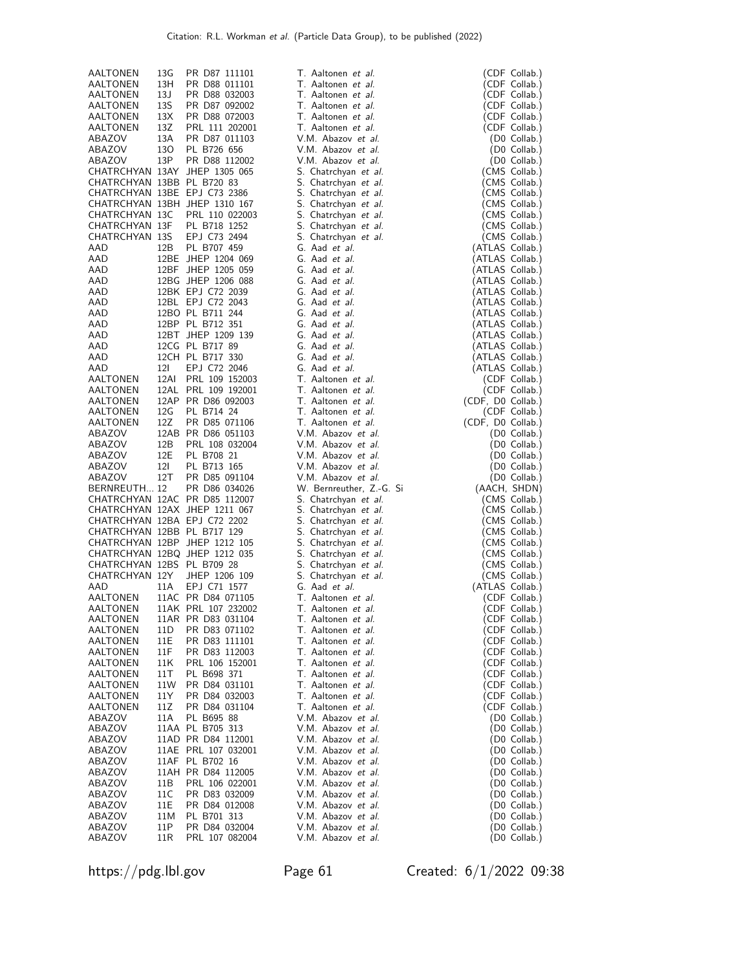| AALTONEN                     | 13G  | PR D87 111101                 | T. Aaltonen et al.       | (CDF Collab.)     |
|------------------------------|------|-------------------------------|--------------------------|-------------------|
|                              | 13H  |                               |                          |                   |
| AALTONEN                     |      | PR D88 011101                 | T. Aaltonen et al.       | (CDF Collab.)     |
| AALTONEN                     | 13J  | PR D88 032003                 | T. Aaltonen et al.       | (CDF Collab.)     |
| AALTONEN                     | 13S  | PR D87 092002                 | T. Aaltonen et al.       | (CDF Collab.)     |
| AALTONEN                     | 13X  | PR D88 072003                 | T. Aaltonen et al.       | (CDF Collab.)     |
| AALTONEN                     | 13Z  | PRL 111 202001                | T. Aaltonen et al.       | (CDF Collab.)     |
| ABAZOV                       | 13A  | PR D87 011103                 | V.M. Abazov et al.       | (D0 Collab.)      |
| ABAZOV                       | 130  | PL B726 656                   | V.M. Abazov et al.       | (D0 Collab.)      |
| ABAZOV                       | 13P  |                               |                          |                   |
|                              |      | PR D88 112002                 | V.M. Abazov et al.       | (D0 Collab.)      |
|                              |      | CHATRCHYAN 13AY JHEP 1305 065 | S. Chatrchyan et al.     | (CMS Collab.)     |
| CHATRCHYAN 13BB PL B720 83   |      |                               | S. Chatrchyan et al.     | (CMS Collab.)     |
| CHATRCHYAN 13BE EPJ C73 2386 |      |                               | S. Chatrchyan et al.     | (CMS Collab.)     |
|                              |      | CHATRCHYAN 13BH JHEP 1310 167 | S. Chatrchyan et al.     | (CMS Collab.)     |
| CHATRCHYAN 13C               |      | PRL 110 022003                | S. Chatrchyan et al.     | (CMS Collab.)     |
| CHATRCHYAN 13F               |      | PL B718 1252                  | S. Chatrchyan et al.     | (CMS Collab.)     |
| <b>CHATRCHYAN 13S</b>        |      | EPJ C73 2494                  | S. Chatrchyan et al.     | (CMS Collab.)     |
| AAD                          | 12B  | PL B707 459                   | G. Aad et al.            |                   |
|                              |      |                               |                          | (ATLAS Collab.)   |
| AAD                          |      | 12BE JHEP 1204 069            | G. Aad et al.            | (ATLAS Collab.)   |
| AAD                          |      | 12BF JHEP 1205 059            | G. Aad et al.            | (ATLAS Collab.)   |
| AAD                          |      | 12BG JHEP 1206 088            | G. Aad et al.            | (ATLAS Collab.)   |
| AAD                          |      | 12BK EPJ C72 2039             | G. Aad et al.            | (ATLAS Collab.)   |
| AAD                          |      | 12BL EPJ C72 2043             | G. Aad et al.            | (ATLAS Collab.)   |
| AAD                          |      | 12BO PL B711 244              | G. Aad et al.            | (ATLAS Collab.)   |
| AAD                          |      | 12BP PL B712 351              | G. Aad et al.            | (ATLAS Collab.)   |
| AAD                          |      | 12BT JHEP 1209 139            | G. Aad et al.            | (ATLAS Collab.)   |
| AAD                          |      | 12CG PL B717 89               | G. Aad et al.            | (ATLAS Collab.)   |
| AAD                          |      | 12CH PL B717 330              | G. Aad et al.            |                   |
|                              |      |                               |                          | (ATLAS Collab.)   |
| AAD                          | 12I  | EPJ C72 2046                  | G. Aad et al.            | (ATLAS Collab.)   |
| AALTONEN                     |      | 12AI PRL 109 152003           | T. Aaltonen et al.       | (CDF Collab.)     |
| AALTONEN                     |      | 12AL PRL 109 192001           | T. Aaltonen et al.       | (CDF Collab.)     |
| AALTONEN                     |      | 12AP PR D86 092003            | T. Aaltonen et al.       | (CDF, D0 Collab.) |
| AALTONEN                     | 12G  | PL B714 24                    | T. Aaltonen et al.       | (CDF Collab.)     |
| AALTONEN                     | 12Z  | PR D85 071106                 | T. Aaltonen et al.       | (CDF, D0 Collab.) |
| ABAZOV                       |      | 12AB PR D86 051103            | V.M. Abazov et al.       | (D0 Collab.)      |
| ABAZOV                       | 12B  | PRL 108 032004                | V.M. Abazov et al.       | (D0 Collab.)      |
| ABAZOV                       | 12E  | PL B708 21                    | V.M. Abazov et al.       | (D0 Collab.)      |
| ABAZOV                       | 121  | PL B713 165                   | V.M. Abazov et al.       | (D0 Collab.)      |
| ABAZOV                       | 12T  | PR D85 091104                 | V.M. Abazov et al.       | (D0 Collab.)      |
| BERNREUTH 12                 |      | PR D86 034026                 | W. Bernreuther, Z.-G. Si | (AACH, SHDN)      |
|                              |      | CHATRCHYAN 12AC PR D85 112007 | S. Chatrchyan et al.     | (CMS Collab.)     |
|                              |      | CHATRCHYAN 12AX JHEP 1211 067 |                          | (CMS Collab.)     |
|                              |      |                               | S. Chatrchyan et al.     |                   |
|                              |      | CHATRCHYAN 12BA EPJ C72 2202  | S. Chatrchyan et al.     | (CMS Collab.)     |
| CHATRCHYAN 12BB PL B717 129  |      |                               | S. Chatrchyan et al.     | (CMS Collab.)     |
|                              |      | CHATRCHYAN 12BP JHEP 1212 105 | S. Chatrchyan et al.     | (CMS Collab.)     |
|                              |      | CHATRCHYAN 12BQ JHEP 1212 035 | S. Chatrchyan et al.     | (CMS Collab.)     |
| CHATRCHYAN 12BS PL B709 28   |      |                               | S. Chatrchyan et al.     | (CMS Collab.)     |
| CHATRCHYAN 12Y               |      | JHEP 1206 109                 | S. Chatrchyan et al.     | (CMS Collab.)     |
| AAD                          | 11A  | EPJ C71 1577                  | G. Aad et al.            | (ATLAS Collab.)   |
| AALTONEN                     |      | 11AC PR D84 071105            | T. Aaltonen et al.       | (CDF Collab.)     |
| AALTONEN                     |      | 11AK PRL 107 232002           | T. Aaltonen et al.       | (CDF Collab.)     |
| AALTONEN                     |      | 11AR PR D83 031104            | T. Aaltonen et al.       | (CDF Collab.)     |
| AALTONEN                     | 11D  | PR D83 071102                 | T. Aaltonen et al.       | (CDF Collab.)     |
| AALTONEN                     | 11E  | PR D83 111101                 | T. Aaltonen et al.       | (CDF Collab.)     |
| AALTONEN                     | 11F  | PR D83 112003                 | T. Aaltonen et al.       | (CDF Collab.)     |
|                              |      |                               |                          |                   |
| AALTONEN                     | 11K  | PRL 106 152001                | T. Aaltonen et al.       | (CDF Collab.)     |
| AALTONEN                     | 11 T | PL B698 371                   | T. Aaltonen et al.       | (CDF Collab.)     |
| AALTONEN                     | 11W  | PR D84 031101                 | T. Aaltonen et al.       | (CDF Collab.)     |
| AALTONEN                     | 11Y  | PR D84 032003                 | T. Aaltonen et al.       | (CDF Collab.)     |
| AALTONEN                     | 11Z  | PR D84 031104                 | T. Aaltonen et al.       | (CDF Collab.)     |
| ABAZOV                       | 11A  | PL B695 88                    | V.M. Abazov et al.       | (D0 Collab.)      |
| ABAZOV                       |      | 11AA PL B705 313              | V.M. Abazov et al.       | (D0 Collab.)      |
| ABAZOV                       |      | 11AD PR D84 112001            | V.M. Abazov et al.       | (D0 Collab.)      |
| ABAZOV                       |      | 11AE PRL 107 032001           | V.M. Abazov et al.       | (D0 Collab.)      |
| ABAZOV                       |      | 11AF PL B702 16               | V.M. Abazov et al.       | (D0 Collab.)      |
| ABAZOV                       |      | 11AH PR D84 112005            | V.M. Abazov et al.       | (D0 Collab.)      |
| ABAZOV                       | 11B  | PRL 106 022001                | V.M. Abazov et al.       | (D0 Collab.)      |
| ABAZOV                       | 11C  | PR D83 032009                 | V.M. Abazov et al.       | (D0 Collab.)      |
| ABAZOV                       | 11E  | PR D84 012008                 | V.M. Abazov et al.       | (D0 Collab.)      |
| ABAZOV                       | 11M  | PL B701 313                   | V.M. Abazov et al.       | (D0 Collab.)      |
| ABAZOV                       | 11P  | PR D84 032004                 | V.M. Abazov et al.       | (D0 Collab.)      |
| ABAZOV                       | 11R  | PRL 107 082004                | V.M. Abazov et al.       | (D0 Collab.)      |
|                              |      |                               |                          |                   |

https://pdg.lbl.gov Page 61 Created: 6/1/2022 09:38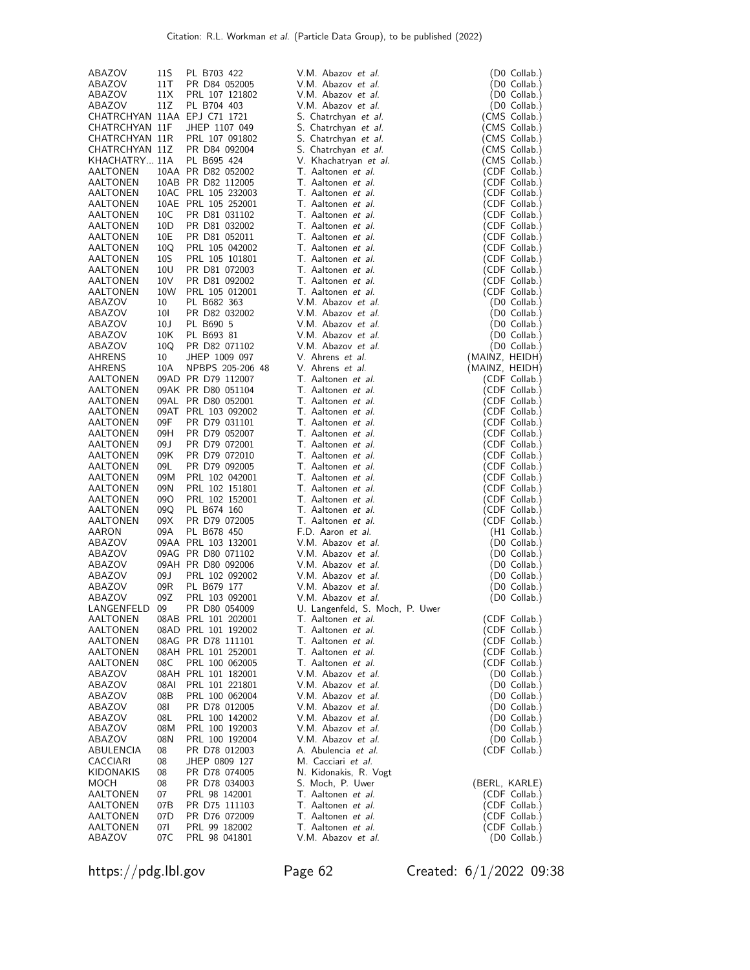| ABAZOV                          | 11S                    | PL B703 422                               | V.M. Abazov et al.                                     | (D0 Collab.)                     |
|---------------------------------|------------------------|-------------------------------------------|--------------------------------------------------------|----------------------------------|
| ABAZOV                          | 11T                    | PR D84 052005                             | V.M. Abazov <i>et al.</i>                              | (D0 Collab.)                     |
| ABAZOV<br>ABAZOV                | 11X<br>11Z             | PRL 107 121802<br>PL B704 403             | V.M. Abazov et al.<br>V.M. Abazov et al.               | (D0 Collab.)<br>(D0 Collab.)     |
| CHATRCHYAN 11AA EPJ C71 1721    |                        |                                           | S. Chatrchyan et al.                                   | (CMS Collab.)                    |
| CHATRCHYAN 11F                  |                        | JHEP 1107 049                             | S. Chatrchyan et al.                                   | (CMS Collab.)                    |
| CHATRCHYAN 11R                  |                        | PRL 107 091802                            | S. Chatrchyan et al.                                   | (CMS Collab.)                    |
| CHATRCHYAN 11Z                  |                        | PR D84 092004                             | S. Chatrchyan et al.                                   | (CMS Collab.)                    |
| KHACHATRY 11A<br>AALTONEN       |                        | PL B695 424<br>10AA PR D82 052002         | V. Khachatryan et al.<br>T. Aaltonen et al.            | (CMS Collab.)<br>(CDF Collab.)   |
| AALTONEN                        |                        | 10AB PR D82 112005                        | T. Aaltonen et al.                                     | (CDF Collab.)                    |
| AALTONEN                        |                        | 10AC PRL 105 232003                       | T. Aaltonen <i>et al.</i>                              | (CDF Collab.)                    |
| AALTONEN                        |                        | 10AE PRL 105 252001                       | T. Aaltonen et al.                                     | (CDF Collab.)                    |
| AALTONEN                        | 10C                    | PR D81 031102                             | T. Aaltonen et al.                                     | (CDF Collab.)                    |
| AALTONEN<br>AALTONEN            | 10 <sub>D</sub><br>10E | PR D81 032002<br>PR D81 052011            | T. Aaltonen <i>et al.</i><br>T. Aaltonen <i>et al.</i> | (CDF Collab.)<br>(CDF Collab.)   |
| AALTONEN                        | 10Q                    | PRL 105 042002                            | T. Aaltonen et al.                                     | (CDF Collab.)                    |
| AALTONEN                        | 10S                    | PRL 105 101801                            | T. Aaltonen et al.                                     | (CDF Collab.)                    |
| AALTONEN                        | 10U                    | PR D81 072003                             | T. Aaltonen et al.                                     | (CDF Collab.)                    |
| AALTONEN                        | 10V                    | PR D81 092002                             | T. Aaltonen et al.                                     | (CDF Collab.)                    |
| AALTONEN<br>ABAZOV              | 10W<br>10              | PRL 105 012001<br>PL B682 363             | T. Aaltonen et al.<br>V.M. Abazov et al.               | (CDF Collab.)<br>(D0 Collab.)    |
| ABAZOV                          | 10I                    | PR D82 032002                             | V.M. Abazov et al.                                     | (D0 Collab.)                     |
| ABAZOV                          | 10J                    | PL B690 5                                 | V.M. Abazov et al.                                     | (D0 Collab.)                     |
| ABAZOV                          | 10K                    | PL B693 81                                | V.M. Abazov et al.                                     | (D0 Collab.)                     |
| ABAZOV                          | 10Q                    | PR D82 071102                             | V.M. Abazov et al.                                     | (D0 Collab.)                     |
| AHRENS<br>AHRENS                | 10<br>10A              | JHEP 1009 097<br>NPBPS 205-206 48         | V. Ahrens et al.<br>V. Ahrens et al.                   | (MAINZ, HEIDH)<br>(MAINZ, HEIDH) |
| AALTONEN                        |                        | 09AD PR D79 112007                        | T. Aaltonen et al.                                     | (CDF Collab.)                    |
| AALTONEN                        |                        | 09AK PR D80 051104                        | T. Aaltonen <i>et al.</i>                              | (CDF Collab.)                    |
| AALTONEN                        |                        | 09AL PR D80 052001                        | T. Aaltonen et al.                                     | (CDF Collab.)                    |
| AALTONEN                        |                        | 09AT PRL 103 092002                       | T. Aaltonen et al.                                     | (CDF Collab.)                    |
| AALTONEN                        | 09F<br>09H             | PR D79 031101                             | T. Aaltonen et al.<br>T. Aaltonen et al.               | (CDF Collab.)                    |
| AALTONEN<br>AALTONEN            | 09 J                   | PR D79 052007<br>PR D79 072001            | T. Aaltonen et al.                                     | (CDF Collab.)<br>(CDF Collab.)   |
| AALTONEN                        | 09K                    | PR D79 072010                             | T. Aaltonen et al.                                     | (CDF Collab.)                    |
| AALTONEN                        | 09L                    | PR D79 092005                             | T. Aaltonen et al.                                     | (CDF Collab.)                    |
| AALTONEN                        | 09M                    | PRL 102 042001                            | T. Aaltonen <i>et al.</i>                              | (CDF Collab.)                    |
| AALTONEN                        | 09N                    | PRL 102 151801                            | T. Aaltonen et al.<br>T. Aaltonen et al.               | (CDF Collab.)                    |
| AALTONEN<br>AALTONEN            | 09O<br>09Q             | PRL 102 152001<br>PL B674 160             | T. Aaltonen et al.                                     | (CDF Collab.)<br>(CDF Collab.)   |
| AALTONEN                        | 09X                    | PR D79 072005                             | T. Aaltonen et al.                                     | (CDF Collab.)                    |
| AARON                           | 09A                    | PL B678 450                               | F.D. Aaron et al.                                      | (H1 Collab.)                     |
| ABAZOV                          |                        | 09AA PRL 103 132001                       | V.M. Abazov et al.                                     | (D0 Collab.)                     |
| ABAZOV                          |                        | 09AG PR D80 071102                        | V.M. Abazov et al.                                     | (D0 Collab.)                     |
| ABAZOV<br>ABAZOV                | 09 J                   | 09AH PR D80 092006<br>PRL 102 092002      | V.M. Abazov et al.<br>V.M. Abazov et al.               | (D0 Collab.)<br>(D0 Collab.)     |
| ABAZOV                          | 09R                    | PL B679 177                               | V.M. Abazov et al.                                     | (D0 Collab.)                     |
| ABAZOV                          | 09Z                    | PRL 103 092001                            | V.M. Abazov et al.                                     | (D0 Collab.)                     |
| LANGENFELD 09                   |                        | PR D80 054009                             | U. Langenfeld, S. Moch, P. Uwer                        |                                  |
| AALTONEN                        |                        | 08AB PRL 101 202001                       | T. Aaltonen <i>et al.</i>                              | (CDF Collab.)                    |
| AALTONEN                        |                        | 08AD PRL 101 192002<br>08AG PR D78 111101 | T. Aaltonen <i>et al.</i><br>T. Aaltonen <i>et al.</i> | (CDF Collab.)<br>(CDF Collab.)   |
| AALTONEN<br>AALTONEN            |                        | 08AH PRL 101 252001                       | T. Aaltonen <i>et al.</i>                              | (CDF Collab.)                    |
| AALTONEN                        | 08C                    | PRL 100 062005                            | T. Aaltonen <i>et al.</i>                              | (CDF Collab.)                    |
| ABAZOV                          |                        | 08AH PRL 101 182001                       | V.M. Abazov <i>et al.</i>                              | (D0 Collab.)                     |
| ABAZOV                          | 08AI                   | PRL 101 221801                            | V.M. Abazov et al.                                     | (D0 Collab.)                     |
| ABAZOV                          | 08B                    | PRL 100 062004                            | V.M. Abazov et al.                                     | (D0 Collab.)                     |
| ABAZOV<br>ABAZOV                | 180<br>08L             | PR D78 012005<br>PRL 100 142002           | V.M. Abazov et al.<br>V.M. Abazov et al.               | (D0 Collab.)<br>(D0 Collab.)     |
| ABAZOV                          | 08M                    | PRL 100 192003                            | V.M. Abazov et al.                                     | (D0 Collab.)                     |
| ABAZOV                          | 08N                    | PRL 100 192004                            | V.M. Abazov et al.                                     | (D0 Collab.)                     |
| ABULENCIA                       | 08                     | PR D78 012003                             | A. Abulencia et al.                                    | (CDF Collab.)                    |
| CACCIARI                        | 08                     | JHEP 0809 127                             | M. Cacciari et al.                                     |                                  |
| <b>KIDONAKIS</b><br><b>MOCH</b> | 08<br>08               | PR D78 074005<br>PR D78 034003            | N. Kidonakis, R. Vogt<br>S. Moch, P. Uwer              | (BERL, KARLE)                    |
| AALTONEN                        | 07                     | PRL 98 142001                             | T. Aaltonen et al.                                     | (CDF Collab.)                    |
| AALTONEN                        | 07B                    | PR D75 111103                             | T. Aaltonen <i>et al.</i>                              | (CDF Collab.)                    |
| AALTONEN                        | 07D                    | PR D76 072009                             | T. Aaltonen et al.                                     | (CDF Collab.)                    |
| AALTONEN                        | 07I                    | PRL 99 182002                             | T. Aaltonen et al.                                     | (CDF Collab.)                    |
| ABAZOV                          | 07C                    | PRL 98 041801                             | V.M. Abazov et al.                                     | (D0 Collab.)                     |

https://pdg.lbl.gov Page 62 Created: 6/1/2022 09:38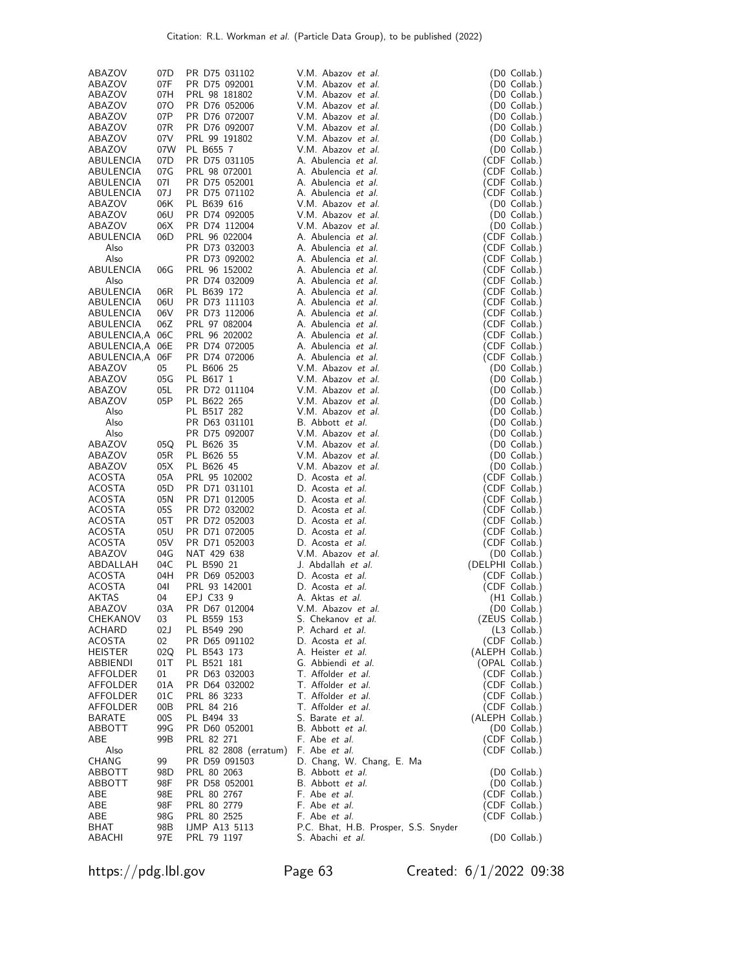| ABAZOV            | 07D             | PR D75 031102                  | V.M. Abazov <i>et al.</i>                                | (D0 Collab.)                    |
|-------------------|-----------------|--------------------------------|----------------------------------------------------------|---------------------------------|
| ABAZOV            | 07F             | PR D75 092001                  | V.M. Abazov et al.                                       | (D0 Collab.)                    |
| ABAZOV            | 07H             | PRL 98 181802                  | V.M. Abazov et al.                                       | (D0 Collab.)                    |
| ABAZOV            | 07 <sub>O</sub> | PR D76 052006                  | V.M. Abazov et al.                                       | (D0 Collab.)                    |
| ABAZOV            | 07P             | PR D76 072007                  | V.M. Abazov <i>et al.</i>                                | (D0 Collab.)                    |
| ABAZOV            | 07R             | PR D76 092007                  | V.M. Abazov et al.                                       | (D0 Collab.)                    |
| ABAZOV            | 07V             | PRL 99 191802                  | V.M. Abazov et al.                                       | (D0 Collab.)                    |
| ABAZOV            | 07W             | PL B655 7                      | V.M. Abazov et al.                                       | (D0 Collab.)                    |
| ABULENCIA         | 07D             | PR D75 031105                  | A. Abulencia <i>et al.</i>                               | (CDF Collab.)                   |
| ABULENCIA         | 07G             | PRL 98 072001                  | A. Abulencia <i>et al.</i>                               | (CDF Collab.)                   |
| ABULENCIA         | 071             | PR D75 052001                  | A. Abulencia <i>et al.</i>                               | (CDF Collab.)                   |
| ABULENCIA         | 07J             | PR D75 071102                  | A. Abulencia <i>et al.</i>                               | (CDF Collab.)                   |
| ABAZOV            | 06K             | PL B639 616                    | V.M. Abazov et al.                                       | (D0 Collab.)                    |
| ABAZOV            | 06U             | PR D74 092005                  | V.M. Abazov et al.                                       | (D0 Collab.)                    |
| ABAZOV            | 06X             | PR D74 112004                  | V.M. Abazov <i>et al.</i>                                | (D0 Collab.)                    |
| ABULENCIA         | 06D             | PRL 96 022004                  | A. Abulencia <i>et al.</i>                               | (CDF Collab.)                   |
| Also              |                 | PR D73 032003                  | A. Abulencia <i>et al.</i>                               | (CDF Collab.)                   |
| Also              |                 | PR D73 092002                  | A. Abulencia <i>et al.</i>                               | (CDF Collab.)                   |
| ABULENCIA<br>Also | 06G             | PRL 96 152002<br>PR D74 032009 | A. Abulencia <i>et al.</i><br>A. Abulencia <i>et al.</i> | (CDF Collab.)                   |
| ABULENCIA         | 06R             | PL B639 172                    | A. Abulencia <i>et al.</i>                               | (CDF Collab.)<br>(CDF Collab.)  |
| ABULENCIA         | 06U             | PR D73 111103                  | A. Abulencia <i>et al.</i>                               | (CDF Collab.)                   |
| ABULENCIA         | 06V             | PR D73 112006                  | A. Abulencia <i>et al.</i>                               | (CDF Collab.)                   |
| ABULENCIA         | 06Z             | PRL 97 082004                  | A. Abulencia <i>et al.</i>                               | (CDF Collab.)                   |
| ABULENCIA,A 06C   |                 | PRL 96 202002                  | A. Abulencia <i>et al.</i>                               | (CDF Collab.)                   |
| ABULENCIA,A       | 06E             | PR D74 072005                  | A. Abulencia <i>et al.</i>                               | (CDF Collab.)                   |
| ABULENCIA,A       | 06F             | PR D74 072006                  | A. Abulencia et al.                                      | (CDF Collab.)                   |
| ABAZOV            | 05              | PL B606 25                     | V.M. Abazov et al.                                       | (D0 Collab.)                    |
| ABAZOV            | 05G             | PL B617 1                      | V.M. Abazov et al.                                       | (D0 Collab.)                    |
| ABAZOV            | 05L             | PR D72 011104                  | V.M. Abazov et al.                                       | (D0 Collab.)                    |
| ABAZOV            | 05P             | PL B622 265                    | V.M. Abazov et al.                                       | (D0 Collab.)                    |
| Also              |                 | PL B517 282                    | V.M. Abazov et al.                                       | (D0 Collab.)                    |
| Also              |                 | PR D63 031101                  | B. Abbott et al.                                         | (D0 Collab.)                    |
| Also              |                 | PR D75 092007                  | V.M. Abazov <i>et al.</i>                                | (D0 Collab.)                    |
| ABAZOV            | 05Q             | PL B626 35                     | V.M. Abazov et al.                                       | (D0 Collab.)                    |
| ABAZOV            | 05R             | PL B626 55                     | V.M. Abazov et al.                                       | (D0 Collab.)                    |
| ABAZOV<br>ACOSTA  | 05X<br>05A      | PL B626 45<br>PRL 95 102002    | V.M. Abazov et al.<br>D. Acosta <i>et al</i> .           | (D0 Collab.)<br>(CDF Collab.)   |
| ACOSTA            | 05D             | PR D71 031101                  | D. Acosta et al.                                         | (CDF Collab.)                   |
| ACOSTA            | 05N             | PR D71 012005                  | D. Acosta <i>et al</i> .                                 | (CDF Collab.)                   |
| ACOSTA            | 05S             | PR D72 032002                  | D. Acosta <i>et al</i> .                                 | (CDF Collab.)                   |
| ACOSTA            | 05T             | PR D72 052003                  | D. Acosta <i>et al</i> .                                 | (CDF Collab.)                   |
| ACOSTA            | 05U             | PR D71 072005                  | D. Acosta et al.                                         | (CDF Collab.)                   |
| <b>ACOSTA</b>     | 05V             | PR D71 052003                  | D. Acosta <i>et al</i> .                                 | (CDF Collab.)                   |
| ABAZOV            | 04G             | NAT 429 638                    | V.M. Abazov et al.                                       | (D0 Collab.)                    |
| ABDALLAH          | 04C             | PL B590 21                     | J. Abdallah et al.                                       | (DELPHI Collab.)                |
| <b>ACOSTA</b>     | 04H             | PR D69 052003                  | D. Acosta <i>et al</i> .                                 | (CDF Collab.)                   |
| <b>ACOSTA</b>     | 04I             | PRL 93 142001                  | D. Acosta et al.                                         | (CDF Collab.)                   |
| <b>AKTAS</b>      | 04              | EPJ C33 9                      | A. Aktas <i>et al.</i>                                   | (H1 Collab.)                    |
| ABAZOV            | 03A             | PR D67 012004                  | V.M. Abazov et al.                                       | (D0 Collab.)                    |
| CHEKANOV          | 03              | PL B559 153                    | S. Chekanov <i>et al.</i>                                | (ZEUS Collab.)                  |
| ACHARD<br>ACOSTA  | 02J<br>02       | PL B549 290                    | P. Achard et al.                                         | $(L3$ Collab.)<br>(CDF Collab.) |
| HEISTER           | 02Q             | PR D65 091102<br>PL B543 173   | D. Acosta <i>et al.</i><br>A. Heister <i>et al.</i>      | (ALEPH Collab.)                 |
| ABBIENDI          | 01T             | PL B521 181                    | G. Abbiendi et al.                                       | (OPAL Collab.)                  |
| AFFOLDER          | 01              | PR D63 032003                  | T. Affolder et al.                                       | (CDF Collab.)                   |
| AFFOLDER          | 01A             | PR D64 032002                  | T. Affolder et al.                                       | (CDF Collab.)                   |
| AFFOLDER          | 01C             | PRL 86 3233                    | T. Affolder <i>et al.</i>                                | (CDF Collab.)                   |
| AFFOLDER          | 00B             | PRL 84 216                     | T. Affolder <i>et al.</i>                                | (CDF Collab.)                   |
| BARATE            | 00S             | PL B494 33                     | S. Barate <i>et al.</i>                                  | (ALEPH Collab.)                 |
| ABBOTT            | 99G             | PR D60 052001                  | B. Abbott et al.                                         | (D0 Collab.)                    |
| ABE               | 99B             | PRL 82 271                     | F. Abe <i>et al.</i>                                     | (CDF Collab.)                   |
| Also              |                 | PRL 82 2808 (erratum)          | F. Abe et al.                                            | (CDF Collab.)                   |
| CHANG             | 99              | PR D59 091503                  | D. Chang, W. Chang, E. Ma                                |                                 |
| ABBOTT            | 98D             | PRL 80 2063                    | B. Abbott et al.                                         | (D0 Collab.)                    |
| ABBOTT            | 98F             | PR D58 052001                  | B. Abbott et al.                                         | (D0 Collab.)                    |
| ABE<br>ABE        | 98E<br>98F      | PRL 80 2767<br>PRL 80 2779     | F. Abe et al.<br>F. Abe <i>et al.</i>                    | (CDF Collab.)<br>(CDF Collab.)  |
| ABE               | 98G             | PRL 80 2525                    | F. Abe et al.                                            | (CDF Collab.)                   |
| BHAT              | 98B             | IJMP A13 5113                  | P.C. Bhat, H.B. Prosper, S.S. Snyder                     |                                 |
| ABACHI            | 97E             | PRL 79 1197                    | S. Abachi <i>et al.</i>                                  | (D0 Collab.)                    |